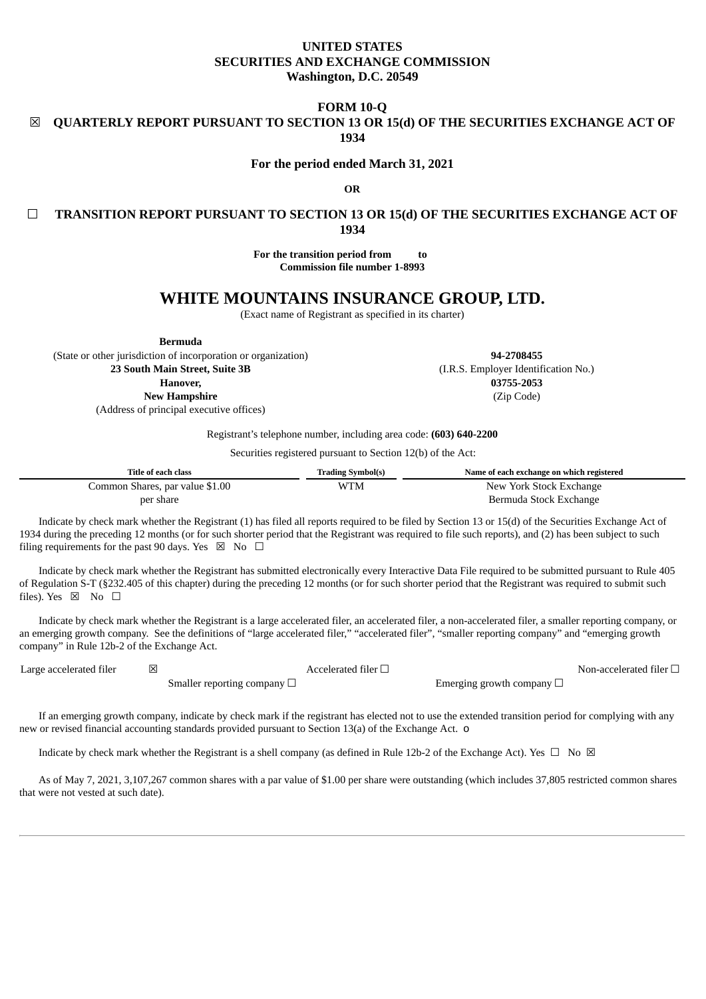# **UNITED STATES SECURITIES AND EXCHANGE COMMISSION Washington, D.C. 20549**

# **FORM 10-Q**

# ☒ **QUARTERLY REPORT PURSUANT TO SECTION 13 OR 15(d) OF THE SECURITIES EXCHANGE ACT OF 1934**

**For the period ended March 31, 2021**

**OR**

☐ **TRANSITION REPORT PURSUANT TO SECTION 13 OR 15(d) OF THE SECURITIES EXCHANGE ACT OF 1934**

> **For the transition period from to Commission file number 1-8993**

# **WHITE MOUNTAINS INSURANCE GROUP, LTD.**

(Exact name of Registrant as specified in its charter)

**Bermuda** (State or other jurisdiction of incorporation or organization) **94-2708455 23 South Main Street, Suite 3B** (I.R.S. Employer Identification No.) **Hanover, 03755-2053 New Hampshire** (Zip Code)

(Address of principal executive offices)

Registrant's telephone number, including area code: **(603) 640-2200**

Securities registered pursuant to Section 12(b) of the Act:

| Title of each class             | <b>Trading Symbol(s)</b> | Name of each exchange on which registered |
|---------------------------------|--------------------------|-------------------------------------------|
| Common Shares, par value \$1.00 | WTM                      | New York Stock Exchange                   |
| per share                       |                          | Bermuda Stock Exchange                    |

Indicate by check mark whether the Registrant (1) has filed all reports required to be filed by Section 13 or 15(d) of the Securities Exchange Act of 1934 during the preceding 12 months (or for such shorter period that the Registrant was required to file such reports), and (2) has been subject to such filing requirements for the past 90 days. Yes  $\boxtimes$  No  $\Box$ 

Indicate by check mark whether the Registrant has submitted electronically every Interactive Data File required to be submitted pursuant to Rule 405 of Regulation S-T (§232.405 of this chapter) during the preceding 12 months (or for such shorter period that the Registrant was required to submit such files). Yes  $\boxtimes$  No  $\square$ 

Indicate by check mark whether the Registrant is a large accelerated filer, an accelerated filer, a non-accelerated filer, a smaller reporting company, or an emerging growth company. See the definitions of "large accelerated filer," "accelerated filer", "smaller reporting company" and "emerging growth company" in Rule 12b-2 of the Exchange Act.

Large accelerated filer **<u>⊠</u>** and  $\blacksquare$  Accelerated filer  $\Box$  and  $\blacksquare$  Non-accelerated filer  $\Box$ 

Smaller reporting company □ and the state of the state of the Emerging growth company □

If an emerging growth company, indicate by check mark if the registrant has elected not to use the extended transition period for complying with any new or revised financial accounting standards provided pursuant to Section 13(a) of the Exchange Act. o

Indicate by check mark whether the Registrant is a shell company (as defined in Rule 12b-2 of the Exchange Act). Yes  $\Box$  No  $\boxtimes$ 

As of May 7, 2021, 3,107,267 common shares with a par value of \$1.00 per share were outstanding (which includes 37,805 restricted common shares that were not vested at such date).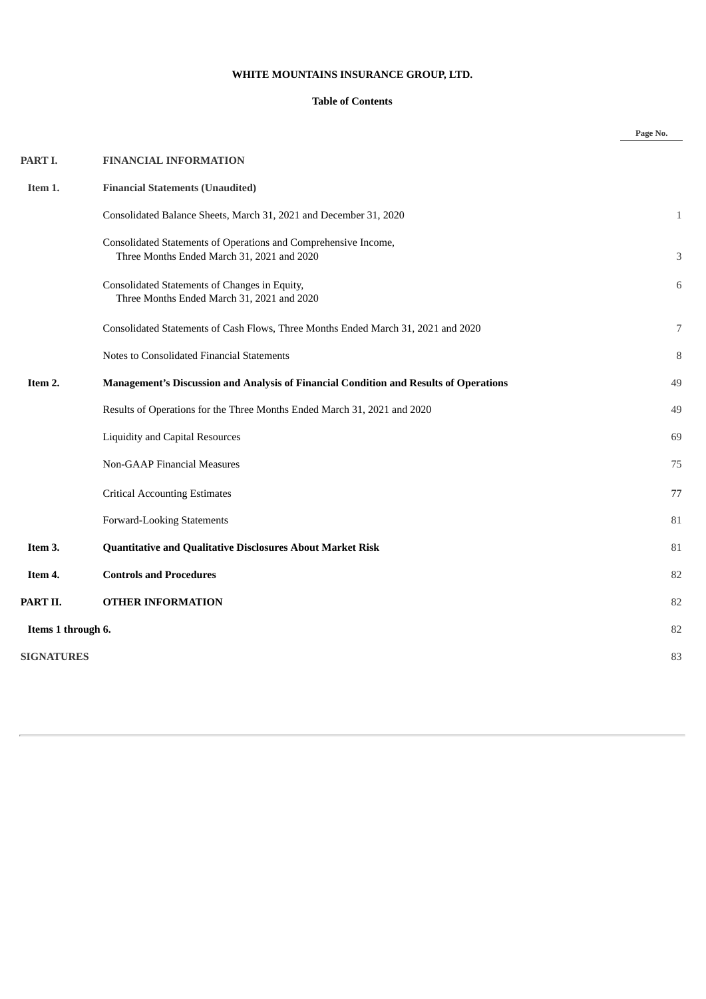# **WHITE MOUNTAINS INSURANCE GROUP, LTD.**

# **Table of Contents**

<span id="page-1-0"></span>

|                    |                                                                                                               | Page No.     |
|--------------------|---------------------------------------------------------------------------------------------------------------|--------------|
| PART I.            | <b>FINANCIAL INFORMATION</b>                                                                                  |              |
| Item 1.            | <b>Financial Statements (Unaudited)</b>                                                                       |              |
|                    | Consolidated Balance Sheets, March 31, 2021 and December 31, 2020                                             | $\mathbf{1}$ |
|                    | Consolidated Statements of Operations and Comprehensive Income,<br>Three Months Ended March 31, 2021 and 2020 | 3            |
|                    | Consolidated Statements of Changes in Equity,<br>Three Months Ended March 31, 2021 and 2020                   | 6            |
|                    | Consolidated Statements of Cash Flows, Three Months Ended March 31, 2021 and 2020                             | 7            |
|                    | Notes to Consolidated Financial Statements                                                                    | 8            |
| Item 2.            | Management's Discussion and Analysis of Financial Condition and Results of Operations                         | 49           |
|                    | Results of Operations for the Three Months Ended March 31, 2021 and 2020                                      | 49           |
|                    | <b>Liquidity and Capital Resources</b>                                                                        | 69           |
|                    | Non-GAAP Financial Measures                                                                                   | 75           |
|                    | <b>Critical Accounting Estimates</b>                                                                          | 77           |
|                    | <b>Forward-Looking Statements</b>                                                                             | 81           |
| Item 3.            | <b>Quantitative and Qualitative Disclosures About Market Risk</b>                                             | 81           |
| Item 4.            | <b>Controls and Procedures</b>                                                                                | 82           |
| PART II.           | <b>OTHER INFORMATION</b>                                                                                      | 82           |
| Items 1 through 6. |                                                                                                               | 82           |
| <b>SIGNATURES</b>  |                                                                                                               | 83           |
|                    |                                                                                                               |              |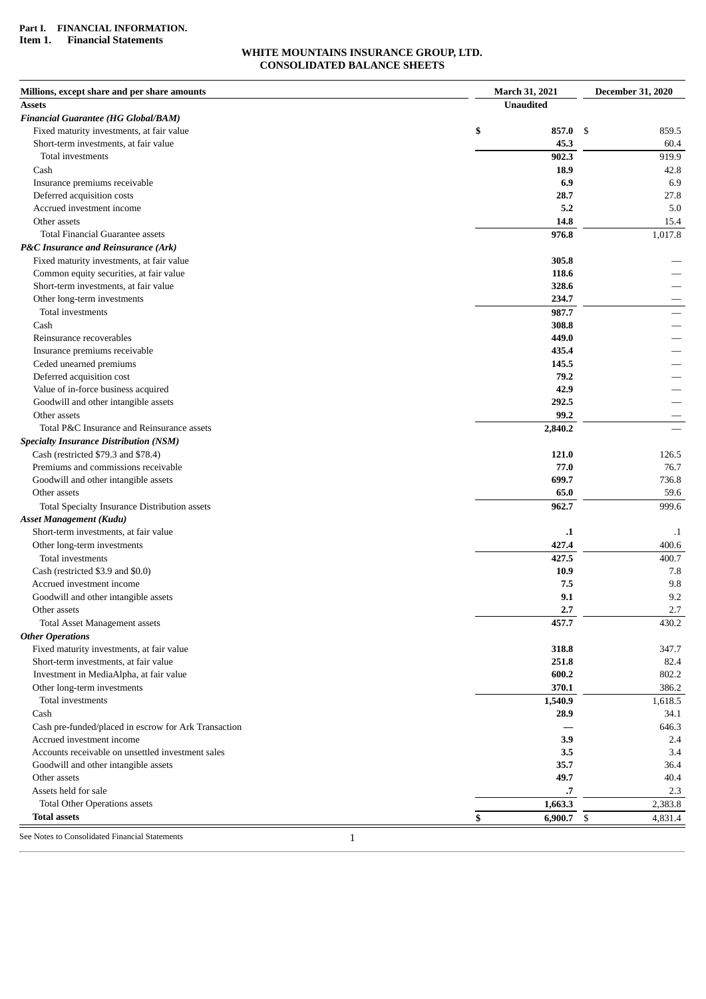## **Part I. FINANCIAL INFORMATION.**

## <span id="page-2-1"></span><span id="page-2-0"></span>**Item 1. Financial Statements**

# **WHITE MOUNTAINS INSURANCE GROUP, LTD. CONSOLIDATED BALANCE SHEETS**

| Millions, except share and per share amounts                               | March 31, 2021   | <b>December 31, 2020</b> |
|----------------------------------------------------------------------------|------------------|--------------------------|
| <b>Assets</b>                                                              | <b>Unaudited</b> |                          |
| <b>Financial Guarantee (HG Global/BAM)</b>                                 |                  |                          |
| Fixed maturity investments, at fair value                                  | \$<br>857.0      | -\$<br>859.5             |
| Short-term investments, at fair value                                      | 45.3             | 60.4                     |
| Total investments                                                          | 902.3            | 919.9                    |
| Cash                                                                       | 18.9             | 42.8                     |
| Insurance premiums receivable                                              | 6.9              | 6.9                      |
| Deferred acquisition costs                                                 | 28.7             | 27.8                     |
| Accrued investment income                                                  | 5.2              | 5.0                      |
| Other assets                                                               | 14.8             | 15.4                     |
| <b>Total Financial Guarantee assets</b>                                    | 976.8            | 1,017.8                  |
| P&C Insurance and Reinsurance (Ark)                                        |                  |                          |
| Fixed maturity investments, at fair value                                  | 305.8            |                          |
| Common equity securities, at fair value                                    | 118.6            |                          |
| Short-term investments, at fair value                                      | 328.6            |                          |
| Other long-term investments                                                | 234.7            |                          |
| Total investments                                                          | 987.7            |                          |
| Cash                                                                       | 308.8            |                          |
| Reinsurance recoverables                                                   | 449.0            |                          |
| Insurance premiums receivable                                              | 435.4            |                          |
| Ceded unearned premiums                                                    | 145.5            |                          |
| Deferred acquisition cost                                                  | 79.2             |                          |
| Value of in-force business acquired                                        | 42.9             |                          |
| Goodwill and other intangible assets                                       | 292.5            |                          |
| Other assets<br>Total P&C Insurance and Reinsurance assets                 | 99.2             |                          |
|                                                                            | 2,840.2          |                          |
| <b>Specialty Insurance Distribution (NSM)</b>                              |                  |                          |
| Cash (restricted \$79.3 and \$78.4)<br>Premiums and commissions receivable | 121.0            | 126.5                    |
| Goodwill and other intangible assets                                       | 77.0<br>699.7    | 76.7<br>736.8            |
| Other assets                                                               | 65.0             | 59.6                     |
|                                                                            | 962.7            | 999.6                    |
| Total Specialty Insurance Distribution assets                              |                  |                          |
| <b>Asset Management (Kudu)</b><br>Short-term investments, at fair value    |                  |                          |
| Other long-term investments                                                | $\cdot$<br>427.4 | $\cdot$<br>400.6         |
| Total investments                                                          | 427.5            | 400.7                    |
| Cash (restricted \$3.9 and \$0.0)                                          | 10.9             | 7.8                      |
| Accrued investment income                                                  | 7.5              | 9.8                      |
| Goodwill and other intangible assets                                       | 9.1              | 9.2                      |
| Other assets                                                               | 2.7              | 2.7                      |
| <b>Total Asset Management assets</b>                                       | 457.7            | 430.2                    |
| <b>Other Operations</b>                                                    |                  |                          |
| Fixed maturity investments, at fair value                                  | 318.8            | 347.7                    |
| Short-term investments, at fair value                                      | 251.8            | 82.4                     |
| Investment in MediaAlpha, at fair value                                    | 600.2            | 802.2                    |
| Other long-term investments                                                | 370.1            | 386.2                    |
| Total investments                                                          | 1,540.9          | 1,618.5                  |
| Cash                                                                       | 28.9             | 34.1                     |
| Cash pre-funded/placed in escrow for Ark Transaction                       |                  | 646.3                    |
| Accrued investment income                                                  | 3.9              | 2.4                      |
| Accounts receivable on unsettled investment sales                          | 3.5              | 3.4                      |
| Goodwill and other intangible assets                                       | 35.7             | 36.4                     |
| Other assets                                                               | 49.7             | 40.4                     |
| Assets held for sale                                                       | .7               | 2.3                      |
| <b>Total Other Operations assets</b>                                       | 1,663.3          | 2,383.8                  |
| <b>Total assets</b>                                                        | \$<br>6,900.7 \$ | 4,831.4                  |
| See Notes to Consolidated Financial Statements<br>$\mathbf{1}$             |                  |                          |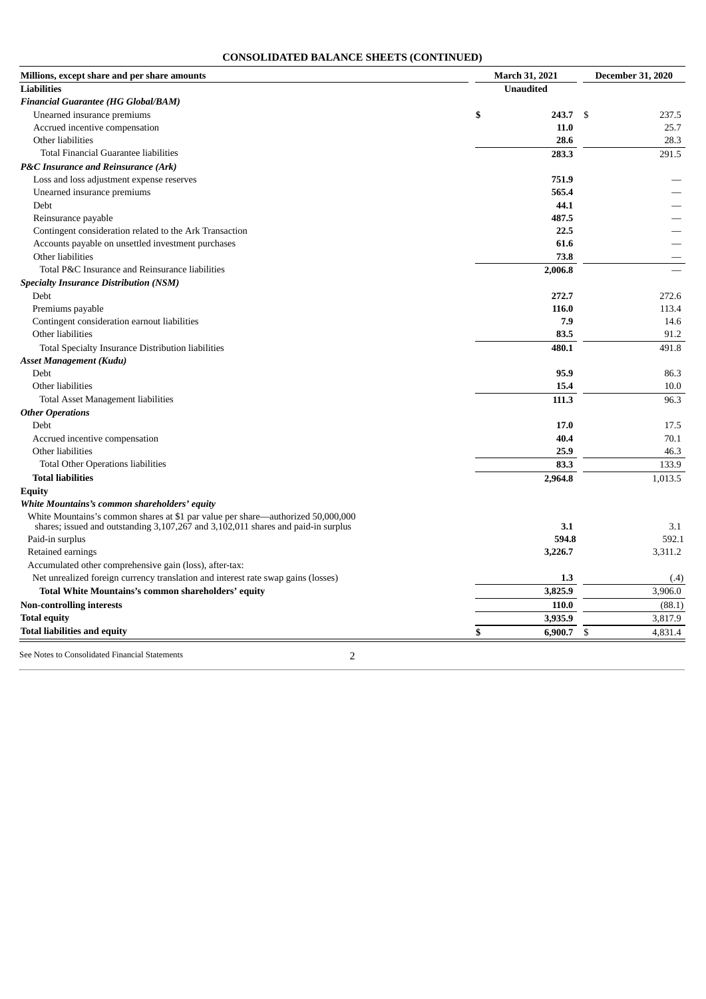# **CONSOLIDATED BALANCE SHEETS (CONTINUED)**

| Millions, except share and per share amounts                                      | <b>March 31, 2021</b> | <b>December 31, 2020</b> |
|-----------------------------------------------------------------------------------|-----------------------|--------------------------|
| <b>Liabilities</b>                                                                | <b>Unaudited</b>      |                          |
| <b>Financial Guarantee (HG Global/BAM)</b>                                        |                       |                          |
| Unearned insurance premiums                                                       | \$<br>243.7           | -\$<br>237.5             |
| Accrued incentive compensation                                                    | 11.0                  | 25.7                     |
| Other liabilities                                                                 | 28.6                  | 28.3                     |
| Total Financial Guarantee liabilities                                             | 283.3                 | 291.5                    |
| P&C Insurance and Reinsurance (Ark)                                               |                       |                          |
| Loss and loss adjustment expense reserves                                         | 751.9                 |                          |
| Unearned insurance premiums                                                       | 565.4                 |                          |
| <b>Debt</b>                                                                       | 44.1                  |                          |
| Reinsurance payable                                                               | 487.5                 |                          |
| Contingent consideration related to the Ark Transaction                           | 22.5                  |                          |
| Accounts payable on unsettled investment purchases                                | 61.6                  |                          |
| Other liabilities                                                                 | 73.8                  |                          |
| Total P&C Insurance and Reinsurance liabilities                                   | 2,006.8               |                          |
| <b>Specialty Insurance Distribution (NSM)</b>                                     |                       |                          |
| Debt                                                                              | 272.7                 | 272.6                    |
| Premiums payable                                                                  | 116.0                 | 113.4                    |
| Contingent consideration earnout liabilities                                      | 7.9                   | 14.6                     |
| Other liabilities                                                                 | 83.5                  | 91.2                     |
| Total Specialty Insurance Distribution liabilities                                | 480.1                 | 491.8                    |
| Asset Management (Kudu)                                                           |                       |                          |
| Debt                                                                              | 95.9                  | 86.3                     |
| Other liabilities                                                                 | 15.4                  | 10.0                     |
| <b>Total Asset Management liabilities</b>                                         | 111.3                 | 96.3                     |
| <b>Other Operations</b>                                                           |                       |                          |
| Debt                                                                              | 17.0                  | 17.5                     |
| Accrued incentive compensation                                                    | 40.4                  | 70.1                     |
| Other liabilities                                                                 | 25.9                  | 46.3                     |
| <b>Total Other Operations liabilities</b>                                         | 83.3                  | 133.9                    |
| <b>Total liabilities</b>                                                          | 2,964.8               | 1,013.5                  |
| <b>Equity</b>                                                                     |                       |                          |
| White Mountains's common shareholders' equity                                     |                       |                          |
| White Mountains's common shares at \$1 par value per share—authorized 50,000,000  |                       |                          |
| shares; issued and outstanding 3,107,267 and 3,102,011 shares and paid-in surplus | 3.1                   | 3.1                      |
| Paid-in surplus                                                                   | 594.8                 | 592.1                    |
| Retained earnings                                                                 | 3,226.7               | 3,311.2                  |
| Accumulated other comprehensive gain (loss), after-tax:                           |                       |                          |
| Net unrealized foreign currency translation and interest rate swap gains (losses) | 1.3                   | (.4)                     |
| Total White Mountains's common shareholders' equity                               | 3,825.9               | 3,906.0                  |
| <b>Non-controlling interests</b>                                                  | 110.0                 | (88.1)                   |
| <b>Total equity</b>                                                               | 3,935.9               | 3,817.9                  |
| <b>Total liabilities and equity</b>                                               | \$<br>6,900.7         | \$<br>4,831.4            |

<span id="page-3-0"></span>See Notes to Consolidated Financial Statements 2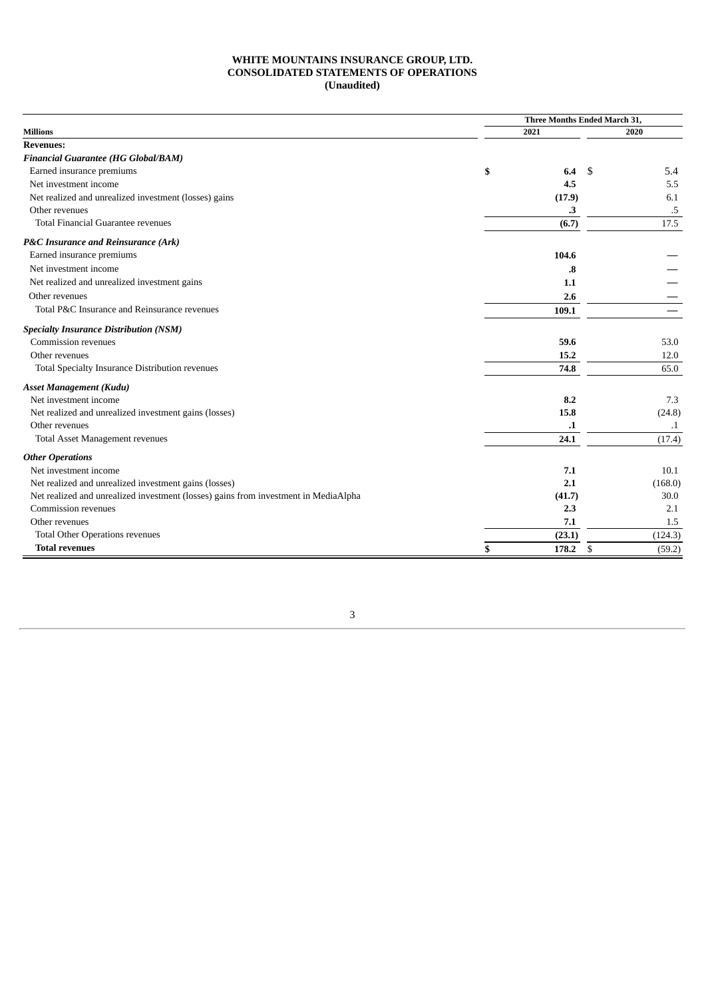# **WHITE MOUNTAINS INSURANCE GROUP, LTD. CONSOLIDATED STATEMENTS OF OPERATIONS (Unaudited)**

|                                                                                     | <b>Three Months Ended March 31,</b> |                   |    |           |  |  |
|-------------------------------------------------------------------------------------|-------------------------------------|-------------------|----|-----------|--|--|
| <b>Millions</b>                                                                     |                                     | 2021              |    | 2020      |  |  |
| <b>Revenues:</b>                                                                    |                                     |                   |    |           |  |  |
| <b>Financial Guarantee (HG Global/BAM)</b>                                          |                                     |                   |    |           |  |  |
| Earned insurance premiums                                                           | \$                                  | 6.4               | .S | 5.4       |  |  |
| Net investment income                                                               |                                     | 4.5               |    | 5.5       |  |  |
| Net realized and unrealized investment (losses) gains                               |                                     | (17.9)            |    | 6.1       |  |  |
| Other revenues                                                                      |                                     | .3                |    | .5        |  |  |
| <b>Total Financial Guarantee revenues</b>                                           |                                     | (6.7)             |    | 17.5      |  |  |
| P&C Insurance and Reinsurance (Ark)                                                 |                                     |                   |    |           |  |  |
| Earned insurance premiums                                                           |                                     | 104.6             |    |           |  |  |
| Net investment income                                                               |                                     | $\boldsymbol{.8}$ |    |           |  |  |
| Net realized and unrealized investment gains                                        |                                     | 1.1               |    |           |  |  |
| Other revenues                                                                      |                                     | 2.6               |    |           |  |  |
| Total P&C Insurance and Reinsurance revenues                                        |                                     | 109.1             |    |           |  |  |
| <b>Specialty Insurance Distribution (NSM)</b>                                       |                                     |                   |    |           |  |  |
| Commission revenues                                                                 |                                     | 59.6              |    | 53.0      |  |  |
| Other revenues                                                                      |                                     | 15.2              |    | 12.0      |  |  |
| Total Specialty Insurance Distribution revenues                                     |                                     | 74.8              |    | 65.0      |  |  |
| <b>Asset Management (Kudu)</b>                                                      |                                     |                   |    |           |  |  |
| Net investment income                                                               |                                     | 8.2               |    | 7.3       |  |  |
| Net realized and unrealized investment gains (losses)                               |                                     | 15.8              |    | (24.8)    |  |  |
| Other revenues                                                                      |                                     | $\cdot$           |    | $\cdot$ 1 |  |  |
| <b>Total Asset Management revenues</b>                                              |                                     | 24.1              |    | (17.4)    |  |  |
| <b>Other Operations</b>                                                             |                                     |                   |    |           |  |  |
| Net investment income                                                               |                                     | 7.1               |    | 10.1      |  |  |
| Net realized and unrealized investment gains (losses)                               |                                     | 2.1               |    | (168.0)   |  |  |
| Net realized and unrealized investment (losses) gains from investment in MediaAlpha |                                     | (41.7)            |    | 30.0      |  |  |
| Commission revenues                                                                 |                                     | 2.3               |    | 2.1       |  |  |
| Other revenues                                                                      |                                     | 7.1               |    | 1.5       |  |  |
| <b>Total Other Operations revenues</b>                                              |                                     | (23.1)            |    | (124.3)   |  |  |
| <b>Total revenues</b>                                                               | \$                                  | 178.2             | \$ | (59.2)    |  |  |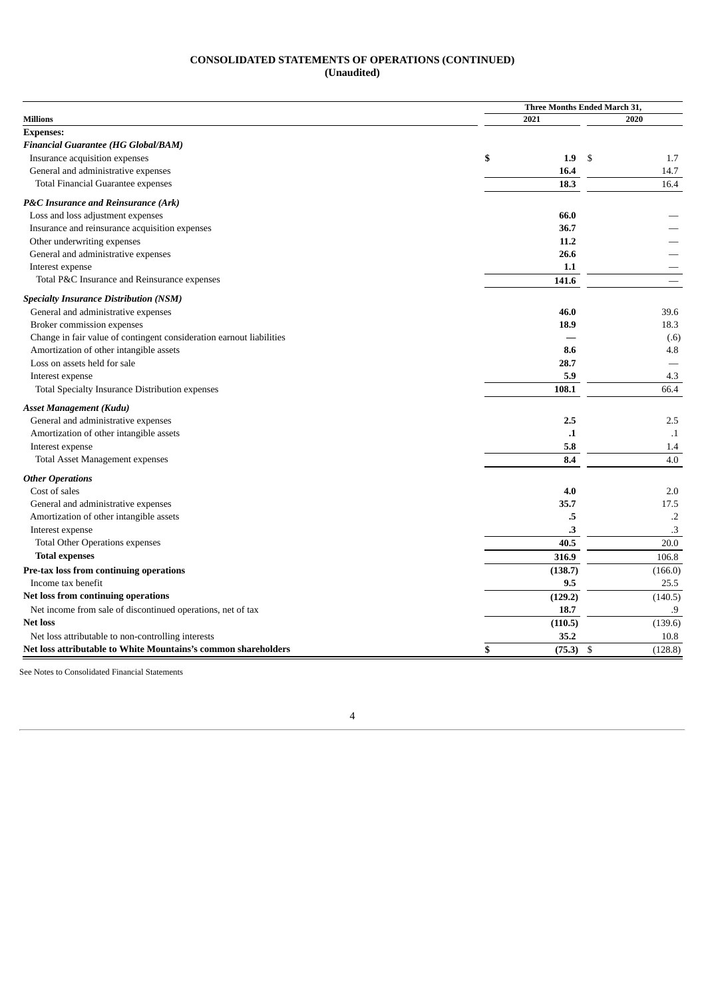# **CONSOLIDATED STATEMENTS OF OPERATIONS (CONTINUED) (Unaudited)**

|                                                                      |              | <b>Three Months Ended March 31,</b> |            |  |  |  |
|----------------------------------------------------------------------|--------------|-------------------------------------|------------|--|--|--|
| <b>Millions</b>                                                      | 2021         |                                     | 2020       |  |  |  |
| <b>Expenses:</b>                                                     |              |                                     |            |  |  |  |
| <b>Financial Guarantee (HG Global/BAM)</b>                           |              |                                     |            |  |  |  |
| Insurance acquisition expenses                                       | \$           | 1.9<br>-\$                          | 1.7        |  |  |  |
| General and administrative expenses                                  | 16.4         |                                     | 14.7       |  |  |  |
| Total Financial Guarantee expenses                                   | 18.3         |                                     | 16.4       |  |  |  |
| P&C Insurance and Reinsurance (Ark)                                  |              |                                     |            |  |  |  |
| Loss and loss adjustment expenses                                    | 66.0         |                                     |            |  |  |  |
| Insurance and reinsurance acquisition expenses                       | 36.7         |                                     |            |  |  |  |
| Other underwriting expenses                                          | 11.2         |                                     |            |  |  |  |
| General and administrative expenses                                  | 26.6         |                                     |            |  |  |  |
| Interest expense                                                     | 1.1          |                                     |            |  |  |  |
| Total P&C Insurance and Reinsurance expenses                         | 141.6        |                                     |            |  |  |  |
| <b>Specialty Insurance Distribution (NSM)</b>                        |              |                                     |            |  |  |  |
| General and administrative expenses                                  | 46.0         |                                     | 39.6       |  |  |  |
| Broker commission expenses                                           | 18.9         |                                     | 18.3       |  |  |  |
| Change in fair value of contingent consideration earnout liabilities |              |                                     | (.6)       |  |  |  |
| Amortization of other intangible assets                              |              | 8.6                                 | 4.8        |  |  |  |
| Loss on assets held for sale                                         | 28.7         |                                     |            |  |  |  |
| Interest expense                                                     | 5.9          |                                     | 4.3        |  |  |  |
| Total Specialty Insurance Distribution expenses                      | 108.1        |                                     | 66.4       |  |  |  |
| <b>Asset Management (Kudu)</b>                                       |              |                                     |            |  |  |  |
| General and administrative expenses                                  | 2.5          |                                     | 2.5        |  |  |  |
| Amortization of other intangible assets                              |              | $\cdot$                             | $\cdot$ 1  |  |  |  |
| Interest expense                                                     |              | 5.8                                 | 1.4        |  |  |  |
| Total Asset Management expenses                                      |              | 8.4                                 | 4.0        |  |  |  |
| <b>Other Operations</b>                                              |              |                                     |            |  |  |  |
| Cost of sales                                                        |              | 4.0                                 | 2.0        |  |  |  |
| General and administrative expenses                                  | 35.7         |                                     | 17.5       |  |  |  |
| Amortization of other intangible assets                              |              | .5                                  | $\cdot$ .2 |  |  |  |
| Interest expense                                                     |              | .3                                  | .3         |  |  |  |
| <b>Total Other Operations expenses</b>                               | 40.5         |                                     | 20.0       |  |  |  |
| <b>Total expenses</b>                                                | 316.9        |                                     | 106.8      |  |  |  |
| Pre-tax loss from continuing operations                              | (138.7)      |                                     | (166.0)    |  |  |  |
| Income tax benefit                                                   | 9.5          |                                     | 25.5       |  |  |  |
| Net loss from continuing operations                                  | (129.2)      |                                     | (140.5)    |  |  |  |
| Net income from sale of discontinued operations, net of tax          | 18.7         |                                     | .9         |  |  |  |
| <b>Net loss</b>                                                      | (110.5)      |                                     | (139.6)    |  |  |  |
| Net loss attributable to non-controlling interests                   | 35.2         |                                     | 10.8       |  |  |  |
| Net loss attributable to White Mountains's common shareholders       | \$<br>(75.3) | \$                                  | (128.8)    |  |  |  |

See Notes to Consolidated Financial Statements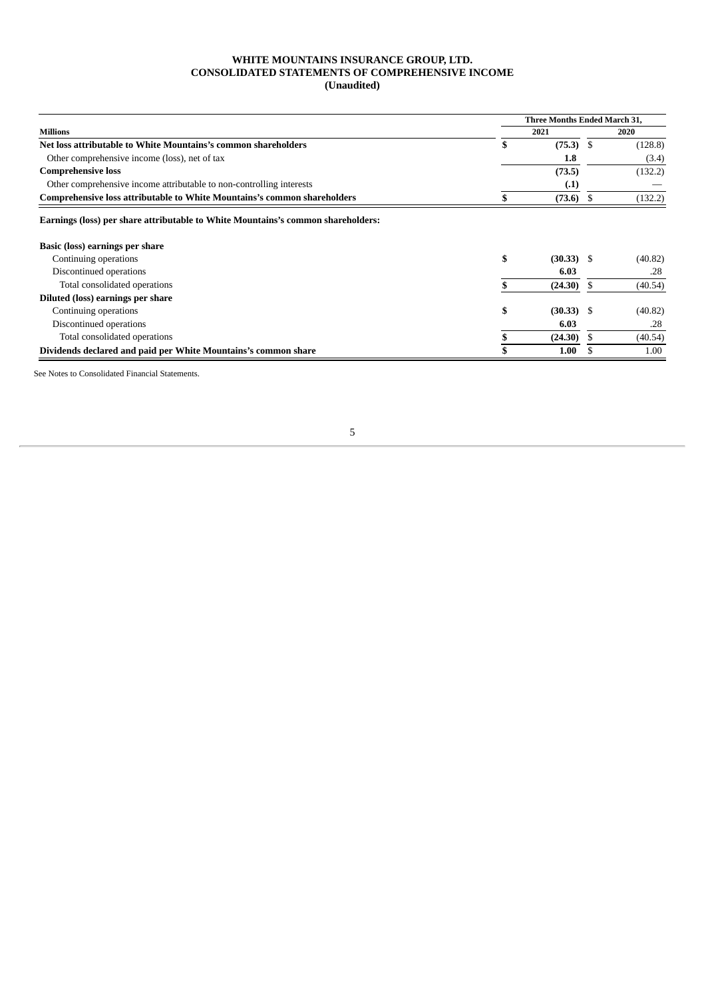# **WHITE MOUNTAINS INSURANCE GROUP, LTD. CONSOLIDATED STATEMENTS OF COMPREHENSIVE INCOME (Unaudited)**

|                                                                                  | <b>Three Months Ended March 31,</b> |              |   |         |  |  |  |
|----------------------------------------------------------------------------------|-------------------------------------|--------------|---|---------|--|--|--|
| <b>Millions</b>                                                                  |                                     | 2021         |   | 2020    |  |  |  |
| Net loss attributable to White Mountains's common shareholders                   | \$                                  | $(75.3)$ \$  |   | (128.8) |  |  |  |
| Other comprehensive income (loss), net of tax                                    |                                     | 1.8          |   | (3.4)   |  |  |  |
| <b>Comprehensive loss</b>                                                        |                                     | (73.5)       |   | (132.2) |  |  |  |
| Other comprehensive income attributable to non-controlling interests             |                                     | (.1)         |   |         |  |  |  |
| <b>Comprehensive loss attributable to White Mountains's common shareholders</b>  |                                     | $(73.6)$ \$  |   | (132.2) |  |  |  |
| Earnings (loss) per share attributable to White Mountains's common shareholders: |                                     |              |   |         |  |  |  |
| Basic (loss) earnings per share                                                  |                                     |              |   |         |  |  |  |
| Continuing operations                                                            | \$                                  | $(30.33)$ \$ |   | (40.82) |  |  |  |
| Discontinued operations                                                          |                                     | 6.03         |   | .28     |  |  |  |
| Total consolidated operations                                                    |                                     | $(24.30)$ \$ |   | (40.54) |  |  |  |
| Diluted (loss) earnings per share                                                |                                     |              |   |         |  |  |  |
| Continuing operations                                                            | \$                                  | $(30.33)$ \$ |   | (40.82) |  |  |  |
| Discontinued operations                                                          |                                     | 6.03         |   | .28     |  |  |  |
| Total consolidated operations                                                    |                                     | (24.30)      | S | (40.54) |  |  |  |
| Dividends declared and paid per White Mountains's common share                   |                                     | 1.00         |   | 1.00    |  |  |  |

<span id="page-6-0"></span>See Notes to Consolidated Financial Statements.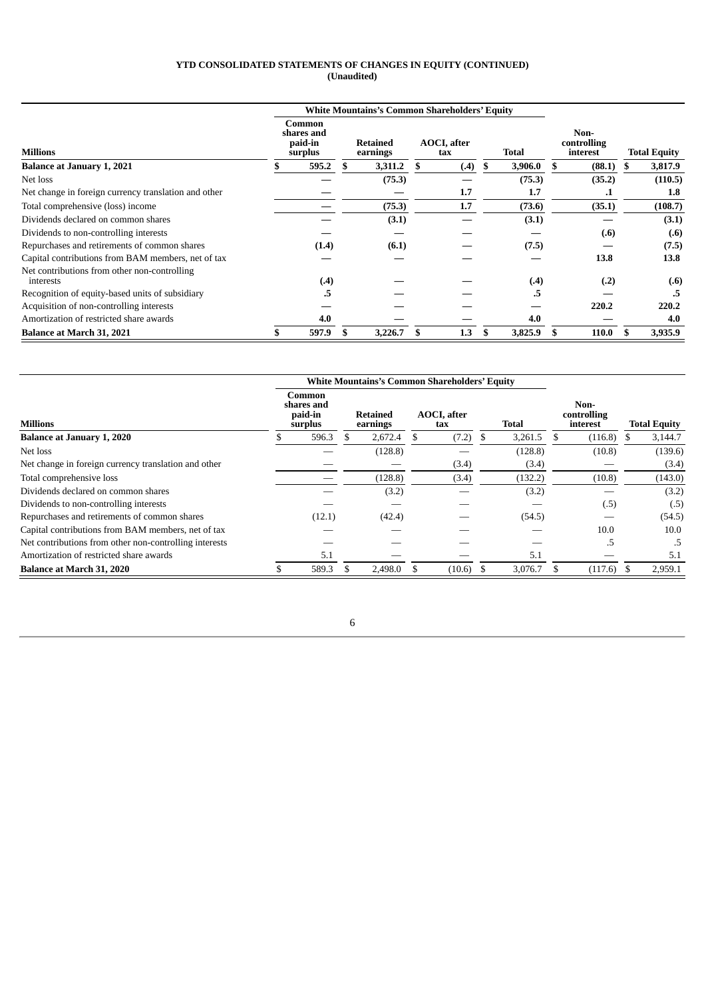#### **YTD CONSOLIDATED STATEMENTS OF CHANGES IN EQUITY (CONTINUED) (Unaudited)**

|                                                           |                                            | <b>White Mountains's Common Shareholders' Equity</b> |                            |               |                                 |                     |
|-----------------------------------------------------------|--------------------------------------------|------------------------------------------------------|----------------------------|---------------|---------------------------------|---------------------|
| <b>Millions</b>                                           | Common<br>shares and<br>paid-in<br>surplus | Retained<br>earnings                                 | <b>AOCI</b> , after<br>tax | Total         | Non-<br>controlling<br>interest | <b>Total Equity</b> |
| <b>Balance at January 1, 2021</b>                         | 595.2                                      | 3,311.2                                              | (.4)                       | \$<br>3,906.0 | (88.1)                          | 3,817.9             |
| Net loss                                                  |                                            | (75.3)                                               |                            | (75.3)        | (35.2)                          | (110.5)             |
| Net change in foreign currency translation and other      |                                            |                                                      | 1.7                        | 1.7           | $\cdot$                         | 1.8                 |
| Total comprehensive (loss) income                         |                                            | (75.3)                                               | 1.7                        | (73.6)        | (35.1)                          | (108.7)             |
| Dividends declared on common shares                       |                                            | (3.1)                                                |                            | (3.1)         |                                 | (3.1)               |
| Dividends to non-controlling interests                    |                                            |                                                      |                            |               | (.6)                            | (.6)                |
| Repurchases and retirements of common shares              | (1.4)                                      | (6.1)                                                |                            | (7.5)         |                                 | (7.5)               |
| Capital contributions from BAM members, net of tax        |                                            |                                                      |                            |               | 13.8                            | 13.8                |
| Net contributions from other non-controlling<br>interests | (.4)                                       |                                                      |                            | (.4)          | (.2)                            | (.6)                |
| Recognition of equity-based units of subsidiary           | .5                                         |                                                      |                            | .5            |                                 | .5                  |
| Acquisition of non-controlling interests                  |                                            |                                                      |                            |               | 220.2                           | 220.2               |
| Amortization of restricted share awards                   | 4.0                                        |                                                      |                            | 4.0           |                                 | 4.0                 |
| <b>Balance at March 31, 2021</b>                          | 597.9                                      | 3,226.7                                              | 1.3                        | 3,825.9       | 110.0                           | 3,935.9             |

<span id="page-7-0"></span>

| <b>White Mountains's Common Shareholders' Equity</b>   |  |                                            |  |                      |  |                            |  |         |                                 |                     |
|--------------------------------------------------------|--|--------------------------------------------|--|----------------------|--|----------------------------|--|---------|---------------------------------|---------------------|
| <b>Millions</b>                                        |  | Common<br>shares and<br>paid-in<br>surplus |  | Retained<br>earnings |  | <b>AOCI</b> , after<br>tax |  | Total   | Non-<br>controlling<br>interest | <b>Total Equity</b> |
| <b>Balance at January 1, 2020</b>                      |  | 596.3                                      |  | 2,672.4              |  | (7.2)                      |  | 3,261.5 | (116.8)                         | 3,144.7             |
| Net loss                                               |  |                                            |  | (128.8)              |  |                            |  | (128.8) | (10.8)                          | (139.6)             |
| Net change in foreign currency translation and other   |  |                                            |  |                      |  | (3.4)                      |  | (3.4)   |                                 | (3.4)               |
| Total comprehensive loss                               |  |                                            |  | (128.8)              |  | (3.4)                      |  | (132.2) | (10.8)                          | (143.0)             |
| Dividends declared on common shares                    |  |                                            |  | (3.2)                |  |                            |  | (3.2)   |                                 | (3.2)               |
| Dividends to non-controlling interests                 |  |                                            |  |                      |  |                            |  |         | (.5)                            | (.5)                |
| Repurchases and retirements of common shares           |  | (12.1)                                     |  | (42.4)               |  |                            |  | (54.5)  |                                 | (54.5)              |
| Capital contributions from BAM members, net of tax     |  |                                            |  |                      |  |                            |  |         | 10.0                            | 10.0                |
| Net contributions from other non-controlling interests |  |                                            |  |                      |  |                            |  |         | .5                              |                     |
| Amortization of restricted share awards                |  | 5.1                                        |  |                      |  |                            |  | 5.1     |                                 | 5.1                 |
| <b>Balance at March 31, 2020</b>                       |  | 589.3                                      |  | 2,498.0              |  | (10.6)                     |  | 3,076.7 | (117.6)                         | 2,959.1             |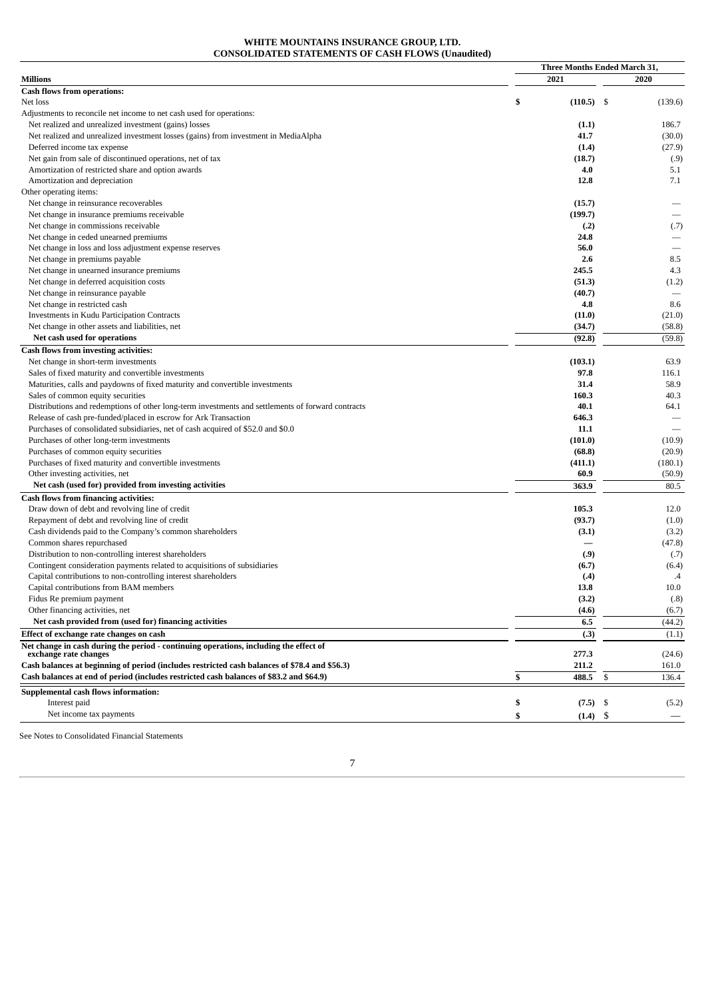#### **WHITE MOUNTAINS INSURANCE GROUP, LTD. CONSOLIDATED STATEMENTS OF CASH FLOWS (Unaudited)**

|                                                                                                                                                     | Three Months Ended March 31, |      |                                 |  |
|-----------------------------------------------------------------------------------------------------------------------------------------------------|------------------------------|------|---------------------------------|--|
| <b>Millions</b>                                                                                                                                     | 2021                         | 2020 |                                 |  |
| <b>Cash flows from operations:</b>                                                                                                                  |                              |      |                                 |  |
| Net loss                                                                                                                                            | \$<br>$(110.5)$ \$           |      | (139.6)                         |  |
| Adjustments to reconcile net income to net cash used for operations:                                                                                |                              |      |                                 |  |
| Net realized and unrealized investment (gains) losses                                                                                               | (1.1)                        |      | 186.7                           |  |
| Net realized and unrealized investment losses (gains) from investment in MediaAlpha                                                                 | 41.7                         |      | (30.0)                          |  |
| Deferred income tax expense                                                                                                                         | (1.4)                        |      | (27.9)                          |  |
| Net gain from sale of discontinued operations, net of tax                                                                                           | (18.7)                       |      | (.9)                            |  |
| Amortization of restricted share and option awards                                                                                                  | 4.0                          |      | 5.1                             |  |
| Amortization and depreciation                                                                                                                       | 12.8                         |      | 7.1                             |  |
| Other operating items:                                                                                                                              |                              |      |                                 |  |
| Net change in reinsurance recoverables                                                                                                              | (15.7)                       |      |                                 |  |
| Net change in insurance premiums receivable                                                                                                         | (199.7)                      |      |                                 |  |
| Net change in commissions receivable                                                                                                                | (.2)                         |      | (.7)                            |  |
| Net change in ceded unearned premiums                                                                                                               | 24.8                         |      |                                 |  |
| Net change in loss and loss adjustment expense reserves                                                                                             | 56.0                         |      |                                 |  |
| Net change in premiums payable                                                                                                                      | 2.6                          |      | 8.5                             |  |
| Net change in unearned insurance premiums                                                                                                           | 245.5                        |      | 4.3                             |  |
| Net change in deferred acquisition costs                                                                                                            | (51.3)                       |      | (1.2)                           |  |
| Net change in reinsurance payable                                                                                                                   | (40.7)                       |      |                                 |  |
| Net change in restricted cash                                                                                                                       | 4.8                          |      | 8.6                             |  |
| Investments in Kudu Participation Contracts                                                                                                         | (11.0)                       |      | (21.0)                          |  |
| Net change in other assets and liabilities, net                                                                                                     | (34.7)                       |      | (58.8)                          |  |
| Net cash used for operations                                                                                                                        | (92.8)                       |      | (59.8)                          |  |
| <b>Cash flows from investing activities:</b>                                                                                                        |                              |      |                                 |  |
| Net change in short-term investments                                                                                                                | (103.1)                      |      | 63.9                            |  |
| Sales of fixed maturity and convertible investments                                                                                                 | 97.8                         |      | 116.1                           |  |
| Maturities, calls and paydowns of fixed maturity and convertible investments                                                                        | 31.4                         |      | 58.9                            |  |
| Sales of common equity securities                                                                                                                   | 160.3                        |      | 40.3                            |  |
|                                                                                                                                                     | 40.1                         |      | 64.1                            |  |
| Distributions and redemptions of other long-term investments and settlements of forward contracts                                                   | 646.3                        |      |                                 |  |
| Release of cash pre-funded/placed in escrow for Ark Transaction<br>Purchases of consolidated subsidiaries, net of cash acquired of \$52.0 and \$0.0 | 11.1                         |      |                                 |  |
|                                                                                                                                                     | (101.0)                      |      | (10.9)                          |  |
| Purchases of other long-term investments                                                                                                            |                              |      |                                 |  |
| Purchases of common equity securities                                                                                                               | (68.8)                       |      | (20.9)                          |  |
| Purchases of fixed maturity and convertible investments                                                                                             | (411.1)<br>60.9              |      | (180.1)                         |  |
| Other investing activities, net                                                                                                                     |                              |      | (50.9)                          |  |
| Net cash (used for) provided from investing activities                                                                                              | 363.9                        |      | 80.5                            |  |
| <b>Cash flows from financing activities:</b>                                                                                                        | 105.3                        |      |                                 |  |
| Draw down of debt and revolving line of credit                                                                                                      |                              |      | 12.0                            |  |
| Repayment of debt and revolving line of credit                                                                                                      | (93.7)                       |      | (1.0)                           |  |
| Cash dividends paid to the Company's common shareholders                                                                                            | (3.1)                        |      | (3.2)                           |  |
| Common shares repurchased                                                                                                                           |                              |      | (47.8)                          |  |
| Distribution to non-controlling interest shareholders                                                                                               | (.9)                         |      | (.7)                            |  |
| Contingent consideration payments related to acquisitions of subsidiaries                                                                           | (6.7)                        |      | (6.4)                           |  |
| Capital contributions to non-controlling interest shareholders                                                                                      | (.4)                         |      | $\cdot$ 4                       |  |
| Capital contributions from BAM members                                                                                                              | 13.8                         |      | 10.0                            |  |
| Fidus Re premium payment                                                                                                                            | (3.2)                        |      | (.8)                            |  |
| Other financing activities, net                                                                                                                     | (4.6)                        |      | (6.7)                           |  |
| Net cash provided from (used for) financing activities                                                                                              | 6.5                          |      | (44.2)                          |  |
| Effect of exchange rate changes on cash                                                                                                             | (.3)                         |      | (1.1)                           |  |
| Net change in cash during the period - continuing operations, including the effect of                                                               |                              |      |                                 |  |
| exchange rate changes                                                                                                                               | 277.3                        |      | (24.6)                          |  |
| Cash balances at beginning of period (includes restricted cash balances of \$78.4 and \$56.3)                                                       | 211.2                        |      | 161.0                           |  |
| Cash balances at end of period (includes restricted cash balances of \$83.2 and \$64.9)                                                             | \$<br>488.5                  | \$   | 136.4                           |  |
| Supplemental cash flows information:                                                                                                                |                              |      |                                 |  |
| Interest paid                                                                                                                                       | \$<br>$(7.5)$ \$             |      | (5.2)                           |  |
| Net income tax payments                                                                                                                             | \$<br>$(1.4)$ \$             |      | $\hspace{0.1mm}-\hspace{0.1mm}$ |  |

<span id="page-8-0"></span>See Notes to Consolidated Financial Statements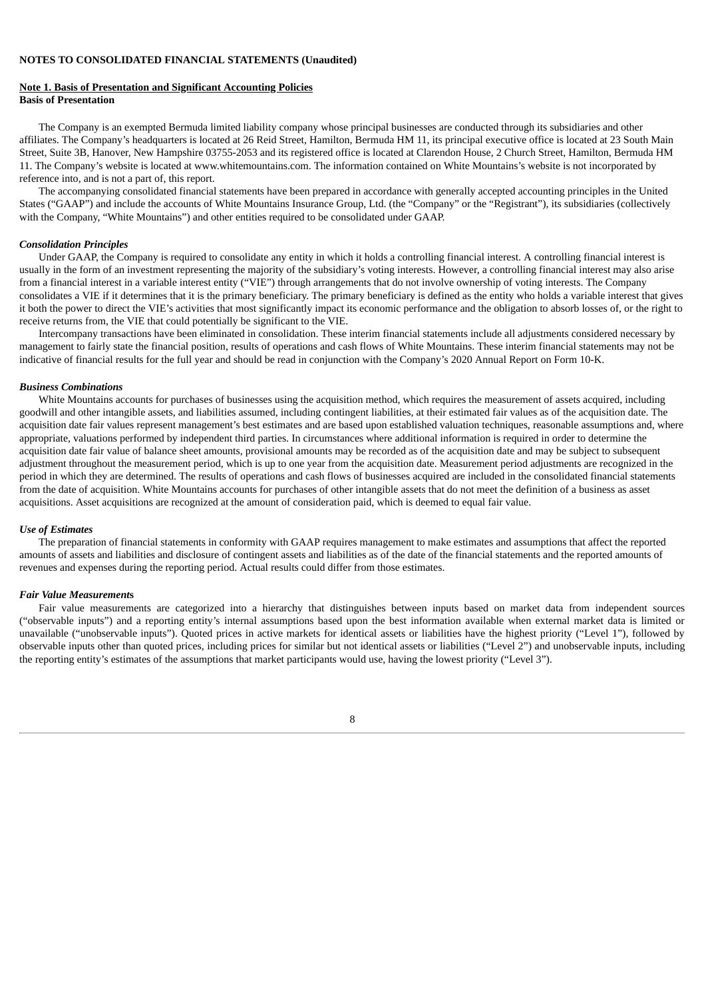## **NOTES TO CONSOLIDATED FINANCIAL STATEMENTS (Unaudited)**

#### **Note 1. Basis of Presentation and Significant Accounting Policies Basis of Presentation**

The Company is an exempted Bermuda limited liability company whose principal businesses are conducted through its subsidiaries and other affiliates. The Company's headquarters is located at 26 Reid Street, Hamilton, Bermuda HM 11, its principal executive office is located at 23 South Main Street, Suite 3B, Hanover, New Hampshire 03755-2053 and its registered office is located at Clarendon House, 2 Church Street, Hamilton, Bermuda HM 11. The Company's website is located at www.whitemountains.com. The information contained on White Mountains's website is not incorporated by reference into, and is not a part of, this report.

The accompanying consolidated financial statements have been prepared in accordance with generally accepted accounting principles in the United States ("GAAP") and include the accounts of White Mountains Insurance Group, Ltd. (the "Company" or the "Registrant"), its subsidiaries (collectively with the Company, "White Mountains") and other entities required to be consolidated under GAAP.

#### *Consolidation Principles*

Under GAAP, the Company is required to consolidate any entity in which it holds a controlling financial interest. A controlling financial interest is usually in the form of an investment representing the majority of the subsidiary's voting interests. However, a controlling financial interest may also arise from a financial interest in a variable interest entity ("VIE") through arrangements that do not involve ownership of voting interests. The Company consolidates a VIE if it determines that it is the primary beneficiary. The primary beneficiary is defined as the entity who holds a variable interest that gives it both the power to direct the VIE's activities that most significantly impact its economic performance and the obligation to absorb losses of, or the right to receive returns from, the VIE that could potentially be significant to the VIE.

Intercompany transactions have been eliminated in consolidation. These interim financial statements include all adjustments considered necessary by management to fairly state the financial position, results of operations and cash flows of White Mountains. These interim financial statements may not be indicative of financial results for the full year and should be read in conjunction with the Company's 2020 Annual Report on Form 10-K.

## *Business Combinations*

White Mountains accounts for purchases of businesses using the acquisition method, which requires the measurement of assets acquired, including goodwill and other intangible assets, and liabilities assumed, including contingent liabilities, at their estimated fair values as of the acquisition date. The acquisition date fair values represent management's best estimates and are based upon established valuation techniques, reasonable assumptions and, where appropriate, valuations performed by independent third parties. In circumstances where additional information is required in order to determine the acquisition date fair value of balance sheet amounts, provisional amounts may be recorded as of the acquisition date and may be subject to subsequent adjustment throughout the measurement period, which is up to one year from the acquisition date. Measurement period adjustments are recognized in the period in which they are determined. The results of operations and cash flows of businesses acquired are included in the consolidated financial statements from the date of acquisition. White Mountains accounts for purchases of other intangible assets that do not meet the definition of a business as asset acquisitions. Asset acquisitions are recognized at the amount of consideration paid, which is deemed to equal fair value.

#### *Use of Estimates*

The preparation of financial statements in conformity with GAAP requires management to make estimates and assumptions that affect the reported amounts of assets and liabilities and disclosure of contingent assets and liabilities as of the date of the financial statements and the reported amounts of revenues and expenses during the reporting period. Actual results could differ from those estimates.

### *Fair Value Measurement***s**

Fair value measurements are categorized into a hierarchy that distinguishes between inputs based on market data from independent sources ("observable inputs") and a reporting entity's internal assumptions based upon the best information available when external market data is limited or unavailable ("unobservable inputs"). Quoted prices in active markets for identical assets or liabilities have the highest priority ("Level 1"), followed by observable inputs other than quoted prices, including prices for similar but not identical assets or liabilities ("Level 2") and unobservable inputs, including the reporting entity's estimates of the assumptions that market participants would use, having the lowest priority ("Level 3").

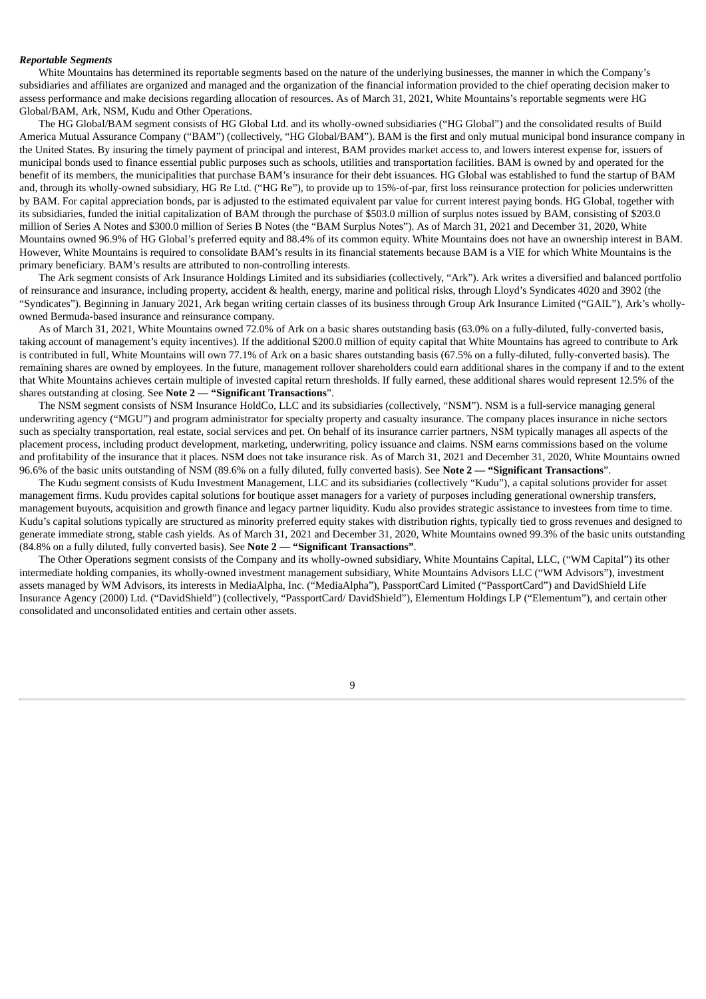#### *Reportable Segments*

White Mountains has determined its reportable segments based on the nature of the underlying businesses, the manner in which the Company's subsidiaries and affiliates are organized and managed and the organization of the financial information provided to the chief operating decision maker to assess performance and make decisions regarding allocation of resources. As of March 31, 2021, White Mountains's reportable segments were HG Global/BAM, Ark, NSM, Kudu and Other Operations.

The HG Global/BAM segment consists of HG Global Ltd. and its wholly-owned subsidiaries ("HG Global") and the consolidated results of Build America Mutual Assurance Company ("BAM") (collectively, "HG Global/BAM"). BAM is the first and only mutual municipal bond insurance company in the United States. By insuring the timely payment of principal and interest, BAM provides market access to, and lowers interest expense for, issuers of municipal bonds used to finance essential public purposes such as schools, utilities and transportation facilities. BAM is owned by and operated for the benefit of its members, the municipalities that purchase BAM's insurance for their debt issuances. HG Global was established to fund the startup of BAM and, through its wholly-owned subsidiary, HG Re Ltd. ("HG Re"), to provide up to 15%-of-par, first loss reinsurance protection for policies underwritten by BAM. For capital appreciation bonds, par is adjusted to the estimated equivalent par value for current interest paying bonds. HG Global, together with its subsidiaries, funded the initial capitalization of BAM through the purchase of \$503.0 million of surplus notes issued by BAM, consisting of \$203.0 million of Series A Notes and \$300.0 million of Series B Notes (the "BAM Surplus Notes"). As of March 31, 2021 and December 31, 2020, White Mountains owned 96.9% of HG Global's preferred equity and 88.4% of its common equity. White Mountains does not have an ownership interest in BAM. However, White Mountains is required to consolidate BAM's results in its financial statements because BAM is a VIE for which White Mountains is the primary beneficiary. BAM's results are attributed to non-controlling interests.

The Ark segment consists of Ark Insurance Holdings Limited and its subsidiaries (collectively, "Ark"). Ark writes a diversified and balanced portfolio of reinsurance and insurance, including property, accident & health, energy, marine and political risks, through Lloyd's Syndicates 4020 and 3902 (the "Syndicates"). Beginning in January 2021, Ark began writing certain classes of its business through Group Ark Insurance Limited ("GAIL"), Ark's whollyowned Bermuda-based insurance and reinsurance company.

As of March 31, 2021, White Mountains owned 72.0% of Ark on a basic shares outstanding basis (63.0% on a fully-diluted, fully-converted basis, taking account of management's equity incentives). If the additional \$200.0 million of equity capital that White Mountains has agreed to contribute to Ark is contributed in full, White Mountains will own 77.1% of Ark on a basic shares outstanding basis (67.5% on a fully-diluted, fully-converted basis). The remaining shares are owned by employees. In the future, management rollover shareholders could earn additional shares in the company if and to the extent that White Mountains achieves certain multiple of invested capital return thresholds. If fully earned, these additional shares would represent 12.5% of the shares outstanding at closing. See **Note 2 — "Significant Transactions**".

The NSM segment consists of NSM Insurance HoldCo, LLC and its subsidiaries (collectively, "NSM"). NSM is a full-service managing general underwriting agency ("MGU") and program administrator for specialty property and casualty insurance. The company places insurance in niche sectors such as specialty transportation, real estate, social services and pet. On behalf of its insurance carrier partners, NSM typically manages all aspects of the placement process, including product development, marketing, underwriting, policy issuance and claims. NSM earns commissions based on the volume and profitability of the insurance that it places. NSM does not take insurance risk. As of March 31, 2021 and December 31, 2020, White Mountains owned 96.6% of the basic units outstanding of NSM (89.6% on a fully diluted, fully converted basis). See **Note 2 — "Significant Transactions**".

The Kudu segment consists of Kudu Investment Management, LLC and its subsidiaries (collectively "Kudu"), a capital solutions provider for asset management firms. Kudu provides capital solutions for boutique asset managers for a variety of purposes including generational ownership transfers, management buyouts, acquisition and growth finance and legacy partner liquidity. Kudu also provides strategic assistance to investees from time to time. Kudu's capital solutions typically are structured as minority preferred equity stakes with distribution rights, typically tied to gross revenues and designed to generate immediate strong, stable cash yields. As of March 31, 2021 and December 31, 2020, White Mountains owned 99.3% of the basic units outstanding (84.8% on a fully diluted, fully converted basis). See **Note 2 — "Significant Transactions"**.

The Other Operations segment consists of the Company and its wholly-owned subsidiary, White Mountains Capital, LLC, ("WM Capital") its other intermediate holding companies, its wholly-owned investment management subsidiary, White Mountains Advisors LLC ("WM Advisors"), investment assets managed by WM Advisors, its interests in MediaAlpha, Inc. ("MediaAlpha"), PassportCard Limited ("PassportCard") and DavidShield Life Insurance Agency (2000) Ltd. ("DavidShield") (collectively, "PassportCard/ DavidShield"), Elementum Holdings LP ("Elementum"), and certain other consolidated and unconsolidated entities and certain other assets.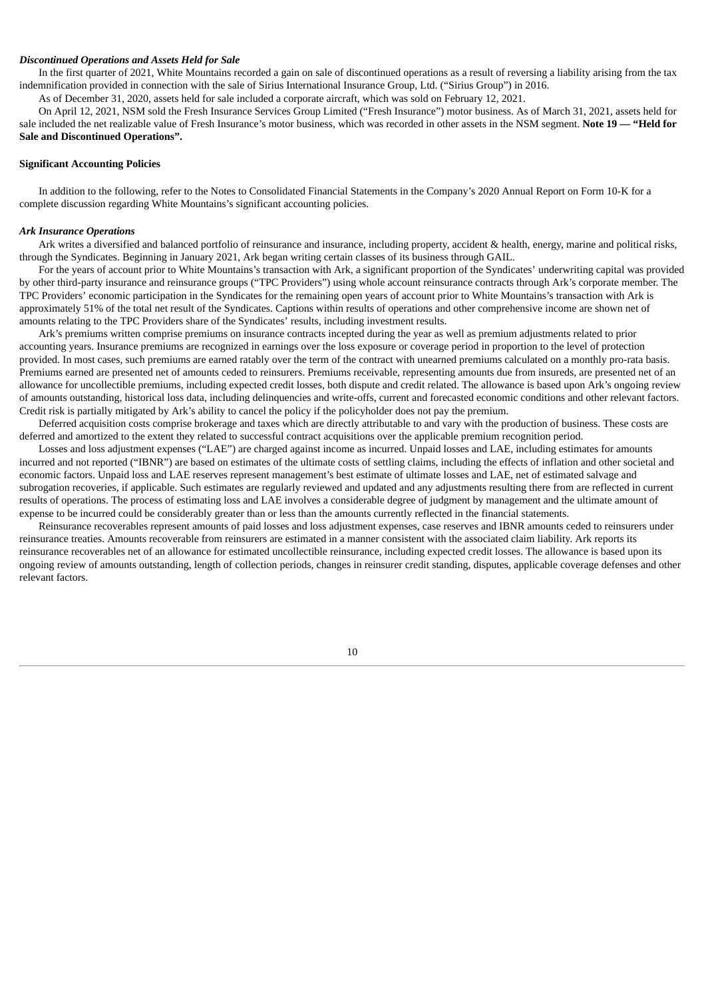## *Discontinued Operations and Assets Held for Sale*

In the first quarter of 2021, White Mountains recorded a gain on sale of discontinued operations as a result of reversing a liability arising from the tax indemnification provided in connection with the sale of Sirius International Insurance Group, Ltd. ("Sirius Group") in 2016.

As of December 31, 2020, assets held for sale included a corporate aircraft, which was sold on February 12, 2021.

On April 12, 2021, NSM sold the Fresh Insurance Services Group Limited ("Fresh Insurance") motor business. As of March 31, 2021, assets held for sale included the net realizable value of Fresh Insurance's motor business, which was recorded in other assets in the NSM segment. **Note 19 — "Held for Sale and Discontinued Operations".**

## **Significant Accounting Policies**

In addition to the following, refer to the Notes to Consolidated Financial Statements in the Company's 2020 Annual Report on Form 10-K for a complete discussion regarding White Mountains's significant accounting policies.

## *Ark Insurance Operations*

Ark writes a diversified and balanced portfolio of reinsurance and insurance, including property, accident & health, energy, marine and political risks, through the Syndicates. Beginning in January 2021, Ark began writing certain classes of its business through GAIL.

For the years of account prior to White Mountains's transaction with Ark, a significant proportion of the Syndicates' underwriting capital was provided by other third-party insurance and reinsurance groups ("TPC Providers") using whole account reinsurance contracts through Ark's corporate member. The TPC Providers' economic participation in the Syndicates for the remaining open years of account prior to White Mountains's transaction with Ark is approximately 51% of the total net result of the Syndicates. Captions within results of operations and other comprehensive income are shown net of amounts relating to the TPC Providers share of the Syndicates' results, including investment results.

Ark's premiums written comprise premiums on insurance contracts incepted during the year as well as premium adjustments related to prior accounting years. Insurance premiums are recognized in earnings over the loss exposure or coverage period in proportion to the level of protection provided. In most cases, such premiums are earned ratably over the term of the contract with unearned premiums calculated on a monthly pro-rata basis. Premiums earned are presented net of amounts ceded to reinsurers. Premiums receivable, representing amounts due from insureds, are presented net of an allowance for uncollectible premiums, including expected credit losses, both dispute and credit related. The allowance is based upon Ark's ongoing review of amounts outstanding, historical loss data, including delinquencies and write-offs, current and forecasted economic conditions and other relevant factors. Credit risk is partially mitigated by Ark's ability to cancel the policy if the policyholder does not pay the premium.

Deferred acquisition costs comprise brokerage and taxes which are directly attributable to and vary with the production of business. These costs are deferred and amortized to the extent they related to successful contract acquisitions over the applicable premium recognition period.

Losses and loss adjustment expenses ("LAE") are charged against income as incurred. Unpaid losses and LAE, including estimates for amounts incurred and not reported ("IBNR") are based on estimates of the ultimate costs of settling claims, including the effects of inflation and other societal and economic factors. Unpaid loss and LAE reserves represent management's best estimate of ultimate losses and LAE, net of estimated salvage and subrogation recoveries, if applicable. Such estimates are regularly reviewed and updated and any adjustments resulting there from are reflected in current results of operations. The process of estimating loss and LAE involves a considerable degree of judgment by management and the ultimate amount of expense to be incurred could be considerably greater than or less than the amounts currently reflected in the financial statements.

Reinsurance recoverables represent amounts of paid losses and loss adjustment expenses, case reserves and IBNR amounts ceded to reinsurers under reinsurance treaties. Amounts recoverable from reinsurers are estimated in a manner consistent with the associated claim liability. Ark reports its reinsurance recoverables net of an allowance for estimated uncollectible reinsurance, including expected credit losses. The allowance is based upon its ongoing review of amounts outstanding, length of collection periods, changes in reinsurer credit standing, disputes, applicable coverage defenses and other relevant factors.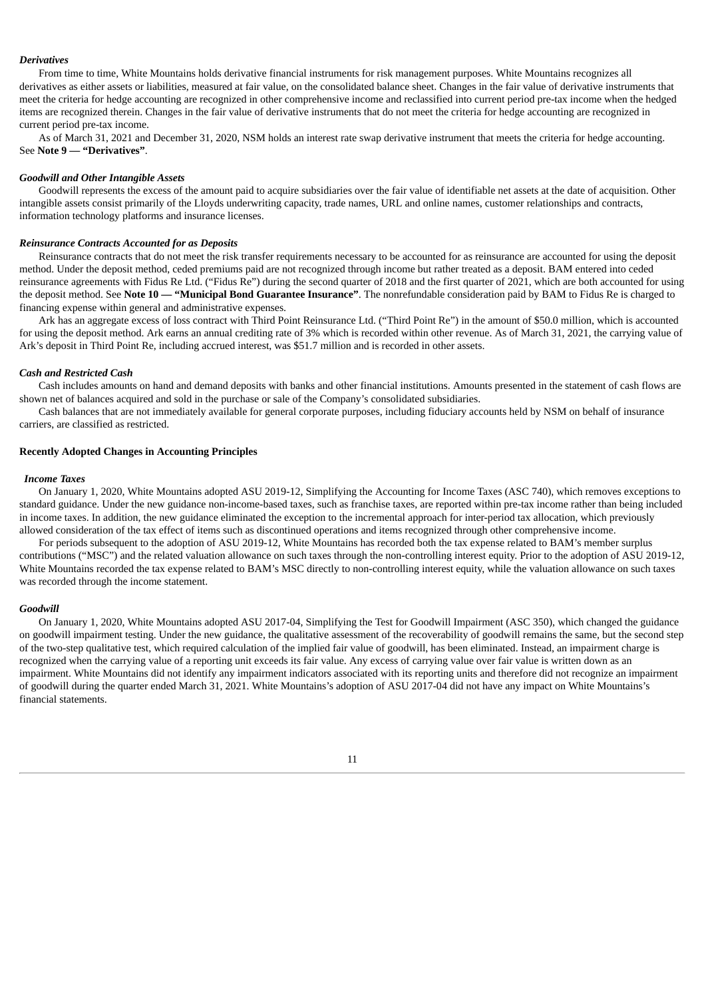## *Derivatives*

From time to time, White Mountains holds derivative financial instruments for risk management purposes. White Mountains recognizes all derivatives as either assets or liabilities, measured at fair value, on the consolidated balance sheet. Changes in the fair value of derivative instruments that meet the criteria for hedge accounting are recognized in other comprehensive income and reclassified into current period pre-tax income when the hedged items are recognized therein. Changes in the fair value of derivative instruments that do not meet the criteria for hedge accounting are recognized in current period pre-tax income.

As of March 31, 2021 and December 31, 2020, NSM holds an interest rate swap derivative instrument that meets the criteria for hedge accounting. See **Note 9 — "Derivatives"**.

#### *Goodwill and Other Intangible Assets*

Goodwill represents the excess of the amount paid to acquire subsidiaries over the fair value of identifiable net assets at the date of acquisition. Other intangible assets consist primarily of the Lloyds underwriting capacity, trade names, URL and online names, customer relationships and contracts, information technology platforms and insurance licenses.

### *Reinsurance Contracts Accounted for as Deposits*

Reinsurance contracts that do not meet the risk transfer requirements necessary to be accounted for as reinsurance are accounted for using the deposit method. Under the deposit method, ceded premiums paid are not recognized through income but rather treated as a deposit. BAM entered into ceded reinsurance agreements with Fidus Re Ltd. ("Fidus Re") during the second quarter of 2018 and the first quarter of 2021, which are both accounted for using the deposit method. See **Note 10 — "Municipal Bond Guarantee Insurance"**. The nonrefundable consideration paid by BAM to Fidus Re is charged to financing expense within general and administrative expenses.

Ark has an aggregate excess of loss contract with Third Point Reinsurance Ltd. ("Third Point Re") in the amount of \$50.0 million, which is accounted for using the deposit method. Ark earns an annual crediting rate of 3% which is recorded within other revenue. As of March 31, 2021, the carrying value of Ark's deposit in Third Point Re, including accrued interest, was \$51.7 million and is recorded in other assets.

#### *Cash and Restricted Cash*

Cash includes amounts on hand and demand deposits with banks and other financial institutions. Amounts presented in the statement of cash flows are shown net of balances acquired and sold in the purchase or sale of the Company's consolidated subsidiaries.

Cash balances that are not immediately available for general corporate purposes, including fiduciary accounts held by NSM on behalf of insurance carriers, are classified as restricted.

#### **Recently Adopted Changes in Accounting Principles**

#### *Income Taxes*

On January 1, 2020, White Mountains adopted ASU 2019-12, Simplifying the Accounting for Income Taxes (ASC 740), which removes exceptions to standard guidance. Under the new guidance non-income-based taxes, such as franchise taxes, are reported within pre-tax income rather than being included in income taxes. In addition, the new guidance eliminated the exception to the incremental approach for inter-period tax allocation, which previously allowed consideration of the tax effect of items such as discontinued operations and items recognized through other comprehensive income.

For periods subsequent to the adoption of ASU 2019-12, White Mountains has recorded both the tax expense related to BAM's member surplus contributions ("MSC") and the related valuation allowance on such taxes through the non-controlling interest equity. Prior to the adoption of ASU 2019-12, White Mountains recorded the tax expense related to BAM's MSC directly to non-controlling interest equity, while the valuation allowance on such taxes was recorded through the income statement.

#### *Goodwill*

On January 1, 2020, White Mountains adopted ASU 2017-04, Simplifying the Test for Goodwill Impairment (ASC 350), which changed the guidance on goodwill impairment testing. Under the new guidance, the qualitative assessment of the recoverability of goodwill remains the same, but the second step of the two-step qualitative test, which required calculation of the implied fair value of goodwill, has been eliminated. Instead, an impairment charge is recognized when the carrying value of a reporting unit exceeds its fair value. Any excess of carrying value over fair value is written down as an impairment. White Mountains did not identify any impairment indicators associated with its reporting units and therefore did not recognize an impairment of goodwill during the quarter ended March 31, 2021. White Mountains's adoption of ASU 2017-04 did not have any impact on White Mountains's financial statements.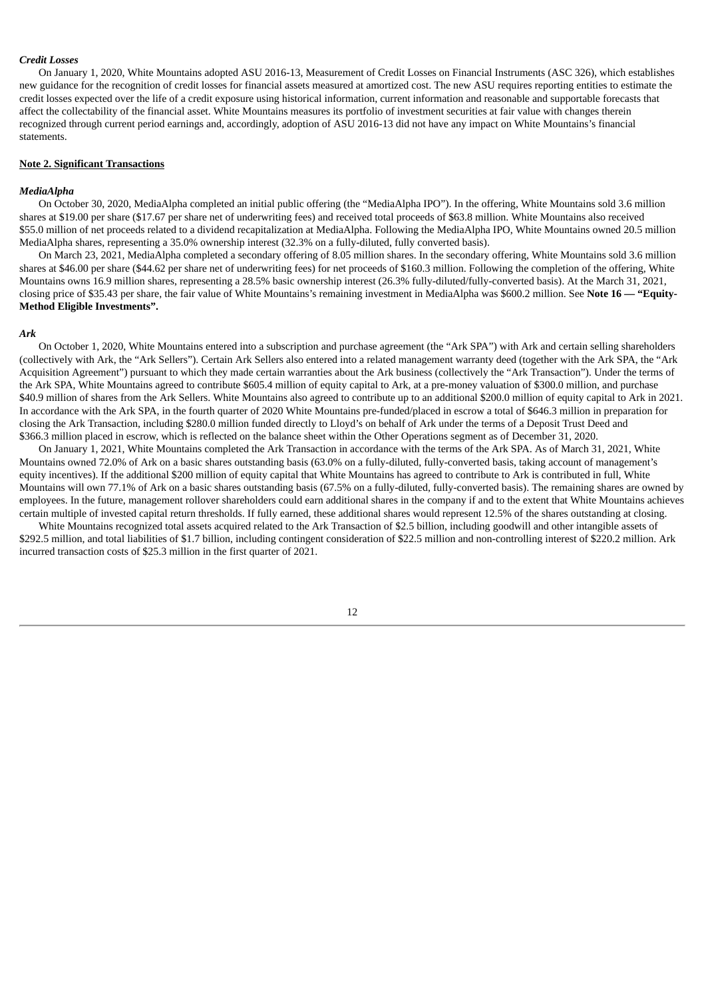## *Credit Losses*

On January 1, 2020, White Mountains adopted ASU 2016-13, Measurement of Credit Losses on Financial Instruments (ASC 326), which establishes new guidance for the recognition of credit losses for financial assets measured at amortized cost. The new ASU requires reporting entities to estimate the credit losses expected over the life of a credit exposure using historical information, current information and reasonable and supportable forecasts that affect the collectability of the financial asset. White Mountains measures its portfolio of investment securities at fair value with changes therein recognized through current period earnings and, accordingly, adoption of ASU 2016-13 did not have any impact on White Mountains's financial statements.

## **Note 2. Significant Transactions**

#### *MediaAlpha*

On October 30, 2020, MediaAlpha completed an initial public offering (the "MediaAlpha IPO"). In the offering, White Mountains sold 3.6 million shares at \$19.00 per share (\$17.67 per share net of underwriting fees) and received total proceeds of \$63.8 million. White Mountains also received \$55.0 million of net proceeds related to a dividend recapitalization at MediaAlpha. Following the MediaAlpha IPO, White Mountains owned 20.5 million MediaAlpha shares, representing a 35.0% ownership interest (32.3% on a fully-diluted, fully converted basis).

On March 23, 2021, MediaAlpha completed a secondary offering of 8.05 million shares. In the secondary offering, White Mountains sold 3.6 million shares at \$46.00 per share (\$44.62 per share net of underwriting fees) for net proceeds of \$160.3 million. Following the completion of the offering, White Mountains owns 16.9 million shares, representing a 28.5% basic ownership interest (26.3% fully-diluted/fully-converted basis). At the March 31, 2021, closing price of \$35.43 per share, the fair value of White Mountains's remaining investment in MediaAlpha was \$600.2 million. See **Note 16 — "Equity-Method Eligible Investments".**

### *Ark*

On October 1, 2020, White Mountains entered into a subscription and purchase agreement (the "Ark SPA") with Ark and certain selling shareholders (collectively with Ark, the "Ark Sellers"). Certain Ark Sellers also entered into a related management warranty deed (together with the Ark SPA, the "Ark Acquisition Agreement") pursuant to which they made certain warranties about the Ark business (collectively the "Ark Transaction"). Under the terms of the Ark SPA, White Mountains agreed to contribute \$605.4 million of equity capital to Ark, at a pre-money valuation of \$300.0 million, and purchase \$40.9 million of shares from the Ark Sellers. White Mountains also agreed to contribute up to an additional \$200.0 million of equity capital to Ark in 2021. In accordance with the Ark SPA, in the fourth quarter of 2020 White Mountains pre-funded/placed in escrow a total of \$646.3 million in preparation for closing the Ark Transaction, including \$280.0 million funded directly to Lloyd's on behalf of Ark under the terms of a Deposit Trust Deed and \$366.3 million placed in escrow, which is reflected on the balance sheet within the Other Operations segment as of December 31, 2020.

On January 1, 2021, White Mountains completed the Ark Transaction in accordance with the terms of the Ark SPA. As of March 31, 2021, White Mountains owned 72.0% of Ark on a basic shares outstanding basis (63.0% on a fully-diluted, fully-converted basis, taking account of management's equity incentives). If the additional \$200 million of equity capital that White Mountains has agreed to contribute to Ark is contributed in full, White Mountains will own 77.1% of Ark on a basic shares outstanding basis (67.5% on a fully-diluted, fully-converted basis). The remaining shares are owned by employees. In the future, management rollover shareholders could earn additional shares in the company if and to the extent that White Mountains achieves certain multiple of invested capital return thresholds. If fully earned, these additional shares would represent 12.5% of the shares outstanding at closing.

White Mountains recognized total assets acquired related to the Ark Transaction of \$2.5 billion, including goodwill and other intangible assets of \$292.5 million, and total liabilities of \$1.7 billion, including contingent consideration of \$22.5 million and non-controlling interest of \$220.2 million. Ark incurred transaction costs of \$25.3 million in the first quarter of 2021.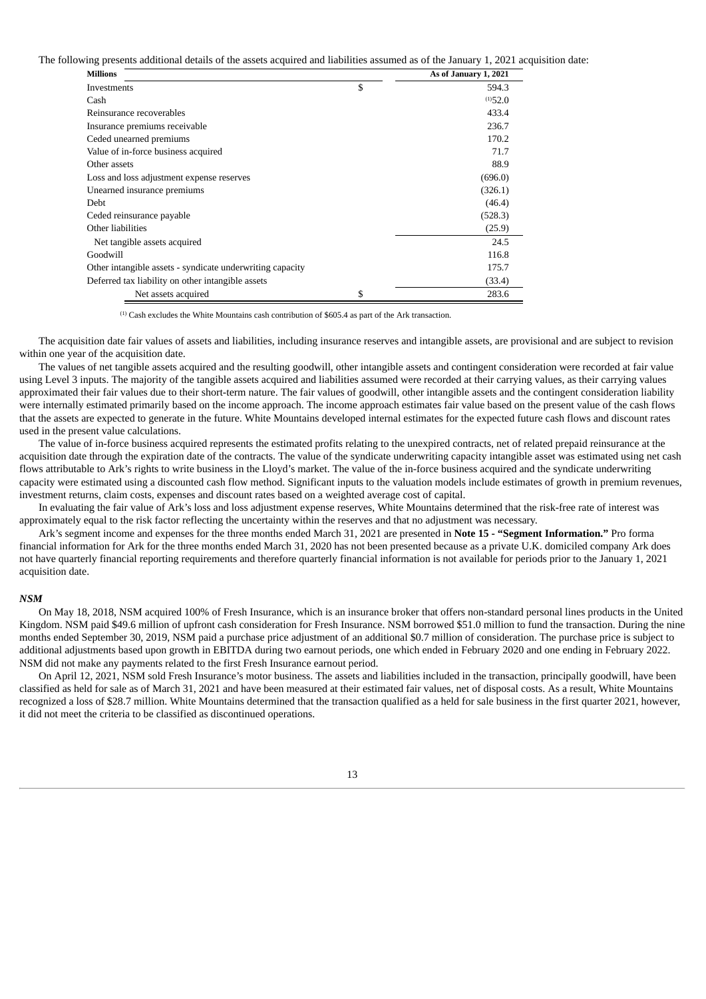The following presents additional details of the assets acquired and liabilities assumed as of the January 1, 2021 acquisition date:

| <b>Millions</b>                                           | As of January 1, 2021 |
|-----------------------------------------------------------|-----------------------|
| Investments                                               | \$<br>594.3           |
| Cash                                                      | (1)52.0               |
| Reinsurance recoverables                                  | 433.4                 |
| Insurance premiums receivable                             | 236.7                 |
| Ceded unearned premiums                                   | 170.2                 |
| Value of in-force business acquired                       | 71.7                  |
| Other assets                                              | 88.9                  |
| Loss and loss adjustment expense reserves                 | (696.0)               |
| Unearned insurance premiums                               | (326.1)               |
| Debt                                                      | (46.4)                |
| Ceded reinsurance payable                                 | (528.3)               |
| Other liabilities                                         | (25.9)                |
| Net tangible assets acquired                              | 24.5                  |
| Goodwill                                                  | 116.8                 |
| Other intangible assets - syndicate underwriting capacity | 175.7                 |
| Deferred tax liability on other intangible assets         | (33.4)                |
| Net assets acquired                                       | \$<br>283.6           |

 $<sup>(1)</sup>$  Cash excludes the White Mountains cash contribution of \$605.4 as part of the Ark transaction.</sup>

The acquisition date fair values of assets and liabilities, including insurance reserves and intangible assets, are provisional and are subject to revision within one year of the acquisition date.

The values of net tangible assets acquired and the resulting goodwill, other intangible assets and contingent consideration were recorded at fair value using Level 3 inputs. The majority of the tangible assets acquired and liabilities assumed were recorded at their carrying values, as their carrying values approximated their fair values due to their short-term nature. The fair values of goodwill, other intangible assets and the contingent consideration liability were internally estimated primarily based on the income approach. The income approach estimates fair value based on the present value of the cash flows that the assets are expected to generate in the future. White Mountains developed internal estimates for the expected future cash flows and discount rates used in the present value calculations.

The value of in-force business acquired represents the estimated profits relating to the unexpired contracts, net of related prepaid reinsurance at the acquisition date through the expiration date of the contracts. The value of the syndicate underwriting capacity intangible asset was estimated using net cash flows attributable to Ark's rights to write business in the Lloyd's market. The value of the in-force business acquired and the syndicate underwriting capacity were estimated using a discounted cash flow method. Significant inputs to the valuation models include estimates of growth in premium revenues, investment returns, claim costs, expenses and discount rates based on a weighted average cost of capital.

In evaluating the fair value of Ark's loss and loss adjustment expense reserves, White Mountains determined that the risk-free rate of interest was approximately equal to the risk factor reflecting the uncertainty within the reserves and that no adjustment was necessary.

Ark's segment income and expenses for the three months ended March 31, 2021 are presented in **Note 15 - "Segment Information."** Pro forma financial information for Ark for the three months ended March 31, 2020 has not been presented because as a private U.K. domiciled company Ark does not have quarterly financial reporting requirements and therefore quarterly financial information is not available for periods prior to the January 1, 2021 acquisition date.

### *NSM*

On May 18, 2018, NSM acquired 100% of Fresh Insurance, which is an insurance broker that offers non-standard personal lines products in the United Kingdom. NSM paid \$49.6 million of upfront cash consideration for Fresh Insurance. NSM borrowed \$51.0 million to fund the transaction. During the nine months ended September 30, 2019, NSM paid a purchase price adjustment of an additional \$0.7 million of consideration. The purchase price is subject to additional adjustments based upon growth in EBITDA during two earnout periods, one which ended in February 2020 and one ending in February 2022. NSM did not make any payments related to the first Fresh Insurance earnout period.

On April 12, 2021, NSM sold Fresh Insurance's motor business. The assets and liabilities included in the transaction, principally goodwill, have been classified as held for sale as of March 31, 2021 and have been measured at their estimated fair values, net of disposal costs. As a result, White Mountains recognized a loss of \$28.7 million. White Mountains determined that the transaction qualified as a held for sale business in the first quarter 2021, however, it did not meet the criteria to be classified as discontinued operations.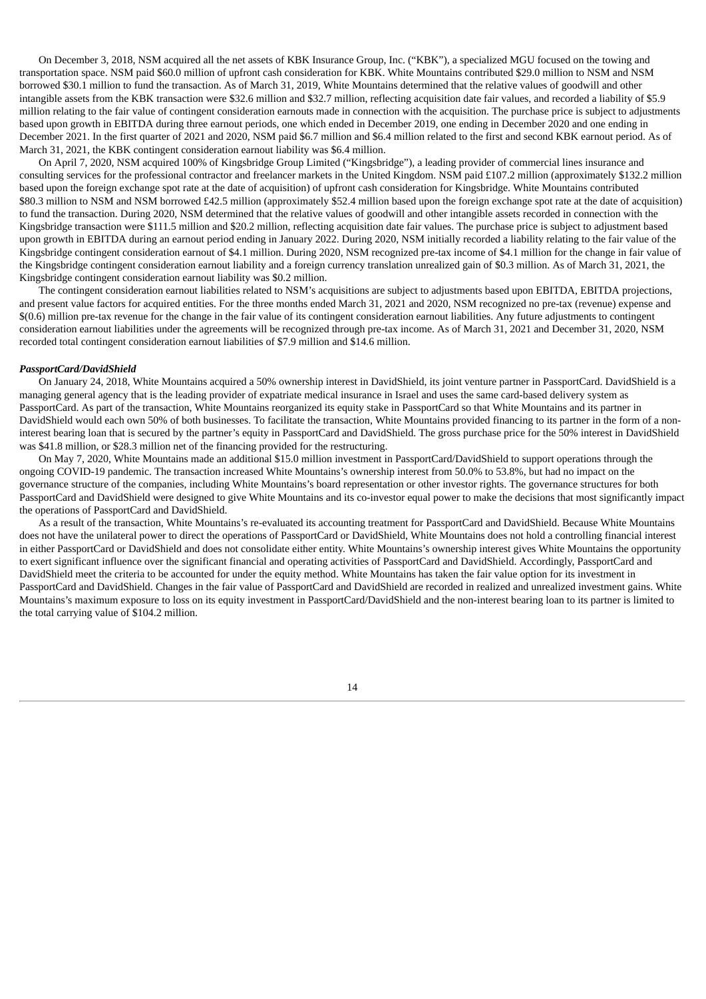On December 3, 2018, NSM acquired all the net assets of KBK Insurance Group, Inc. ("KBK"), a specialized MGU focused on the towing and transportation space. NSM paid \$60.0 million of upfront cash consideration for KBK. White Mountains contributed \$29.0 million to NSM and NSM borrowed \$30.1 million to fund the transaction. As of March 31, 2019, White Mountains determined that the relative values of goodwill and other intangible assets from the KBK transaction were \$32.6 million and \$32.7 million, reflecting acquisition date fair values, and recorded a liability of \$5.9 million relating to the fair value of contingent consideration earnouts made in connection with the acquisition. The purchase price is subject to adjustments based upon growth in EBITDA during three earnout periods, one which ended in December 2019, one ending in December 2020 and one ending in December 2021. In the first quarter of 2021 and 2020, NSM paid \$6.7 million and \$6.4 million related to the first and second KBK earnout period. As of March 31, 2021, the KBK contingent consideration earnout liability was \$6.4 million.

On April 7, 2020, NSM acquired 100% of Kingsbridge Group Limited ("Kingsbridge"), a leading provider of commercial lines insurance and consulting services for the professional contractor and freelancer markets in the United Kingdom. NSM paid £107.2 million (approximately \$132.2 million based upon the foreign exchange spot rate at the date of acquisition) of upfront cash consideration for Kingsbridge. White Mountains contributed \$80.3 million to NSM and NSM borrowed £42.5 million (approximately \$52.4 million based upon the foreign exchange spot rate at the date of acquisition) to fund the transaction. During 2020, NSM determined that the relative values of goodwill and other intangible assets recorded in connection with the Kingsbridge transaction were \$111.5 million and \$20.2 million, reflecting acquisition date fair values. The purchase price is subject to adjustment based upon growth in EBITDA during an earnout period ending in January 2022. During 2020, NSM initially recorded a liability relating to the fair value of the Kingsbridge contingent consideration earnout of \$4.1 million. During 2020, NSM recognized pre-tax income of \$4.1 million for the change in fair value of the Kingsbridge contingent consideration earnout liability and a foreign currency translation unrealized gain of \$0.3 million. As of March 31, 2021, the Kingsbridge contingent consideration earnout liability was \$0.2 million.

The contingent consideration earnout liabilities related to NSM's acquisitions are subject to adjustments based upon EBITDA, EBITDA projections, and present value factors for acquired entities. For the three months ended March 31, 2021 and 2020, NSM recognized no pre-tax (revenue) expense and \$(0.6) million pre-tax revenue for the change in the fair value of its contingent consideration earnout liabilities. Any future adjustments to contingent consideration earnout liabilities under the agreements will be recognized through pre-tax income. As of March 31, 2021 and December 31, 2020, NSM recorded total contingent consideration earnout liabilities of \$7.9 million and \$14.6 million.

## *PassportCard/DavidShield*

On January 24, 2018, White Mountains acquired a 50% ownership interest in DavidShield, its joint venture partner in PassportCard. DavidShield is a managing general agency that is the leading provider of expatriate medical insurance in Israel and uses the same card-based delivery system as PassportCard. As part of the transaction, White Mountains reorganized its equity stake in PassportCard so that White Mountains and its partner in DavidShield would each own 50% of both businesses. To facilitate the transaction, White Mountains provided financing to its partner in the form of a noninterest bearing loan that is secured by the partner's equity in PassportCard and DavidShield. The gross purchase price for the 50% interest in DavidShield was \$41.8 million, or \$28.3 million net of the financing provided for the restructuring.

On May 7, 2020, White Mountains made an additional \$15.0 million investment in PassportCard/DavidShield to support operations through the ongoing COVID-19 pandemic. The transaction increased White Mountains's ownership interest from 50.0% to 53.8%, but had no impact on the governance structure of the companies, including White Mountains's board representation or other investor rights. The governance structures for both PassportCard and DavidShield were designed to give White Mountains and its co-investor equal power to make the decisions that most significantly impact the operations of PassportCard and DavidShield.

As a result of the transaction, White Mountains's re-evaluated its accounting treatment for PassportCard and DavidShield. Because White Mountains does not have the unilateral power to direct the operations of PassportCard or DavidShield, White Mountains does not hold a controlling financial interest in either PassportCard or DavidShield and does not consolidate either entity. White Mountains's ownership interest gives White Mountains the opportunity to exert significant influence over the significant financial and operating activities of PassportCard and DavidShield. Accordingly, PassportCard and DavidShield meet the criteria to be accounted for under the equity method. White Mountains has taken the fair value option for its investment in PassportCard and DavidShield. Changes in the fair value of PassportCard and DavidShield are recorded in realized and unrealized investment gains. White Mountains's maximum exposure to loss on its equity investment in PassportCard/DavidShield and the non-interest bearing loan to its partner is limited to the total carrying value of \$104.2 million.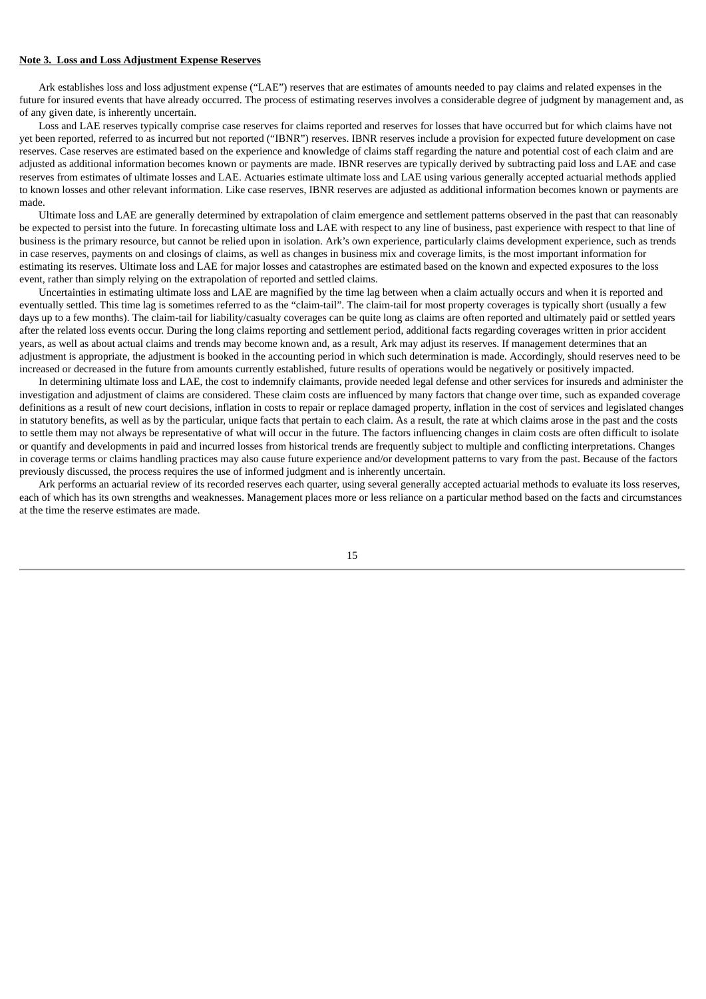## **Note 3. Loss and Loss Adjustment Expense Reserves**

Ark establishes loss and loss adjustment expense ("LAE") reserves that are estimates of amounts needed to pay claims and related expenses in the future for insured events that have already occurred. The process of estimating reserves involves a considerable degree of judgment by management and, as of any given date, is inherently uncertain.

Loss and LAE reserves typically comprise case reserves for claims reported and reserves for losses that have occurred but for which claims have not yet been reported, referred to as incurred but not reported ("IBNR") reserves. IBNR reserves include a provision for expected future development on case reserves. Case reserves are estimated based on the experience and knowledge of claims staff regarding the nature and potential cost of each claim and are adjusted as additional information becomes known or payments are made. IBNR reserves are typically derived by subtracting paid loss and LAE and case reserves from estimates of ultimate losses and LAE. Actuaries estimate ultimate loss and LAE using various generally accepted actuarial methods applied to known losses and other relevant information. Like case reserves, IBNR reserves are adjusted as additional information becomes known or payments are made

Ultimate loss and LAE are generally determined by extrapolation of claim emergence and settlement patterns observed in the past that can reasonably be expected to persist into the future. In forecasting ultimate loss and LAE with respect to any line of business, past experience with respect to that line of business is the primary resource, but cannot be relied upon in isolation. Ark's own experience, particularly claims development experience, such as trends in case reserves, payments on and closings of claims, as well as changes in business mix and coverage limits, is the most important information for estimating its reserves. Ultimate loss and LAE for major losses and catastrophes are estimated based on the known and expected exposures to the loss event, rather than simply relying on the extrapolation of reported and settled claims.

Uncertainties in estimating ultimate loss and LAE are magnified by the time lag between when a claim actually occurs and when it is reported and eventually settled. This time lag is sometimes referred to as the "claim-tail". The claim-tail for most property coverages is typically short (usually a few days up to a few months). The claim-tail for liability/casualty coverages can be quite long as claims are often reported and ultimately paid or settled years after the related loss events occur. During the long claims reporting and settlement period, additional facts regarding coverages written in prior accident years, as well as about actual claims and trends may become known and, as a result, Ark may adjust its reserves. If management determines that an adjustment is appropriate, the adjustment is booked in the accounting period in which such determination is made. Accordingly, should reserves need to be increased or decreased in the future from amounts currently established, future results of operations would be negatively or positively impacted.

In determining ultimate loss and LAE, the cost to indemnify claimants, provide needed legal defense and other services for insureds and administer the investigation and adjustment of claims are considered. These claim costs are influenced by many factors that change over time, such as expanded coverage definitions as a result of new court decisions, inflation in costs to repair or replace damaged property, inflation in the cost of services and legislated changes in statutory benefits, as well as by the particular, unique facts that pertain to each claim. As a result, the rate at which claims arose in the past and the costs to settle them may not always be representative of what will occur in the future. The factors influencing changes in claim costs are often difficult to isolate or quantify and developments in paid and incurred losses from historical trends are frequently subject to multiple and conflicting interpretations. Changes in coverage terms or claims handling practices may also cause future experience and/or development patterns to vary from the past. Because of the factors previously discussed, the process requires the use of informed judgment and is inherently uncertain.

Ark performs an actuarial review of its recorded reserves each quarter, using several generally accepted actuarial methods to evaluate its loss reserves, each of which has its own strengths and weaknesses. Management places more or less reliance on a particular method based on the facts and circumstances at the time the reserve estimates are made.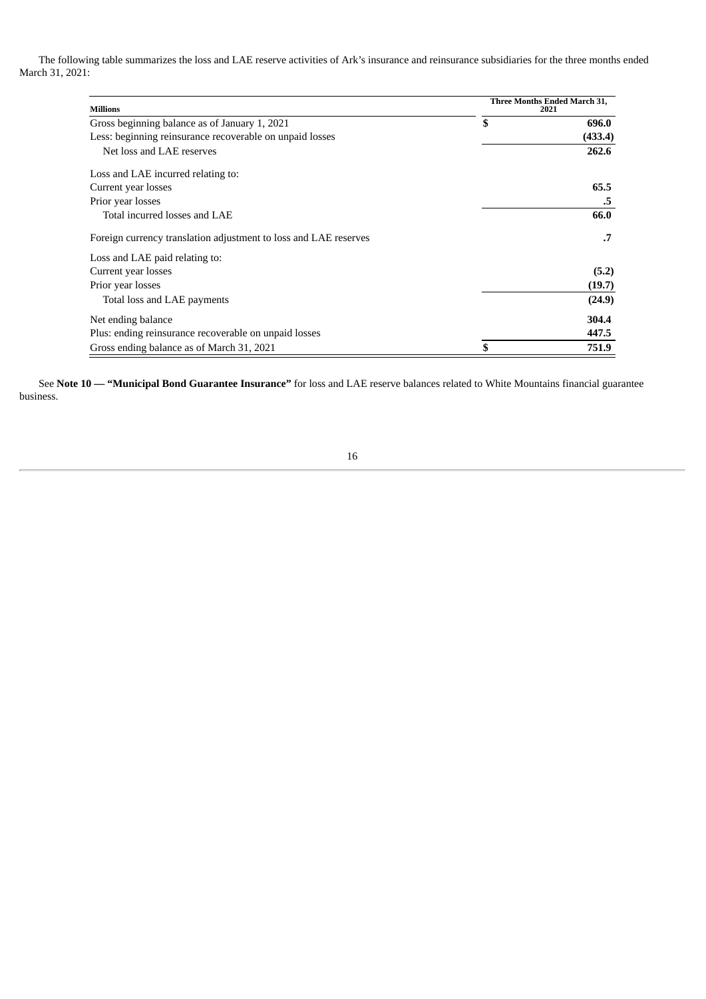The following table summarizes the loss and LAE reserve activities of Ark's insurance and reinsurance subsidiaries for the three months ended March 31, 2021:

| <b>Millions</b>                                                  | Three Months Ended March 31,<br>2021 |  |  |
|------------------------------------------------------------------|--------------------------------------|--|--|
| Gross beginning balance as of January 1, 2021                    | \$<br>696.0                          |  |  |
| Less: beginning reinsurance recoverable on unpaid losses         | (433.4)                              |  |  |
| Net loss and LAE reserves                                        | 262.6                                |  |  |
| Loss and LAE incurred relating to:                               |                                      |  |  |
| Current year losses                                              | 65.5                                 |  |  |
| Prior year losses                                                | .5                                   |  |  |
| Total incurred losses and LAE                                    | 66.0                                 |  |  |
| Foreign currency translation adjustment to loss and LAE reserves | .7                                   |  |  |
| Loss and LAE paid relating to:                                   |                                      |  |  |
| Current year losses                                              | (5.2)                                |  |  |
| Prior year losses                                                | (19.7)                               |  |  |
| Total loss and LAE payments                                      | (24.9)                               |  |  |
| Net ending balance                                               | 304.4                                |  |  |
| Plus: ending reinsurance recoverable on unpaid losses            | 447.5                                |  |  |
| Gross ending balance as of March 31, 2021                        | \$<br>751.9                          |  |  |

See **Note 10 — "Municipal Bond Guarantee Insurance"** for loss and LAE reserve balances related to White Mountains financial guarantee business.

| I | ٠       |
|---|---------|
| ш | ï<br>۰. |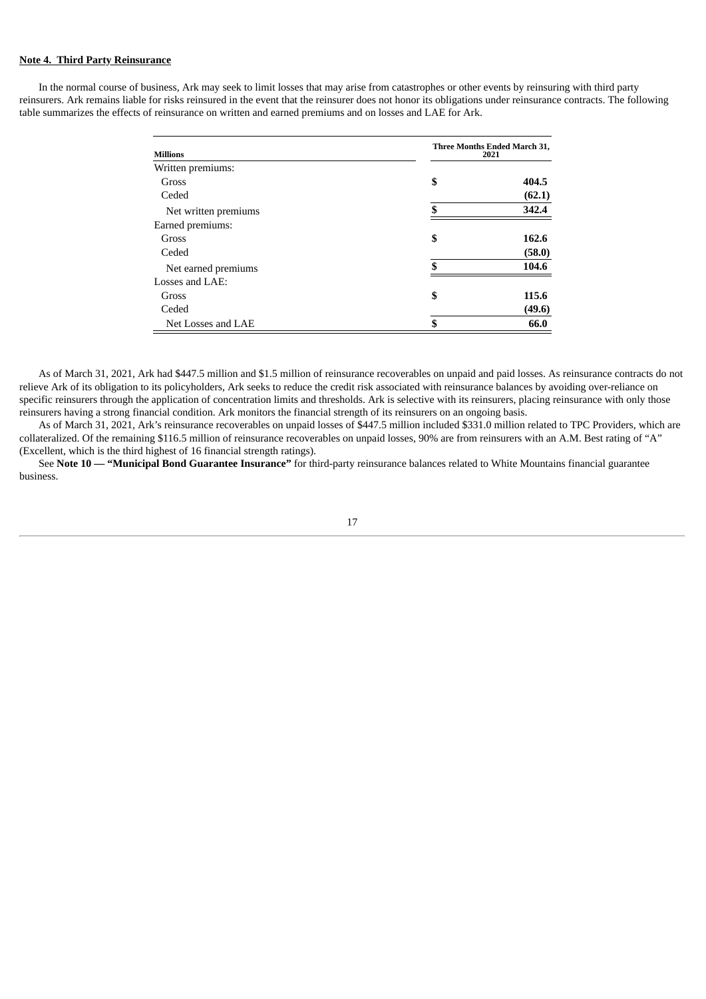## **Note 4. Third Party Reinsurance**

In the normal course of business, Ark may seek to limit losses that may arise from catastrophes or other events by reinsuring with third party reinsurers. Ark remains liable for risks reinsured in the event that the reinsurer does not honor its obligations under reinsurance contracts. The following table summarizes the effects of reinsurance on written and earned premiums and on losses and LAE for Ark.

| <b>Millions</b>      | Three Months Ended March 31,<br>2021 |  |  |  |  |
|----------------------|--------------------------------------|--|--|--|--|
| Written premiums:    |                                      |  |  |  |  |
| Gross                | \$<br>404.5                          |  |  |  |  |
| Ceded                | (62.1)                               |  |  |  |  |
| Net written premiums | \$<br>342.4                          |  |  |  |  |
| Earned premiums:     |                                      |  |  |  |  |
| Gross                | \$<br>162.6                          |  |  |  |  |
| Ceded                | (58.0)                               |  |  |  |  |
| Net earned premiums  | \$<br>104.6                          |  |  |  |  |
| Losses and LAE:      |                                      |  |  |  |  |
| Gross                | \$<br>115.6                          |  |  |  |  |
| Ceded                | (49.6)                               |  |  |  |  |
| Net Losses and LAE   | \$<br>66.0                           |  |  |  |  |

As of March 31, 2021, Ark had \$447.5 million and \$1.5 million of reinsurance recoverables on unpaid and paid losses. As reinsurance contracts do not relieve Ark of its obligation to its policyholders, Ark seeks to reduce the credit risk associated with reinsurance balances by avoiding over-reliance on specific reinsurers through the application of concentration limits and thresholds. Ark is selective with its reinsurers, placing reinsurance with only those reinsurers having a strong financial condition. Ark monitors the financial strength of its reinsurers on an ongoing basis.

As of March 31, 2021, Ark's reinsurance recoverables on unpaid losses of \$447.5 million included \$331.0 million related to TPC Providers, which are collateralized. Of the remaining \$116.5 million of reinsurance recoverables on unpaid losses, 90% are from reinsurers with an A.M. Best rating of "A" (Excellent, which is the third highest of 16 financial strength ratings).

See **Note 10 — "Municipal Bond Guarantee Insurance"** for third-party reinsurance balances related to White Mountains financial guarantee business.

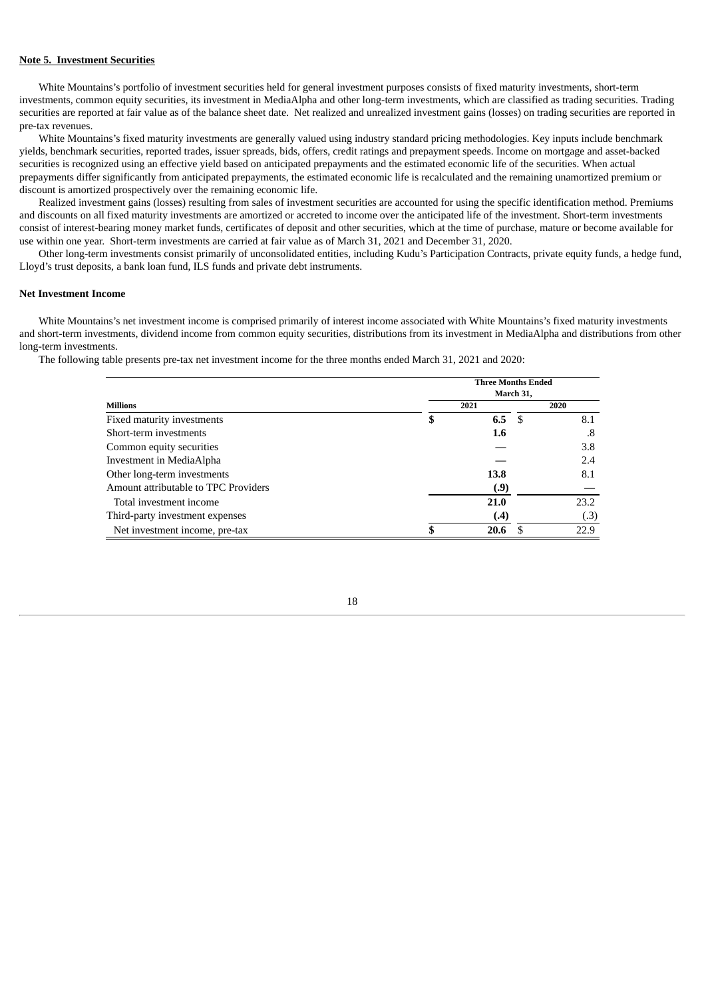## **Note 5. Investment Securities**

White Mountains's portfolio of investment securities held for general investment purposes consists of fixed maturity investments, short-term investments, common equity securities, its investment in MediaAlpha and other long-term investments, which are classified as trading securities. Trading securities are reported at fair value as of the balance sheet date. Net realized and unrealized investment gains (losses) on trading securities are reported in pre-tax revenues.

White Mountains's fixed maturity investments are generally valued using industry standard pricing methodologies. Key inputs include benchmark yields, benchmark securities, reported trades, issuer spreads, bids, offers, credit ratings and prepayment speeds. Income on mortgage and asset-backed securities is recognized using an effective yield based on anticipated prepayments and the estimated economic life of the securities. When actual prepayments differ significantly from anticipated prepayments, the estimated economic life is recalculated and the remaining unamortized premium or discount is amortized prospectively over the remaining economic life.

Realized investment gains (losses) resulting from sales of investment securities are accounted for using the specific identification method. Premiums and discounts on all fixed maturity investments are amortized or accreted to income over the anticipated life of the investment. Short-term investments consist of interest-bearing money market funds, certificates of deposit and other securities, which at the time of purchase, mature or become available for use within one year. Short-term investments are carried at fair value as of March 31, 2021 and December 31, 2020.

Other long-term investments consist primarily of unconsolidated entities, including Kudu's Participation Contracts, private equity funds, a hedge fund, Lloyd's trust deposits, a bank loan fund, ILS funds and private debt instruments.

## **Net Investment Income**

White Mountains's net investment income is comprised primarily of interest income associated with White Mountains's fixed maturity investments and short-term investments, dividend income from common equity securities, distributions from its investment in MediaAlpha and distributions from other long-term investments.

The following table presents pre-tax net investment income for the three months ended March 31, 2021 and 2020:

|                                      | <b>Three Months Ended</b><br>March 31, |      |     |      |  |  |  |  |  |
|--------------------------------------|----------------------------------------|------|-----|------|--|--|--|--|--|
| <b>Millions</b>                      |                                        | 2021 |     | 2020 |  |  |  |  |  |
| Fixed maturity investments           | \$                                     | 6.5  | -\$ | 8.1  |  |  |  |  |  |
| Short-term investments               |                                        | 1.6  |     | .8   |  |  |  |  |  |
| Common equity securities             |                                        |      |     | 3.8  |  |  |  |  |  |
| Investment in MediaAlpha             |                                        |      |     | 2.4  |  |  |  |  |  |
| Other long-term investments          |                                        | 13.8 |     | 8.1  |  |  |  |  |  |
| Amount attributable to TPC Providers |                                        | (.9) |     |      |  |  |  |  |  |
| Total investment income              |                                        | 21.0 |     | 23.2 |  |  |  |  |  |
| Third-party investment expenses      |                                        | (.4) |     | (.3) |  |  |  |  |  |
| Net investment income, pre-tax       |                                        | 20.6 |     | 22.9 |  |  |  |  |  |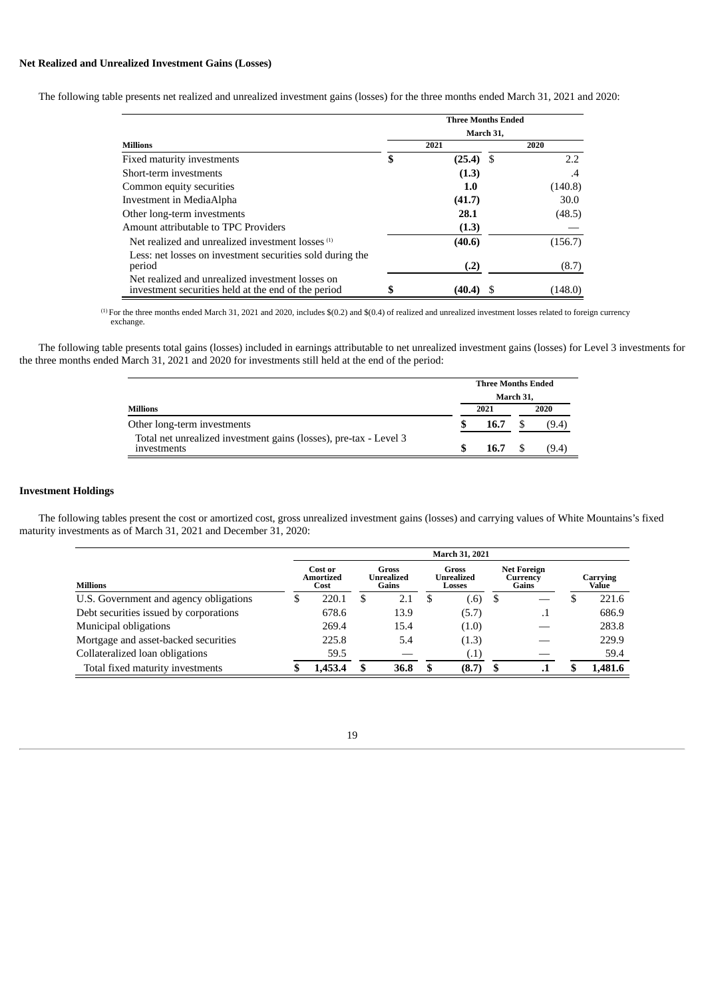## **Net Realized and Unrealized Investment Gains (Losses)**

The following table presents net realized and unrealized investment gains (losses) for the three months ended March 31, 2021 and 2020:

|                                                                                                         | <b>Three Months Ended</b><br>March 31, |             |  |         |  |  |  |  |  |  |
|---------------------------------------------------------------------------------------------------------|----------------------------------------|-------------|--|---------|--|--|--|--|--|--|
|                                                                                                         |                                        |             |  |         |  |  |  |  |  |  |
| <b>Millions</b>                                                                                         |                                        | 2021        |  | 2020    |  |  |  |  |  |  |
| Fixed maturity investments                                                                              | \$                                     | $(25.4)$ \$ |  | 2.2     |  |  |  |  |  |  |
| Short-term investments                                                                                  |                                        | (1.3)       |  | .4      |  |  |  |  |  |  |
| Common equity securities                                                                                |                                        | 1.0         |  | (140.8) |  |  |  |  |  |  |
| Investment in MediaAlpha                                                                                |                                        | (41.7)      |  | 30.0    |  |  |  |  |  |  |
| Other long-term investments                                                                             |                                        | 28.1        |  | (48.5)  |  |  |  |  |  |  |
| Amount attributable to TPC Providers                                                                    |                                        | (1.3)       |  |         |  |  |  |  |  |  |
| Net realized and unrealized investment losses <sup>(1)</sup>                                            |                                        | (40.6)      |  | (156.7) |  |  |  |  |  |  |
| Less: net losses on investment securities sold during the<br>period                                     |                                        | (.2)        |  | (8.7)   |  |  |  |  |  |  |
| Net realized and unrealized investment losses on<br>investment securities held at the end of the period |                                        | (40.4)      |  | (148.0) |  |  |  |  |  |  |

 $^{(1)}$  For the three months ended March 31, 2021 and 2020, includes \$(0.2) and \$(0.4) of realized and unrealized investment losses related to foreign currency exchange.

The following table presents total gains (losses) included in earnings attributable to net unrealized investment gains (losses) for Level 3 investments for the three months ended March 31, 2021 and 2020 for investments still held at the end of the period:

|                                                                                  | <b>Three Months Ended</b> |              |  |       |  |  |  |  |
|----------------------------------------------------------------------------------|---------------------------|--------------|--|-------|--|--|--|--|
|                                                                                  | March 31,                 |              |  |       |  |  |  |  |
| <b>Millions</b>                                                                  |                           | 2021<br>16.7 |  | 2020  |  |  |  |  |
| Other long-term investments                                                      |                           |              |  | (9.4) |  |  |  |  |
| Total net unrealized investment gains (losses), pre-tax - Level 3<br>investments |                           | 16.7         |  | (9.4) |  |  |  |  |

# **Investment Holdings**

The following tables present the cost or amortized cost, gross unrealized investment gains (losses) and carrying values of White Mountains's fixed maturity investments as of March 31, 2021 and December 31, 2020:

|                                        | March 31, 2021 |                              |   |                              |     |                                      |   |                                         |  |                   |  |  |
|----------------------------------------|----------------|------------------------------|---|------------------------------|-----|--------------------------------------|---|-----------------------------------------|--|-------------------|--|--|
| <b>Millions</b>                        |                | Cost or<br>Amortized<br>Cost |   | Gross<br>Unrealized<br>Gains |     | <b>Gross</b><br>Unrealized<br>Losses |   | <b>Net Foreign</b><br>Currency<br>Gains |  | Carrying<br>Value |  |  |
| U.S. Government and agency obligations | .D             | 220.1                        | ж | 2.1                          | - 5 | (.6)                                 | S |                                         |  | 221.6             |  |  |
| Debt securities issued by corporations |                | 678.6                        |   | 13.9                         |     | (5.7)                                |   | . .                                     |  | 686.9             |  |  |
| Municipal obligations                  |                | 269.4                        |   | 15.4                         |     | (1.0)                                |   |                                         |  | 283.8             |  |  |
| Mortgage and asset-backed securities   |                | 225.8                        |   | 5.4                          |     | (1.3)                                |   |                                         |  | 229.9             |  |  |
| Collateralized loan obligations        |                | 59.5                         |   |                              |     | (.1)                                 |   |                                         |  | 59.4              |  |  |
| Total fixed maturity investments       |                | 1,453.4                      |   | 36.8                         |     | (8.7)                                |   | ٠.                                      |  | 1.481.6           |  |  |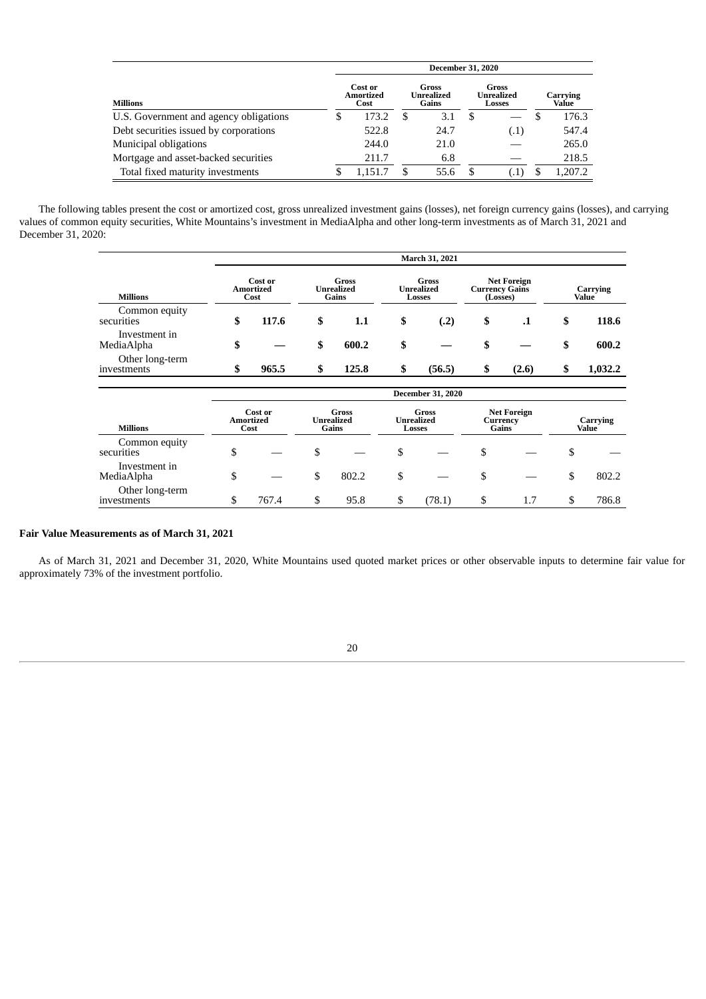|                                        | <b>December 31, 2020</b> |                              |      |                              |   |                               |   |                   |  |  |  |  |  |
|----------------------------------------|--------------------------|------------------------------|------|------------------------------|---|-------------------------------|---|-------------------|--|--|--|--|--|
| <b>Millions</b>                        |                          | Cost or<br>Amortized<br>Cost |      | Gross<br>Unrealized<br>Gains |   | Gross<br>Unrealized<br>Losses |   | Carrying<br>Value |  |  |  |  |  |
| U.S. Government and agency obligations | S                        | 173.2                        | - \$ | 3.1                          | S |                               | S | 176.3             |  |  |  |  |  |
| Debt securities issued by corporations |                          | 522.8                        |      | 24.7                         |   | (.1)                          |   | 547.4             |  |  |  |  |  |
| Municipal obligations                  |                          | 244.0                        |      | 21.0                         |   |                               |   | 265.0             |  |  |  |  |  |
| Mortgage and asset-backed securities   |                          | 211.7                        |      | 6.8                          |   |                               |   | 218.5             |  |  |  |  |  |
| Total fixed maturity investments       |                          | 1,151.7                      |      | 55.6                         | S |                               | S | 1.207.2           |  |  |  |  |  |

The following tables present the cost or amortized cost, gross unrealized investment gains (losses), net foreign currency gains (losses), and carrying values of common equity securities, White Mountains's investment in MediaAlpha and other long-term investments as of March 31, 2021 and December 31, 2020:

|                                | <b>March 31, 2021</b> |                                                                                                                                                         |     |                              |    |                               |                                         |           |                          |         |  |  |
|--------------------------------|-----------------------|---------------------------------------------------------------------------------------------------------------------------------------------------------|-----|------------------------------|----|-------------------------------|-----------------------------------------|-----------|--------------------------|---------|--|--|
| <b>Millions</b>                |                       | <b>Gross</b><br>Cost or<br><b>Gross</b><br><b>Amortized</b><br>Unrealized<br>Unrealized<br><b>Currency Gains</b><br>Gains<br>(Losses)<br>Cost<br>Losses |     | <b>Net Foreign</b>           |    | Carrying<br>Value             |                                         |           |                          |         |  |  |
| Common equity<br>securities    | \$                    | 117.6                                                                                                                                                   | \$  | 1.1                          | \$ | (.2)                          | \$                                      | $\cdot$ 1 | \$                       | 118.6   |  |  |
| Investment in<br>MediaAlpha    | \$                    |                                                                                                                                                         | \$  | 600.2                        | \$ |                               | \$                                      |           | \$                       | 600.2   |  |  |
| Other long-term<br>investments | \$                    | 965.5                                                                                                                                                   | \$  | 125.8                        | \$ | (56.5)                        | \$                                      | (2.6)     | \$                       | 1,032.2 |  |  |
|                                |                       |                                                                                                                                                         |     |                              |    | <b>December 31, 2020</b>      |                                         |           |                          |         |  |  |
| <b>Millions</b>                |                       | Cost or<br><b>Amortized</b><br>Cost                                                                                                                     |     | Gross<br>Unrealized<br>Gains |    | Gross<br>Unrealized<br>Losses | <b>Net Foreign</b><br>Currency<br>Gains |           | Carrying<br><b>Value</b> |         |  |  |
| Common equity<br>securities    | \$                    |                                                                                                                                                         | \$  |                              | \$ |                               | \$                                      |           | \$                       |         |  |  |
| Investment in<br>MediaAlpha    | \$                    |                                                                                                                                                         | \$  | 802.2                        | \$ |                               | \$                                      |           | \$                       | 802.2   |  |  |
| Other long-term<br>investments | \$                    | 767.4                                                                                                                                                   | \$. | 95.8                         | \$ | (78.1)                        | \$                                      | 1.7       | \$                       | 786.8   |  |  |

# **Fair Value Measurements as of March 31, 2021**

As of March 31, 2021 and December 31, 2020, White Mountains used quoted market prices or other observable inputs to determine fair value for approximately 73% of the investment portfolio.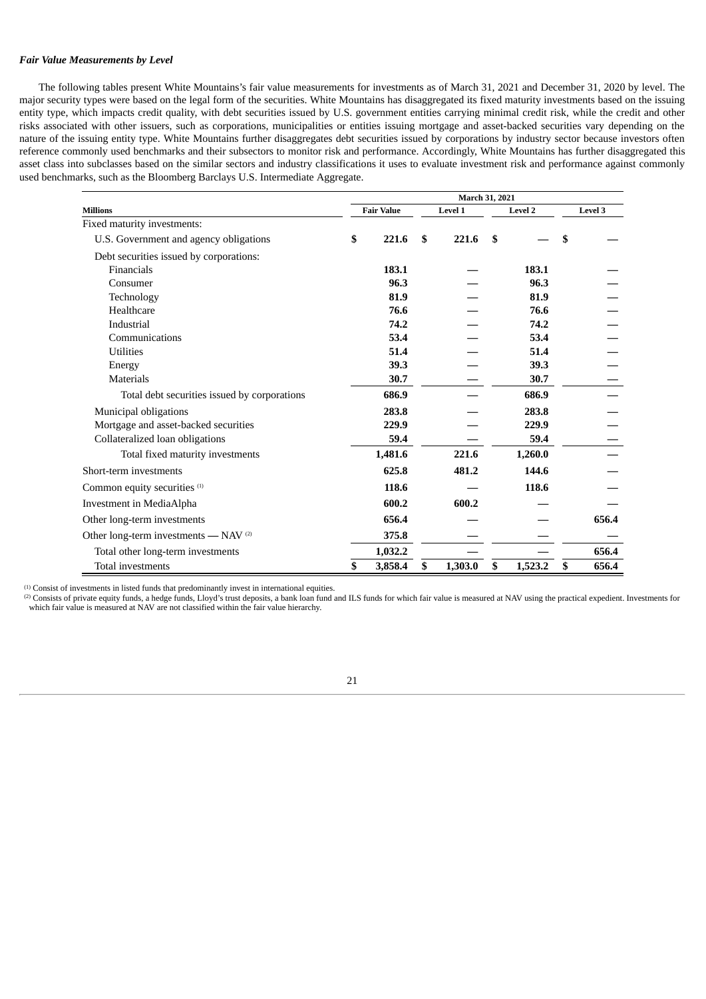## *Fair Value Measurements by Level*

The following tables present White Mountains's fair value measurements for investments as of March 31, 2021 and December 31, 2020 by level. The major security types were based on the legal form of the securities. White Mountains has disaggregated its fixed maturity investments based on the issuing entity type, which impacts credit quality, with debt securities issued by U.S. government entities carrying minimal credit risk, while the credit and other risks associated with other issuers, such as corporations, municipalities or entities issuing mortgage and asset-backed securities vary depending on the nature of the issuing entity type. White Mountains further disaggregates debt securities issued by corporations by industry sector because investors often reference commonly used benchmarks and their subsectors to monitor risk and performance. Accordingly, White Mountains has further disaggregated this asset class into subclasses based on the similar sectors and industry classifications it uses to evaluate investment risk and performance against commonly used benchmarks, such as the Bloomberg Barclays U.S. Intermediate Aggregate.

|                                                  | March 31, 2021 |                   |    |         |    |         |    |         |  |  |  |
|--------------------------------------------------|----------------|-------------------|----|---------|----|---------|----|---------|--|--|--|
| <b>Millions</b>                                  |                | <b>Fair Value</b> |    | Level 1 |    | Level 2 |    | Level 3 |  |  |  |
| Fixed maturity investments:                      |                |                   |    |         |    |         |    |         |  |  |  |
| U.S. Government and agency obligations           | \$             | 221.6             | \$ | 221.6   | \$ |         | \$ |         |  |  |  |
| Debt securities issued by corporations:          |                |                   |    |         |    |         |    |         |  |  |  |
| Financials                                       |                | 183.1             |    |         |    | 183.1   |    |         |  |  |  |
| Consumer                                         |                | 96.3              |    |         |    | 96.3    |    |         |  |  |  |
| Technology                                       |                | 81.9              |    |         |    | 81.9    |    |         |  |  |  |
| Healthcare                                       |                | 76.6              |    |         |    | 76.6    |    |         |  |  |  |
| Industrial                                       |                | 74.2              |    |         |    | 74.2    |    |         |  |  |  |
| Communications                                   |                | 53.4              |    |         |    | 53.4    |    |         |  |  |  |
| <b>Utilities</b>                                 |                | 51.4              |    |         |    | 51.4    |    |         |  |  |  |
| Energy                                           |                | 39.3              |    |         |    | 39.3    |    |         |  |  |  |
| <b>Materials</b>                                 |                | 30.7              |    |         |    | 30.7    |    |         |  |  |  |
| Total debt securities issued by corporations     |                | 686.9             |    |         |    | 686.9   |    |         |  |  |  |
| Municipal obligations                            |                | 283.8             |    |         |    | 283.8   |    |         |  |  |  |
| Mortgage and asset-backed securities             |                | 229.9             |    |         |    | 229.9   |    |         |  |  |  |
| Collateralized loan obligations                  |                | 59.4              |    |         |    | 59.4    |    |         |  |  |  |
| Total fixed maturity investments                 |                | 1,481.6           |    | 221.6   |    | 1,260.0 |    |         |  |  |  |
| Short-term investments                           |                | 625.8             |    | 481.2   |    | 144.6   |    |         |  |  |  |
| Common equity securities <sup>(1)</sup>          |                | 118.6             |    |         |    | 118.6   |    |         |  |  |  |
| Investment in MediaAlpha                         |                | 600.2             |    | 600.2   |    |         |    |         |  |  |  |
| Other long-term investments                      |                | 656.4             |    |         |    |         |    | 656.4   |  |  |  |
| Other long-term investments - NAV <sup>(2)</sup> |                | 375.8             |    |         |    |         |    |         |  |  |  |
| Total other long-term investments                |                | 1,032.2           |    |         |    |         |    | 656.4   |  |  |  |
| Total investments                                | \$             | 3,858.4           | \$ | 1,303.0 | \$ | 1,523.2 | \$ | 656.4   |  |  |  |

 $<sup>(1)</sup>$  Consist of investments in listed funds that predominantly invest in international equities.</sup>

Consists of private equity funds, a hedge funds, Lloyd's trust deposits, a bank loan fund and ILS funds for which fair value is measured at NAV using the practical expedient. Investments for which fair value is measured at NAV are not classified within the fair value hierarchy. (2)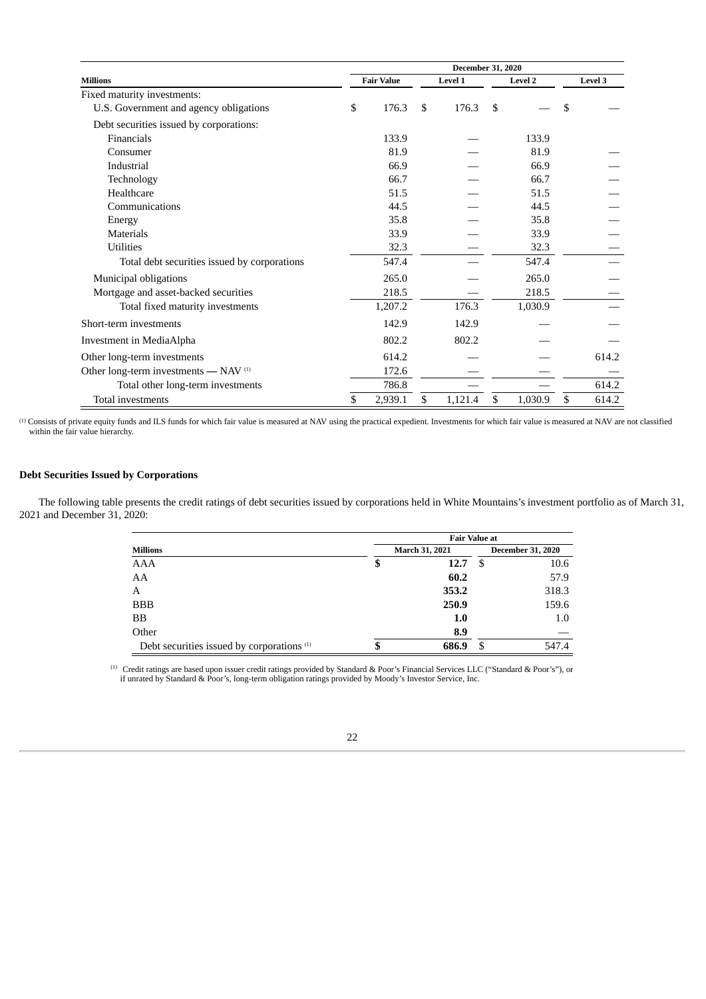|                                                  | <b>December 31, 2020</b> |                   |    |         |    |         |    |         |  |  |  |  |  |
|--------------------------------------------------|--------------------------|-------------------|----|---------|----|---------|----|---------|--|--|--|--|--|
| <b>Millions</b>                                  |                          | <b>Fair Value</b> |    | Level 1 |    | Level 2 |    | Level 3 |  |  |  |  |  |
| Fixed maturity investments:                      |                          |                   |    |         |    |         |    |         |  |  |  |  |  |
| U.S. Government and agency obligations           | \$                       | 176.3             | \$ | 176.3   | \$ |         | \$ |         |  |  |  |  |  |
| Debt securities issued by corporations:          |                          |                   |    |         |    |         |    |         |  |  |  |  |  |
| Financials                                       |                          | 133.9             |    |         |    | 133.9   |    |         |  |  |  |  |  |
| Consumer                                         |                          | 81.9              |    |         |    | 81.9    |    |         |  |  |  |  |  |
| Industrial                                       |                          | 66.9              |    |         |    | 66.9    |    |         |  |  |  |  |  |
| Technology                                       |                          | 66.7              |    |         |    | 66.7    |    |         |  |  |  |  |  |
| Healthcare                                       |                          | 51.5              |    |         |    | 51.5    |    |         |  |  |  |  |  |
| Communications                                   |                          | 44.5              |    |         |    | 44.5    |    |         |  |  |  |  |  |
| Energy                                           |                          | 35.8              |    |         |    | 35.8    |    |         |  |  |  |  |  |
| <b>Materials</b>                                 |                          | 33.9              |    |         |    | 33.9    |    |         |  |  |  |  |  |
| <b>Utilities</b>                                 |                          | 32.3              |    |         |    | 32.3    |    |         |  |  |  |  |  |
| Total debt securities issued by corporations     |                          | 547.4             |    |         |    | 547.4   |    |         |  |  |  |  |  |
| Municipal obligations                            |                          | 265.0             |    |         |    | 265.0   |    |         |  |  |  |  |  |
| Mortgage and asset-backed securities             |                          | 218.5             |    |         |    | 218.5   |    |         |  |  |  |  |  |
| Total fixed maturity investments                 |                          | 1,207.2           |    | 176.3   |    | 1,030.9 |    |         |  |  |  |  |  |
| Short-term investments                           |                          | 142.9             |    | 142.9   |    |         |    |         |  |  |  |  |  |
| Investment in MediaAlpha                         |                          | 802.2             |    | 802.2   |    |         |    |         |  |  |  |  |  |
| Other long-term investments                      |                          | 614.2             |    |         |    |         |    | 614.2   |  |  |  |  |  |
| Other long-term investments - NAV <sup>(1)</sup> |                          | 172.6             |    |         |    |         |    |         |  |  |  |  |  |
| Total other long-term investments                |                          | 786.8             |    |         |    |         |    | 614.2   |  |  |  |  |  |
| Total investments                                | \$                       | 2,939.1           | \$ | 1,121.4 | \$ | 1,030.9 | \$ | 614.2   |  |  |  |  |  |

Consists of private equity funds and ILS funds for which fair value is measured at NAV using the practical expedient. Investments for which fair value is measured at NAV are not classified within the fair value hierarchy. (1)

# **Debt Securities Issued by Corporations**

The following table presents the credit ratings of debt securities issued by corporations held in White Mountains's investment portfolio as of March 31, 2021 and December 31, 2020:

|                                                       | <b>Fair Value at</b> |                |    |                          |  |  |  |  |
|-------------------------------------------------------|----------------------|----------------|----|--------------------------|--|--|--|--|
| <b>Millions</b>                                       |                      | March 31, 2021 |    | <b>December 31, 2020</b> |  |  |  |  |
| AAA                                                   | S                    | 12.7           | S  | 10.6                     |  |  |  |  |
| AA                                                    |                      | 60.2           |    | 57.9                     |  |  |  |  |
| A                                                     |                      | 353.2          |    | 318.3                    |  |  |  |  |
| <b>BBB</b>                                            |                      | 250.9          |    | 159.6                    |  |  |  |  |
| <b>BB</b>                                             |                      | 1.0            |    | 1.0                      |  |  |  |  |
| Other                                                 |                      | 8.9            |    |                          |  |  |  |  |
| Debt securities issued by corporations <sup>(1)</sup> |                      | 686.9          | \$ | 547.4                    |  |  |  |  |

<sup>(1)</sup> Credit ratings are based upon issuer credit ratings provided by Standard & Poor's Financial Services LLC ("Standard & Poor's"), or if unrated by Standard & Poor's, long-term obligation ratings provided by Moody's Investor Service, Inc.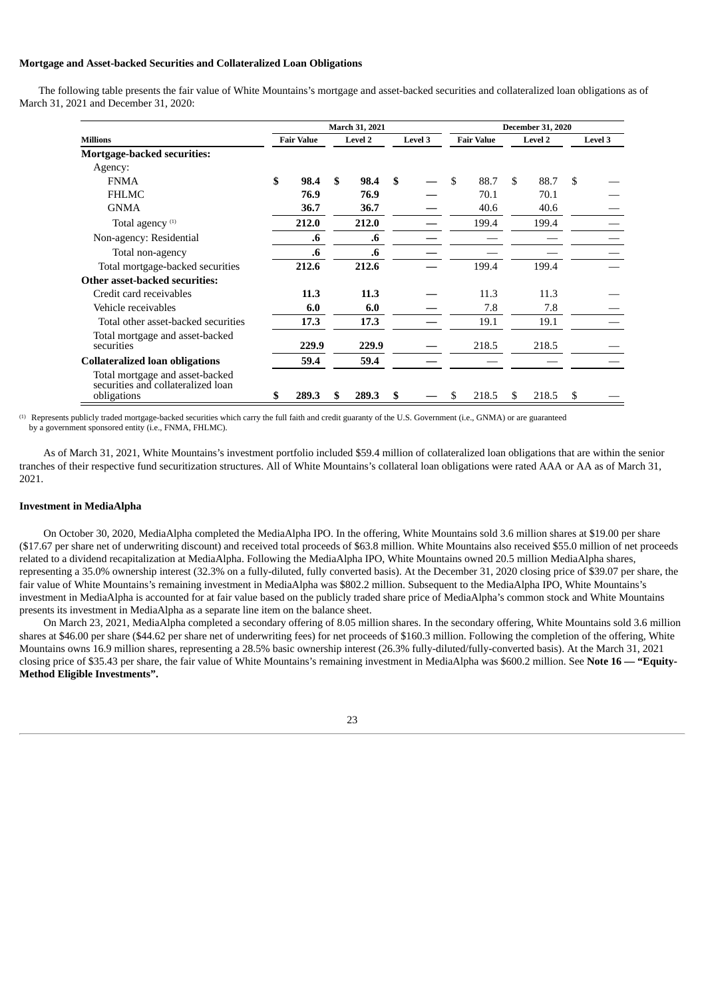## **Mortgage and Asset-backed Securities and Collateralized Loan Obligations**

The following table presents the fair value of White Mountains's mortgage and asset-backed securities and collateralized loan obligations as of March 31, 2021 and December 31, 2020:

|                                                                                      |                   |    | March 31, 2021    |    |         | <b>December 31, 2020</b> |                   |               |         |    |         |
|--------------------------------------------------------------------------------------|-------------------|----|-------------------|----|---------|--------------------------|-------------------|---------------|---------|----|---------|
| <b>Millions</b>                                                                      | <b>Fair Value</b> |    | Level 2           |    | Level 3 |                          | <b>Fair Value</b> |               | Level 2 |    | Level 3 |
| <b>Mortgage-backed securities:</b>                                                   |                   |    |                   |    |         |                          |                   |               |         |    |         |
| Agency:                                                                              |                   |    |                   |    |         |                          |                   |               |         |    |         |
| <b>FNMA</b>                                                                          | \$<br>98.4        | \$ | 98.4              | \$ |         | \$                       | 88.7              | $\mathcal{S}$ | 88.7    | \$ |         |
| <b>FHLMC</b>                                                                         | 76.9              |    | 76.9              |    |         |                          | 70.1              |               | 70.1    |    |         |
| <b>GNMA</b>                                                                          | 36.7              |    | 36.7              |    |         |                          | 40.6              |               | 40.6    |    |         |
| Total agency <sup>(1)</sup>                                                          | 212.0             |    | 212.0             |    |         |                          | 199.4             |               | 199.4   |    |         |
| Non-agency: Residential                                                              | $\boldsymbol{.6}$ |    | $\cdot$ 6         |    |         |                          |                   |               |         |    |         |
| Total non-agency                                                                     | $\boldsymbol{.6}$ |    | $\boldsymbol{.6}$ |    |         |                          |                   |               |         |    |         |
| Total mortgage-backed securities                                                     | 212.6             |    | 212.6             |    |         |                          | 199.4             |               | 199.4   |    |         |
| <b>Other asset-backed securities:</b>                                                |                   |    |                   |    |         |                          |                   |               |         |    |         |
| Credit card receivables                                                              | 11.3              |    | 11.3              |    |         |                          | 11.3              |               | 11.3    |    |         |
| Vehicle receivables                                                                  | 6.0               |    | 6.0               |    |         |                          | 7.8               |               | 7.8     |    |         |
| Total other asset-backed securities                                                  | 17.3              |    | 17.3              |    |         |                          | 19.1              |               | 19.1    |    |         |
| Total mortgage and asset-backed<br>securities                                        | 229.9             |    | 229.9             |    |         |                          | 218.5             |               | 218.5   |    |         |
| <b>Collateralized loan obligations</b>                                               | 59.4              |    | 59.4              |    |         |                          |                   |               |         |    |         |
| Total mortgage and asset-backed<br>securities and collateralized loan<br>obligations | \$<br>289.3       | S  | 289.3             | \$ |         | S.                       | 218.5             | \$.           | 218.5   | \$ |         |

 $(1)$  Represents publicly traded mortgage-backed securities which carry the full faith and credit guaranty of the U.S. Government (i.e., GNMA) or are guaranteed by a government sponsored entity (i.e., FNMA, FHLMC).

As of March 31, 2021, White Mountains's investment portfolio included \$59.4 million of collateralized loan obligations that are within the senior tranches of their respective fund securitization structures. All of White Mountains's collateral loan obligations were rated AAA or AA as of March 31, 2021.

### **Investment in MediaAlpha**

On October 30, 2020, MediaAlpha completed the MediaAlpha IPO. In the offering, White Mountains sold 3.6 million shares at \$19.00 per share (\$17.67 per share net of underwriting discount) and received total proceeds of \$63.8 million. White Mountains also received \$55.0 million of net proceeds related to a dividend recapitalization at MediaAlpha. Following the MediaAlpha IPO, White Mountains owned 20.5 million MediaAlpha shares, representing a 35.0% ownership interest (32.3% on a fully-diluted, fully converted basis). At the December 31, 2020 closing price of \$39.07 per share, the fair value of White Mountains's remaining investment in MediaAlpha was \$802.2 million. Subsequent to the MediaAlpha IPO, White Mountains's investment in MediaAlpha is accounted for at fair value based on the publicly traded share price of MediaAlpha's common stock and White Mountains presents its investment in MediaAlpha as a separate line item on the balance sheet.

On March 23, 2021, MediaAlpha completed a secondary offering of 8.05 million shares. In the secondary offering, White Mountains sold 3.6 million shares at \$46.00 per share (\$44.62 per share net of underwriting fees) for net proceeds of \$160.3 million. Following the completion of the offering, White Mountains owns 16.9 million shares, representing a 28.5% basic ownership interest (26.3% fully-diluted/fully-converted basis). At the March 31, 2021 closing price of \$35.43 per share, the fair value of White Mountains's remaining investment in MediaAlpha was \$600.2 million. See **Note 16 — "Equity-Method Eligible Investments".**

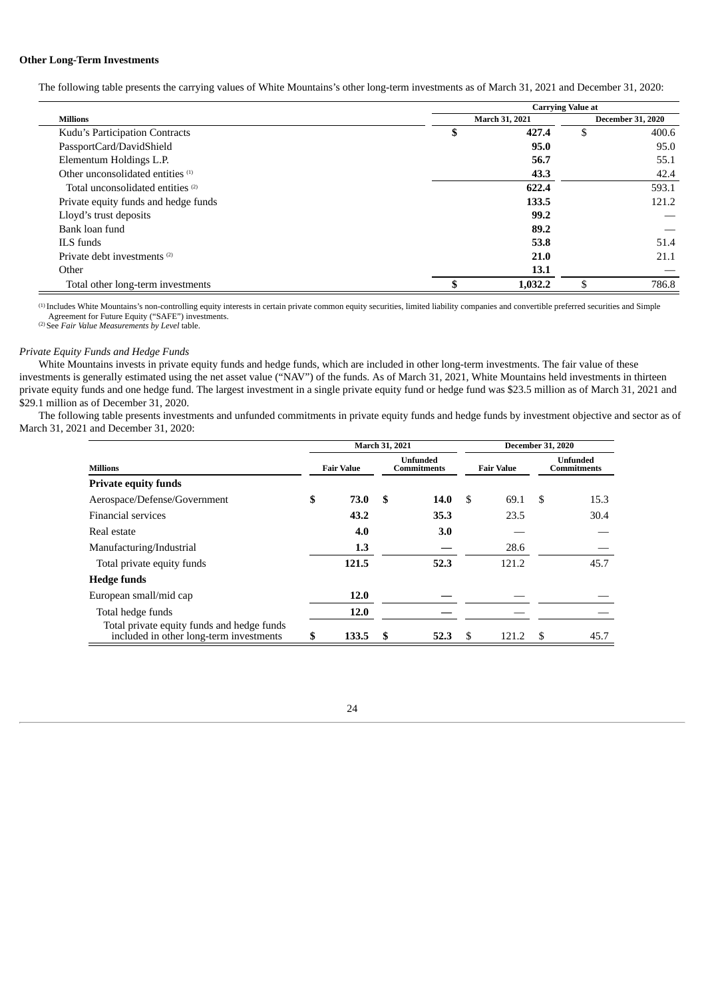## **Other Long-Term Investments**

The following table presents the carrying values of White Mountains's other long-term investments as of March 31, 2021 and December 31, 2020:

|                                         | <b>Carrying Value at</b> |                |    |                          |  |  |  |
|-----------------------------------------|--------------------------|----------------|----|--------------------------|--|--|--|
| <b>Millions</b>                         |                          | March 31, 2021 |    | <b>December 31, 2020</b> |  |  |  |
| Kudu's Participation Contracts          | \$                       | 427.4          | \$ | 400.6                    |  |  |  |
| PassportCard/DavidShield                |                          | 95.0           |    | 95.0                     |  |  |  |
| Elementum Holdings L.P.                 |                          | 56.7           |    | 55.1                     |  |  |  |
| Other unconsolidated entities (1)       |                          | 43.3           |    | 42.4                     |  |  |  |
| Total unconsolidated entities (2)       |                          | 622.4          |    | 593.1                    |  |  |  |
| Private equity funds and hedge funds    |                          | 133.5          |    | 121.2                    |  |  |  |
| Lloyd's trust deposits                  |                          | 99.2           |    |                          |  |  |  |
| Bank loan fund                          |                          | 89.2           |    |                          |  |  |  |
| ILS funds                               |                          | 53.8           |    | 51.4                     |  |  |  |
| Private debt investments <sup>(2)</sup> |                          | 21.0           |    | 21.1                     |  |  |  |
| Other                                   |                          | 13.1           |    |                          |  |  |  |
| Total other long-term investments       | \$                       | 1.032.2        | \$ | 786.8                    |  |  |  |

Includes White Mountains's non-controlling equity interests in certain private common equity securities, limited liability companies and convertible preferred securities and Simple (1) Agreement for Future Equity ("SAFE") investments. See *Fair Value Measurements by Level* table. (2)

*Private Equity Funds and Hedge Funds*

White Mountains invests in private equity funds and hedge funds, which are included in other long-term investments. The fair value of these investments is generally estimated using the net asset value ("NAV") of the funds. As of March 31, 2021, White Mountains held investments in thirteen private equity funds and one hedge fund. The largest investment in a single private equity fund or hedge fund was \$23.5 million as of March 31, 2021 and \$29.1 million as of December 31, 2020.

The following table presents investments and unfunded commitments in private equity funds and hedge funds by investment objective and sector as of March 31, 2021 and December 31, 2020:

|                                                                                       |    |                   | March 31, 2021 |                         | <b>December 31, 2020</b> |                   |                                |      |
|---------------------------------------------------------------------------------------|----|-------------------|----------------|-------------------------|--------------------------|-------------------|--------------------------------|------|
| <b>Millions</b>                                                                       |    | <b>Fair Value</b> |                | Unfunded<br>Commitments |                          | <b>Fair Value</b> | <b>Unfunded</b><br>Commitments |      |
| <b>Private equity funds</b>                                                           |    |                   |                |                         |                          |                   |                                |      |
| Aerospace/Defense/Government                                                          | \$ | 73.0              | \$             | 14.0                    | S                        | 69.1              | S                              | 15.3 |
| <b>Financial services</b>                                                             |    | 43.2              |                | 35.3                    |                          | 23.5              |                                | 30.4 |
| Real estate                                                                           |    | 4.0               |                | 3.0                     |                          |                   |                                |      |
| Manufacturing/Industrial                                                              |    | 1.3               |                |                         |                          | 28.6              |                                |      |
| Total private equity funds                                                            |    | 121.5             |                | 52.3                    |                          | 121.2             |                                | 45.7 |
| <b>Hedge funds</b>                                                                    |    |                   |                |                         |                          |                   |                                |      |
| European small/mid cap                                                                |    | 12.0              |                |                         |                          |                   |                                |      |
| Total hedge funds                                                                     |    | 12.0              |                |                         |                          |                   |                                |      |
| Total private equity funds and hedge funds<br>included in other long-term investments | \$ | 133.5             | S              | 52.3                    | \$                       | 121.2             | S                              | 45.7 |

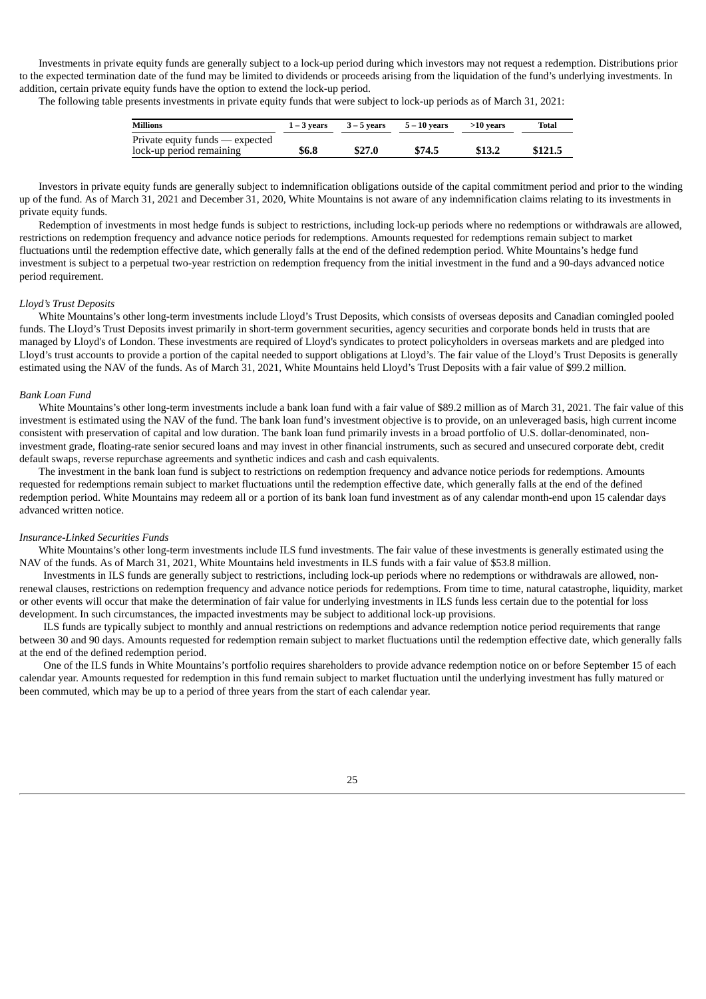Investments in private equity funds are generally subject to a lock-up period during which investors may not request a redemption. Distributions prior to the expected termination date of the fund may be limited to dividends or proceeds arising from the liquidation of the fund's underlying investments. In addition, certain private equity funds have the option to extend the lock-up period.

The following table presents investments in private equity funds that were subject to lock-up periods as of March 31, 2021:

| <b>Millions</b>                                             | $1 - 3$ vears | $3 - 5$ vears | 5 – 10 vears | $>10$ vears | Total   |
|-------------------------------------------------------------|---------------|---------------|--------------|-------------|---------|
| Private equity funds — expected<br>lock-up period remaining | \$6.8         | \$27.0        | \$74.5       | \$13.2      | \$121.5 |

Investors in private equity funds are generally subject to indemnification obligations outside of the capital commitment period and prior to the winding up of the fund. As of March 31, 2021 and December 31, 2020, White Mountains is not aware of any indemnification claims relating to its investments in private equity funds.

Redemption of investments in most hedge funds is subject to restrictions, including lock-up periods where no redemptions or withdrawals are allowed, restrictions on redemption frequency and advance notice periods for redemptions. Amounts requested for redemptions remain subject to market fluctuations until the redemption effective date, which generally falls at the end of the defined redemption period. White Mountains's hedge fund investment is subject to a perpetual two-year restriction on redemption frequency from the initial investment in the fund and a 90-days advanced notice period requirement.

### *Lloyd's Trust Deposits*

White Mountains's other long-term investments include Lloyd's Trust Deposits, which consists of overseas deposits and Canadian comingled pooled funds. The Lloyd's Trust Deposits invest primarily in short-term government securities, agency securities and corporate bonds held in trusts that are managed by Lloyd's of London. These investments are required of Lloyd's syndicates to protect policyholders in overseas markets and are pledged into Lloyd's trust accounts to provide a portion of the capital needed to support obligations at Lloyd's. The fair value of the Lloyd's Trust Deposits is generally estimated using the NAV of the funds. As of March 31, 2021, White Mountains held Lloyd's Trust Deposits with a fair value of \$99.2 million.

#### *Bank Loan Fund*

White Mountains's other long-term investments include a bank loan fund with a fair value of \$89.2 million as of March 31, 2021. The fair value of this investment is estimated using the NAV of the fund. The bank loan fund's investment objective is to provide, on an unleveraged basis, high current income consistent with preservation of capital and low duration. The bank loan fund primarily invests in a broad portfolio of U.S. dollar-denominated, noninvestment grade, floating-rate senior secured loans and may invest in other financial instruments, such as secured and unsecured corporate debt, credit default swaps, reverse repurchase agreements and synthetic indices and cash and cash equivalents.

The investment in the bank loan fund is subject to restrictions on redemption frequency and advance notice periods for redemptions. Amounts requested for redemptions remain subject to market fluctuations until the redemption effective date, which generally falls at the end of the defined redemption period. White Mountains may redeem all or a portion of its bank loan fund investment as of any calendar month-end upon 15 calendar days advanced written notice.

## *Insurance-Linked Securities Funds*

White Mountains's other long-term investments include ILS fund investments. The fair value of these investments is generally estimated using the NAV of the funds. As of March 31, 2021, White Mountains held investments in ILS funds with a fair value of \$53.8 million.

Investments in ILS funds are generally subject to restrictions, including lock-up periods where no redemptions or withdrawals are allowed, nonrenewal clauses, restrictions on redemption frequency and advance notice periods for redemptions. From time to time, natural catastrophe, liquidity, market or other events will occur that make the determination of fair value for underlying investments in ILS funds less certain due to the potential for loss development. In such circumstances, the impacted investments may be subject to additional lock-up provisions.

ILS funds are typically subject to monthly and annual restrictions on redemptions and advance redemption notice period requirements that range between 30 and 90 days. Amounts requested for redemption remain subject to market fluctuations until the redemption effective date, which generally falls at the end of the defined redemption period.

One of the ILS funds in White Mountains's portfolio requires shareholders to provide advance redemption notice on or before September 15 of each calendar year. Amounts requested for redemption in this fund remain subject to market fluctuation until the underlying investment has fully matured or been commuted, which may be up to a period of three years from the start of each calendar year.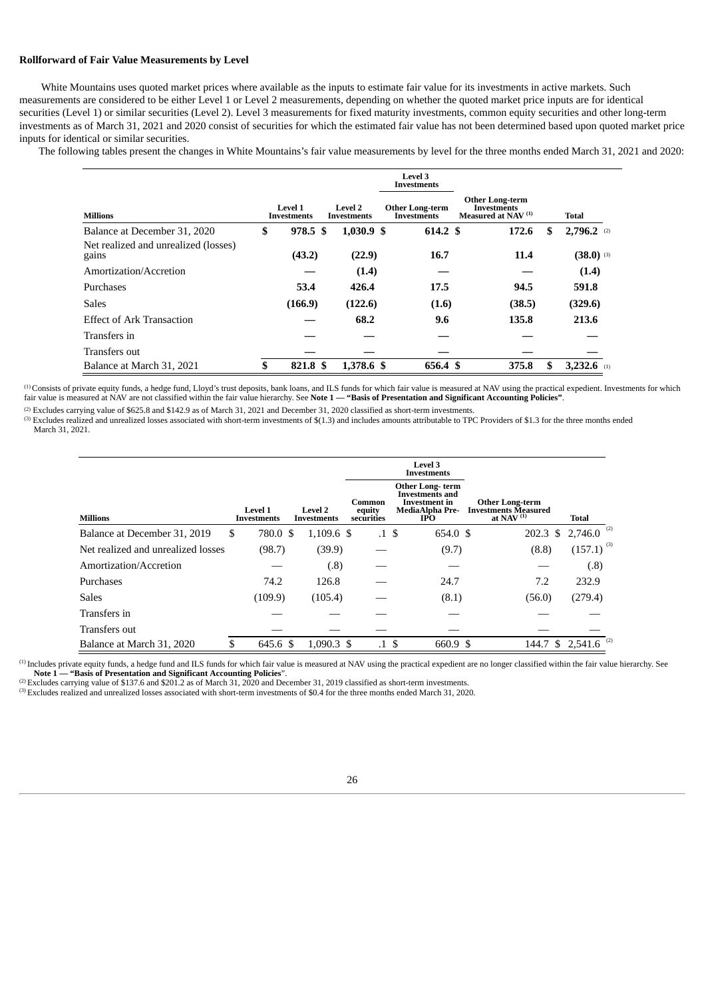## **Rollforward of Fair Value Measurements by Level**

White Mountains uses quoted market prices where available as the inputs to estimate fair value for its investments in active markets. Such measurements are considered to be either Level 1 or Level 2 measurements, depending on whether the quoted market price inputs are for identical securities (Level 1) or similar securities (Level 2). Level 3 measurements for fixed maturity investments, common equity securities and other long-term investments as of March 31, 2021 and 2020 consist of securities for which the estimated fair value has not been determined based upon quoted market price inputs for identical or similar securities.

The following tables present the changes in White Mountains's fair value measurements by level for the three months ended March 31, 2021 and 2020:

|                                               |                        |                               | <b>Level 3</b><br><b>Investments</b>         |                                                                                |    |                |
|-----------------------------------------------|------------------------|-------------------------------|----------------------------------------------|--------------------------------------------------------------------------------|----|----------------|
| <b>Millions</b>                               | Level 1<br>Investments | <b>Level 2</b><br>Investments | <b>Other Long-term</b><br><b>Investments</b> | <b>Other Long-term</b><br><b>Investments</b><br>Measured at NAV <sup>(1)</sup> |    | <b>Total</b>   |
| Balance at December 31, 2020                  | \$<br>978.5 \$         | $1,030.9$ \$                  | 614.2 \$                                     | 172.6                                                                          | \$ | $2,796.2$ (2)  |
| Net realized and unrealized (losses)<br>gains | (43.2)                 | (22.9)                        | 16.7                                         | 11.4                                                                           |    | $(38.0)$ (3)   |
| Amortization/Accretion                        |                        | (1.4)                         |                                              |                                                                                |    | (1.4)          |
| Purchases                                     | 53.4                   | 426.4                         | 17.5                                         | 94.5                                                                           |    | 591.8          |
| <b>Sales</b>                                  | (166.9)                | (122.6)                       | (1.6)                                        | (38.5)                                                                         |    | (329.6)        |
| <b>Effect of Ark Transaction</b>              |                        | 68.2                          | 9.6                                          | 135.8                                                                          |    | 213.6          |
| Transfers in                                  |                        |                               |                                              |                                                                                |    |                |
| Transfers out                                 |                        |                               |                                              |                                                                                |    |                |
| Balance at March 31, 2021                     | \$<br>821.8 \$         | 1,378.6 \$                    | 656.4 \$                                     | 375.8                                                                          | S  | 3,232.6<br>(1) |

 $\rm ^{(1)}$  Consists of private equity funds, a hedge fund, Lloyd's trust deposits, bank loans, and ILS funds for which fair value is measured at NAV using the practical expedient. Investments for which fair value is measured at NAV are not classified within the fair value hierarchy. See Note 1-"Basis of Presentation and Significant Accounting Policies".

 $^{(2)}$  Excludes carrying value of \$625.8 and \$142.9 as of March 31, 2021 and December 31, 2020 classified as short-term investments.

 $^{(3)}$  Excludes realized and unrealized losses associated with short-term investments of  $$(1.3)$  and includes amounts attributable to TPC Providers of  $$1.3$  for the three months ended March 31, 2021.

|                                    |     |                               |                               | <b>Level 3</b><br>Investments  |  |                                                                                                    |                                                                       |            |                          |
|------------------------------------|-----|-------------------------------|-------------------------------|--------------------------------|--|----------------------------------------------------------------------------------------------------|-----------------------------------------------------------------------|------------|--------------------------|
| <b>Millions</b>                    |     | <b>Level 1</b><br>Investments | <b>Level 2</b><br>Investments | Common<br>equity<br>securities |  | Other Long-term<br><b>Investments and</b><br><b>Investment</b> in<br>MediaAlpha Pre-<br><b>IPO</b> | <b>Other Long-term</b><br><b>Investments Measured</b><br>at NAV $(1)$ |            | Total                    |
| Balance at December 31, 2019       | \$. | 780.0 \$                      | $1,109.6$ \$                  | .1 <sub>5</sub>                |  | 654.0 \$                                                                                           |                                                                       | $202.3$ \$ | $2,746.0$ <sup>(2)</sup> |
| Net realized and unrealized losses |     | (98.7)                        | (39.9)                        |                                |  | (9.7)                                                                                              |                                                                       | (8.8)      | $(157.1)^{(3)}$          |
| Amortization/Accretion             |     |                               | (.8)                          |                                |  |                                                                                                    |                                                                       |            | (.8)                     |
| Purchases                          |     | 74.2                          | 126.8                         |                                |  | 24.7                                                                                               |                                                                       | 7.2        | 232.9                    |
| <b>Sales</b>                       |     | (109.9)                       | (105.4)                       |                                |  | (8.1)                                                                                              | (56.0)                                                                |            | (279.4)                  |
| Transfers in                       |     |                               |                               |                                |  |                                                                                                    |                                                                       |            |                          |
| Transfers out                      |     |                               |                               |                                |  |                                                                                                    |                                                                       |            |                          |
| Balance at March 31, 2020          |     | 645.6 \$                      | $1.090.3$ \$                  | .1 <sup>°</sup>                |  | 660.9 \$                                                                                           |                                                                       |            | 144.7 \$ 2,541.6 (2)     |

 $^{(1)}$  Includes private equity funds, a hedge fund and ILS funds for which fair value is measured at NAV using the practical expedient are no longer classified within the fair value hierarchy. See **Note 1 — "Basis of Presentation and Significant Accounting Policies**".

<sup>(2)</sup> Excludes carrying value of \$137.6 and \$201.2 as of March 31, 2020 and December 31, 2019 classified as short-term investments.

 $^{(3)}$  Excludes realized and unrealized losses associated with short-term investments of \$0.4 for the three months ended March 31, 2020.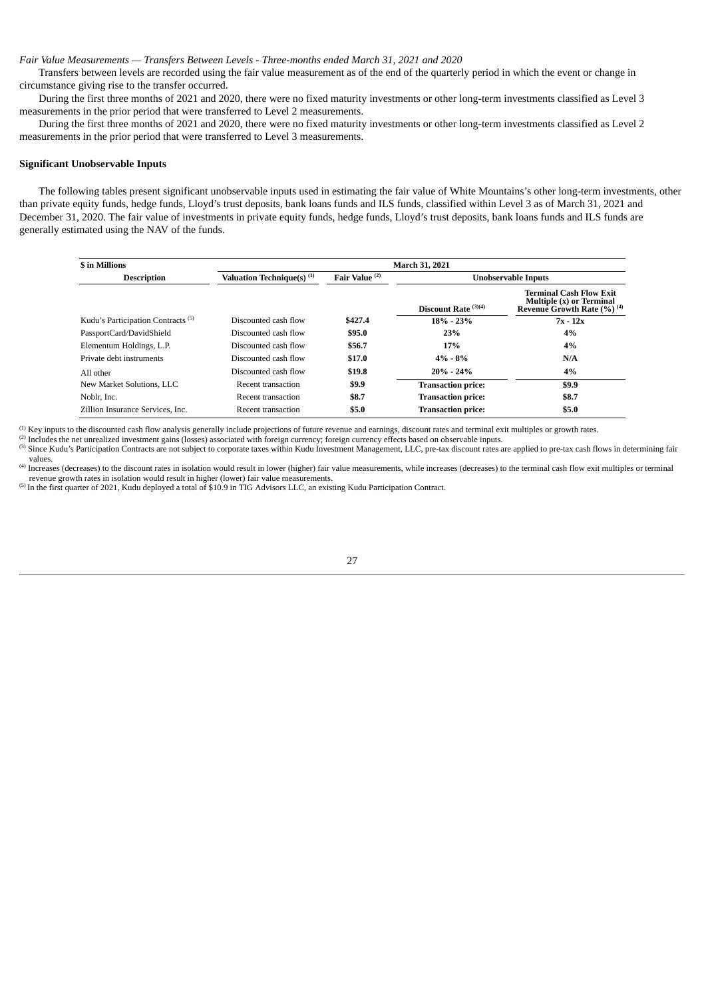*Fair Value Measurements — Transfers Between Levels - Three-months ended March 31, 2021 and 2020*

Transfers between levels are recorded using the fair value measurement as of the end of the quarterly period in which the event or change in circumstance giving rise to the transfer occurred.

During the first three months of 2021 and 2020, there were no fixed maturity investments or other long-term investments classified as Level 3 measurements in the prior period that were transferred to Level 2 measurements.

During the first three months of 2021 and 2020, there were no fixed maturity investments or other long-term investments classified as Level 2 measurements in the prior period that were transferred to Level 3 measurements.

# **Significant Unobservable Inputs**

The following tables present significant unobservable inputs used in estimating the fair value of White Mountains's other long-term investments, other than private equity funds, hedge funds, Lloyd's trust deposits, bank loans funds and ILS funds, classified within Level 3 as of March 31, 2021 and December 31, 2020. The fair value of investments in private equity funds, hedge funds, Lloyd's trust deposits, bank loans funds and ILS funds are generally estimated using the NAV of the funds.

| \$ in Millions                                | March 31, 2021                        |                           |                            |                                                                                                      |  |  |  |  |  |
|-----------------------------------------------|---------------------------------------|---------------------------|----------------------------|------------------------------------------------------------------------------------------------------|--|--|--|--|--|
| <b>Description</b>                            | Valuation Technique(s) <sup>(1)</sup> | Fair Value <sup>(2)</sup> | <b>Unobservable Inputs</b> |                                                                                                      |  |  |  |  |  |
|                                               |                                       |                           | Discount Rate $(3)(4)$     | <b>Terminal Cash Flow Exit</b><br>Multiple (x) or Terminal<br>Revenue Growth Rate (%) <sup>(4)</sup> |  |  |  |  |  |
| Kudu's Participation Contracts <sup>(5)</sup> | Discounted cash flow                  | \$427.4                   | $18\% - 23\%$              | $7x - 12x$                                                                                           |  |  |  |  |  |
| PassportCard/DavidShield                      | Discounted cash flow                  | \$95.0                    | 23%                        | 4%                                                                                                   |  |  |  |  |  |
| Elementum Holdings, L.P.                      | Discounted cash flow                  | \$56.7                    | 17%                        | 4%                                                                                                   |  |  |  |  |  |
| Private debt instruments                      | Discounted cash flow                  | \$17.0                    | $4\% - 8\%$                | N/A                                                                                                  |  |  |  |  |  |
| All other                                     | Discounted cash flow                  | \$19.8                    | $20\% - 24\%$              | 4%                                                                                                   |  |  |  |  |  |
| New Market Solutions, LLC                     | Recent transaction                    | \$9.9                     | <b>Transaction price:</b>  | \$9.9                                                                                                |  |  |  |  |  |
| Noblr. Inc.                                   | Recent transaction                    | \$8.7                     | <b>Transaction price:</b>  | \$8.7                                                                                                |  |  |  |  |  |
| Zillion Insurance Services, Inc.              | Recent transaction                    | \$5.0                     | <b>Transaction price:</b>  | \$5.0                                                                                                |  |  |  |  |  |

 $\mu^{(1)}$  Key inputs to the discounted cash flow analysis generally include projections of future revenue and earnings, discount rates and terminal exit multiples or growth rates.

 $^{(2)}$  Includes the net unrealized investment gains (losses) associated with foreign currency; foreign currency effects based on observable inputs.

 $^{(3)}$  Since Kudu's Participation Contracts are not subject to corporate taxes within Kudu Investment Management, LLC, pre-tax discount rates are applied to pre-tax cash flows in determining fair values.

<sup>(4)</sup> Increases (decreases) to the discount rates in isolation would result in lower (higher) fair value measurements, while increases (decreases) to the terminal cash flow exit multiples or terminal revenue growth rates in isolation would result in higher (lower) fair value measurements.

 $(5)$  In the first quarter of 2021, Kudu deployed a total of \$10.9 in TIG Advisors LLC, an existing Kudu Participation Contract.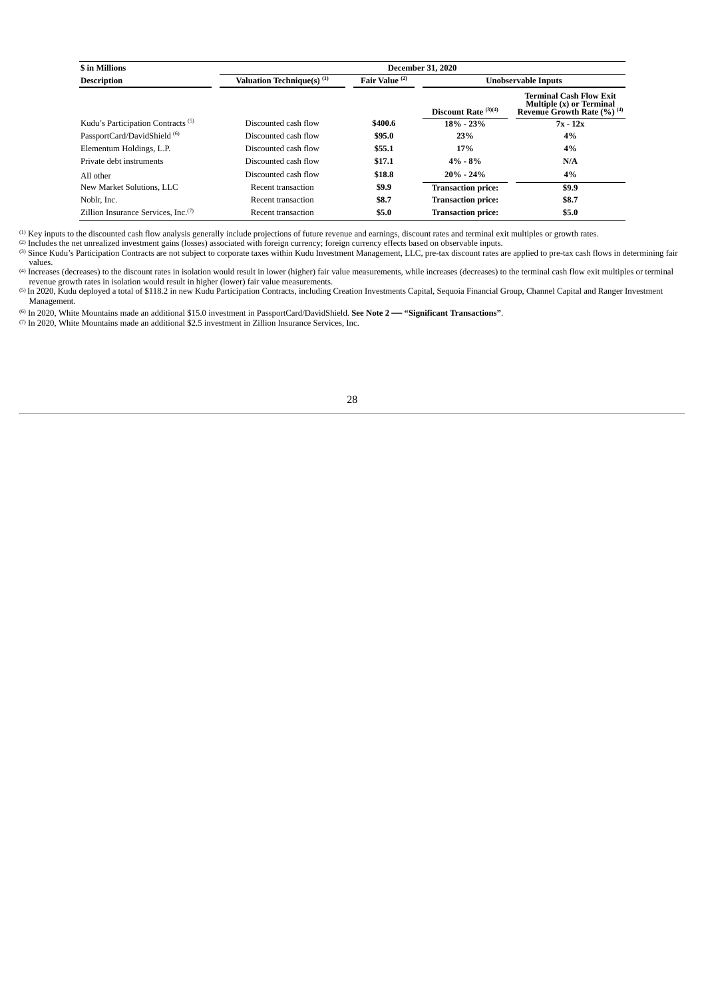| \$ in Millions                                  | <b>December 31, 2020</b>              |                           |                           |                                                                                                      |  |  |  |  |  |
|-------------------------------------------------|---------------------------------------|---------------------------|---------------------------|------------------------------------------------------------------------------------------------------|--|--|--|--|--|
| <b>Description</b>                              | Valuation Technique(s) <sup>(1)</sup> | Fair Value <sup>(2)</sup> |                           | <b>Unobservable Inputs</b>                                                                           |  |  |  |  |  |
|                                                 |                                       |                           | Discount Rate $(3)(4)$    | <b>Terminal Cash Flow Exit</b><br>Multiple (x) or Terminal<br>Revenue Growth Rate (%) <sup>(4)</sup> |  |  |  |  |  |
| Kudu's Participation Contracts <sup>(5)</sup>   | Discounted cash flow                  | \$400.6                   | $18\% - 23\%$             | $7x - 12x$                                                                                           |  |  |  |  |  |
| PassportCard/DavidShield <sup>(6)</sup>         | Discounted cash flow                  | \$95.0                    | 23%                       | 4%                                                                                                   |  |  |  |  |  |
| Elementum Holdings, L.P.                        | Discounted cash flow                  | \$55.1                    | 17%                       | 4%                                                                                                   |  |  |  |  |  |
| Private debt instruments                        | Discounted cash flow                  | \$17.1                    | $4\% - 8\%$               | N/A                                                                                                  |  |  |  |  |  |
| All other                                       | Discounted cash flow                  | \$18.8                    | $20\% - 24\%$             | 4%                                                                                                   |  |  |  |  |  |
| New Market Solutions, LLC                       | Recent transaction                    | \$9.9                     | <b>Transaction price:</b> | \$9.9                                                                                                |  |  |  |  |  |
| Noblr, Inc.                                     | Recent transaction                    | \$8.7                     | <b>Transaction price:</b> | \$8.7                                                                                                |  |  |  |  |  |
| Zillion Insurance Services, Inc. <sup>(7)</sup> | Recent transaction                    | \$5.0                     | <b>Transaction price:</b> | \$5.0                                                                                                |  |  |  |  |  |

Key inputs to the discounted cash flow analysis generally include projections of future revenue and earnings, discount rates and terminal exit multiples or growth rates. (1)

Includes the net unrealized investment gains (losses) associated with foreign currency; foreign currency effects based on observable inputs. (2)

(3) Since Kudu's Participation Contracts are not subject to corporate taxes within Kudu Investment Management, LLC, pre-tax discount rates are applied to pre-tax cash flows in determining fair values.

Increases (decreases) to the discount rates in isolation would result in lower (higher) fair value measurements, while increases (decreases) to the terminal cash flow exit multiples or terminal (4) revenue growth rates in isolation would result in higher (lower) fair value measurements.

<sup>(5)</sup> In 2020, Kudu deployed a total of \$118.2 in new Kudu Participation Contracts, including Creation Investments Capital, Sequoia Financial Group, Channel Capital and Ranger Investment Management.

In 2020, White Mountains made an additional \$15.0 investment in PassportCard/DavidShield. **See Note 2 — "Significant Transactions"**. (6)

 $\sigma$  In 2020, White Mountains made an additional \$2.5 investment in Zillion Insurance Services, Inc.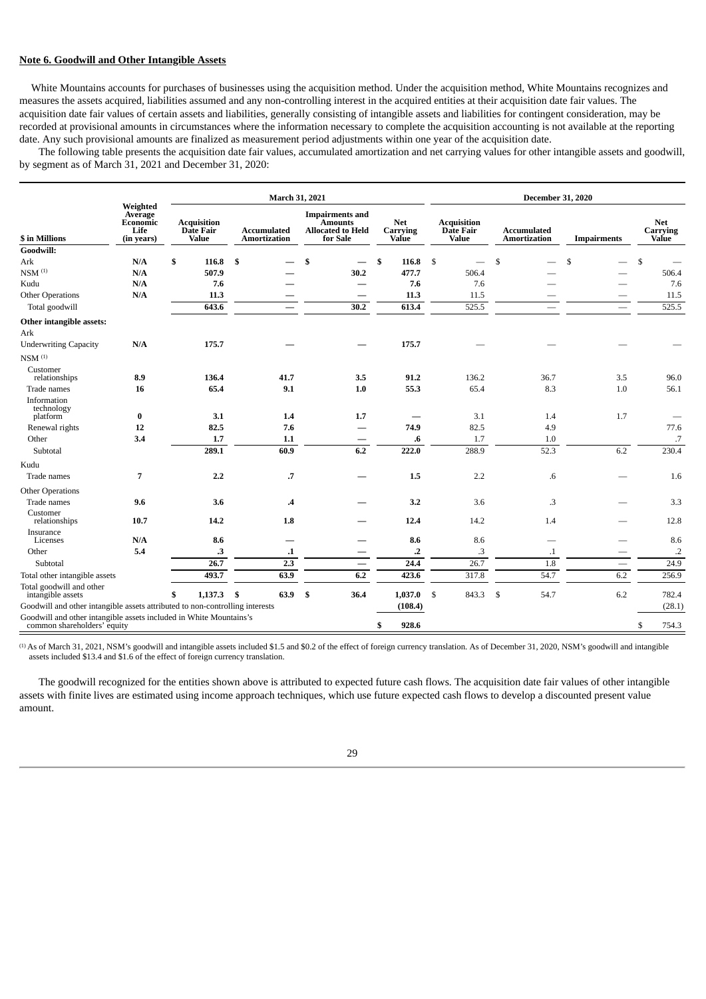## **Note 6. Goodwill and Other Intangible Assets**

White Mountains accounts for purchases of businesses using the acquisition method. Under the acquisition method, White Mountains recognizes and measures the assets acquired, liabilities assumed and any non-controlling interest in the acquired entities at their acquisition date fair values. The acquisition date fair values of certain assets and liabilities, generally consisting of intangible assets and liabilities for contingent consideration, may be recorded at provisional amounts in circumstances where the information necessary to complete the acquisition accounting is not available at the reporting date. Any such provisional amounts are finalized as measurement period adjustments within one year of the acquisition date.

The following table presents the acquisition date fair values, accumulated amortization and net carrying values for other intangible assets and goodwill, by segment as of March 31, 2021 and December 31, 2020:

|                                                                                                   |                                                       |                                          |                                    | March 31, 2021                                                            |                                 |                                          | December 31, 2020                  |                               |                                 |
|---------------------------------------------------------------------------------------------------|-------------------------------------------------------|------------------------------------------|------------------------------------|---------------------------------------------------------------------------|---------------------------------|------------------------------------------|------------------------------------|-------------------------------|---------------------------------|
| \$ in Millions                                                                                    | Weighted<br>Average<br>Economic<br>Life<br>(in years) | <b>Acquisition</b><br>Date Fair<br>Value | <b>Accumulated</b><br>Amortization | <b>Impairments and</b><br>Amounts<br><b>Allocated to Held</b><br>for Sale | <b>Net</b><br>Carrying<br>Value | <b>Acquisition</b><br>Date Fair<br>Value | <b>Accumulated</b><br>Amortization | <b>Impairments</b>            | <b>Net</b><br>Carrying<br>Value |
| Goodwill:                                                                                         |                                                       |                                          |                                    |                                                                           |                                 |                                          |                                    |                               |                                 |
| Ark                                                                                               | N/A                                                   | \$<br>116.8                              | \$                                 | \$                                                                        | \$<br>116.8                     | \$                                       | \$                                 | \$                            | \$                              |
| $NSM$ <sup><math>(1)</math></sup>                                                                 | N/A                                                   | 507.9                                    |                                    | 30.2                                                                      | 477.7                           | 506.4                                    |                                    |                               | 506.4                           |
| Kudu                                                                                              | N/A                                                   | 7.6                                      |                                    |                                                                           | 7.6                             | 7.6                                      |                                    |                               | 7.6                             |
| <b>Other Operations</b>                                                                           | N/A                                                   | 11.3                                     |                                    |                                                                           | 11.3                            | 11.5                                     |                                    |                               | 11.5                            |
| Total goodwill                                                                                    |                                                       | 643.6                                    | $\overline{\phantom{0}}$           | 30.2                                                                      | 613.4                           | 525.5                                    | $\overline{\phantom{0}}$           | $\overline{\phantom{0}}$      | 525.5                           |
| Other intangible assets:<br>Ark                                                                   |                                                       |                                          |                                    |                                                                           |                                 |                                          |                                    |                               |                                 |
| <b>Underwriting Capacity</b>                                                                      | N/A                                                   | 175.7                                    |                                    |                                                                           | 175.7                           |                                          |                                    |                               |                                 |
| $NSM$ <sup>(1)</sup>                                                                              |                                                       |                                          |                                    |                                                                           |                                 |                                          |                                    |                               |                                 |
| Customer                                                                                          |                                                       |                                          |                                    |                                                                           |                                 |                                          |                                    |                               |                                 |
| relationships                                                                                     | 8.9                                                   | 136.4                                    | 41.7                               | 3.5                                                                       | 91.2                            | 136.2                                    | 36.7                               | 3.5                           | 96.0                            |
| Trade names                                                                                       | 16                                                    | 65.4                                     | 9.1                                | 1.0                                                                       | 55.3                            | 65.4                                     | 8.3                                | 1.0                           | 56.1                            |
| Information<br>technology                                                                         |                                                       |                                          |                                    |                                                                           |                                 |                                          |                                    |                               |                                 |
| platform                                                                                          | $\bf{0}$                                              | 3.1                                      | 1.4                                | 1.7                                                                       |                                 | 3.1                                      | 1.4                                | 1.7                           |                                 |
| Renewal rights                                                                                    | 12                                                    | 82.5                                     | 7.6                                | —                                                                         | 74.9                            | 82.5                                     | 4.9                                |                               | 77.6                            |
| Other                                                                                             | 3.4                                                   | 1.7                                      | 1.1                                |                                                                           | $\boldsymbol{.6}$               | 1.7                                      | 1.0                                |                               | .7                              |
| Subtotal                                                                                          |                                                       | 289.1                                    | 60.9                               | 6.2                                                                       | 222.0                           | 288.9                                    | 52.3                               | 6.2                           | 230.4                           |
| Kudu                                                                                              |                                                       |                                          |                                    |                                                                           |                                 |                                          |                                    |                               |                                 |
| Trade names                                                                                       | $\overline{7}$                                        | 2.2                                      | $\cdot$                            |                                                                           | 1.5                             | 2.2                                      | $.6\,$                             |                               | 1.6                             |
| <b>Other Operations</b>                                                                           |                                                       |                                          |                                    |                                                                           |                                 |                                          |                                    |                               |                                 |
| Trade names                                                                                       | 9.6                                                   | 3.6                                      | $\cdot$ 4                          |                                                                           | 3.2                             | 3.6                                      | .3                                 |                               | 3.3                             |
| Customer<br>relationships                                                                         | 10.7                                                  | 14.2                                     | 1.8                                |                                                                           | 12.4                            | 14.2                                     | 1.4                                |                               | 12.8                            |
| Insurance<br>Licenses                                                                             | N/A                                                   | 8.6                                      |                                    |                                                                           | 8.6                             | 8.6                                      |                                    |                               | 8.6                             |
| Other                                                                                             | 5.4                                                   |                                          | .3<br>$\cdot$ 1                    |                                                                           | $\cdot$                         | .3                                       | $\cdot$ 1                          |                               | $\cdot$ .2                      |
| Subtotal                                                                                          |                                                       | 26.7                                     | 2.3                                | $\overbrace{\phantom{12321111}}$                                          | 24.4                            | 26.7                                     | 1.8                                | $\overbrace{\phantom{aaaaa}}$ | 24.9                            |
| Total other intangible assets                                                                     |                                                       | 493.7                                    | 63.9                               | 6.2                                                                       | 423.6                           | 317.8                                    | 54.7                               | 6.2                           | 256.9                           |
| Total goodwill and other<br>intangible assets                                                     |                                                       | \$<br>1,137.3                            | \$<br>63.9                         | \$<br>36.4                                                                | 1,037.0                         | 843.3<br>\$                              | \$<br>54.7                         | 6.2                           | 782.4                           |
| Goodwill and other intangible assets attributed to non-controlling interests                      |                                                       |                                          |                                    |                                                                           | (108.4)                         |                                          |                                    |                               | (28.1)                          |
| Goodwill and other intangible assets included in White Mountains's<br>common shareholders' equity |                                                       |                                          |                                    |                                                                           | \$<br>928.6                     |                                          |                                    |                               | \$<br>754.3                     |

As of March 31, 2021, NSM's goodwill and intangible assets included \$1.5 and \$0.2 of the effect of foreign currency translation. As of December 31, 2020, NSM's goodwill and intangible assets included \$13.4 and \$1.6 of the effect of foreign currency translation. (1)

The goodwill recognized for the entities shown above is attributed to expected future cash flows. The acquisition date fair values of other intangible assets with finite lives are estimated using income approach techniques, which use future expected cash flows to develop a discounted present value amount.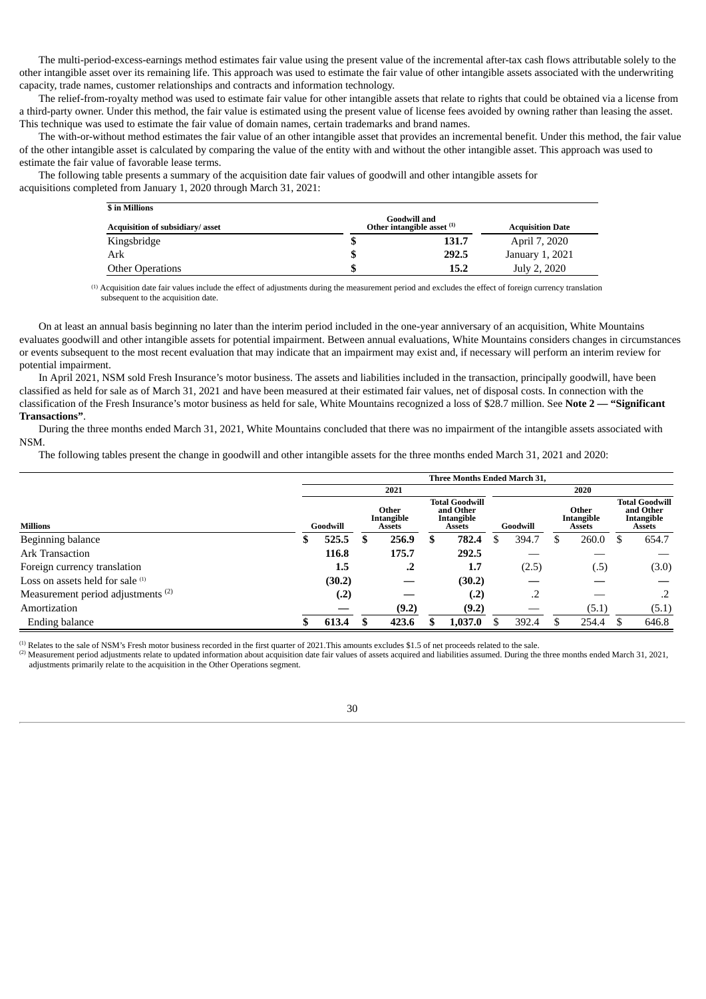The multi-period-excess-earnings method estimates fair value using the present value of the incremental after-tax cash flows attributable solely to the other intangible asset over its remaining life. This approach was used to estimate the fair value of other intangible assets associated with the underwriting capacity, trade names, customer relationships and contracts and information technology.

The relief-from-royalty method was used to estimate fair value for other intangible assets that relate to rights that could be obtained via a license from a third-party owner. Under this method, the fair value is estimated using the present value of license fees avoided by owning rather than leasing the asset. This technique was used to estimate the fair value of domain names, certain trademarks and brand names.

The with-or-without method estimates the fair value of an other intangible asset that provides an incremental benefit. Under this method, the fair value of the other intangible asset is calculated by comparing the value of the entity with and without the other intangible asset. This approach was used to estimate the fair value of favorable lease terms.

The following table presents a summary of the acquisition date fair values of goodwill and other intangible assets for acquisitions completed from January 1, 2020 through March 31, 2021:

| \$ in Millions                  |    |                                            |                 |  |  |  |  |
|---------------------------------|----|--------------------------------------------|-----------------|--|--|--|--|
| Acquisition of subsidiary/asset |    | Goodwill and<br>Other intangible asset (1) |                 |  |  |  |  |
| Kingsbridge                     | J. | 131.7                                      | April 7, 2020   |  |  |  |  |
| Ark                             | \$ | 292.5                                      | January 1, 2021 |  |  |  |  |
| <b>Other Operations</b>         | S  | 15.2                                       | July 2, 2020    |  |  |  |  |

 $<sup>(1)</sup>$  Acquisition date fair values include the effect of adjustments during the measurement period and excludes the effect of foreign currency translation</sup> subsequent to the acquisition date.

On at least an annual basis beginning no later than the interim period included in the one-year anniversary of an acquisition, White Mountains evaluates goodwill and other intangible assets for potential impairment. Between annual evaluations, White Mountains considers changes in circumstances or events subsequent to the most recent evaluation that may indicate that an impairment may exist and, if necessary will perform an interim review for potential impairment.

In April 2021, NSM sold Fresh Insurance's motor business. The assets and liabilities included in the transaction, principally goodwill, have been classified as held for sale as of March 31, 2021 and have been measured at their estimated fair values, net of disposal costs. In connection with the classification of the Fresh Insurance's motor business as held for sale, White Mountains recognized a loss of \$28.7 million. See **Note 2 — "Significant Transactions"**.

During the three months ended March 31, 2021, White Mountains concluded that there was no impairment of the intangible assets associated with NSM.

The following tables present the change in goodwill and other intangible assets for the three months ended March 31, 2021 and 2020:

|                                               | <b>Three Months Ended March 31,</b> |        |                                      |                      |                                                                   |         |          |       |                               |       |                                                            |            |
|-----------------------------------------------|-------------------------------------|--------|--------------------------------------|----------------------|-------------------------------------------------------------------|---------|----------|-------|-------------------------------|-------|------------------------------------------------------------|------------|
|                                               |                                     | 2021   |                                      |                      |                                                                   |         |          |       |                               |       |                                                            |            |
| <b>Millions</b>                               | Goodwill                            |        | Other<br>Intangible<br><b>Assets</b> |                      | <b>Total Goodwill</b><br>and Other<br>Intangible<br><b>Assets</b> |         | Goodwill |       | Other<br>Intangible<br>Assets |       | <b>Total Goodwill</b><br>and Other<br>Intangible<br>Assets |            |
| Beginning balance                             | S                                   | 525.5  |                                      | 256.9                |                                                                   | 782.4   | S        | 394.7 |                               | 260.0 |                                                            | 654.7      |
| <b>Ark Transaction</b>                        |                                     | 116.8  |                                      | 175.7                |                                                                   | 292.5   |          |       |                               |       |                                                            |            |
| Foreign currency translation                  |                                     | 1.5    |                                      | $\cdot$ <sup>2</sup> |                                                                   | 1.7     |          | (2.5) |                               | (.5)  |                                                            | (3.0)      |
| Loss on assets held for sale (1)              |                                     | (30.2) |                                      |                      |                                                                   | (30.2)  |          |       |                               |       |                                                            |            |
| Measurement period adjustments <sup>(2)</sup> |                                     | (.2)   |                                      |                      |                                                                   | (.2)    |          | .2    |                               |       |                                                            | $\cdot$ .2 |
| Amortization                                  |                                     |        |                                      | (9.2)                |                                                                   | (9.2)   |          |       |                               | (5.1) |                                                            | (5.1)      |
| Ending balance                                |                                     | 613.4  |                                      | 423.6                |                                                                   | 1,037.0 |          | 392.4 |                               | 254.4 |                                                            | 646.8      |

 $^{(1)}$  Relates to the sale of NSM's Fresh motor business recorded in the first quarter of 2021. This amounts excludes \$1.5 of net proceeds related to the sale.

 $^{(2)}$  Measurement period adjustments relate to updated information about acquisition date fair values of assets acquired and liabilities assumed. During the three months ended March 31, 2021, adjustments primarily relate to the acquisition in the Other Operations segment.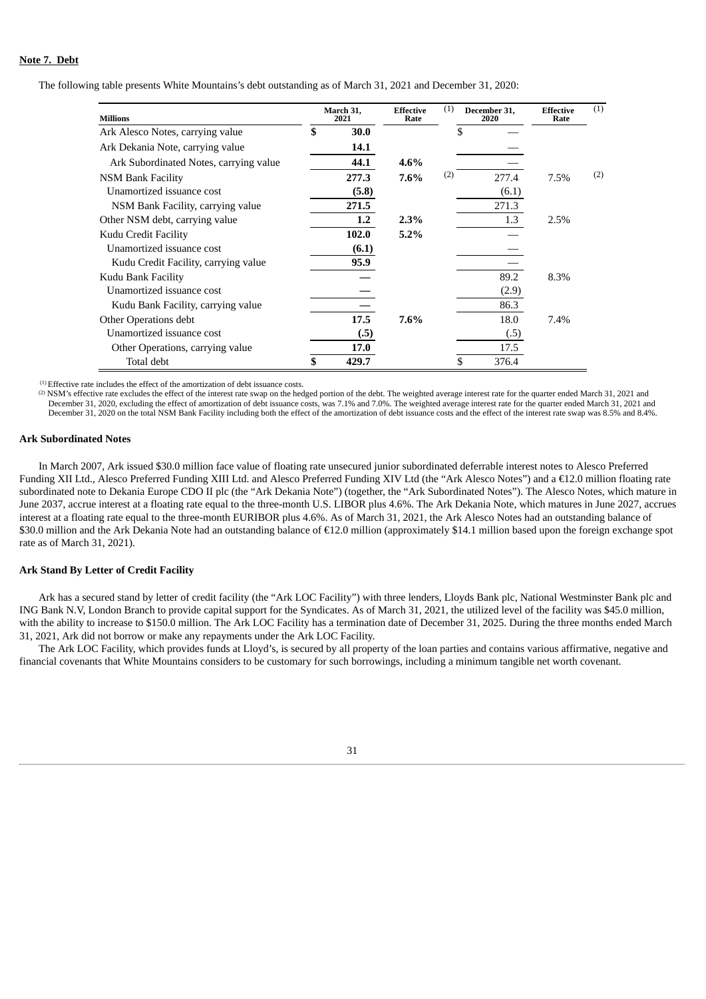## **Note 7. Debt**

The following table presents White Mountains's debt outstanding as of March 31, 2021 and December 31, 2020:

| <b>Millions</b>                        |     | (1)<br>March 31,<br><b>Effective</b><br>December 31,<br>2021<br>Rate<br>2020 |      |     |    | <b>Effective</b><br>Rate | (1)  |     |
|----------------------------------------|-----|------------------------------------------------------------------------------|------|-----|----|--------------------------|------|-----|
| Ark Alesco Notes, carrying value       | \$  | 30.0                                                                         |      |     | \$ |                          |      |     |
| Ark Dekania Note, carrying value       |     | 14.1                                                                         |      |     |    |                          |      |     |
| Ark Subordinated Notes, carrying value |     | 44.1                                                                         | 4.6% |     |    |                          |      |     |
| NSM Bank Facility                      |     | 277.3                                                                        | 7.6% | (2) |    | 277.4                    | 7.5% | (2) |
| Unamortized issuance cost              |     | (5.8)                                                                        |      |     |    | (6.1)                    |      |     |
| NSM Bank Facility, carrying value      |     | 271.5                                                                        |      |     |    | 271.3                    |      |     |
| Other NSM debt, carrying value         |     | 1.2                                                                          | 2.3% |     |    | 1.3                      | 2.5% |     |
| Kudu Credit Facility                   |     | 102.0                                                                        | 5.2% |     |    |                          |      |     |
| Unamortized issuance cost              |     | (6.1)                                                                        |      |     |    |                          |      |     |
| Kudu Credit Facility, carrying value   |     | 95.9                                                                         |      |     |    |                          |      |     |
| Kudu Bank Facility                     |     |                                                                              |      |     |    | 89.2                     | 8.3% |     |
| Unamortized issuance cost              |     |                                                                              |      |     |    | (2.9)                    |      |     |
| Kudu Bank Facility, carrying value     |     |                                                                              |      |     |    | 86.3                     |      |     |
| Other Operations debt                  |     | 17.5                                                                         | 7.6% |     |    | 18.0                     | 7.4% |     |
| Unamortized issuance cost              |     | (.5)                                                                         |      |     |    | (.5)                     |      |     |
| Other Operations, carrying value       |     | 17.0                                                                         |      |     |    | 17.5                     |      |     |
| Total debt                             | \$. | 429.7                                                                        |      |     | \$ | 376.4                    |      |     |

 $(1)$  Effective rate includes the effect of the amortization of debt issuance costs.

 $^{(2)}$  NSM's effective rate excludes the effect of the interest rate swap on the hedged portion of the debt. The weighted average interest rate for the quarter ended March 31, 2021 and December 31, 2020, excluding the effect of amortization of debt issuance costs, was 7.1% and 7.0%. The weighted average interest rate for the quarter ended March 31, 2021 and December 31, 2020 on the total NSM Bank Facility including both the effect of the amortization of debt issuance costs and the effect of the interest rate swap was 8.5% and 8.4%.

#### **Ark Subordinated Notes**

In March 2007, Ark issued \$30.0 million face value of floating rate unsecured junior subordinated deferrable interest notes to Alesco Preferred Funding XII Ltd., Alesco Preferred Funding XIII Ltd. and Alesco Preferred Funding XIV Ltd (the "Ark Alesco Notes") and a €12.0 million floating rate subordinated note to Dekania Europe CDO II plc (the "Ark Dekania Note") (together, the "Ark Subordinated Notes"). The Alesco Notes, which mature in June 2037, accrue interest at a floating rate equal to the three-month U.S. LIBOR plus 4.6%. The Ark Dekania Note, which matures in June 2027, accrues interest at a floating rate equal to the three-month EURIBOR plus 4.6%. As of March 31, 2021, the Ark Alesco Notes had an outstanding balance of \$30.0 million and the Ark Dekania Note had an outstanding balance of €12.0 million (approximately \$14.1 million based upon the foreign exchange spot rate as of March 31, 2021).

### **Ark Stand By Letter of Credit Facility**

Ark has a secured stand by letter of credit facility (the "Ark LOC Facility") with three lenders, Lloyds Bank plc, National Westminster Bank plc and ING Bank N.V, London Branch to provide capital support for the Syndicates. As of March 31, 2021, the utilized level of the facility was \$45.0 million, with the ability to increase to \$150.0 million. The Ark LOC Facility has a termination date of December 31, 2025. During the three months ended March 31, 2021, Ark did not borrow or make any repayments under the Ark LOC Facility.

The Ark LOC Facility, which provides funds at Lloyd's, is secured by all property of the loan parties and contains various affirmative, negative and financial covenants that White Mountains considers to be customary for such borrowings, including a minimum tangible net worth covenant.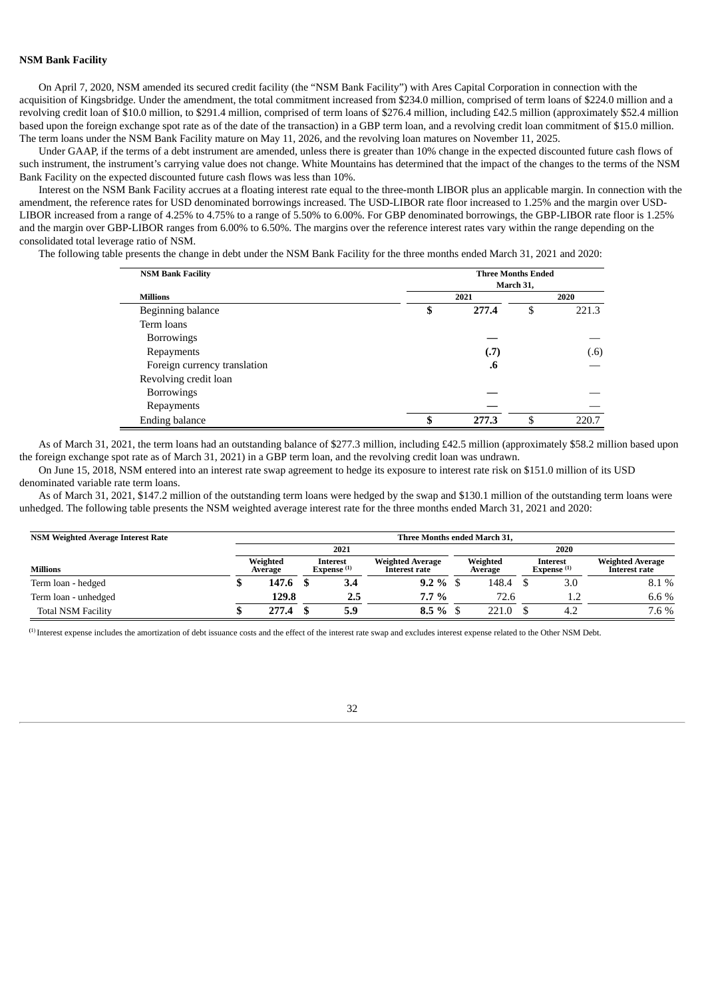## **NSM Bank Facility**

On April 7, 2020, NSM amended its secured credit facility (the "NSM Bank Facility") with Ares Capital Corporation in connection with the acquisition of Kingsbridge. Under the amendment, the total commitment increased from \$234.0 million, comprised of term loans of \$224.0 million and a revolving credit loan of \$10.0 million, to \$291.4 million, comprised of term loans of \$276.4 million, including £42.5 million (approximately \$52.4 million based upon the foreign exchange spot rate as of the date of the transaction) in a GBP term loan, and a revolving credit loan commitment of \$15.0 million. The term loans under the NSM Bank Facility mature on May 11, 2026, and the revolving loan matures on November 11, 2025.

Under GAAP, if the terms of a debt instrument are amended, unless there is greater than 10% change in the expected discounted future cash flows of such instrument, the instrument's carrying value does not change. White Mountains has determined that the impact of the changes to the terms of the NSM Bank Facility on the expected discounted future cash flows was less than 10%.

Interest on the NSM Bank Facility accrues at a floating interest rate equal to the three-month LIBOR plus an applicable margin. In connection with the amendment, the reference rates for USD denominated borrowings increased. The USD-LIBOR rate floor increased to 1.25% and the margin over USD-LIBOR increased from a range of 4.25% to 4.75% to a range of 5.50% to 6.00%. For GBP denominated borrowings, the GBP-LIBOR rate floor is 1.25% and the margin over GBP-LIBOR ranges from 6.00% to 6.50%. The margins over the reference interest rates vary within the range depending on the consolidated total leverage ratio of NSM.

The following table presents the change in debt under the NSM Bank Facility for the three months ended March 31, 2021 and 2020:

| <b>NSM Bank Facility</b>     | <b>Three Months Ended</b> |       |      |       |  |  |  |  |
|------------------------------|---------------------------|-------|------|-------|--|--|--|--|
|                              | March 31,                 |       |      |       |  |  |  |  |
| <b>Millions</b>              |                           | 2021  | 2020 |       |  |  |  |  |
| Beginning balance            | \$                        | 277.4 | S    | 221.3 |  |  |  |  |
| Term loans                   |                           |       |      |       |  |  |  |  |
| <b>Borrowings</b>            |                           |       |      |       |  |  |  |  |
| Repayments                   |                           | (.7)  |      | (.6)  |  |  |  |  |
| Foreign currency translation |                           | .6    |      |       |  |  |  |  |
| Revolving credit loan        |                           |       |      |       |  |  |  |  |
| <b>Borrowings</b>            |                           |       |      |       |  |  |  |  |
| Repayments                   |                           |       |      |       |  |  |  |  |
| <b>Ending balance</b>        | ¢<br>J                    | 277.3 | \$   | 220.7 |  |  |  |  |

As of March 31, 2021, the term loans had an outstanding balance of \$277.3 million, including £42.5 million (approximately \$58.2 million based upon the foreign exchange spot rate as of March 31, 2021) in a GBP term loan, and the revolving credit loan was undrawn.

On June 15, 2018, NSM entered into an interest rate swap agreement to hedge its exposure to interest rate risk on \$151.0 million of its USD denominated variable rate term loans.

As of March 31, 2021, \$147.2 million of the outstanding term loans were hedged by the swap and \$130.1 million of the outstanding term loans were unhedged. The following table presents the NSM weighted average interest rate for the three months ended March 31, 2021 and 2020:

| <b>NSM Weighted Average Interest Rate</b> | <b>Three Months ended March 31.</b> |  |                           |                                          |  |                     |                           |     |                                          |  |
|-------------------------------------------|-------------------------------------|--|---------------------------|------------------------------------------|--|---------------------|---------------------------|-----|------------------------------------------|--|
|                                           | 2021                                |  |                           |                                          |  | 2020                |                           |     |                                          |  |
| <b>Millions</b>                           | Weighted<br>Average                 |  | Interest<br>Expense $(1)$ | <b>Weighted Average</b><br>Interest rate |  | Weighted<br>Average | Interest<br>Expense $(1)$ |     | <b>Weighted Average</b><br>Interest rate |  |
| Term loan - hedged                        | 147.6                               |  | 3.4                       | $9.2 \%$ \$                              |  | 148.4               |                           | 3.0 | 8.1 %                                    |  |
| Term loan - unhedged                      | 129.8                               |  | 2.5                       | $7.7\%$                                  |  | 72.6                |                           |     | 6.6 $%$                                  |  |
| <b>Total NSM Facility</b>                 | 277.4                               |  | 5.9                       | $8.5 \%$ \$                              |  | 221.0               |                           | 4.2 | 7.6 %                                    |  |

Interest expense includes the amortization of debt issuance costs and the effect of the interest rate swap and excludes interest expense related to the Other NSM Debt. **(**1)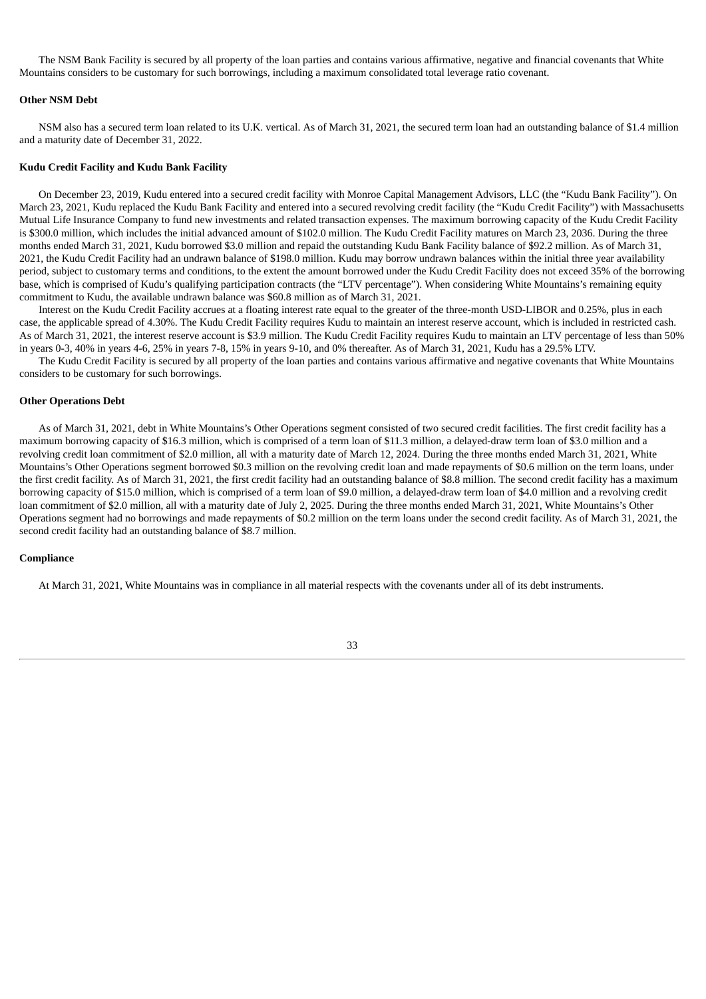The NSM Bank Facility is secured by all property of the loan parties and contains various affirmative, negative and financial covenants that White Mountains considers to be customary for such borrowings, including a maximum consolidated total leverage ratio covenant.

### **Other NSM Debt**

NSM also has a secured term loan related to its U.K. vertical. As of March 31, 2021, the secured term loan had an outstanding balance of \$1.4 million and a maturity date of December 31, 2022.

## **Kudu Credit Facility and Kudu Bank Facility**

On December 23, 2019, Kudu entered into a secured credit facility with Monroe Capital Management Advisors, LLC (the "Kudu Bank Facility"). On March 23, 2021, Kudu replaced the Kudu Bank Facility and entered into a secured revolving credit facility (the "Kudu Credit Facility") with Massachusetts Mutual Life Insurance Company to fund new investments and related transaction expenses. The maximum borrowing capacity of the Kudu Credit Facility is \$300.0 million, which includes the initial advanced amount of \$102.0 million. The Kudu Credit Facility matures on March 23, 2036. During the three months ended March 31, 2021, Kudu borrowed \$3.0 million and repaid the outstanding Kudu Bank Facility balance of \$92.2 million. As of March 31, 2021, the Kudu Credit Facility had an undrawn balance of \$198.0 million. Kudu may borrow undrawn balances within the initial three year availability period, subject to customary terms and conditions, to the extent the amount borrowed under the Kudu Credit Facility does not exceed 35% of the borrowing base, which is comprised of Kudu's qualifying participation contracts (the "LTV percentage"). When considering White Mountains's remaining equity commitment to Kudu, the available undrawn balance was \$60.8 million as of March 31, 2021.

Interest on the Kudu Credit Facility accrues at a floating interest rate equal to the greater of the three-month USD-LIBOR and 0.25%, plus in each case, the applicable spread of 4.30%. The Kudu Credit Facility requires Kudu to maintain an interest reserve account, which is included in restricted cash. As of March 31, 2021, the interest reserve account is \$3.9 million. The Kudu Credit Facility requires Kudu to maintain an LTV percentage of less than 50% in years 0-3, 40% in years 4-6, 25% in years 7-8, 15% in years 9-10, and 0% thereafter. As of March 31, 2021, Kudu has a 29.5% LTV.

The Kudu Credit Facility is secured by all property of the loan parties and contains various affirmative and negative covenants that White Mountains considers to be customary for such borrowings.

#### **Other Operations Debt**

As of March 31, 2021, debt in White Mountains's Other Operations segment consisted of two secured credit facilities. The first credit facility has a maximum borrowing capacity of \$16.3 million, which is comprised of a term loan of \$11.3 million, a delayed-draw term loan of \$3.0 million and a revolving credit loan commitment of \$2.0 million, all with a maturity date of March 12, 2024. During the three months ended March 31, 2021, White Mountains's Other Operations segment borrowed \$0.3 million on the revolving credit loan and made repayments of \$0.6 million on the term loans, under the first credit facility. As of March 31, 2021, the first credit facility had an outstanding balance of \$8.8 million. The second credit facility has a maximum borrowing capacity of \$15.0 million, which is comprised of a term loan of \$9.0 million, a delayed-draw term loan of \$4.0 million and a revolving credit loan commitment of \$2.0 million, all with a maturity date of July 2, 2025. During the three months ended March 31, 2021, White Mountains's Other Operations segment had no borrowings and made repayments of \$0.2 million on the term loans under the second credit facility. As of March 31, 2021, the second credit facility had an outstanding balance of \$8.7 million.

#### **Compliance**

At March 31, 2021, White Mountains was in compliance in all material respects with the covenants under all of its debt instruments.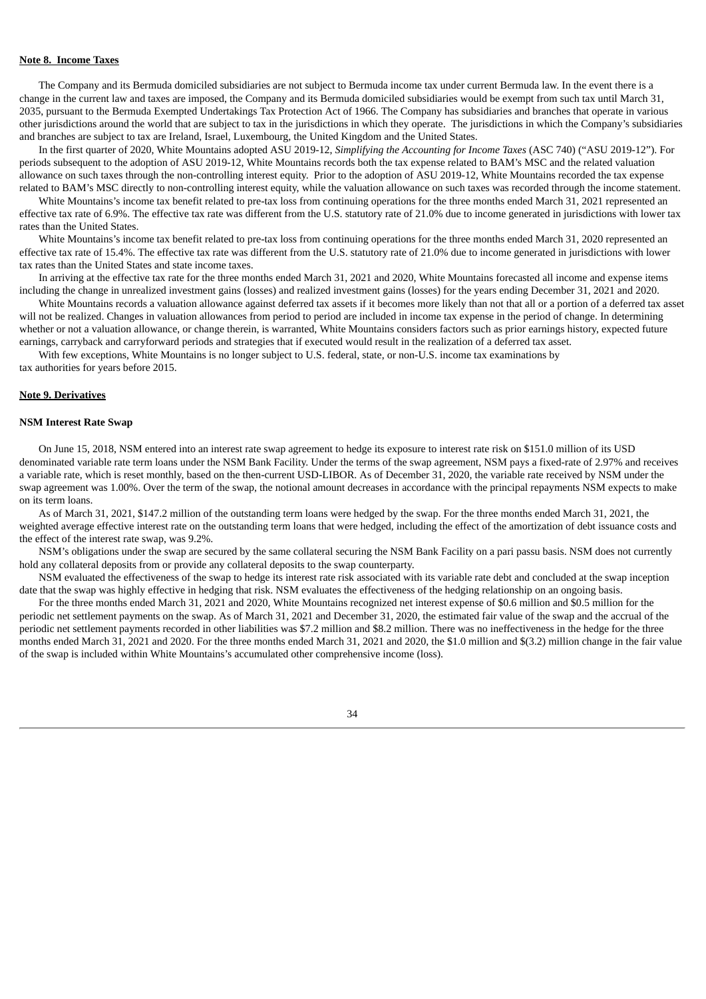### **Note 8. Income Taxes**

The Company and its Bermuda domiciled subsidiaries are not subject to Bermuda income tax under current Bermuda law. In the event there is a change in the current law and taxes are imposed, the Company and its Bermuda domiciled subsidiaries would be exempt from such tax until March 31, 2035, pursuant to the Bermuda Exempted Undertakings Tax Protection Act of 1966. The Company has subsidiaries and branches that operate in various other jurisdictions around the world that are subject to tax in the jurisdictions in which they operate. The jurisdictions in which the Company's subsidiaries and branches are subject to tax are Ireland, Israel, Luxembourg, the United Kingdom and the United States.

In the first quarter of 2020, White Mountains adopted ASU 2019-12, *Simplifying the Accounting for Income Taxes* (ASC 740) ("ASU 2019-12"). For periods subsequent to the adoption of ASU 2019-12, White Mountains records both the tax expense related to BAM's MSC and the related valuation allowance on such taxes through the non-controlling interest equity. Prior to the adoption of ASU 2019-12, White Mountains recorded the tax expense related to BAM's MSC directly to non-controlling interest equity, while the valuation allowance on such taxes was recorded through the income statement.

White Mountains's income tax benefit related to pre-tax loss from continuing operations for the three months ended March 31, 2021 represented an effective tax rate of 6.9%. The effective tax rate was different from the U.S. statutory rate of 21.0% due to income generated in jurisdictions with lower tax rates than the United States.

White Mountains's income tax benefit related to pre-tax loss from continuing operations for the three months ended March 31, 2020 represented an effective tax rate of 15.4%. The effective tax rate was different from the U.S. statutory rate of 21.0% due to income generated in jurisdictions with lower tax rates than the United States and state income taxes.

In arriving at the effective tax rate for the three months ended March 31, 2021 and 2020, White Mountains forecasted all income and expense items including the change in unrealized investment gains (losses) and realized investment gains (losses) for the years ending December 31, 2021 and 2020.

White Mountains records a valuation allowance against deferred tax assets if it becomes more likely than not that all or a portion of a deferred tax asset will not be realized. Changes in valuation allowances from period to period are included in income tax expense in the period of change. In determining whether or not a valuation allowance, or change therein, is warranted, White Mountains considers factors such as prior earnings history, expected future earnings, carryback and carryforward periods and strategies that if executed would result in the realization of a deferred tax asset.

With few exceptions, White Mountains is no longer subject to U.S. federal, state, or non-U.S. income tax examinations by

tax authorities for years before 2015.

## **Note 9. Derivatives**

#### **NSM Interest Rate Swap**

On June 15, 2018, NSM entered into an interest rate swap agreement to hedge its exposure to interest rate risk on \$151.0 million of its USD denominated variable rate term loans under the NSM Bank Facility. Under the terms of the swap agreement, NSM pays a fixed-rate of 2.97% and receives a variable rate, which is reset monthly, based on the then-current USD-LIBOR. As of December 31, 2020, the variable rate received by NSM under the swap agreement was 1.00%. Over the term of the swap, the notional amount decreases in accordance with the principal repayments NSM expects to make on its term loans.

As of March 31, 2021, \$147.2 million of the outstanding term loans were hedged by the swap. For the three months ended March 31, 2021, the weighted average effective interest rate on the outstanding term loans that were hedged, including the effect of the amortization of debt issuance costs and the effect of the interest rate swap, was 9.2%.

NSM's obligations under the swap are secured by the same collateral securing the NSM Bank Facility on a pari passu basis. NSM does not currently hold any collateral deposits from or provide any collateral deposits to the swap counterparty.

NSM evaluated the effectiveness of the swap to hedge its interest rate risk associated with its variable rate debt and concluded at the swap inception date that the swap was highly effective in hedging that risk. NSM evaluates the effectiveness of the hedging relationship on an ongoing basis.

For the three months ended March 31, 2021 and 2020, White Mountains recognized net interest expense of \$0.6 million and \$0.5 million for the periodic net settlement payments on the swap. As of March 31, 2021 and December 31, 2020, the estimated fair value of the swap and the accrual of the periodic net settlement payments recorded in other liabilities was \$7.2 million and \$8.2 million. There was no ineffectiveness in the hedge for the three months ended March 31, 2021 and 2020. For the three months ended March 31, 2021 and 2020, the \$1.0 million and \$(3.2) million change in the fair value of the swap is included within White Mountains's accumulated other comprehensive income (loss).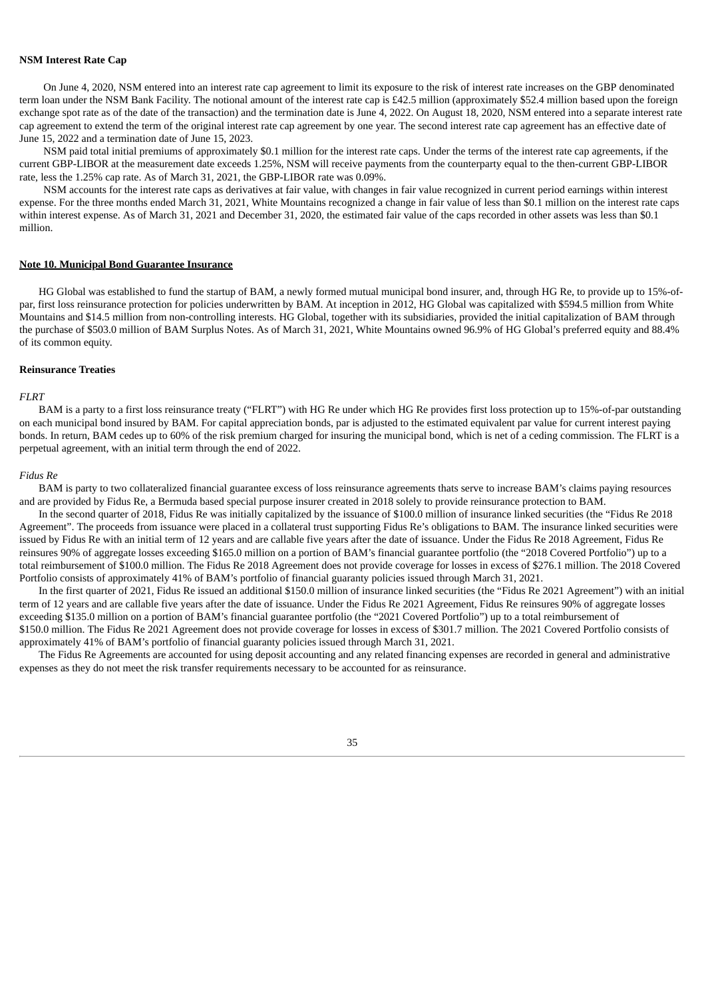## **NSM Interest Rate Cap**

On June 4, 2020, NSM entered into an interest rate cap agreement to limit its exposure to the risk of interest rate increases on the GBP denominated term loan under the NSM Bank Facility. The notional amount of the interest rate cap is £42.5 million (approximately \$52.4 million based upon the foreign exchange spot rate as of the date of the transaction) and the termination date is June 4, 2022. On August 18, 2020, NSM entered into a separate interest rate cap agreement to extend the term of the original interest rate cap agreement by one year. The second interest rate cap agreement has an effective date of June 15, 2022 and a termination date of June 15, 2023.

NSM paid total initial premiums of approximately \$0.1 million for the interest rate caps. Under the terms of the interest rate cap agreements, if the current GBP-LIBOR at the measurement date exceeds 1.25%, NSM will receive payments from the counterparty equal to the then-current GBP-LIBOR rate, less the 1.25% cap rate. As of March 31, 2021, the GBP-LIBOR rate was 0.09%.

NSM accounts for the interest rate caps as derivatives at fair value, with changes in fair value recognized in current period earnings within interest expense. For the three months ended March 31, 2021, White Mountains recognized a change in fair value of less than \$0.1 million on the interest rate caps within interest expense. As of March 31, 2021 and December 31, 2020, the estimated fair value of the caps recorded in other assets was less than \$0.1 million.

#### **Note 10. Municipal Bond Guarantee Insurance**

HG Global was established to fund the startup of BAM, a newly formed mutual municipal bond insurer, and, through HG Re, to provide up to 15%-ofpar, first loss reinsurance protection for policies underwritten by BAM. At inception in 2012, HG Global was capitalized with \$594.5 million from White Mountains and \$14.5 million from non-controlling interests. HG Global, together with its subsidiaries, provided the initial capitalization of BAM through the purchase of \$503.0 million of BAM Surplus Notes. As of March 31, 2021, White Mountains owned 96.9% of HG Global's preferred equity and 88.4% of its common equity.

#### **Reinsurance Treaties**

#### *FLRT*

BAM is a party to a first loss reinsurance treaty ("FLRT") with HG Re under which HG Re provides first loss protection up to 15%-of-par outstanding on each municipal bond insured by BAM. For capital appreciation bonds, par is adjusted to the estimated equivalent par value for current interest paying bonds. In return, BAM cedes up to 60% of the risk premium charged for insuring the municipal bond, which is net of a ceding commission. The FLRT is a perpetual agreement, with an initial term through the end of 2022.

#### *Fidus Re*

BAM is party to two collateralized financial guarantee excess of loss reinsurance agreements thats serve to increase BAM's claims paying resources and are provided by Fidus Re, a Bermuda based special purpose insurer created in 2018 solely to provide reinsurance protection to BAM.

In the second quarter of 2018, Fidus Re was initially capitalized by the issuance of \$100.0 million of insurance linked securities (the "Fidus Re 2018 Agreement". The proceeds from issuance were placed in a collateral trust supporting Fidus Re's obligations to BAM. The insurance linked securities were issued by Fidus Re with an initial term of 12 years and are callable five years after the date of issuance. Under the Fidus Re 2018 Agreement, Fidus Re reinsures 90% of aggregate losses exceeding \$165.0 million on a portion of BAM's financial guarantee portfolio (the "2018 Covered Portfolio") up to a total reimbursement of \$100.0 million. The Fidus Re 2018 Agreement does not provide coverage for losses in excess of \$276.1 million. The 2018 Covered Portfolio consists of approximately 41% of BAM's portfolio of financial guaranty policies issued through March 31, 2021.

In the first quarter of 2021, Fidus Re issued an additional \$150.0 million of insurance linked securities (the "Fidus Re 2021 Agreement") with an initial term of 12 years and are callable five years after the date of issuance. Under the Fidus Re 2021 Agreement, Fidus Re reinsures 90% of aggregate losses exceeding \$135.0 million on a portion of BAM's financial guarantee portfolio (the "2021 Covered Portfolio") up to a total reimbursement of \$150.0 million. The Fidus Re 2021 Agreement does not provide coverage for losses in excess of \$301.7 million. The 2021 Covered Portfolio consists of approximately 41% of BAM's portfolio of financial guaranty policies issued through March 31, 2021.

The Fidus Re Agreements are accounted for using deposit accounting and any related financing expenses are recorded in general and administrative expenses as they do not meet the risk transfer requirements necessary to be accounted for as reinsurance.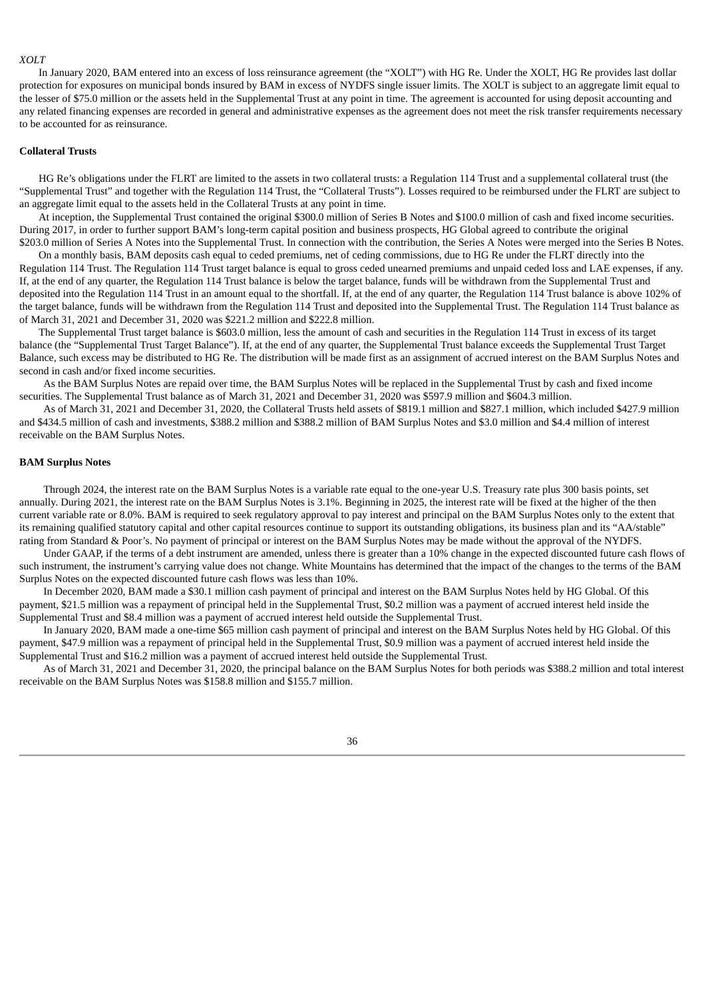## *XOLT*

In January 2020, BAM entered into an excess of loss reinsurance agreement (the "XOLT") with HG Re. Under the XOLT, HG Re provides last dollar protection for exposures on municipal bonds insured by BAM in excess of NYDFS single issuer limits. The XOLT is subject to an aggregate limit equal to the lesser of \$75.0 million or the assets held in the Supplemental Trust at any point in time. The agreement is accounted for using deposit accounting and any related financing expenses are recorded in general and administrative expenses as the agreement does not meet the risk transfer requirements necessary to be accounted for as reinsurance.

# **Collateral Trusts**

HG Re's obligations under the FLRT are limited to the assets in two collateral trusts: a Regulation 114 Trust and a supplemental collateral trust (the "Supplemental Trust" and together with the Regulation 114 Trust, the "Collateral Trusts"). Losses required to be reimbursed under the FLRT are subject to an aggregate limit equal to the assets held in the Collateral Trusts at any point in time.

At inception, the Supplemental Trust contained the original \$300.0 million of Series B Notes and \$100.0 million of cash and fixed income securities. During 2017, in order to further support BAM's long-term capital position and business prospects, HG Global agreed to contribute the original \$203.0 million of Series A Notes into the Supplemental Trust. In connection with the contribution, the Series A Notes were merged into the Series B Notes.

On a monthly basis, BAM deposits cash equal to ceded premiums, net of ceding commissions, due to HG Re under the FLRT directly into the Regulation 114 Trust. The Regulation 114 Trust target balance is equal to gross ceded unearned premiums and unpaid ceded loss and LAE expenses, if any. If, at the end of any quarter, the Regulation 114 Trust balance is below the target balance, funds will be withdrawn from the Supplemental Trust and deposited into the Regulation 114 Trust in an amount equal to the shortfall. If, at the end of any quarter, the Regulation 114 Trust balance is above 102% of the target balance, funds will be withdrawn from the Regulation 114 Trust and deposited into the Supplemental Trust. The Regulation 114 Trust balance as of March 31, 2021 and December 31, 2020 was \$221.2 million and \$222.8 million.

The Supplemental Trust target balance is \$603.0 million, less the amount of cash and securities in the Regulation 114 Trust in excess of its target balance (the "Supplemental Trust Target Balance"). If, at the end of any quarter, the Supplemental Trust balance exceeds the Supplemental Trust Target Balance, such excess may be distributed to HG Re. The distribution will be made first as an assignment of accrued interest on the BAM Surplus Notes and second in cash and/or fixed income securities.

As the BAM Surplus Notes are repaid over time, the BAM Surplus Notes will be replaced in the Supplemental Trust by cash and fixed income securities. The Supplemental Trust balance as of March 31, 2021 and December 31, 2020 was \$597.9 million and \$604.3 million.

As of March 31, 2021 and December 31, 2020, the Collateral Trusts held assets of \$819.1 million and \$827.1 million, which included \$427.9 million and \$434.5 million of cash and investments, \$388.2 million and \$388.2 million of BAM Surplus Notes and \$3.0 million and \$4.4 million of interest receivable on the BAM Surplus Notes.

#### **BAM Surplus Notes**

Through 2024, the interest rate on the BAM Surplus Notes is a variable rate equal to the one-year U.S. Treasury rate plus 300 basis points, set annually. During 2021, the interest rate on the BAM Surplus Notes is 3.1%. Beginning in 2025, the interest rate will be fixed at the higher of the then current variable rate or 8.0%. BAM is required to seek regulatory approval to pay interest and principal on the BAM Surplus Notes only to the extent that its remaining qualified statutory capital and other capital resources continue to support its outstanding obligations, its business plan and its "AA/stable" rating from Standard & Poor's. No payment of principal or interest on the BAM Surplus Notes may be made without the approval of the NYDFS.

Under GAAP, if the terms of a debt instrument are amended, unless there is greater than a 10% change in the expected discounted future cash flows of such instrument, the instrument's carrying value does not change. White Mountains has determined that the impact of the changes to the terms of the BAM Surplus Notes on the expected discounted future cash flows was less than 10%.

In December 2020, BAM made a \$30.1 million cash payment of principal and interest on the BAM Surplus Notes held by HG Global. Of this payment, \$21.5 million was a repayment of principal held in the Supplemental Trust, \$0.2 million was a payment of accrued interest held inside the Supplemental Trust and \$8.4 million was a payment of accrued interest held outside the Supplemental Trust.

In January 2020, BAM made a one-time \$65 million cash payment of principal and interest on the BAM Surplus Notes held by HG Global. Of this payment, \$47.9 million was a repayment of principal held in the Supplemental Trust, \$0.9 million was a payment of accrued interest held inside the Supplemental Trust and \$16.2 million was a payment of accrued interest held outside the Supplemental Trust.

As of March 31, 2021 and December 31, 2020, the principal balance on the BAM Surplus Notes for both periods was \$388.2 million and total interest receivable on the BAM Surplus Notes was \$158.8 million and \$155.7 million.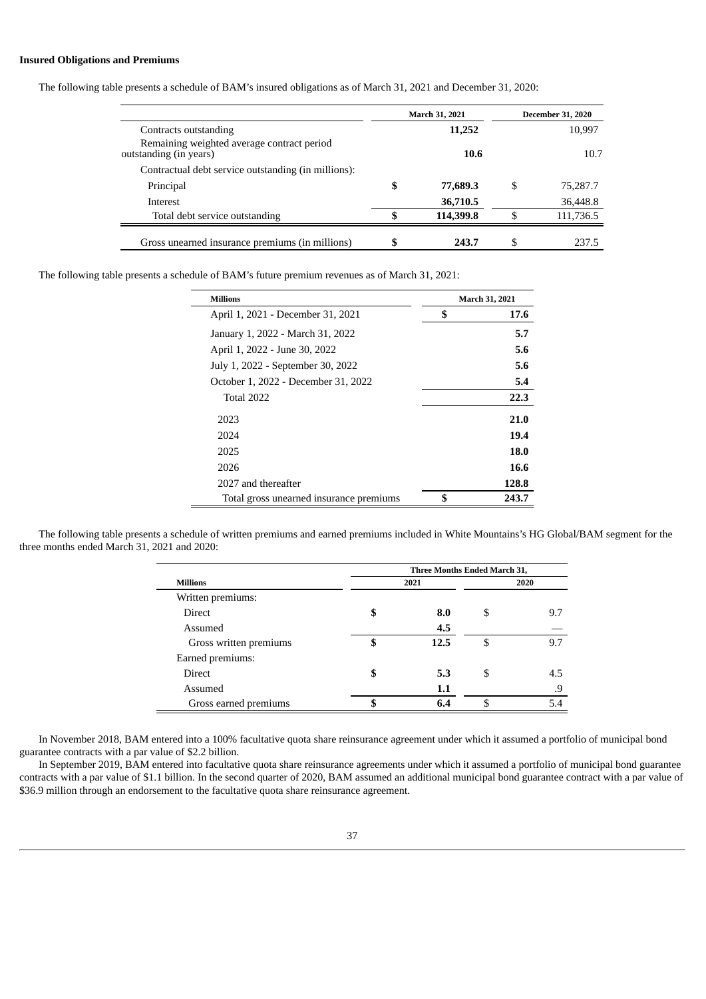## **Insured Obligations and Premiums**

The following table presents a schedule of BAM's insured obligations as of March 31, 2021 and December 31, 2020:

|                                                                      | March 31, 2021 |   | <b>December 31, 2020</b> |
|----------------------------------------------------------------------|----------------|---|--------------------------|
| Contracts outstanding                                                | 11,252         |   | 10,997                   |
| Remaining weighted average contract period<br>outstanding (in years) | 10.6           |   | 10.7                     |
| Contractual debt service outstanding (in millions):                  |                |   |                          |
| Principal                                                            | \$<br>77,689.3 | S | 75,287.7                 |
| <b>Interest</b>                                                      | 36,710.5       |   | 36,448.8                 |
| Total debt service outstanding                                       | 114,399.8      |   | 111,736.5                |
| Gross unearned insurance premiums (in millions)                      | \$<br>243.7    | S | 237.5                    |

The following table presents a schedule of BAM's future premium revenues as of March 31, 2021:

| <b>Millions</b>                         | March 31, 2021 |
|-----------------------------------------|----------------|
| April 1, 2021 - December 31, 2021       | \$<br>17.6     |
| January 1, 2022 - March 31, 2022        | 5.7            |
| April 1, 2022 - June 30, 2022           | 5.6            |
| July 1, 2022 - September 30, 2022       | 5.6            |
| October 1, 2022 - December 31, 2022     | 5.4            |
| <b>Total 2022</b>                       | 22.3           |
| 2023                                    | 21.0           |
| 2024                                    | 19.4           |
| 2025                                    | 18.0           |
| 2026                                    | 16.6           |
| 2027 and thereafter                     | 128.8          |
| Total gross unearned insurance premiums | \$<br>243.7    |

The following table presents a schedule of written premiums and earned premiums included in White Mountains's HG Global/BAM segment for the three months ended March 31, 2021 and 2020:

|                        | Three Months Ended March 31, |      |      |     |  |  |  |  |  |
|------------------------|------------------------------|------|------|-----|--|--|--|--|--|
| <b>Millions</b>        |                              | 2021 | 2020 |     |  |  |  |  |  |
| Written premiums:      |                              |      |      |     |  |  |  |  |  |
| Direct                 | D                            | 8.0  | \$   | 9.7 |  |  |  |  |  |
| Assumed                |                              | 4.5  |      |     |  |  |  |  |  |
| Gross written premiums | S                            | 12.5 | S    | 9.7 |  |  |  |  |  |
| Earned premiums:       |                              |      |      |     |  |  |  |  |  |
| Direct                 | \$                           | 5.3  | \$.  | 4.5 |  |  |  |  |  |
| Assumed                |                              | 1.1  |      | .9  |  |  |  |  |  |
| Gross earned premiums  |                              | 6.4  | \$   | 5.4 |  |  |  |  |  |

In November 2018, BAM entered into a 100% facultative quota share reinsurance agreement under which it assumed a portfolio of municipal bond guarantee contracts with a par value of \$2.2 billion.

In September 2019, BAM entered into facultative quota share reinsurance agreements under which it assumed a portfolio of municipal bond guarantee contracts with a par value of \$1.1 billion. In the second quarter of 2020, BAM assumed an additional municipal bond guarantee contract with a par value of \$36.9 million through an endorsement to the facultative quota share reinsurance agreement.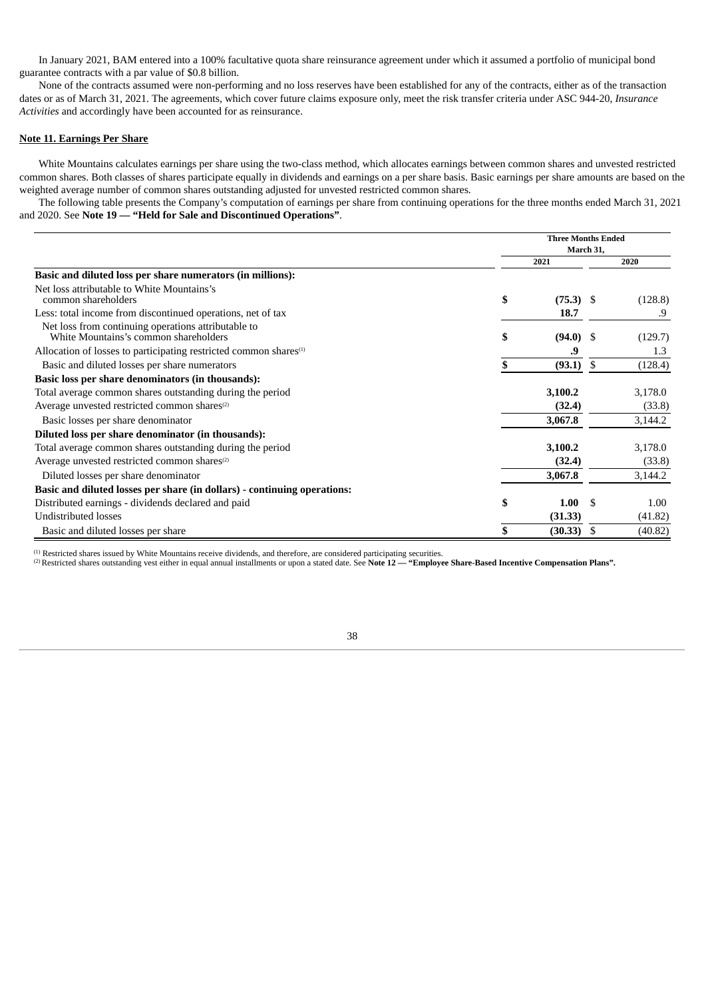In January 2021, BAM entered into a 100% facultative quota share reinsurance agreement under which it assumed a portfolio of municipal bond guarantee contracts with a par value of \$0.8 billion.

None of the contracts assumed were non-performing and no loss reserves have been established for any of the contracts, either as of the transaction dates or as of March 31, 2021. The agreements, which cover future claims exposure only, meet the risk transfer criteria under ASC 944-20, *Insurance Activities* and accordingly have been accounted for as reinsurance.

#### **Note 11. Earnings Per Share**

White Mountains calculates earnings per share using the two-class method, which allocates earnings between common shares and unvested restricted common shares. Both classes of shares participate equally in dividends and earnings on a per share basis. Basic earnings per share amounts are based on the weighted average number of common shares outstanding adjusted for unvested restricted common shares.

The following table presents the Company's computation of earnings per share from continuing operations for the three months ended March 31, 2021 and 2020. See **Note 19 — "Held for Sale and Discontinued Operations"**.

|                                                                                              | <b>Three Months Ended</b> |             |           |         |
|----------------------------------------------------------------------------------------------|---------------------------|-------------|-----------|---------|
|                                                                                              |                           |             | March 31, |         |
|                                                                                              | 2021                      |             |           | 2020    |
| Basic and diluted loss per share numerators (in millions):                                   |                           |             |           |         |
| Net loss attributable to White Mountains's<br>common shareholders                            | \$                        | $(75.3)$ \$ |           | (128.8) |
| Less: total income from discontinued operations, net of tax                                  |                           | 18.7        |           | .9      |
| Net loss from continuing operations attributable to<br>White Mountains's common shareholders | \$                        | $(94.0)$ \$ |           | (129.7) |
| Allocation of losses to participating restricted common shares <sup>(1)</sup>                |                           | .9          |           | 1.3     |
| Basic and diluted losses per share numerators                                                | S                         | (93.1)      | -S        | (128.4) |
| Basic loss per share denominators (in thousands):                                            |                           |             |           |         |
| Total average common shares outstanding during the period                                    |                           | 3,100.2     |           | 3,178.0 |
| Average unvested restricted common shares <sup>(2)</sup>                                     |                           | (32.4)      |           | (33.8)  |
| Basic losses per share denominator                                                           |                           | 3,067.8     |           | 3,144.2 |
| Diluted loss per share denominator (in thousands):                                           |                           |             |           |         |
| Total average common shares outstanding during the period                                    |                           | 3,100.2     |           | 3,178.0 |
| Average unvested restricted common shares <sup>(2)</sup>                                     |                           | (32.4)      |           | (33.8)  |
| Diluted losses per share denominator                                                         |                           | 3,067.8     |           | 3,144.2 |
| Basic and diluted losses per share (in dollars) - continuing operations:                     |                           |             |           |         |
| Distributed earnings - dividends declared and paid                                           | \$                        | 1.00        | -S        | 1.00    |
| <b>Undistributed losses</b>                                                                  |                           | (31.33)     |           | (41.82) |
| Basic and diluted losses per share                                                           | \$                        | (30.33)     | - \$      | (40.82) |

 $<sup>(1)</sup>$  Restricted shares issued by White Mountains receive dividends, and therefore, are considered participating securities.</sup>

Restricted shares outstanding vest either in equal annual installments or upon a stated date. See **Note 12 — "Employee Share-Based Incentive Compensation Plans".** (2)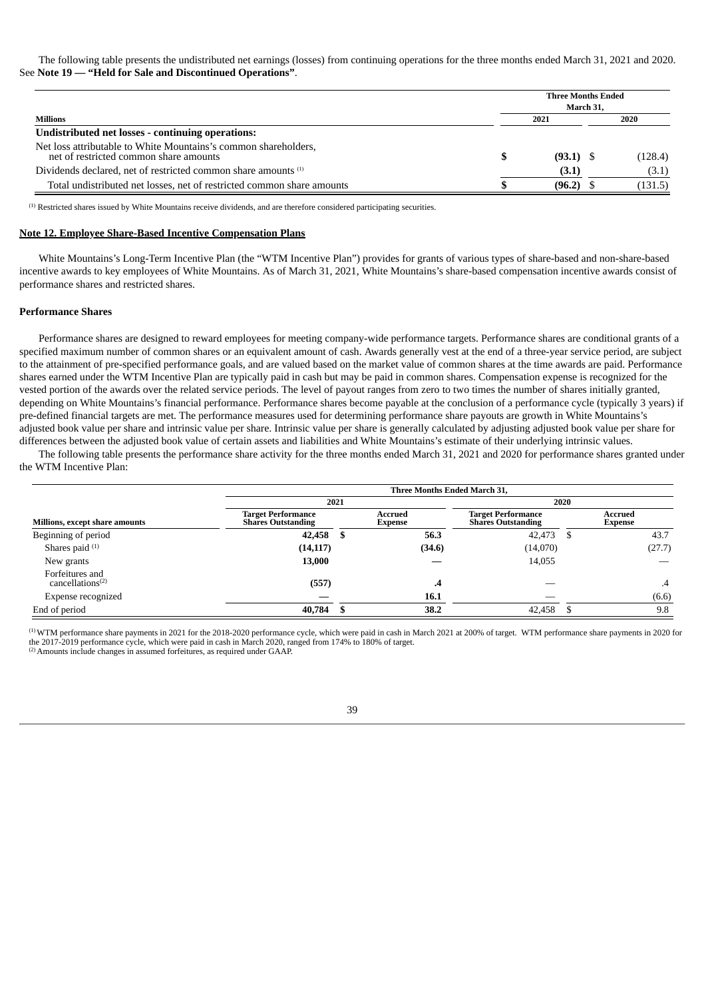The following table presents the undistributed net earnings (losses) from continuing operations for the three months ended March 31, 2021 and 2020. See **Note 19 — "Held for Sale and Discontinued Operations"**.

|                                                                                                           | <b>Three Months Ended</b> | March 31. |         |
|-----------------------------------------------------------------------------------------------------------|---------------------------|-----------|---------|
| <b>Millions</b>                                                                                           | 2021                      |           | 2020    |
| <b>Undistributed net losses - continuing operations:</b>                                                  |                           |           |         |
| Net loss attributable to White Mountains's common shareholders,<br>net of restricted common share amounts | $(93.1)$ \$               |           | (128.4) |
| Dividends declared, net of restricted common share amounts (1)                                            | (3.1)                     |           | (3.1)   |
| Total undistributed net losses, net of restricted common share amounts                                    | (96.2)                    |           | (131.5) |

 $<sup>(1)</sup>$  Restricted shares issued by White Mountains receive dividends, and are therefore considered participating securities.</sup>

### **Note 12. Employee Share-Based Incentive Compensation Plans**

White Mountains's Long-Term Incentive Plan (the "WTM Incentive Plan") provides for grants of various types of share-based and non-share-based incentive awards to key employees of White Mountains. As of March 31, 2021, White Mountains's share-based compensation incentive awards consist of performance shares and restricted shares.

#### **Performance Shares**

Performance shares are designed to reward employees for meeting company-wide performance targets. Performance shares are conditional grants of a specified maximum number of common shares or an equivalent amount of cash. Awards generally vest at the end of a three-year service period, are subject to the attainment of pre-specified performance goals, and are valued based on the market value of common shares at the time awards are paid. Performance shares earned under the WTM Incentive Plan are typically paid in cash but may be paid in common shares. Compensation expense is recognized for the vested portion of the awards over the related service periods. The level of payout ranges from zero to two times the number of shares initially granted, depending on White Mountains's financial performance. Performance shares become payable at the conclusion of a performance cycle (typically 3 years) if pre-defined financial targets are met. The performance measures used for determining performance share payouts are growth in White Mountains's adjusted book value per share and intrinsic value per share. Intrinsic value per share is generally calculated by adjusting adjusted book value per share for differences between the adjusted book value of certain assets and liabilities and White Mountains's estimate of their underlying intrinsic values.

The following table presents the performance share activity for the three months ended March 31, 2021 and 2020 for performance shares granted under the WTM Incentive Plan:

|                                                 |                                                 | Three Months Ended March 31, |                           |                                                        |      |                           |  |  |  |  |  |  |
|-------------------------------------------------|-------------------------------------------------|------------------------------|---------------------------|--------------------------------------------------------|------|---------------------------|--|--|--|--|--|--|
|                                                 |                                                 | 2021                         |                           |                                                        | 2020 |                           |  |  |  |  |  |  |
| <b>Millions, except share amounts</b>           | Target Performance<br><b>Shares Outstanding</b> |                              | Accrued<br><b>Expense</b> | <b>Target Performance</b><br><b>Shares Outstanding</b> |      | Accrued<br><b>Expense</b> |  |  |  |  |  |  |
| Beginning of period                             | 42,458                                          | S                            | 56.3                      | 42,473                                                 | - \$ | 43.7                      |  |  |  |  |  |  |
| Shares paid <sup>(1)</sup>                      | (14, 117)                                       |                              | (34.6)                    | (14,070)                                               |      | (27.7)                    |  |  |  |  |  |  |
| New grants                                      | 13,000                                          |                              |                           | 14,055                                                 |      |                           |  |  |  |  |  |  |
| Forfeitures and<br>cancellations <sup>(2)</sup> | (557)                                           |                              | .4                        |                                                        |      | $\cdot$ 4                 |  |  |  |  |  |  |
| Expense recognized                              |                                                 |                              | 16.1                      |                                                        |      | (6.6)                     |  |  |  |  |  |  |
| End of period                                   | 40,784                                          | S                            | 38.2                      | 42,458                                                 |      | 9.8                       |  |  |  |  |  |  |

 $^{(1)}$ WTM performance share payments in 2021 for the 2018-2020 performance cycle, which were paid in cash in March 2021 at 200% of target. WTM performance share payments in 2020 for the 2017-2019 performance cycle, which were paid in cash in March 2020, ranged from 174% to 180% of target.

 $^{(2)}$  Amounts include changes in assumed forfeitures, as required under GAAP.

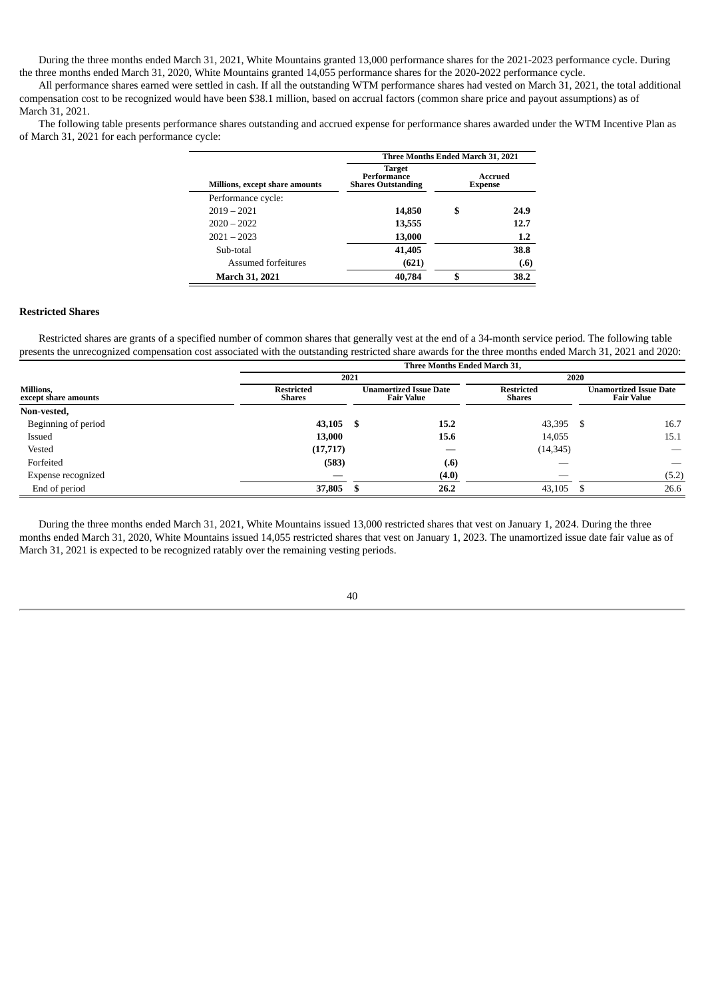During the three months ended March 31, 2021, White Mountains granted 13,000 performance shares for the 2021-2023 performance cycle. During the three months ended March 31, 2020, White Mountains granted 14,055 performance shares for the 2020-2022 performance cycle.

All performance shares earned were settled in cash. If all the outstanding WTM performance shares had vested on March 31, 2021, the total additional compensation cost to be recognized would have been \$38.1 million, based on accrual factors (common share price and payout assumptions) as of March 31, 2021.

The following table presents performance shares outstanding and accrued expense for performance shares awarded under the WTM Incentive Plan as of March 31, 2021 for each performance cycle:

|                                | Three Months Ended March 31, 2021                         |                |         |  |  |  |  |  |
|--------------------------------|-----------------------------------------------------------|----------------|---------|--|--|--|--|--|
| Millions, except share amounts | <b>Target</b><br>Performance<br><b>Shares Outstanding</b> | <b>Expense</b> | Accrued |  |  |  |  |  |
| Performance cycle:             |                                                           |                |         |  |  |  |  |  |
| $2019 - 2021$                  | 14,850                                                    | S              | 24.9    |  |  |  |  |  |
| $2020 - 2022$                  | 13,555                                                    |                | 12.7    |  |  |  |  |  |
| $2021 - 2023$                  | 13,000                                                    |                | 1.2     |  |  |  |  |  |
| Sub-total                      | 41,405                                                    |                | 38.8    |  |  |  |  |  |
| Assumed forfeitures            | (621)                                                     |                | (.6)    |  |  |  |  |  |
| <b>March 31, 2021</b>          | 40,784                                                    |                | 38.2    |  |  |  |  |  |

## **Restricted Shares**

Restricted shares are grants of a specified number of common shares that generally vest at the end of a 34-month service period. The following table presents the unrecognized compensation cost associated with the outstanding restricted share awards for the three months ended March 31, 2021 and 2020:

|                                   |                             | Three Months Ended March 31, |                                             |                             |                                                    |       |  |  |  |  |  |  |
|-----------------------------------|-----------------------------|------------------------------|---------------------------------------------|-----------------------------|----------------------------------------------------|-------|--|--|--|--|--|--|
|                                   | 2021                        |                              |                                             |                             | 2020                                               |       |  |  |  |  |  |  |
| Millions,<br>except share amounts | <b>Restricted</b><br>Shares |                              | Unamortized Issue Date<br><b>Fair Value</b> | <b>Restricted</b><br>Shares | <b>Unamortized Issue Date</b><br><b>Fair Value</b> |       |  |  |  |  |  |  |
| Non-vested,                       |                             |                              |                                             |                             |                                                    |       |  |  |  |  |  |  |
| Beginning of period               | $43,105$ \$                 |                              | 15.2                                        | 43,395                      | -S                                                 | 16.7  |  |  |  |  |  |  |
| Issued                            | 13,000                      |                              | 15.6                                        | 14,055                      |                                                    | 15.1  |  |  |  |  |  |  |
| Vested                            | (17, 717)                   |                              |                                             | (14, 345)                   |                                                    |       |  |  |  |  |  |  |
| Forfeited                         | (583)                       |                              | (.6)                                        |                             |                                                    |       |  |  |  |  |  |  |
| Expense recognized                |                             |                              | (4.0)                                       |                             |                                                    | (5.2) |  |  |  |  |  |  |
| End of period                     | 37,805                      |                              | 26.2                                        | 43,105                      | D                                                  | 26.6  |  |  |  |  |  |  |

During the three months ended March 31, 2021, White Mountains issued 13,000 restricted shares that vest on January 1, 2024. During the three months ended March 31, 2020, White Mountains issued 14,055 restricted shares that vest on January 1, 2023. The unamortized issue date fair value as of March 31, 2021 is expected to be recognized ratably over the remaining vesting periods.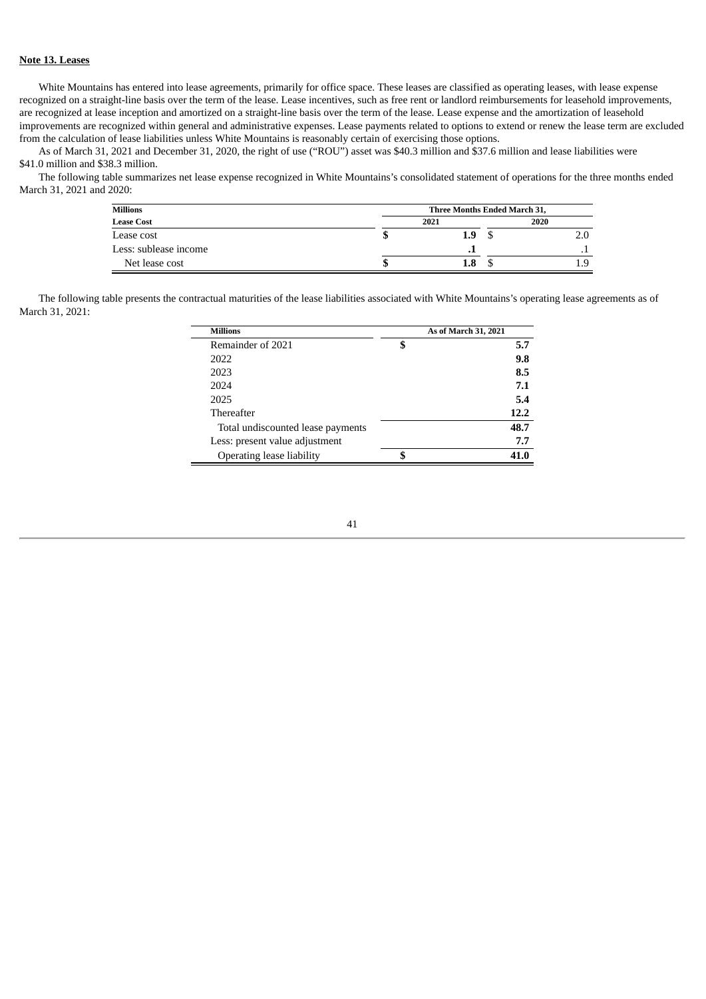# **Note 13. Leases**

White Mountains has entered into lease agreements, primarily for office space. These leases are classified as operating leases, with lease expense recognized on a straight-line basis over the term of the lease. Lease incentives, such as free rent or landlord reimbursements for leasehold improvements, are recognized at lease inception and amortized on a straight-line basis over the term of the lease. Lease expense and the amortization of leasehold improvements are recognized within general and administrative expenses. Lease payments related to options to extend or renew the lease term are excluded from the calculation of lease liabilities unless White Mountains is reasonably certain of exercising those options.

As of March 31, 2021 and December 31, 2020, the right of use ("ROU") asset was \$40.3 million and \$37.6 million and lease liabilities were \$41.0 million and \$38.3 million.

The following table summarizes net lease expense recognized in White Mountains's consolidated statement of operations for the three months ended March 31, 2021 and 2020:

| <b>Millions</b>       | Three Months Ended March 31, |      |  |
|-----------------------|------------------------------|------|--|
| <b>Lease Cost</b>     | 2021                         | 2020 |  |
| Lease cost            | 1.9                          |      |  |
| Less: sublease income | . .                          |      |  |
| Net lease cost        | 1.8                          |      |  |

The following table presents the contractual maturities of the lease liabilities associated with White Mountains's operating lease agreements as of March 31, 2021:

 $\overline{a}$ 

Ė

| <b>Millions</b>                   | As of March 31, 2021 |
|-----------------------------------|----------------------|
| Remainder of 2021                 | \$<br>5.7            |
| 2022                              | 9.8                  |
| 2023                              | 8.5                  |
| 2024                              | 7.1                  |
| 2025                              | 5.4                  |
| <b>Thereafter</b>                 | 12.2                 |
| Total undiscounted lease payments | 48.7                 |
| Less: present value adjustment    | 7.7                  |
| Operating lease liability         | 41.0                 |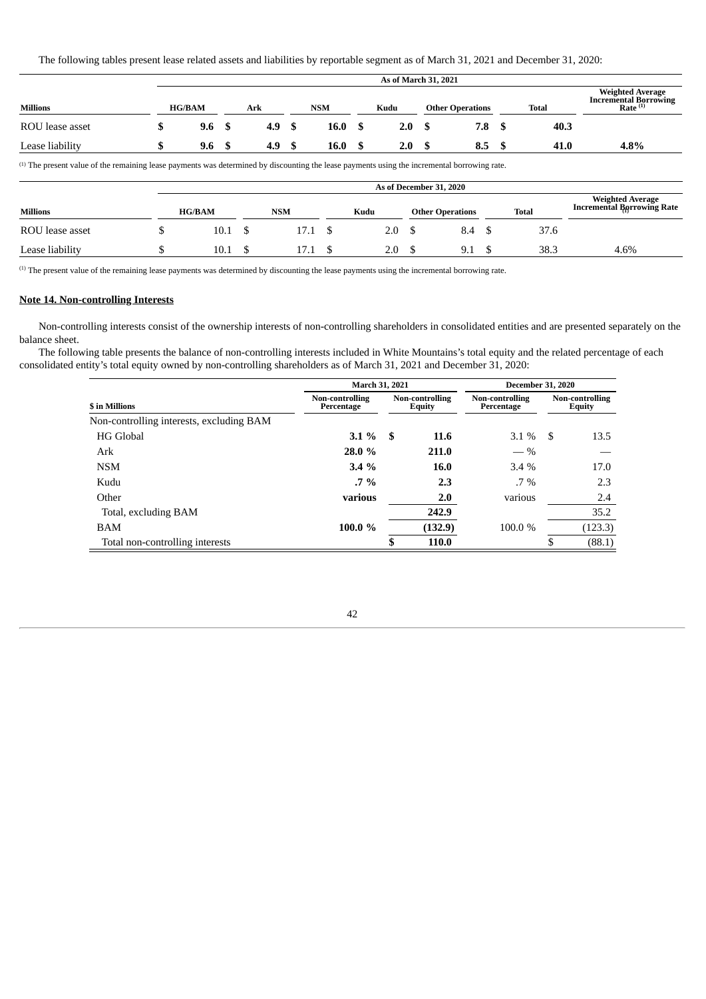The following tables present lease related assets and liabilities by reportable segment as of March 31, 2021 and December 31, 2020:

|                                                                                                                                                         |               |                  |            | As of March 31, 2021 |                         |              |                                                                                |
|---------------------------------------------------------------------------------------------------------------------------------------------------------|---------------|------------------|------------|----------------------|-------------------------|--------------|--------------------------------------------------------------------------------|
| <b>Millions</b>                                                                                                                                         | <b>HG/BAM</b> | Ark              | <b>NSM</b> | Kudu                 | <b>Other Operations</b> | <b>Total</b> | <b>Weighted Average</b><br><b>Incremental Borrowing</b><br>Rate <sup>(1)</sup> |
| ROU lease asset                                                                                                                                         | 9.6           | 4.9 <sup>5</sup> | 16.0       | 2.0                  | 7.8                     | 40.3         |                                                                                |
| Lease liability                                                                                                                                         | 9.6           | 4.9              | 16.0       | 2.0                  | 8.5                     | 41.0         | 4.8%                                                                           |
| <sup>(1)</sup> The present value of the remaining lease payments was determined by discounting the lease payments using the incremental borrowing rate. |               |                  |            |                      |                         |              |                                                                                |

|                 |               |            |                                 |     |  | As of December 31, 2020 |  |              |                                                              |
|-----------------|---------------|------------|---------------------------------|-----|--|-------------------------|--|--------------|--------------------------------------------------------------|
| <b>Millions</b> | <b>HG/BAM</b> | <b>NSM</b> | Kudu<br><b>Other Operations</b> |     |  |                         |  | <b>Total</b> | <b>Weighted Average</b><br><b>Incremental Borrowing Rate</b> |
| ROU lease asset | 10.1          | 17.1       |                                 | 2.0 |  | 8.4                     |  | 37.6         |                                                              |
| Lease liability | 10.1          | 17.1       |                                 | 2.0 |  | 9.1                     |  | 38.3         | 4.6%                                                         |

 $<sup>(1)</sup>$  The present value of the remaining lease payments was determined by discounting the lease payments using the incremental borrowing rate.</sup>

## **Note 14. Non-controlling Interests**

Non-controlling interests consist of the ownership interests of non-controlling shareholders in consolidated entities and are presented separately on the balance sheet.

The following table presents the balance of non-controlling interests included in White Mountains's total equity and the related percentage of each consolidated entity's total equity owned by non-controlling shareholders as of March 31, 2021 and December 31, 2020:

|                                          | March 31, 2021                |      |                                  | <b>December 31, 2020</b>      |      |                                         |  |  |
|------------------------------------------|-------------------------------|------|----------------------------------|-------------------------------|------|-----------------------------------------|--|--|
| <b>\$</b> in Millions                    | Non-controlling<br>Percentage |      | Non-controlling<br><b>Equity</b> | Non-controlling<br>Percentage |      | <b>Non-controlling</b><br><b>Equity</b> |  |  |
| Non-controlling interests, excluding BAM |                               |      |                                  |                               |      |                                         |  |  |
| <b>HG Global</b>                         | $3.1\%$                       | - \$ | 11.6                             | $3.1\%$                       | - \$ | 13.5                                    |  |  |
| Ark                                      | 28.0 %                        |      | 211.0                            | $-$ %                         |      |                                         |  |  |
| <b>NSM</b>                               | 3.4%                          |      | 16.0                             | $3.4\%$                       |      | 17.0                                    |  |  |
| Kudu                                     | $.7\%$                        |      | 2.3                              | $.7\%$                        |      | 2.3                                     |  |  |
| Other                                    | various                       |      | 2.0                              | various                       |      | 2.4                                     |  |  |
| Total, excluding BAM                     |                               |      | 242.9                            |                               |      | 35.2                                    |  |  |
| <b>BAM</b>                               | 100.0 %                       |      | (132.9)                          | 100.0%                        |      | (123.3)                                 |  |  |
| Total non-controlling interests          |                               |      | 110.0                            |                               |      | (88.1)                                  |  |  |

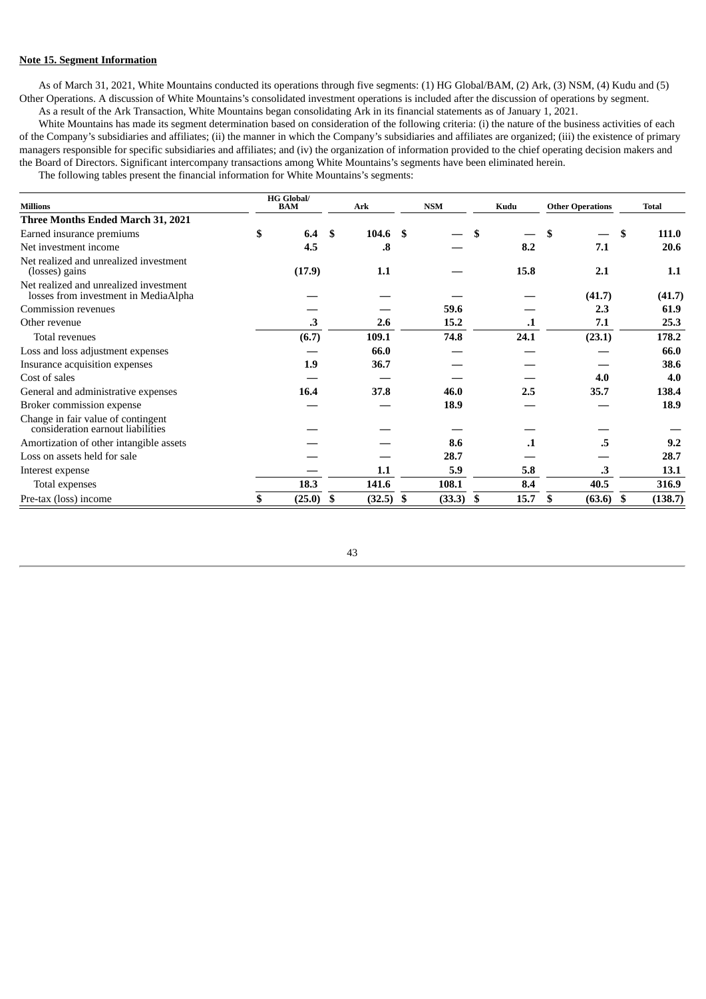## **Note 15. Segment Information**

As of March 31, 2021, White Mountains conducted its operations through five segments: (1) HG Global/BAM, (2) Ark, (3) NSM, (4) Kudu and (5) Other Operations. A discussion of White Mountains's consolidated investment operations is included after the discussion of operations by segment. As a result of the Ark Transaction, White Mountains began consolidating Ark in its financial statements as of January 1, 2021.

White Mountains has made its segment determination based on consideration of the following criteria: (i) the nature of the business activities of each of the Company's subsidiaries and affiliates; (ii) the manner in which the Company's subsidiaries and affiliates are organized; (iii) the existence of primary managers responsible for specific subsidiaries and affiliates; and (iv) the organization of information provided to the chief operating decision makers and the Board of Directors. Significant intercompany transactions among White Mountains's segments have been eliminated herein.

The following tables present the financial information for White Mountains's segments:

| <b>Millions</b>                                                                | <b>HG Global/</b><br><b>BAM</b> |     | Ark    |      | <b>NSM</b> | Kudu       |    | <b>Other Operations</b> |    | <b>Total</b> |
|--------------------------------------------------------------------------------|---------------------------------|-----|--------|------|------------|------------|----|-------------------------|----|--------------|
| Three Months Ended March 31, 2021                                              |                                 |     |        |      |            |            |    |                         |    |              |
| Earned insurance premiums                                                      | \$<br>6.4                       | -\$ | 104.6  | -\$  |            |            | \$ |                         | \$ | 111.0        |
| Net investment income                                                          | 4.5                             |     | 8.     |      |            | 8.2        |    | 7.1                     |    | 20.6         |
| Net realized and unrealized investment<br>(losses) gains                       | (17.9)                          |     | 1.1    |      |            | 15.8       |    | 2.1                     |    | 1.1          |
| Net realized and unrealized investment<br>losses from investment in MediaAlpha |                                 |     |        |      |            |            |    | (41.7)                  |    | (41.7)       |
| Commission revenues                                                            |                                 |     |        |      | 59.6       |            |    | 2.3                     |    | 61.9         |
| Other revenue                                                                  | .3                              |     | 2.6    |      | 15.2       | .1         |    | 7.1                     |    | 25.3         |
| Total revenues                                                                 | (6.7)                           |     | 109.1  |      | 74.8       | 24.1       |    | (23.1)                  |    | 178.2        |
| Loss and loss adjustment expenses                                              |                                 |     | 66.0   |      |            |            |    |                         |    | 66.0         |
| Insurance acquisition expenses                                                 | 1.9                             |     | 36.7   |      |            |            |    |                         |    | 38.6         |
| Cost of sales                                                                  |                                 |     |        |      |            |            |    | 4.0                     |    | 4.0          |
| General and administrative expenses                                            | 16.4                            |     | 37.8   |      | 46.0       | 2.5        |    | 35.7                    |    | 138.4        |
| Broker commission expense                                                      |                                 |     |        |      | 18.9       |            |    |                         |    | 18.9         |
| Change in fair value of contingent<br>consideration earnout liabilities        |                                 |     |        |      |            |            |    |                         |    |              |
| Amortization of other intangible assets                                        |                                 |     |        |      | 8.6        | .1         |    | .5                      |    | 9.2          |
| Loss on assets held for sale                                                   |                                 |     |        |      | 28.7       |            |    |                         |    | 28.7         |
| Interest expense                                                               |                                 |     | 1.1    |      | 5.9        | 5.8        |    | .3                      |    | 13.1         |
| Total expenses                                                                 | 18.3                            |     | 141.6  |      | 108.1      | 8.4        |    | 40.5                    |    | 316.9        |
| Pre-tax (loss) income                                                          | (25.0)                          | \$  | (32.5) | - \$ | (33.3)     | \$<br>15.7 | S  | (63.6)                  | -S | (138.7)      |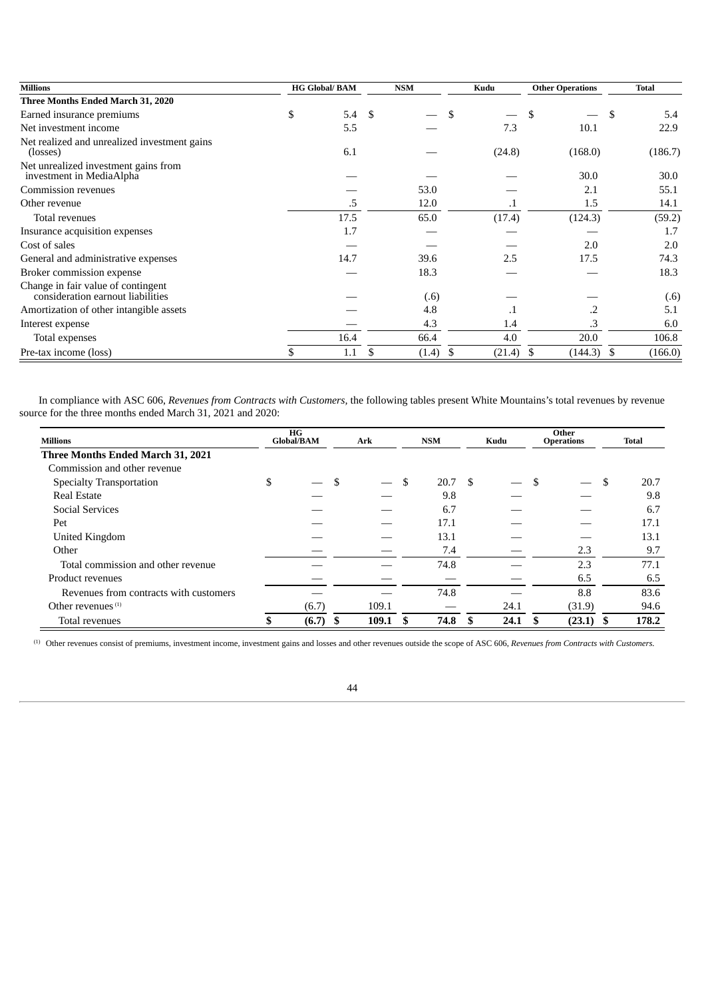| <b>Millions</b>                                                         | <b>HG Global/ BAM</b><br><b>NSM</b> |      | Kudu | <b>Other Operations</b> | <b>Total</b> |               |               |
|-------------------------------------------------------------------------|-------------------------------------|------|------|-------------------------|--------------|---------------|---------------|
| Three Months Ended March 31, 2020                                       |                                     |      |      |                         |              |               |               |
| Earned insurance premiums                                               | \$                                  | 5.4  | - \$ |                         |              | \$            | \$<br>5.4     |
| Net investment income                                                   |                                     | 5.5  |      |                         | 7.3          | 10.1          | 22.9          |
| Net realized and unrealized investment gains<br>(losses)                |                                     | 6.1  |      |                         | (24.8)       | (168.0)       | (186.7)       |
| Net unrealized investment gains from<br>investment in MediaAlpha        |                                     |      |      |                         |              | 30.0          | 30.0          |
| Commission revenues                                                     |                                     |      |      | 53.0                    |              | 2.1           | 55.1          |
| Other revenue                                                           |                                     | .5   |      | 12.0                    | .1           | 1.5           | 14.1          |
| Total revenues                                                          |                                     | 17.5 |      | 65.0                    | (17.4)       | (124.3)       | (59.2)        |
| Insurance acquisition expenses                                          |                                     | 1.7  |      |                         |              |               | 1.7           |
| Cost of sales                                                           |                                     |      |      |                         |              | 2.0           | 2.0           |
| General and administrative expenses                                     |                                     | 14.7 |      | 39.6                    | 2.5          | 17.5          | 74.3          |
| Broker commission expense                                               |                                     |      |      | 18.3                    |              |               | 18.3          |
| Change in fair value of contingent<br>consideration earnout liabilities |                                     |      |      | (.6)                    |              |               | (.6)          |
| Amortization of other intangible assets                                 |                                     |      |      | 4.8                     | .1           | .2            | 5.1           |
| Interest expense                                                        |                                     |      |      | 4.3                     | 1.4          | .3            | 6.0           |
| Total expenses                                                          |                                     | 16.4 |      | 66.4                    | 4.0          | 20.0          | 106.8         |
| Pre-tax income (loss)                                                   |                                     | 1.1  | \$   | (1.4)                   | \$<br>(21.4) | (144.3)<br>\$ | \$<br>(166.0) |

In compliance with ASC 606, *Revenues from Contracts with Customers,* the following tables present White Mountains's total revenues by revenue source for the three months ended March 31, 2021 and 2020:

| <b>Millions</b>                        | HG<br>Global/BAM | Ark   |    | <b>NSM</b>        |    | Kudu | Other<br><b>Operations</b> |     | <b>Total</b> |
|----------------------------------------|------------------|-------|----|-------------------|----|------|----------------------------|-----|--------------|
| Three Months Ended March 31, 2021      |                  |       |    |                   |    |      |                            |     |              |
| Commission and other revenue           |                  |       |    |                   |    |      |                            |     |              |
| <b>Specialty Transportation</b>        | \$               |       | \$ | 20.7 <sup>5</sup> |    |      |                            | \$. | 20.7         |
| Real Estate                            |                  |       |    | 9.8               |    |      |                            |     | 9.8          |
| <b>Social Services</b>                 |                  |       |    | 6.7               |    |      |                            |     | 6.7          |
| Pet                                    |                  |       |    | 17.1              |    |      |                            |     | 17.1         |
| <b>United Kingdom</b>                  |                  |       |    | 13.1              |    |      |                            |     | 13.1         |
| Other                                  |                  |       |    | 7.4               |    |      | 2.3                        |     | 9.7          |
| Total commission and other revenue     |                  |       |    | 74.8              |    |      | 2.3                        |     | 77.1         |
| Product revenues                       |                  |       |    |                   |    |      | 6.5                        |     | 6.5          |
| Revenues from contracts with customers |                  |       |    | 74.8              |    |      | 8.8                        |     | 83.6         |
| Other revenues <sup>(1)</sup>          | (6.7)            | 109.1 |    |                   |    | 24.1 | (31.9)                     |     | 94.6         |
| Total revenues                         | (6.7)            | 109.1 | S  | 74.8              | -S | 24.1 | $(23.1)$ \$                |     | 178.2        |

Other revenues consist of premiums, investment income, investment gains and losses and other revenues outside the scope of ASC 606, *Revenues from Contracts with Customers.* (1)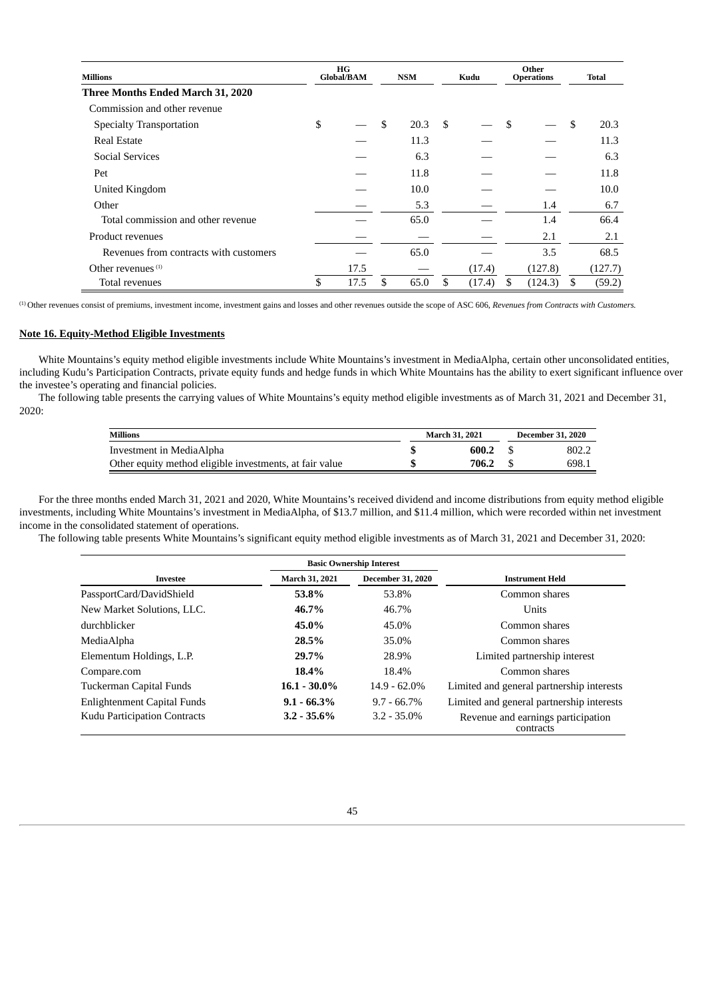| <b>Millions</b>                        | HG<br>Global/BAM | <b>NSM</b> |    | Kudu   |    | Other<br><b>Operations</b> | <b>Total</b> |
|----------------------------------------|------------------|------------|----|--------|----|----------------------------|--------------|
| Three Months Ended March 31, 2020      |                  |            |    |        |    |                            |              |
| Commission and other revenue           |                  |            |    |        |    |                            |              |
| <b>Specialty Transportation</b>        | \$               | \$<br>20.3 | S  |        | \$ |                            | \$<br>20.3   |
| <b>Real Estate</b>                     |                  | 11.3       |    |        |    |                            | 11.3         |
| <b>Social Services</b>                 |                  | 6.3        |    |        |    |                            | 6.3          |
| Pet                                    |                  | 11.8       |    |        |    |                            | 11.8         |
| United Kingdom                         |                  | 10.0       |    |        |    |                            | 10.0         |
| Other                                  |                  | 5.3        |    |        |    | 1.4                        | 6.7          |
| Total commission and other revenue     |                  | 65.0       |    |        |    | 1.4                        | 66.4         |
| Product revenues                       |                  |            |    |        |    | 2.1                        | 2.1          |
| Revenues from contracts with customers |                  | 65.0       |    |        |    | 3.5                        | 68.5         |
| Other revenues <sup>(1)</sup>          | 17.5             |            |    | (17.4) |    | (127.8)                    | (127.7)      |
| Total revenues                         | 17.5             | \$<br>65.0 | \$ | (17.4) | S  | (124.3)                    | \$<br>(59.2) |

Other revenues consist of premiums, investment income, investment gains and losses and other revenues outside the scope of ASC 606, *Revenues from Contracts with Customers.* (1)

# **Note 16. Equity-Method Eligible Investments**

White Mountains's equity method eligible investments include White Mountains's investment in MediaAlpha, certain other unconsolidated entities, including Kudu's Participation Contracts, private equity funds and hedge funds in which White Mountains has the ability to exert significant influence over the investee's operating and financial policies.

The following table presents the carrying values of White Mountains's equity method eligible investments as of March 31, 2021 and December 31, 2020:

| <b>Millions</b>                                         |  | <b>March 31, 2021</b> | <b>December 31, 2020</b> |       |  |
|---------------------------------------------------------|--|-----------------------|--------------------------|-------|--|
| Investment in MediaAlpha                                |  | 600.2                 |                          | 802.2 |  |
| Other equity method eligible investments, at fair value |  | 706.2                 |                          | 698.1 |  |

For the three months ended March 31, 2021 and 2020, White Mountains's received dividend and income distributions from equity method eligible investments, including White Mountains's investment in MediaAlpha, of \$13.7 million, and \$11.4 million, which were recorded within net investment income in the consolidated statement of operations.

The following table presents White Mountains's significant equity method eligible investments as of March 31, 2021 and December 31, 2020:

|                              |                 | <b>Basic Ownership Interest</b> |                                                 |
|------------------------------|-----------------|---------------------------------|-------------------------------------------------|
| <b>Investee</b>              | March 31, 2021  | <b>December 31, 2020</b>        | <b>Instrument Held</b>                          |
| PassportCard/DavidShield     | 53.8%           | 53.8%                           | Common shares                                   |
| New Market Solutions, LLC.   | 46.7%           | 46.7%                           | Units                                           |
| durchblicker                 | 45.0%           | 45.0%                           | Common shares                                   |
| MediaAlpha                   | 28.5%           | 35.0%                           | Common shares                                   |
| Elementum Holdings, L.P.     | 29.7%           | 28.9%                           | Limited partnership interest                    |
| Compare.com                  | 18.4%           | 18.4%                           | Common shares                                   |
| Tuckerman Capital Funds      | $16.1 - 30.0\%$ | $14.9 - 62.0\%$                 | Limited and general partnership interests       |
| Enlightenment Capital Funds  | $9.1 - 66.3\%$  | $9.7 - 66.7\%$                  | Limited and general partnership interests       |
| Kudu Participation Contracts | $3.2 - 35.6\%$  | $3.2 - 35.0\%$                  | Revenue and earnings participation<br>contracts |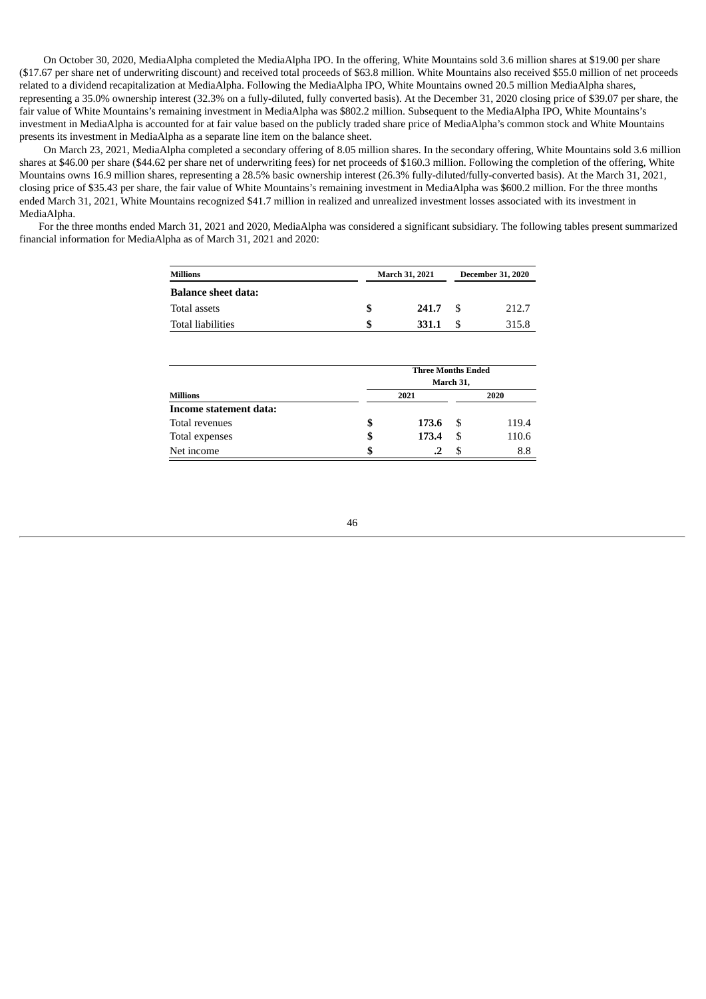On October 30, 2020, MediaAlpha completed the MediaAlpha IPO. In the offering, White Mountains sold 3.6 million shares at \$19.00 per share (\$17.67 per share net of underwriting discount) and received total proceeds of \$63.8 million. White Mountains also received \$55.0 million of net proceeds related to a dividend recapitalization at MediaAlpha. Following the MediaAlpha IPO, White Mountains owned 20.5 million MediaAlpha shares, representing a 35.0% ownership interest (32.3% on a fully-diluted, fully converted basis). At the December 31, 2020 closing price of \$39.07 per share, the fair value of White Mountains's remaining investment in MediaAlpha was \$802.2 million. Subsequent to the MediaAlpha IPO, White Mountains's investment in MediaAlpha is accounted for at fair value based on the publicly traded share price of MediaAlpha's common stock and White Mountains presents its investment in MediaAlpha as a separate line item on the balance sheet.

On March 23, 2021, MediaAlpha completed a secondary offering of 8.05 million shares. In the secondary offering, White Mountains sold 3.6 million shares at \$46.00 per share (\$44.62 per share net of underwriting fees) for net proceeds of \$160.3 million. Following the completion of the offering, White Mountains owns 16.9 million shares, representing a 28.5% basic ownership interest (26.3% fully-diluted/fully-converted basis). At the March 31, 2021, closing price of \$35.43 per share, the fair value of White Mountains's remaining investment in MediaAlpha was \$600.2 million. For the three months ended March 31, 2021, White Mountains recognized \$41.7 million in realized and unrealized investment losses associated with its investment in MediaAlpha.

For the three months ended March 31, 2021 and 2020, MediaAlpha was considered a significant subsidiary. The following tables present summarized financial information for MediaAlpha as of March 31, 2021 and 2020:

| <b>Millions</b>     |    | March 31, 2021 |      | <b>December 31, 2020</b> |  |  |  |
|---------------------|----|----------------|------|--------------------------|--|--|--|
| Balance sheet data: |    |                |      |                          |  |  |  |
| Total assets        | S  | 241.7          | - 56 | 212.7                    |  |  |  |
| Total liabilities   | \$ | 331.1          |      | 315.8                    |  |  |  |

|                        | <b>Three Months Ended</b><br>March 31, |       |      |       |  |  |  |  |  |
|------------------------|----------------------------------------|-------|------|-------|--|--|--|--|--|
|                        |                                        |       |      |       |  |  |  |  |  |
| <b>Millions</b>        |                                        |       | 2020 |       |  |  |  |  |  |
| Income statement data: |                                        |       |      |       |  |  |  |  |  |
| Total revenues         | S                                      | 173.6 |      | 119.4 |  |  |  |  |  |
| Total expenses         | S                                      | 173.4 |      | 110.6 |  |  |  |  |  |
| Net income             | S                                      |       |      | 8.8   |  |  |  |  |  |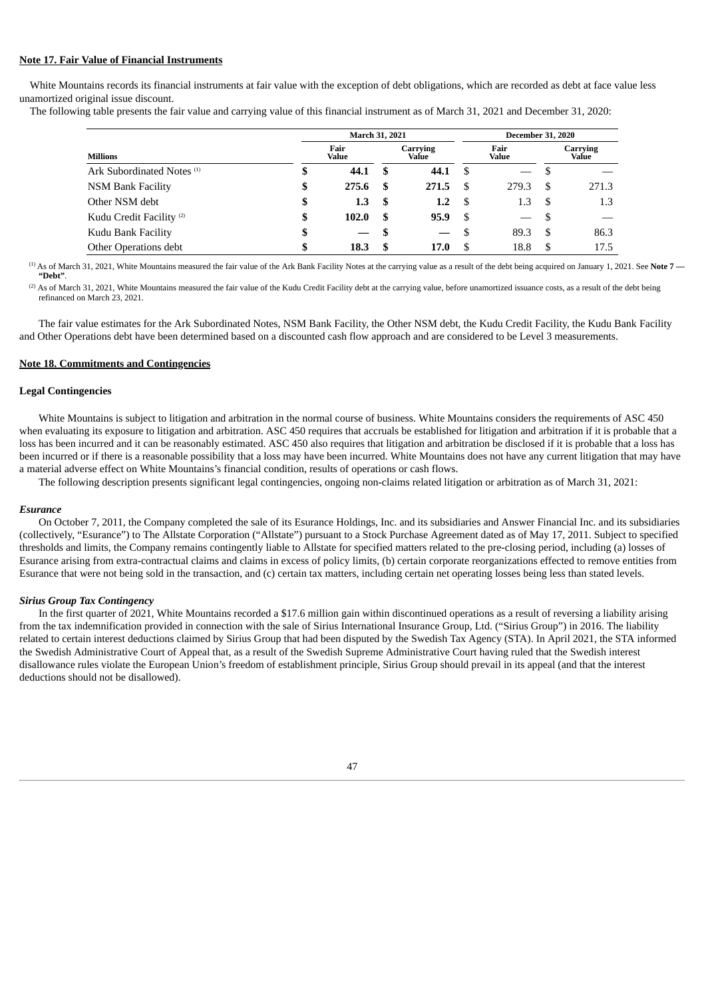## **Note 17. Fair Value of Financial Instruments**

White Mountains records its financial instruments at fair value with the exception of debt obligations, which are recorded as debt at face value less unamortized original issue discount.

The following table presents the fair value and carrying value of this financial instrument as of March 31, 2021 and December 31, 2020:

|                                       |               | March 31, 2021 |    | <b>December 31, 2020</b> |     |               |      |                   |  |  |
|---------------------------------------|---------------|----------------|----|--------------------------|-----|---------------|------|-------------------|--|--|
| <b>Millions</b>                       | Fair<br>Value |                |    | Carrying<br>Value        |     | Fair<br>Value |      | Carrying<br>Value |  |  |
| Ark Subordinated Notes <sup>(1)</sup> | S             | 44.1           | \$ | 44.1                     | S   |               |      |                   |  |  |
| <b>NSM Bank Facility</b>              | \$            | 275.6          | S. | 271.5                    | S   | 279.3         | S    | 271.3             |  |  |
| Other NSM debt                        | \$            | 1.3            | -S | 1.2                      | -S  | 1.3           | -S   | 1.3               |  |  |
| Kudu Credit Facility <sup>(2)</sup>   | \$            | 102.0          | S  | 95.9                     | \$. |               | - \$ |                   |  |  |
| Kudu Bank Facility                    | \$            |                |    |                          | S   | 89.3          | S    | 86.3              |  |  |
| Other Operations debt                 |               | 18.3           |    | 17.0                     | .S  | 18.8          | £.   | 17.5              |  |  |

As of March 31, 2021, White Mountains measured the fair value of the Ark Bank Facility Notes at the carrying value as a result of the debt being acquired on January 1, 2021. See **Note 7 —** (1) **"Debt"**.

 $^{(2)}$  As of March 31, 2021, White Mountains measured the fair value of the Kudu Credit Facility debt at the carrying value, before unamortized issuance costs, as a result of the debt being refinanced on March 23, 2021.

The fair value estimates for the Ark Subordinated Notes, NSM Bank Facility, the Other NSM debt, the Kudu Credit Facility, the Kudu Bank Facility and Other Operations debt have been determined based on a discounted cash flow approach and are considered to be Level 3 measurements.

#### **Note 18. Commitments and Contingencies**

#### **Legal Contingencies**

White Mountains is subject to litigation and arbitration in the normal course of business. White Mountains considers the requirements of ASC 450 when evaluating its exposure to litigation and arbitration. ASC 450 requires that accruals be established for litigation and arbitration if it is probable that a loss has been incurred and it can be reasonably estimated. ASC 450 also requires that litigation and arbitration be disclosed if it is probable that a loss has been incurred or if there is a reasonable possibility that a loss may have been incurred. White Mountains does not have any current litigation that may have a material adverse effect on White Mountains's financial condition, results of operations or cash flows.

The following description presents significant legal contingencies, ongoing non-claims related litigation or arbitration as of March 31, 2021:

#### *Esurance*

On October 7, 2011, the Company completed the sale of its Esurance Holdings, Inc. and its subsidiaries and Answer Financial Inc. and its subsidiaries (collectively, "Esurance") to The Allstate Corporation ("Allstate") pursuant to a Stock Purchase Agreement dated as of May 17, 2011. Subject to specified thresholds and limits, the Company remains contingently liable to Allstate for specified matters related to the pre-closing period, including (a) losses of Esurance arising from extra-contractual claims and claims in excess of policy limits, (b) certain corporate reorganizations effected to remove entities from Esurance that were not being sold in the transaction, and (c) certain tax matters, including certain net operating losses being less than stated levels.

#### *Sirius Group Tax Contingency*

In the first quarter of 2021, White Mountains recorded a \$17.6 million gain within discontinued operations as a result of reversing a liability arising from the tax indemnification provided in connection with the sale of Sirius International Insurance Group, Ltd. ("Sirius Group") in 2016. The liability related to certain interest deductions claimed by Sirius Group that had been disputed by the Swedish Tax Agency (STA). In April 2021, the STA informed the Swedish Administrative Court of Appeal that, as a result of the Swedish Supreme Administrative Court having ruled that the Swedish interest disallowance rules violate the European Union's freedom of establishment principle, Sirius Group should prevail in its appeal (and that the interest deductions should not be disallowed).

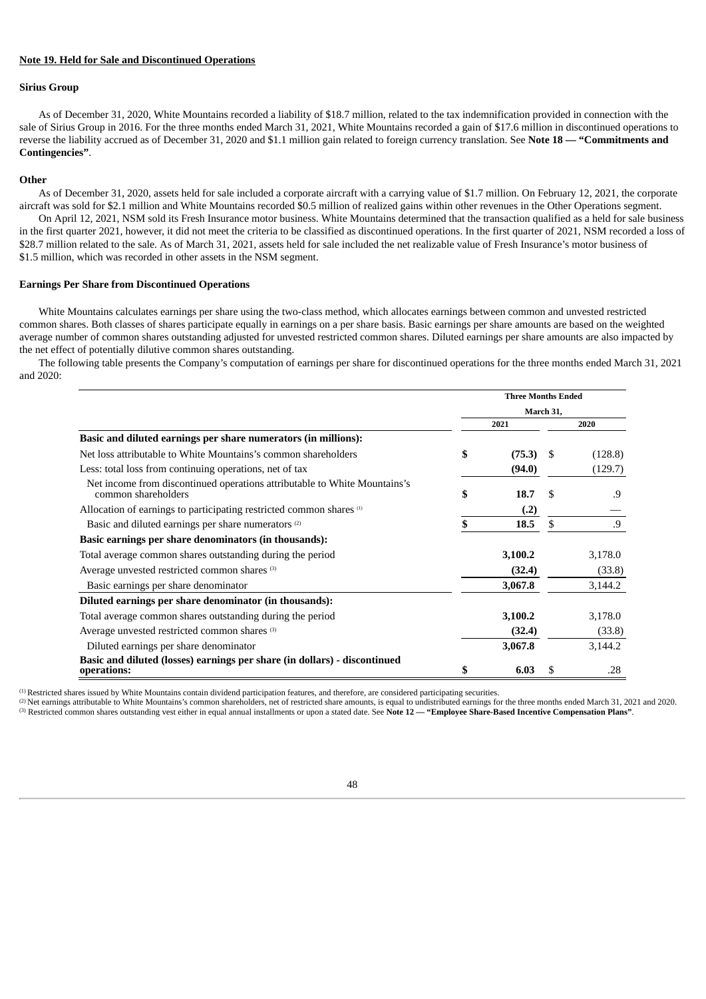## **Note 19. Held for Sale and Discontinued Operations**

## **Sirius Group**

As of December 31, 2020, White Mountains recorded a liability of \$18.7 million, related to the tax indemnification provided in connection with the sale of Sirius Group in 2016. For the three months ended March 31, 2021, White Mountains recorded a gain of \$17.6 million in discontinued operations to reverse the liability accrued as of December 31, 2020 and \$1.1 million gain related to foreign currency translation. See **Note 18 — "Commitments and Contingencies"**.

#### **Other**

As of December 31, 2020, assets held for sale included a corporate aircraft with a carrying value of \$1.7 million. On February 12, 2021, the corporate aircraft was sold for \$2.1 million and White Mountains recorded \$0.5 million of realized gains within other revenues in the Other Operations segment.

On April 12, 2021, NSM sold its Fresh Insurance motor business. White Mountains determined that the transaction qualified as a held for sale business in the first quarter 2021, however, it did not meet the criteria to be classified as discontinued operations. In the first quarter of 2021, NSM recorded a loss of \$28.7 million related to the sale. As of March 31, 2021, assets held for sale included the net realizable value of Fresh Insurance's motor business of \$1.5 million, which was recorded in other assets in the NSM segment.

#### **Earnings Per Share from Discontinued Operations**

White Mountains calculates earnings per share using the two-class method, which allocates earnings between common and unvested restricted common shares. Both classes of shares participate equally in earnings on a per share basis. Basic earnings per share amounts are based on the weighted average number of common shares outstanding adjusted for unvested restricted common shares. Diluted earnings per share amounts are also impacted by the net effect of potentially dilutive common shares outstanding.

The following table presents the Company's computation of earnings per share for discontinued operations for the three months ended March 31, 2021 and  $2020$ 

|                                                                                                  | <b>Three Months Ended</b> |           |         |
|--------------------------------------------------------------------------------------------------|---------------------------|-----------|---------|
|                                                                                                  |                           | March 31. |         |
|                                                                                                  | 2021                      |           | 2020    |
| Basic and diluted earnings per share numerators (in millions):                                   |                           |           |         |
| Net loss attributable to White Mountains's common shareholders                                   | (75.3)                    | -S        | (128.8) |
| Less: total loss from continuing operations, net of tax                                          | (94.0)                    |           | (129.7) |
| Net income from discontinued operations attributable to White Mountains's<br>common shareholders | \$<br>18.7                | .S        | .9      |
| Allocation of earnings to participating restricted common shares (1)                             | (.2)                      |           |         |
| Basic and diluted earnings per share numerators (2)                                              | 18.5                      | \$        | .9      |
| Basic earnings per share denominators (in thousands):                                            |                           |           |         |
| Total average common shares outstanding during the period                                        | 3,100.2                   |           | 3,178.0 |
| Average unvested restricted common shares (3)                                                    | (32.4)                    |           | (33.8)  |
| Basic earnings per share denominator                                                             | 3,067.8                   |           | 3,144.2 |
| Diluted earnings per share denominator (in thousands):                                           |                           |           |         |
| Total average common shares outstanding during the period                                        | 3,100.2                   |           | 3,178.0 |
| Average unvested restricted common shares (3)                                                    | (32.4)                    |           | (33.8)  |
| Diluted earnings per share denominator                                                           | 3,067.8                   |           | 3,144.2 |
| Basic and diluted (losses) earnings per share (in dollars) - discontinued<br>operations:         | \$<br>6.03                | S         | .28     |

 $<sup>(1)</sup>$  Restricted shares issued by White Mountains contain dividend participation features, and therefore, are considered participating securities.</sup>

(2) Net earnings attributable to White Mountains's common shareholders, net of restricted share amounts, is equal to undistributed earnings for the three months ended March 31, 2021 and 2020. (3) Restricted common shares outstanding vest either in equal annual installments or upon a stated date. See Note 12 — "Employee Share-Based Incentive Compensation Plans".

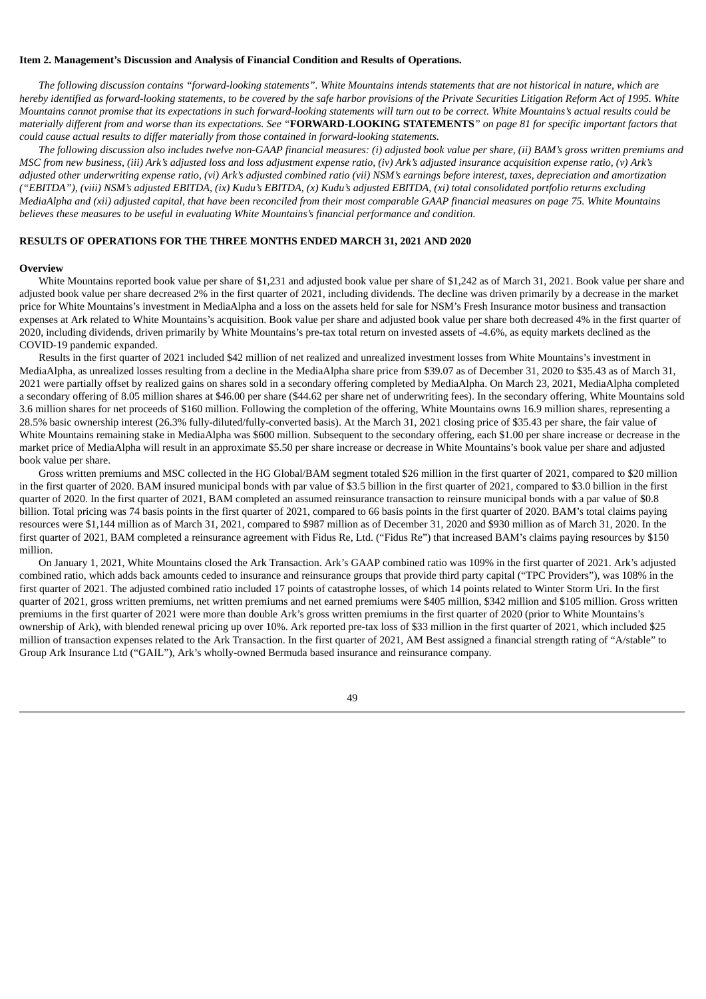### **Item 2. Management's Discussion and Analysis of Financial Condition and Results of Operations.**

The following discussion contains "forward-looking statements". White Mountains intends statements that are not historical in nature, which are hereby identified as forward-looking statements, to be covered by the safe harbor provisions of the Private Securities Litigation Reform Act of 1995. White Mountains cannot promise that its expectations in such forward-looking statements will turn out to be correct. White Mountains's actual results could be materially different from and worse than its expectations. See "FORWARD-LOOKING STATEMENTS" on page 81 for specific important factors that *could cause actual results to differ materially from those contained in forward-looking statements.*

The following discussion also includes twelve non-GAAP financial measures: (i) adjusted book value per share, (ii) BAM's gross written premiums and MSC from new business, (iii) Ark's adjusted loss and loss adjustment expense ratio, (iv) Ark's adjusted insurance acquisition expense ratio, (v) Ark's adjusted other underwriting expense ratio, (vi) Ark's adjusted combined ratio (vii) NSM's earnings before interest, taxes, depreciation and amortization ("EBITDA"), (viii) NSM's adjusted EBITDA, (ix) Kudu's EBITDA, (x) Kudu's adjusted EBITDA, (xi) total consolidated portfolio returns excluding MediaAlpha and (xii) adjusted capital, that have been reconciled from their most comparable GAAP financial measures on page 75. White Mountains *believes these measures to be useful in evaluating White Mountains's financial performance and condition.*

## **RESULTS OF OPERATIONS FOR THE THREE MONTHS ENDED MARCH 31, 2021 AND 2020**

#### **Overview**

White Mountains reported book value per share of \$1,231 and adjusted book value per share of \$1,242 as of March 31, 2021. Book value per share and adjusted book value per share decreased 2% in the first quarter of 2021, including dividends. The decline was driven primarily by a decrease in the market price for White Mountains's investment in MediaAlpha and a loss on the assets held for sale for NSM's Fresh Insurance motor business and transaction expenses at Ark related to White Mountains's acquisition. Book value per share and adjusted book value per share both decreased 4% in the first quarter of 2020, including dividends, driven primarily by White Mountains's pre-tax total return on invested assets of -4.6%, as equity markets declined as the COVID-19 pandemic expanded.

Results in the first quarter of 2021 included \$42 million of net realized and unrealized investment losses from White Mountains's investment in MediaAlpha, as unrealized losses resulting from a decline in the MediaAlpha share price from \$39.07 as of December 31, 2020 to \$35.43 as of March 31, 2021 were partially offset by realized gains on shares sold in a secondary offering completed by MediaAlpha. On March 23, 2021, MediaAlpha completed a secondary offering of 8.05 million shares at \$46.00 per share (\$44.62 per share net of underwriting fees). In the secondary offering, White Mountains sold 3.6 million shares for net proceeds of \$160 million. Following the completion of the offering, White Mountains owns 16.9 million shares, representing a 28.5% basic ownership interest (26.3% fully-diluted/fully-converted basis). At the March 31, 2021 closing price of \$35.43 per share, the fair value of White Mountains remaining stake in MediaAlpha was \$600 million. Subsequent to the secondary offering, each \$1.00 per share increase or decrease in the market price of MediaAlpha will result in an approximate \$5.50 per share increase or decrease in White Mountains's book value per share and adjusted book value per share.

Gross written premiums and MSC collected in the HG Global/BAM segment totaled \$26 million in the first quarter of 2021, compared to \$20 million in the first quarter of 2020. BAM insured municipal bonds with par value of \$3.5 billion in the first quarter of 2021, compared to \$3.0 billion in the first quarter of 2020. In the first quarter of 2021, BAM completed an assumed reinsurance transaction to reinsure municipal bonds with a par value of \$0.8 billion. Total pricing was 74 basis points in the first quarter of 2021, compared to 66 basis points in the first quarter of 2020. BAM's total claims paying resources were \$1,144 million as of March 31, 2021, compared to \$987 million as of December 31, 2020 and \$930 million as of March 31, 2020. In the first quarter of 2021, BAM completed a reinsurance agreement with Fidus Re, Ltd. ("Fidus Re") that increased BAM's claims paying resources by \$150 million.

On January 1, 2021, White Mountains closed the Ark Transaction. Ark's GAAP combined ratio was 109% in the first quarter of 2021. Ark's adjusted combined ratio, which adds back amounts ceded to insurance and reinsurance groups that provide third party capital ("TPC Providers"), was 108% in the first quarter of 2021. The adjusted combined ratio included 17 points of catastrophe losses, of which 14 points related to Winter Storm Uri. In the first quarter of 2021, gross written premiums, net written premiums and net earned premiums were \$405 million, \$342 million and \$105 million. Gross written premiums in the first quarter of 2021 were more than double Ark's gross written premiums in the first quarter of 2020 (prior to White Mountains's ownership of Ark), with blended renewal pricing up over 10%. Ark reported pre-tax loss of \$33 million in the first quarter of 2021, which included \$25 million of transaction expenses related to the Ark Transaction. In the first quarter of 2021, AM Best assigned a financial strength rating of "A/stable" to Group Ark Insurance Ltd ("GAIL"), Ark's wholly-owned Bermuda based insurance and reinsurance company.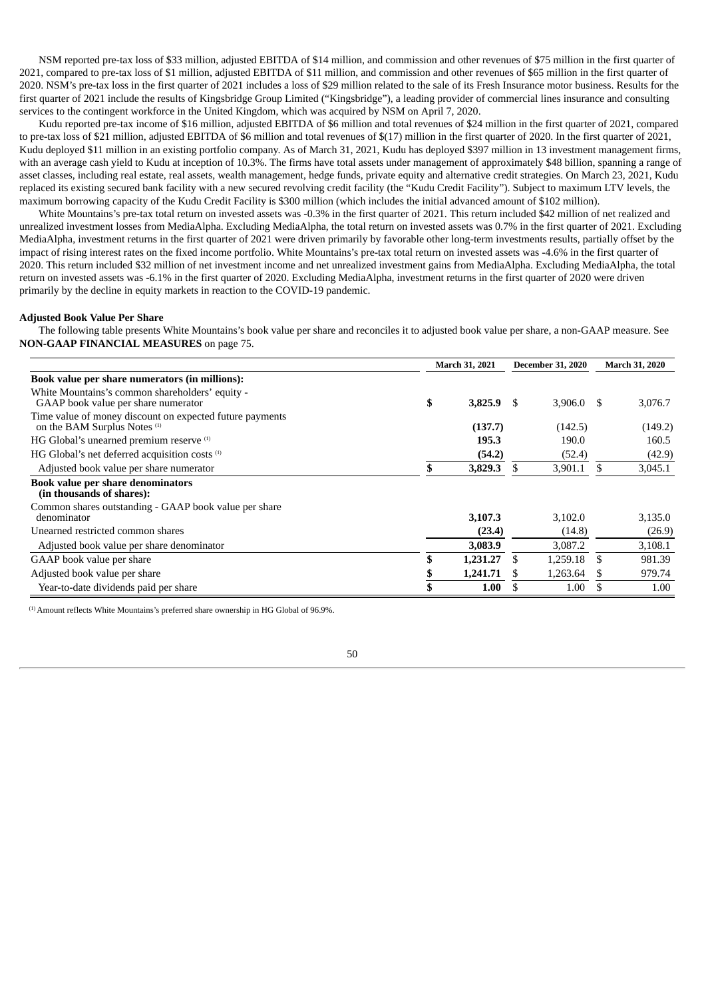NSM reported pre-tax loss of \$33 million, adjusted EBITDA of \$14 million, and commission and other revenues of \$75 million in the first quarter of 2021, compared to pre-tax loss of \$1 million, adjusted EBITDA of \$11 million, and commission and other revenues of \$65 million in the first quarter of 2020. NSM's pre-tax loss in the first quarter of 2021 includes a loss of \$29 million related to the sale of its Fresh Insurance motor business. Results for the first quarter of 2021 include the results of Kingsbridge Group Limited ("Kingsbridge"), a leading provider of commercial lines insurance and consulting services to the contingent workforce in the United Kingdom, which was acquired by NSM on April 7, 2020.

Kudu reported pre-tax income of \$16 million, adjusted EBITDA of \$6 million and total revenues of \$24 million in the first quarter of 2021, compared to pre-tax loss of \$21 million, adjusted EBITDA of \$6 million and total revenues of \$(17) million in the first quarter of 2020. In the first quarter of 2021, Kudu deployed \$11 million in an existing portfolio company. As of March 31, 2021, Kudu has deployed \$397 million in 13 investment management firms, with an average cash yield to Kudu at inception of 10.3%. The firms have total assets under management of approximately \$48 billion, spanning a range of asset classes, including real estate, real assets, wealth management, hedge funds, private equity and alternative credit strategies. On March 23, 2021, Kudu replaced its existing secured bank facility with a new secured revolving credit facility (the "Kudu Credit Facility"). Subject to maximum LTV levels, the maximum borrowing capacity of the Kudu Credit Facility is \$300 million (which includes the initial advanced amount of \$102 million).

White Mountains's pre-tax total return on invested assets was -0.3% in the first quarter of 2021. This return included \$42 million of net realized and unrealized investment losses from MediaAlpha. Excluding MediaAlpha, the total return on invested assets was 0.7% in the first quarter of 2021. Excluding MediaAlpha, investment returns in the first quarter of 2021 were driven primarily by favorable other long-term investments results, partially offset by the impact of rising interest rates on the fixed income portfolio. White Mountains's pre-tax total return on invested assets was -4.6% in the first quarter of 2020. This return included \$32 million of net investment income and net unrealized investment gains from MediaAlpha. Excluding MediaAlpha, the total return on invested assets was -6.1% in the first quarter of 2020. Excluding MediaAlpha, investment returns in the first quarter of 2020 were driven primarily by the decline in equity markets in reaction to the COVID-19 pandemic.

## **Adjusted Book Value Per Share**

The following table presents White Mountains's book value per share and reconciles it to adjusted book value per share, a non-GAAP measure. See **NON-GAAP FINANCIAL MEASURES** on page 75.

|                                                                                                     | March 31, 2021 |    | <b>December 31, 2020</b> | March 31, 2020 |         |
|-----------------------------------------------------------------------------------------------------|----------------|----|--------------------------|----------------|---------|
| Book value per share numerators (in millions):                                                      |                |    |                          |                |         |
| White Mountains's common shareholders' equity -<br>GAAP book value per share numerator              | \$<br>3,825.9  | -S | $3,906.0$ \$             |                | 3,076.7 |
| Time value of money discount on expected future payments<br>on the BAM Surplus Notes <sup>(1)</sup> | (137.7)        |    | (142.5)                  |                | (149.2) |
| HG Global's unearned premium reserve (1)                                                            | 195.3          |    | 190.0                    |                | 160.5   |
| HG Global's net deferred acquisition costs <sup>(1)</sup>                                           | (54.2)         |    | (52.4)                   |                | (42.9)  |
| Adjusted book value per share numerator                                                             | 3,829.3        |    | 3,901.1                  |                | 3,045.1 |
| <b>Book value per share denominators</b><br>(in thousands of shares):                               |                |    |                          |                |         |
| Common shares outstanding - GAAP book value per share<br>denominator                                | 3,107.3        |    | 3,102.0                  |                | 3,135.0 |
| Unearned restricted common shares                                                                   | (23.4)         |    | (14.8)                   |                | (26.9)  |
| Adjusted book value per share denominator                                                           | 3,083.9        |    | 3,087.2                  |                | 3,108.1 |
| GAAP book value per share                                                                           | \$<br>1,231.27 |    | 1,259.18                 |                | 981.39  |
| Adjusted book value per share                                                                       | 1,241.71       |    | 1,263.64                 | C              | 979.74  |
| Year-to-date dividends paid per share                                                               | 1.00           |    | 1.00                     |                | 1.00    |

Amount reflects White Mountains's preferred share ownership in HG Global of 96.9%. (1)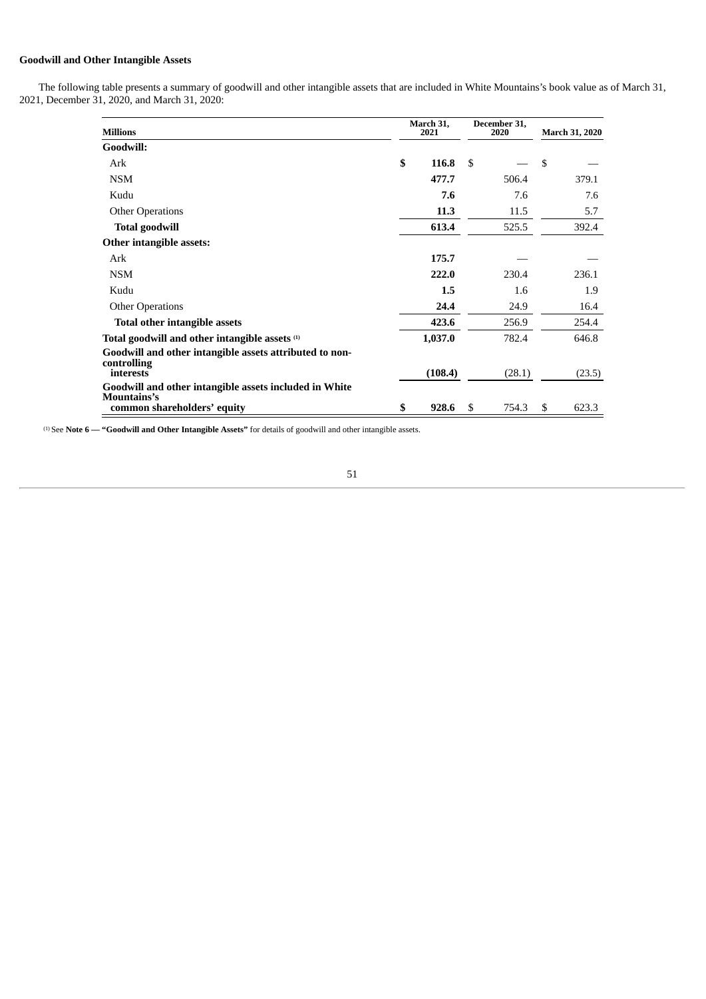# **Goodwill and Other Intangible Assets**

The following table presents a summary of goodwill and other intangible assets that are included in White Mountains's book value as of March 31, 2021, December 31, 2020, and March 31, 2020:

| <b>Millions</b>                                                              |    | March 31,<br>2021 |               | December 31.<br>2020 | <b>March 31, 2020</b> |  |
|------------------------------------------------------------------------------|----|-------------------|---------------|----------------------|-----------------------|--|
| Goodwill:                                                                    |    |                   |               |                      |                       |  |
| Ark                                                                          | \$ | 116.8             | <sup>\$</sup> |                      | \$                    |  |
| <b>NSM</b>                                                                   |    | 477.7             |               | 506.4                | 379.1                 |  |
| Kudu                                                                         |    | 7.6               |               | 7.6                  | 7.6                   |  |
| <b>Other Operations</b>                                                      |    | 11.3              |               | 11.5                 | 5.7                   |  |
| <b>Total goodwill</b>                                                        |    | 613.4             |               | 525.5                | 392.4                 |  |
| Other intangible assets:                                                     |    |                   |               |                      |                       |  |
| Ark                                                                          |    | 175.7             |               |                      |                       |  |
| <b>NSM</b>                                                                   |    | 222.0             |               | 230.4                | 236.1                 |  |
| Kudu                                                                         |    | 1.5               |               | 1.6                  | 1.9                   |  |
| <b>Other Operations</b>                                                      |    | 24.4              |               | 24.9                 | 16.4                  |  |
| <b>Total other intangible assets</b>                                         |    | 423.6             |               | 256.9                | 254.4                 |  |
| Total goodwill and other intangible assets <sup>(1)</sup>                    |    | 1,037.0           |               | 782.4                | 646.8                 |  |
| Goodwill and other intangible assets attributed to non-<br>controlling       |    |                   |               |                      |                       |  |
| interests                                                                    |    | (108.4)           |               | (28.1)               | (23.5)                |  |
| Goodwill and other intangible assets included in White<br><b>Mountains's</b> |    |                   |               |                      |                       |  |
| common shareholders' equity                                                  | \$ | 928.6             | \$            | 754.3                | \$<br>623.3           |  |

See **Note 6 — "Goodwill and Other Intangible Assets"** for details of goodwill and other intangible assets. (1)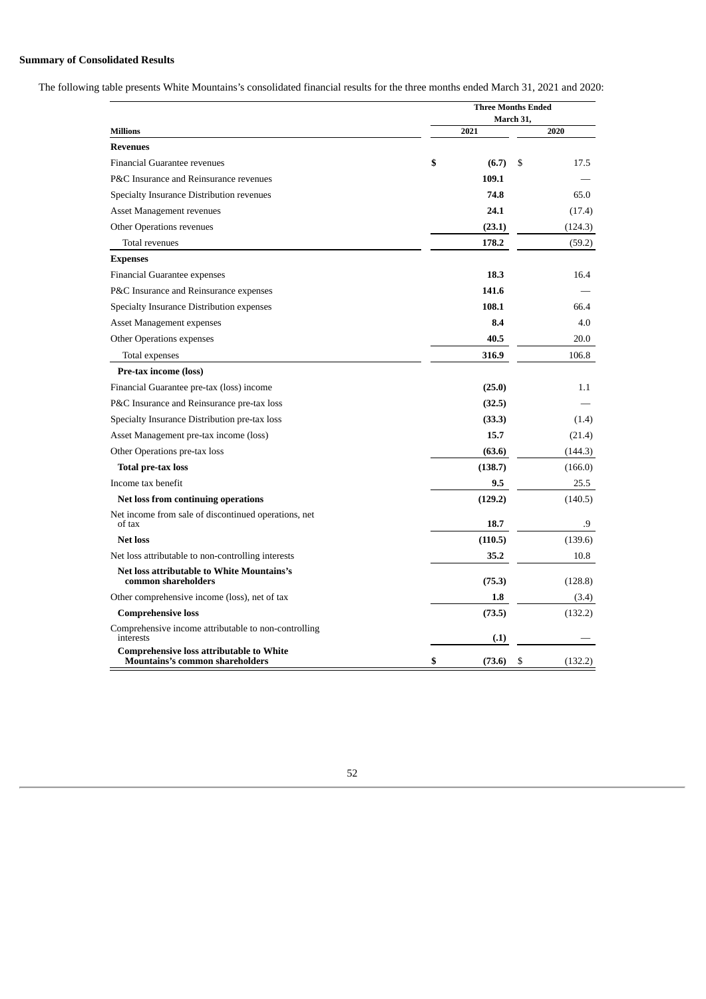# **Summary of Consolidated Results**

The following table presents White Mountains's consolidated financial results for the three months ended March 31, 2021 and 2020:

|                                                                                    | <b>Three Months Ended</b> |           |         |  |  |
|------------------------------------------------------------------------------------|---------------------------|-----------|---------|--|--|
|                                                                                    |                           | March 31, |         |  |  |
| <b>Millions</b>                                                                    | 2021                      |           | 2020    |  |  |
| <b>Revenues</b>                                                                    |                           |           |         |  |  |
| <b>Financial Guarantee revenues</b>                                                | \$<br>(6.7)               | \$        | 17.5    |  |  |
| P&C Insurance and Reinsurance revenues                                             | 109.1                     |           |         |  |  |
| Specialty Insurance Distribution revenues                                          | 74.8                      |           | 65.0    |  |  |
| Asset Management revenues                                                          | 24.1                      |           | (17.4)  |  |  |
| Other Operations revenues                                                          | (23.1)                    |           | (124.3) |  |  |
| Total revenues                                                                     | 178.2                     |           | (59.2)  |  |  |
| <b>Expenses</b>                                                                    |                           |           |         |  |  |
| <b>Financial Guarantee expenses</b>                                                | 18.3                      |           | 16.4    |  |  |
| P&C Insurance and Reinsurance expenses                                             | 141.6                     |           |         |  |  |
| Specialty Insurance Distribution expenses                                          | 108.1                     |           | 66.4    |  |  |
| Asset Management expenses                                                          | 8.4                       |           | 4.0     |  |  |
| <b>Other Operations expenses</b>                                                   | 40.5                      |           | 20.0    |  |  |
| Total expenses                                                                     | 316.9                     |           | 106.8   |  |  |
| Pre-tax income (loss)                                                              |                           |           |         |  |  |
| Financial Guarantee pre-tax (loss) income                                          | (25.0)                    |           | $1.1\,$ |  |  |
| P&C Insurance and Reinsurance pre-tax loss                                         | (32.5)                    |           |         |  |  |
| Specialty Insurance Distribution pre-tax loss                                      | (33.3)                    |           | (1.4)   |  |  |
| Asset Management pre-tax income (loss)                                             | 15.7                      |           | (21.4)  |  |  |
| Other Operations pre-tax loss                                                      | (63.6)                    |           | (144.3) |  |  |
| <b>Total pre-tax loss</b>                                                          | (138.7)                   |           | (166.0) |  |  |
| Income tax benefit                                                                 | 9.5                       |           | 25.5    |  |  |
| Net loss from continuing operations                                                | (129.2)                   |           | (140.5) |  |  |
| Net income from sale of discontinued operations, net<br>of tax                     | 18.7                      |           | .9      |  |  |
| <b>Net loss</b>                                                                    | (110.5)                   |           | (139.6) |  |  |
| Net loss attributable to non-controlling interests                                 | 35.2                      |           | 10.8    |  |  |
| <b>Net loss attributable to White Mountains's</b><br>common shareholders           | (75.3)                    |           | (128.8) |  |  |
| Other comprehensive income (loss), net of tax                                      | 1.8                       |           | (3.4)   |  |  |
| <b>Comprehensive loss</b>                                                          | (73.5)                    |           | (132.2) |  |  |
| Comprehensive income attributable to non-controlling<br>interests                  | (.1)                      |           |         |  |  |
| Comprehensive loss attributable to White<br><b>Mountains's common shareholders</b> | \$<br>(73.6)              | \$        | (132.2) |  |  |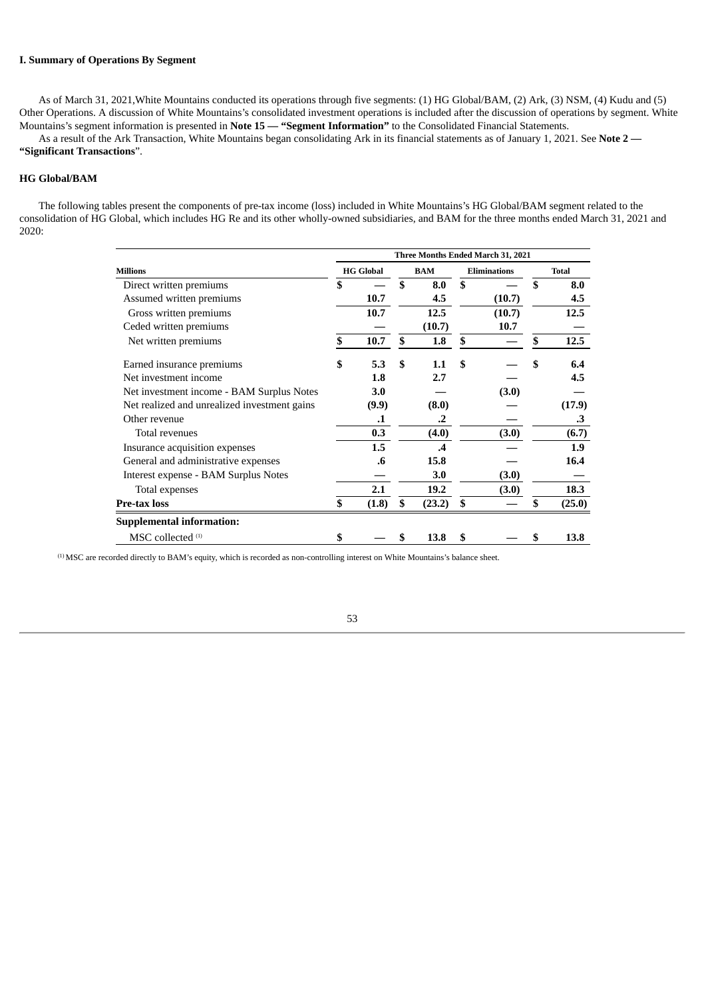## **I. Summary of Operations By Segment**

As of March 31, 2021,White Mountains conducted its operations through five segments: (1) HG Global/BAM, (2) Ark, (3) NSM, (4) Kudu and (5) Other Operations. A discussion of White Mountains's consolidated investment operations is included after the discussion of operations by segment. White Mountains's segment information is presented in **Note 15 — "Segment Information"** to the Consolidated Financial Statements.

As a result of the Ark Transaction, White Mountains began consolidating Ark in its financial statements as of January 1, 2021. See **Note 2 — "Significant Transactions**".

#### **HG Global/BAM**

The following tables present the components of pre-tax income (loss) included in White Mountains's HG Global/BAM segment related to the consolidation of HG Global, which includes HG Re and its other wholly-owned subsidiaries, and BAM for the three months ended March 31, 2021 and 2020:

|                                              |                  |              | Three Months Ended March 31, 2021 |              |
|----------------------------------------------|------------------|--------------|-----------------------------------|--------------|
| <b>Millions</b>                              | <b>HG Global</b> | <b>BAM</b>   | <b>Eliminations</b>               | <b>Total</b> |
| Direct written premiums                      | \$               | \$<br>8.0    | \$                                | \$<br>8.0    |
| Assumed written premiums                     | 10.7             | 4.5          | (10.7)                            | 4.5          |
| Gross written premiums                       | 10.7             | 12.5         | (10.7)                            | 12.5         |
| Ceded written premiums                       |                  | (10.7)       | 10.7                              |              |
| Net written premiums                         | \$<br>10.7       | \$<br>1.8    | \$                                | \$<br>12.5   |
| Earned insurance premiums                    | \$<br>5.3        | \$<br>1.1    | \$                                | \$<br>6.4    |
| Net investment income                        | 1.8              | 2.7          |                                   | 4.5          |
| Net investment income - BAM Surplus Notes    | 3.0              |              | (3.0)                             |              |
| Net realized and unrealized investment gains | (9.9)            | (8.0)        |                                   | (17.9)       |
| Other revenue                                | $\cdot$ 1        | .2           |                                   | .3           |
| Total revenues                               | 0.3              | (4.0)        | (3.0)                             | (6.7)        |
| Insurance acquisition expenses               | 1.5              | .4           |                                   | 1.9          |
| General and administrative expenses          | .6               | 15.8         |                                   | 16.4         |
| Interest expense - BAM Surplus Notes         |                  | 3.0          | (3.0)                             |              |
| Total expenses                               | 2.1              | 19.2         | (3.0)                             | 18.3         |
| <b>Pre-tax loss</b>                          | \$<br>(1.8)      | \$<br>(23.2) | \$                                | \$<br>(25.0) |
| <b>Supplemental information:</b>             |                  |              |                                   |              |
| MSC collected <sup>(1)</sup>                 | \$               | 13.8         | \$                                | \$<br>13.8   |

 $^{(1)}$  MSC are recorded directly to BAM's equity, which is recorded as non-controlling interest on White Mountains's balance sheet.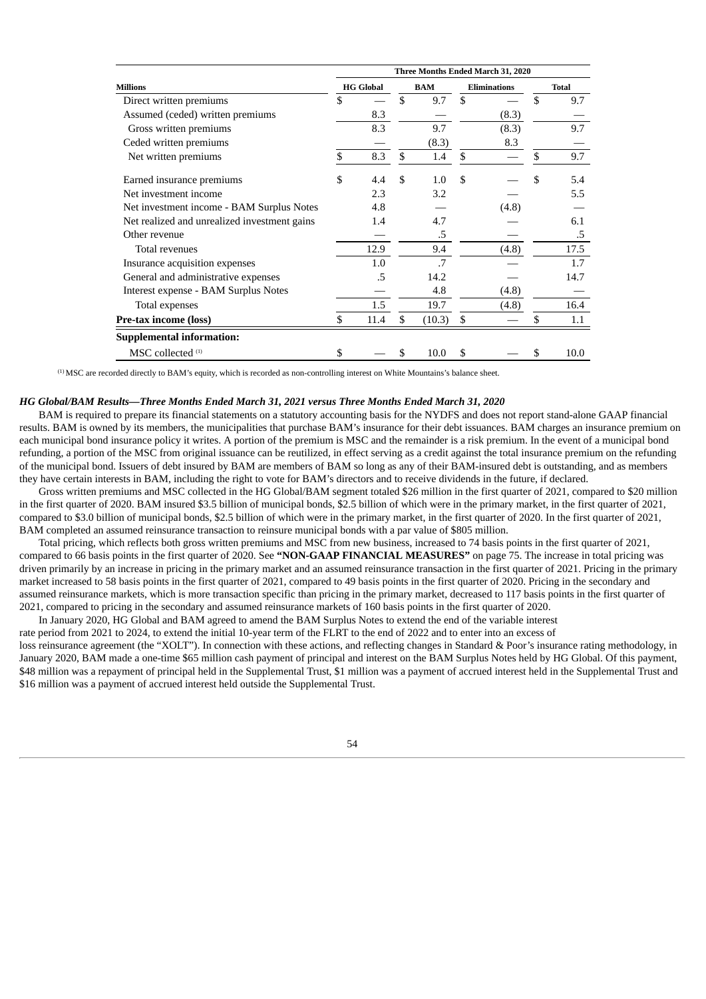|                                              |                                |     |        |                     | Three Months Ended March 31, 2020 |              |      |  |  |  |  |  |
|----------------------------------------------|--------------------------------|-----|--------|---------------------|-----------------------------------|--------------|------|--|--|--|--|--|
| <b>Millions</b>                              | <b>HG Global</b><br><b>BAM</b> |     |        | <b>Eliminations</b> |                                   | <b>Total</b> |      |  |  |  |  |  |
| Direct written premiums                      | \$                             | \$  | 9.7    | \$                  |                                   | \$           | 9.7  |  |  |  |  |  |
| Assumed (ceded) written premiums             | 8.3                            |     |        |                     | (8.3)                             |              |      |  |  |  |  |  |
| Gross written premiums                       | 8.3                            |     | 9.7    |                     | (8.3)                             |              | 9.7  |  |  |  |  |  |
| Ceded written premiums                       |                                |     | (8.3)  |                     | 8.3                               |              |      |  |  |  |  |  |
| Net written premiums                         | \$<br>8.3                      | \$  | 1.4    | \$                  |                                   | \$           | 9.7  |  |  |  |  |  |
| Earned insurance premiums                    | \$<br>4.4                      | \$. | 1.0    | \$                  |                                   | \$           | 5.4  |  |  |  |  |  |
| Net investment income                        | 2.3                            |     | 3.2    |                     |                                   |              | 5.5  |  |  |  |  |  |
| Net investment income - BAM Surplus Notes    | 4.8                            |     |        |                     | (4.8)                             |              |      |  |  |  |  |  |
| Net realized and unrealized investment gains | 1.4                            |     | 4.7    |                     |                                   |              | 6.1  |  |  |  |  |  |
| Other revenue                                |                                |     | .5     |                     |                                   |              | .5   |  |  |  |  |  |
| Total revenues                               | 12.9                           |     | 9.4    |                     | (4.8)                             |              | 17.5 |  |  |  |  |  |
| Insurance acquisition expenses               | 1.0                            |     | .7     |                     |                                   |              | 1.7  |  |  |  |  |  |
| General and administrative expenses          | .5                             |     | 14.2   |                     |                                   |              | 14.7 |  |  |  |  |  |
| Interest expense - BAM Surplus Notes         |                                |     | 4.8    |                     | (4.8)                             |              |      |  |  |  |  |  |
| Total expenses                               | 1.5                            |     | 19.7   |                     | (4.8)                             |              | 16.4 |  |  |  |  |  |
| Pre-tax income (loss)                        | \$<br>11.4                     | \$. | (10.3) | \$                  |                                   | \$           | 1.1  |  |  |  |  |  |
| <b>Supplemental information:</b>             |                                |     |        |                     |                                   |              |      |  |  |  |  |  |
| MSC collected <sup>(1)</sup>                 | \$                             | \$. | 10.0   | \$                  |                                   | \$           | 10.0 |  |  |  |  |  |

MSC are recorded directly to BAM's equity, which is recorded as non-controlling interest on White Mountains's balance sheet. (1)

#### *HG Global/BAM Results—Three Months Ended March 31, 2021 versus Three Months Ended March 31, 2020*

BAM is required to prepare its financial statements on a statutory accounting basis for the NYDFS and does not report stand-alone GAAP financial results. BAM is owned by its members, the municipalities that purchase BAM's insurance for their debt issuances. BAM charges an insurance premium on each municipal bond insurance policy it writes. A portion of the premium is MSC and the remainder is a risk premium. In the event of a municipal bond refunding, a portion of the MSC from original issuance can be reutilized, in effect serving as a credit against the total insurance premium on the refunding of the municipal bond. Issuers of debt insured by BAM are members of BAM so long as any of their BAM-insured debt is outstanding, and as members they have certain interests in BAM, including the right to vote for BAM's directors and to receive dividends in the future, if declared.

Gross written premiums and MSC collected in the HG Global/BAM segment totaled \$26 million in the first quarter of 2021, compared to \$20 million in the first quarter of 2020. BAM insured \$3.5 billion of municipal bonds, \$2.5 billion of which were in the primary market, in the first quarter of 2021, compared to \$3.0 billion of municipal bonds, \$2.5 billion of which were in the primary market, in the first quarter of 2020. In the first quarter of 2021, BAM completed an assumed reinsurance transaction to reinsure municipal bonds with a par value of \$805 million.

Total pricing, which reflects both gross written premiums and MSC from new business, increased to 74 basis points in the first quarter of 2021, compared to 66 basis points in the first quarter of 2020. See **"NON-GAAP FINANCIAL MEASURES"** on page 75. The increase in total pricing was driven primarily by an increase in pricing in the primary market and an assumed reinsurance transaction in the first quarter of 2021. Pricing in the primary market increased to 58 basis points in the first quarter of 2021, compared to 49 basis points in the first quarter of 2020. Pricing in the secondary and assumed reinsurance markets, which is more transaction specific than pricing in the primary market, decreased to 117 basis points in the first quarter of 2021, compared to pricing in the secondary and assumed reinsurance markets of 160 basis points in the first quarter of 2020.

In January 2020, HG Global and BAM agreed to amend the BAM Surplus Notes to extend the end of the variable interest

rate period from 2021 to 2024, to extend the initial 10-year term of the FLRT to the end of 2022 and to enter into an excess of

loss reinsurance agreement (the "XOLT"). In connection with these actions, and reflecting changes in Standard & Poor's insurance rating methodology, in January 2020, BAM made a one-time \$65 million cash payment of principal and interest on the BAM Surplus Notes held by HG Global. Of this payment, \$48 million was a repayment of principal held in the Supplemental Trust, \$1 million was a payment of accrued interest held in the Supplemental Trust and \$16 million was a payment of accrued interest held outside the Supplemental Trust.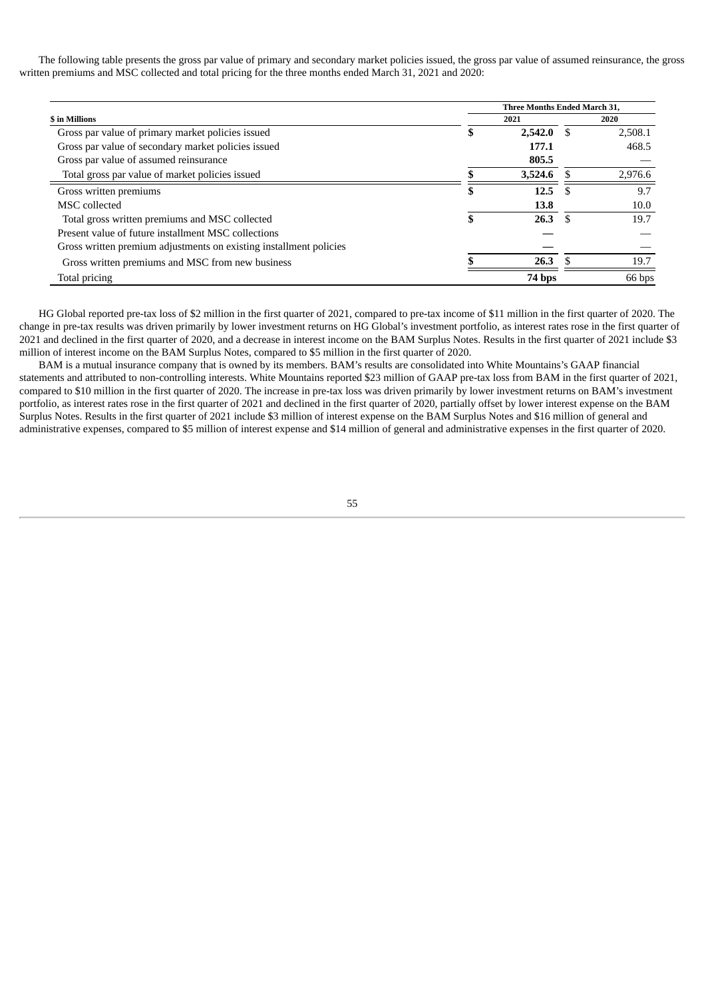The following table presents the gross par value of primary and secondary market policies issued, the gross par value of assumed reinsurance, the gross written premiums and MSC collected and total pricing for the three months ended March 31, 2021 and 2020:

|                                                                    |    | Three Months Ended March 31, |  |         |  |  |  |
|--------------------------------------------------------------------|----|------------------------------|--|---------|--|--|--|
| \$ in Millions                                                     |    | 2021                         |  |         |  |  |  |
| Gross par value of primary market policies issued                  | п. | 2,542.0                      |  | 2,508.1 |  |  |  |
| Gross par value of secondary market policies issued                |    | 177.1                        |  | 468.5   |  |  |  |
| Gross par value of assumed reinsurance                             |    | 805.5                        |  |         |  |  |  |
| Total gross par value of market policies issued                    |    | 3,524.6                      |  | 2,976.6 |  |  |  |
| Gross written premiums                                             | п. | 12.5                         |  | 9.7     |  |  |  |
| MSC collected                                                      |    | 13.8                         |  | 10.0    |  |  |  |
| Total gross written premiums and MSC collected                     |    | 26.3                         |  | 19.7    |  |  |  |
| Present value of future installment MSC collections                |    |                              |  |         |  |  |  |
| Gross written premium adjustments on existing installment policies |    |                              |  |         |  |  |  |
| Gross written premiums and MSC from new business                   |    | 26.3                         |  | 19.7    |  |  |  |
| Total pricing                                                      |    | 74 bps                       |  | 66 bps  |  |  |  |

HG Global reported pre-tax loss of \$2 million in the first quarter of 2021, compared to pre-tax income of \$11 million in the first quarter of 2020. The change in pre-tax results was driven primarily by lower investment returns on HG Global's investment portfolio, as interest rates rose in the first quarter of 2021 and declined in the first quarter of 2020, and a decrease in interest income on the BAM Surplus Notes. Results in the first quarter of 2021 include \$3 million of interest income on the BAM Surplus Notes, compared to \$5 million in the first quarter of 2020.

BAM is a mutual insurance company that is owned by its members. BAM's results are consolidated into White Mountains's GAAP financial statements and attributed to non-controlling interests. White Mountains reported \$23 million of GAAP pre-tax loss from BAM in the first quarter of 2021, compared to \$10 million in the first quarter of 2020. The increase in pre-tax loss was driven primarily by lower investment returns on BAM's investment portfolio, as interest rates rose in the first quarter of 2021 and declined in the first quarter of 2020, partially offset by lower interest expense on the BAM Surplus Notes. Results in the first quarter of 2021 include \$3 million of interest expense on the BAM Surplus Notes and \$16 million of general and administrative expenses, compared to \$5 million of interest expense and \$14 million of general and administrative expenses in the first quarter of 2020.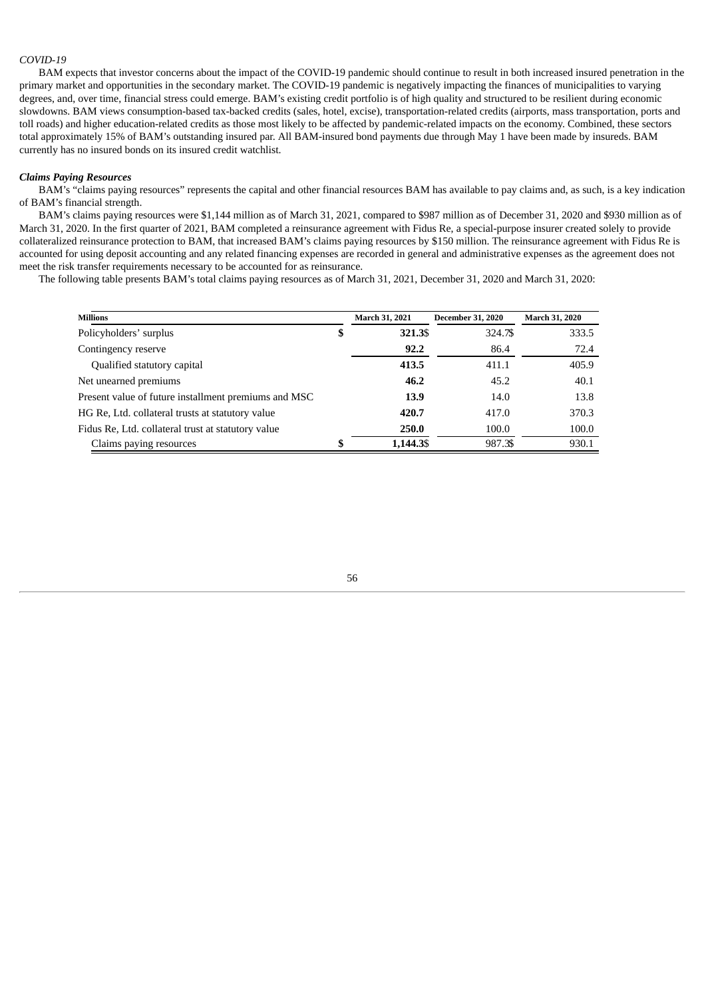## *COVID-19*

BAM expects that investor concerns about the impact of the COVID-19 pandemic should continue to result in both increased insured penetration in the primary market and opportunities in the secondary market. The COVID-19 pandemic is negatively impacting the finances of municipalities to varying degrees, and, over time, financial stress could emerge. BAM's existing credit portfolio is of high quality and structured to be resilient during economic slowdowns. BAM views consumption-based tax-backed credits (sales, hotel, excise), transportation-related credits (airports, mass transportation, ports and toll roads) and higher education-related credits as those most likely to be affected by pandemic-related impacts on the economy. Combined, these sectors total approximately 15% of BAM's outstanding insured par. All BAM-insured bond payments due through May 1 have been made by insureds. BAM currently has no insured bonds on its insured credit watchlist.

## *Claims Paying Resources*

BAM's "claims paying resources" represents the capital and other financial resources BAM has available to pay claims and, as such, is a key indication of BAM's financial strength.

BAM's claims paying resources were \$1,144 million as of March 31, 2021, compared to \$987 million as of December 31, 2020 and \$930 million as of March 31, 2020. In the first quarter of 2021, BAM completed a reinsurance agreement with Fidus Re, a special-purpose insurer created solely to provide collateralized reinsurance protection to BAM, that increased BAM's claims paying resources by \$150 million. The reinsurance agreement with Fidus Re is accounted for using deposit accounting and any related financing expenses are recorded in general and administrative expenses as the agreement does not meet the risk transfer requirements necessary to be accounted for as reinsurance.

The following table presents BAM's total claims paying resources as of March 31, 2021, December 31, 2020 and March 31, 2020:

| Millions                                             | March 31, 2021  | <b>December 31, 2020</b> | <b>March 31, 2020</b> |
|------------------------------------------------------|-----------------|--------------------------|-----------------------|
| Policyholders' surplus                               | \$<br>321.3\$   | 324.7\$                  | 333.5                 |
| Contingency reserve                                  | 92.2            | 86.4                     | 72.4                  |
| Qualified statutory capital                          | 413.5           | 411.1                    | 405.9                 |
| Net unearned premiums                                | 46.2            | 45.2                     | 40.1                  |
| Present value of future installment premiums and MSC | 13.9            | 14.0                     | 13.8                  |
| HG Re, Ltd. collateral trusts at statutory value     | 420.7           | 417.0                    | 370.3                 |
| Fidus Re, Ltd. collateral trust at statutory value   | 250.0           | 100.0                    | 100.0                 |
| Claims paying resources                              | \$<br>1,144.3\$ | 987.3\$                  | 930.1                 |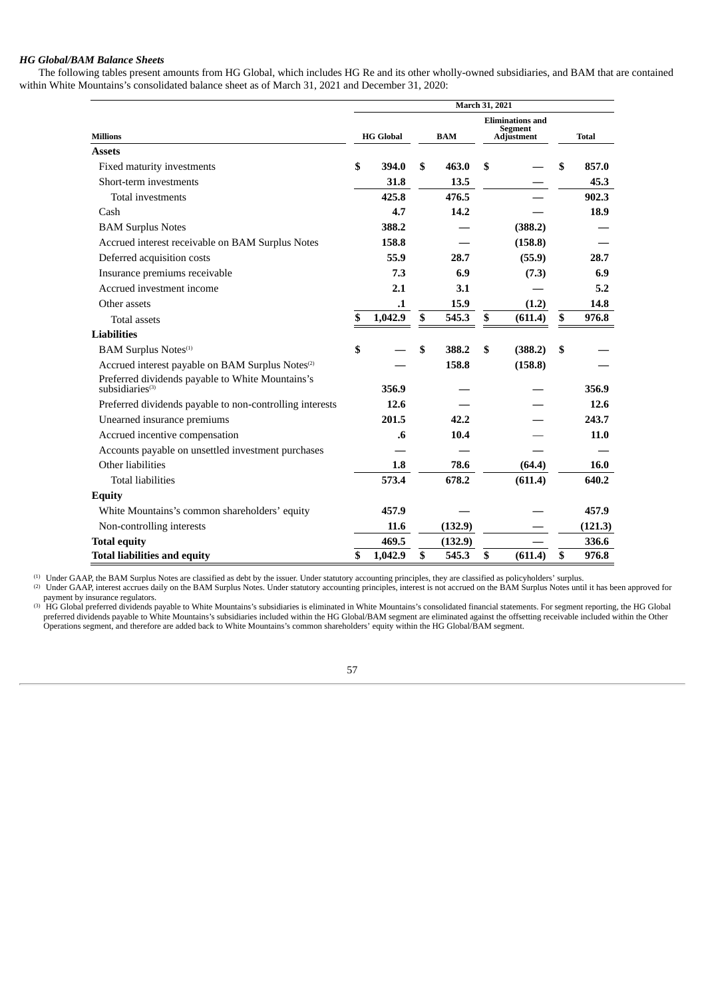# *HG Global/BAM Balance Sheets*

The following tables present amounts from HG Global, which includes HG Re and its other wholly-owned subsidiaries, and BAM that are contained within White Mountains's consolidated balance sheet as of March 31, 2021 and December 31, 2020:

|                                                                                 | March 31, 2021 |                  |    |            |    |                                                         |    |              |  |
|---------------------------------------------------------------------------------|----------------|------------------|----|------------|----|---------------------------------------------------------|----|--------------|--|
| <b>Millions</b>                                                                 |                | <b>HG Global</b> |    | <b>BAM</b> |    | <b>Eliminations and</b><br>Segment<br><b>Adjustment</b> |    | <b>Total</b> |  |
| <b>Assets</b>                                                                   |                |                  |    |            |    |                                                         |    |              |  |
| Fixed maturity investments                                                      | \$             | 394.0            | \$ | 463.0      | \$ |                                                         | \$ | 857.0        |  |
| Short-term investments                                                          |                | 31.8             |    | 13.5       |    |                                                         |    | 45.3         |  |
| Total investments                                                               |                | 425.8            |    | 476.5      |    |                                                         |    | 902.3        |  |
| Cash                                                                            |                | 4.7              |    | 14.2       |    |                                                         |    | 18.9         |  |
| <b>BAM Surplus Notes</b>                                                        |                | 388.2            |    |            |    | (388.2)                                                 |    |              |  |
| Accrued interest receivable on BAM Surplus Notes                                |                | 158.8            |    |            |    | (158.8)                                                 |    |              |  |
| Deferred acquisition costs                                                      |                | 55.9             |    | 28.7       |    | (55.9)                                                  |    | 28.7         |  |
| Insurance premiums receivable                                                   |                | 7.3              |    | 6.9        |    | (7.3)                                                   |    | 6.9          |  |
| Accrued investment income                                                       |                | 2.1              |    | 3.1        |    |                                                         |    | 5.2          |  |
| Other assets                                                                    |                | $\cdot$ 1        |    | 15.9       |    | (1.2)                                                   |    | 14.8         |  |
| <b>Total assets</b>                                                             | \$             | 1,042.9          | \$ | 545.3      | \$ | (611.4)                                                 | \$ | 976.8        |  |
| <b>Liabilities</b>                                                              |                |                  |    |            |    |                                                         |    |              |  |
| <b>BAM Surplus Notes</b> <sup>(1)</sup>                                         | \$             |                  | \$ | 388.2      | \$ | (388.2)                                                 | \$ |              |  |
| Accrued interest payable on BAM Surplus Notes <sup>(2)</sup>                    |                |                  |    | 158.8      |    | (158.8)                                                 |    |              |  |
| Preferred dividends payable to White Mountains's<br>subsidiaries <sup>(3)</sup> |                | 356.9            |    |            |    |                                                         |    | 356.9        |  |
| Preferred dividends payable to non-controlling interests                        |                | 12.6             |    |            |    |                                                         |    | 12.6         |  |
| Unearned insurance premiums                                                     |                | 201.5            |    | 42.2       |    |                                                         |    | 243.7        |  |
| Accrued incentive compensation                                                  |                | .6               |    | 10.4       |    |                                                         |    | 11.0         |  |
| Accounts payable on unsettled investment purchases                              |                |                  |    |            |    |                                                         |    |              |  |
| Other liabilities                                                               |                | 1.8              |    | 78.6       |    | (64.4)                                                  |    | 16.0         |  |
| <b>Total liabilities</b>                                                        |                | 573.4            |    | 678.2      |    | (611.4)                                                 |    | 640.2        |  |
| <b>Equity</b>                                                                   |                |                  |    |            |    |                                                         |    |              |  |
| White Mountains's common shareholders' equity                                   |                | 457.9            |    |            |    |                                                         |    | 457.9        |  |
| Non-controlling interests                                                       |                | 11.6             |    | (132.9)    |    |                                                         |    | (121.3)      |  |
| <b>Total equity</b>                                                             |                | 469.5            |    | (132.9)    |    |                                                         |    | 336.6        |  |
| <b>Total liabilities and equity</b>                                             | \$             | 1,042.9          | \$ | 545.3      | \$ | (611.4)                                                 | \$ | 976.8        |  |

<sup>(1)</sup> Under GAAP, the BAM Surplus Notes are classified as debt by the issuer. Under statutory accounting principles, they are classified as policyholders' surplus.

Under GAAP, interest accrues daily on the BAM Surplus Notes. Under statutory accounting principles, interest is not accrued on the BAM Surplus Notes until it has been approved for payment by insurance regulators. (2)

HG Global preferred dividends payable to White Mountains's subsidiaries is eliminated in White Mountains's consolidated financial statements. For segment reporting, the HG Global preferred dividends payable to White Mountains's subsidiaries included within the HG Global/BAM segment are eliminated against the offsetting receivable included within the Other Operations segment, and therefore are added back to White Mountains's common shareholders' equity within the HG Global/BAM segment. (3)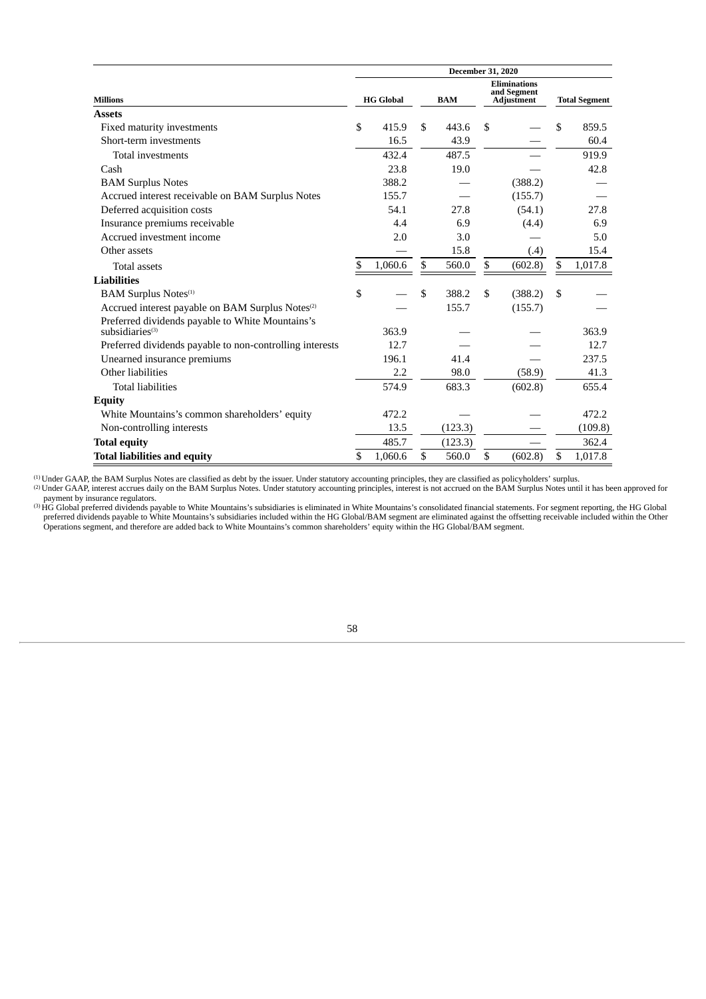|                                                                        | <b>December 31, 2020</b> |                  |    |            |    |                                                         |    |                      |
|------------------------------------------------------------------------|--------------------------|------------------|----|------------|----|---------------------------------------------------------|----|----------------------|
| <b>Millions</b>                                                        |                          | <b>HG Global</b> |    | <b>BAM</b> |    | <b>Eliminations</b><br>and Segment<br><b>Adjustment</b> |    | <b>Total Segment</b> |
| <b>Assets</b>                                                          |                          |                  |    |            |    |                                                         |    |                      |
| Fixed maturity investments                                             | \$                       | 415.9            | \$ | 443.6      | \$ |                                                         | \$ | 859.5                |
| Short-term investments                                                 |                          | 16.5             |    | 43.9       |    |                                                         |    | 60.4                 |
| <b>Total investments</b>                                               |                          | 432.4            |    | 487.5      |    |                                                         |    | 919.9                |
| Cash                                                                   |                          | 23.8             |    | 19.0       |    |                                                         |    | 42.8                 |
| <b>BAM Surplus Notes</b>                                               |                          | 388.2            |    |            |    | (388.2)                                                 |    |                      |
| Accrued interest receivable on BAM Surplus Notes                       |                          | 155.7            |    |            |    | (155.7)                                                 |    |                      |
| Deferred acquisition costs                                             |                          | 54.1             |    | 27.8       |    | (54.1)                                                  |    | 27.8                 |
| Insurance premiums receivable                                          |                          | 4.4              |    | 6.9        |    | (4.4)                                                   |    | 6.9                  |
| Accrued investment income                                              |                          | 2.0              |    | 3.0        |    |                                                         |    | 5.0                  |
| Other assets                                                           |                          |                  |    | 15.8       |    | (.4)                                                    |    | 15.4                 |
| <b>Total assets</b>                                                    | \$                       | 1,060.6          | \$ | 560.0      | \$ | (602.8)                                                 | \$ | 1,017.8              |
| <b>Liabilities</b>                                                     |                          |                  |    |            |    |                                                         |    |                      |
| <b>BAM Surplus Notes</b> <sup>(1)</sup>                                | \$                       |                  | \$ | 388.2      | \$ | (388.2)                                                 | \$ |                      |
| Accrued interest payable on BAM Surplus Notes <sup>(2)</sup>           |                          |                  |    | 155.7      |    | (155.7)                                                 |    |                      |
| Preferred dividends payable to White Mountains's<br>subsidiaries $(3)$ |                          | 363.9            |    |            |    |                                                         |    | 363.9                |
| Preferred dividends payable to non-controlling interests               |                          | 12.7             |    |            |    |                                                         |    | 12.7                 |
| Unearned insurance premiums                                            |                          | 196.1            |    | 41.4       |    |                                                         |    | 237.5                |
| Other liabilities                                                      |                          | 2.2              |    | 98.0       |    | (58.9)                                                  |    | 41.3                 |
| Total liabilities                                                      |                          | 574.9            |    | 683.3      |    | (602.8)                                                 |    | 655.4                |
| <b>Equity</b>                                                          |                          |                  |    |            |    |                                                         |    |                      |
| White Mountains's common shareholders' equity                          |                          | 472.2            |    |            |    |                                                         |    | 472.2                |
| Non-controlling interests                                              |                          | 13.5             |    | (123.3)    |    |                                                         |    | (109.8)              |
| <b>Total equity</b>                                                    |                          | 485.7            |    | (123.3)    |    |                                                         |    | 362.4                |
| <b>Total liabilities and equity</b>                                    | \$                       | 1,060.6          | \$ | 560.0      | \$ | (602.8)                                                 | \$ | 1,017.8              |

Under GAAP, the BAM Surplus Notes are classified as debt by the issuer. Under statutory accounting principles, they are classified as policyholders' surplus. (1)

Under GAAP, interest accrues daily on the BAM Surplus Notes. Under statutory accounting principles, interest is not accrued on the BAM Surplus Notes until it has been approved for payment by insurance regulators. (2)

HG Global preferred dividends payable to White Mountains's subsidiaries is eliminated in White Mountains's consolidated financial statements. For segment reporting, the HG Global preferred dividends payable to White Mountains's subsidiaries included within the HG Global/BAM segment are eliminated against the offsetting receivable included within the Other Operations segment, and therefore are added back to White Mountains's common shareholders' equity within the HG Global/BAM segment. (3)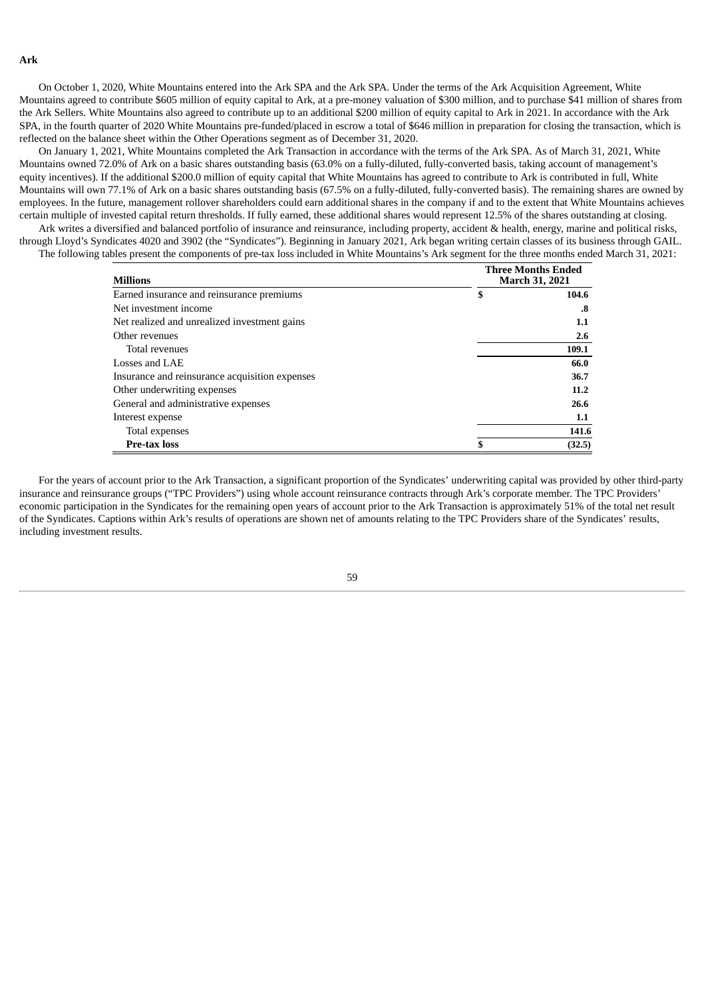On October 1, 2020, White Mountains entered into the Ark SPA and the Ark SPA. Under the terms of the Ark Acquisition Agreement, White Mountains agreed to contribute \$605 million of equity capital to Ark, at a pre-money valuation of \$300 million, and to purchase \$41 million of shares from the Ark Sellers. White Mountains also agreed to contribute up to an additional \$200 million of equity capital to Ark in 2021. In accordance with the Ark SPA, in the fourth quarter of 2020 White Mountains pre-funded/placed in escrow a total of \$646 million in preparation for closing the transaction, which is reflected on the balance sheet within the Other Operations segment as of December 31, 2020.

On January 1, 2021, White Mountains completed the Ark Transaction in accordance with the terms of the Ark SPA. As of March 31, 2021, White Mountains owned 72.0% of Ark on a basic shares outstanding basis (63.0% on a fully-diluted, fully-converted basis, taking account of management's equity incentives). If the additional \$200.0 million of equity capital that White Mountains has agreed to contribute to Ark is contributed in full, White Mountains will own 77.1% of Ark on a basic shares outstanding basis (67.5% on a fully-diluted, fully-converted basis). The remaining shares are owned by employees. In the future, management rollover shareholders could earn additional shares in the company if and to the extent that White Mountains achieves certain multiple of invested capital return thresholds. If fully earned, these additional shares would represent 12.5% of the shares outstanding at closing.

Ark writes a diversified and balanced portfolio of insurance and reinsurance, including property, accident & health, energy, marine and political risks, through Lloyd's Syndicates 4020 and 3902 (the "Syndicates"). Beginning in January 2021, Ark began writing certain classes of its business through GAIL. The following tables present the components of pre-tax loss included in White Mountains's Ark segment for the three months ended March 31, 2021:

| <b>Millions</b>                                | <b>Three Months Ended</b><br><b>March 31, 2021</b> |  |  |
|------------------------------------------------|----------------------------------------------------|--|--|
| Earned insurance and reinsurance premiums      | \$<br>104.6                                        |  |  |
| Net investment income                          | .8                                                 |  |  |
| Net realized and unrealized investment gains   | 1.1                                                |  |  |
| Other revenues                                 | 2.6                                                |  |  |
| Total revenues                                 | 109.1                                              |  |  |
| Losses and LAE                                 | 66.0                                               |  |  |
| Insurance and reinsurance acquisition expenses | 36.7                                               |  |  |
| Other underwriting expenses                    | 11.2                                               |  |  |
| General and administrative expenses            | 26.6                                               |  |  |
| Interest expense                               | 1.1                                                |  |  |
| Total expenses                                 | 141.6                                              |  |  |
| <b>Pre-tax loss</b>                            | (32.5)                                             |  |  |

For the years of account prior to the Ark Transaction, a significant proportion of the Syndicates' underwriting capital was provided by other third-party insurance and reinsurance groups ("TPC Providers") using whole account reinsurance contracts through Ark's corporate member. The TPC Providers' economic participation in the Syndicates for the remaining open years of account prior to the Ark Transaction is approximately 51% of the total net result of the Syndicates. Captions within Ark's results of operations are shown net of amounts relating to the TPC Providers share of the Syndicates' results, including investment results.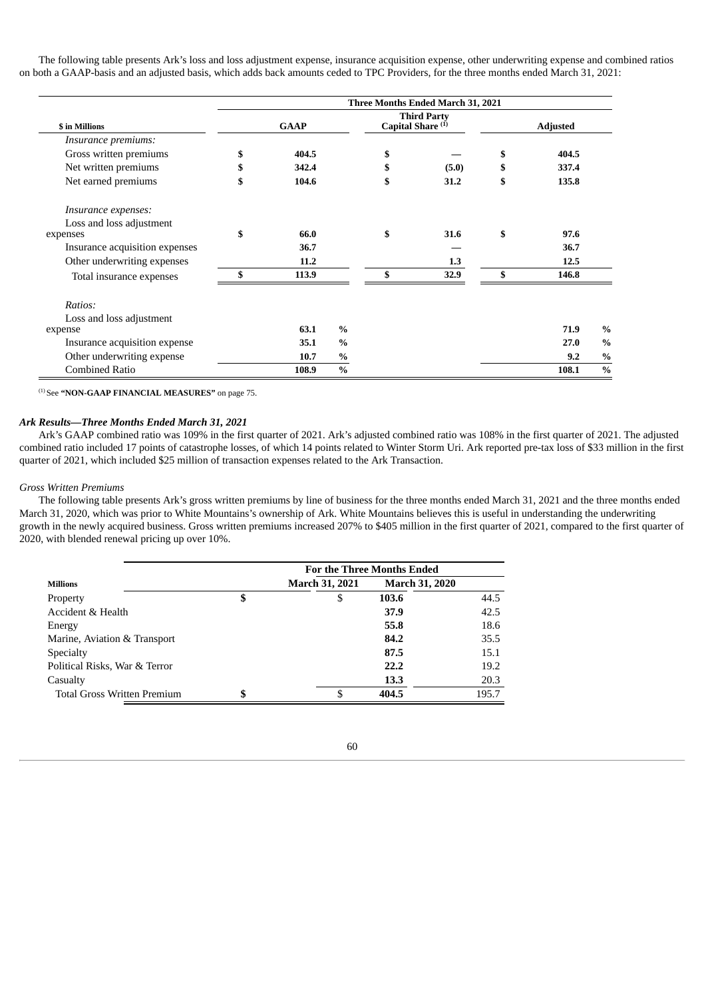The following table presents Ark's loss and loss adjustment expense, insurance acquisition expense, other underwriting expense and combined ratios on both a GAAP-basis and an adjusted basis, which adds back amounts ceded to TPC Providers, for the three months ended March 31, 2021:

|                                |             |               |                              | Three Months Ended March 31, 2021 |                                                                                     |               |  |
|--------------------------------|-------------|---------------|------------------------------|-----------------------------------|-------------------------------------------------------------------------------------|---------------|--|
| <b>\$</b> in Millions          | <b>GAAP</b> |               | Capital Share <sup>(1)</sup> | <b>Third Party</b>                | <b>Adjusted</b><br>404.5<br>337.4<br>135.8<br>97.6<br>36.7<br>12.5<br>146.8<br>71.9 |               |  |
| Insurance premiums:            |             |               |                              |                                   |                                                                                     |               |  |
| Gross written premiums         | 404.5       |               | \$                           |                                   | \$                                                                                  |               |  |
| Net written premiums           | \$<br>342.4 |               | \$                           | (5.0)                             | \$                                                                                  |               |  |
| Net earned premiums            | \$<br>104.6 |               | \$                           | 31.2                              | \$                                                                                  |               |  |
| <i>Insurance expenses:</i>     |             |               |                              |                                   |                                                                                     |               |  |
| Loss and loss adjustment       |             |               |                              |                                   |                                                                                     |               |  |
| expenses                       | \$<br>66.0  |               | \$                           | 31.6                              | \$                                                                                  |               |  |
| Insurance acquisition expenses | 36.7        |               |                              |                                   |                                                                                     |               |  |
| Other underwriting expenses    | 11.2        |               |                              | 1.3                               |                                                                                     |               |  |
| Total insurance expenses       | 113.9       |               |                              | 32.9                              | \$                                                                                  |               |  |
| Ratios:                        |             |               |                              |                                   |                                                                                     |               |  |
| Loss and loss adjustment       |             |               |                              |                                   |                                                                                     |               |  |
| expense                        | 63.1        | $\frac{0}{0}$ |                              |                                   |                                                                                     | $\%$          |  |
| Insurance acquisition expense  | 35.1        | $\frac{0}{0}$ |                              |                                   | 27.0                                                                                | $\frac{0}{0}$ |  |
| Other underwriting expense     | 10.7        | $\%$          |                              |                                   | 9.2                                                                                 | $\frac{0}{0}$ |  |
| <b>Combined Ratio</b>          | 108.9       | $\frac{0}{0}$ |                              |                                   | 108.1                                                                               | $\frac{0}{0}$ |  |

<sup>(1)</sup> See "NON-GAAP FINANCIAL MEASURES" on page 75.

#### *Ark Results—Three Months Ended March 31, 2021*

Ark's GAAP combined ratio was 109% in the first quarter of 2021. Ark's adjusted combined ratio was 108% in the first quarter of 2021. The adjusted combined ratio included 17 points of catastrophe losses, of which 14 points related to Winter Storm Uri. Ark reported pre-tax loss of \$33 million in the first quarter of 2021, which included \$25 million of transaction expenses related to the Ark Transaction.

## *Gross Written Premiums*

The following table presents Ark's gross written premiums by line of business for the three months ended March 31, 2021 and the three months ended March 31, 2020, which was prior to White Mountains's ownership of Ark. White Mountains believes this is useful in understanding the underwriting growth in the newly acquired business. Gross written premiums increased 207% to \$405 million in the first quarter of 2021, compared to the first quarter of 2020, with blended renewal pricing up over 10%.

|                                    | <b>For the Three Months Ended</b> |       |                       |  |  |  |  |  |
|------------------------------------|-----------------------------------|-------|-----------------------|--|--|--|--|--|
| <b>Millions</b>                    | March 31, 2021                    |       | <b>March 31, 2020</b> |  |  |  |  |  |
| Property                           | \$<br>S                           | 103.6 | 44.5                  |  |  |  |  |  |
| Accident & Health                  |                                   | 37.9  | 42.5                  |  |  |  |  |  |
| Energy                             |                                   | 55.8  | 18.6                  |  |  |  |  |  |
| Marine, Aviation & Transport       |                                   | 84.2  | 35.5                  |  |  |  |  |  |
| <b>Specialty</b>                   |                                   | 87.5  | 15.1                  |  |  |  |  |  |
| Political Risks, War & Terror      |                                   | 22.2  | 19.2                  |  |  |  |  |  |
| Casualty                           |                                   | 13.3  | 20.3                  |  |  |  |  |  |
| <b>Total Gross Written Premium</b> | \$                                | 404.5 | 195.7                 |  |  |  |  |  |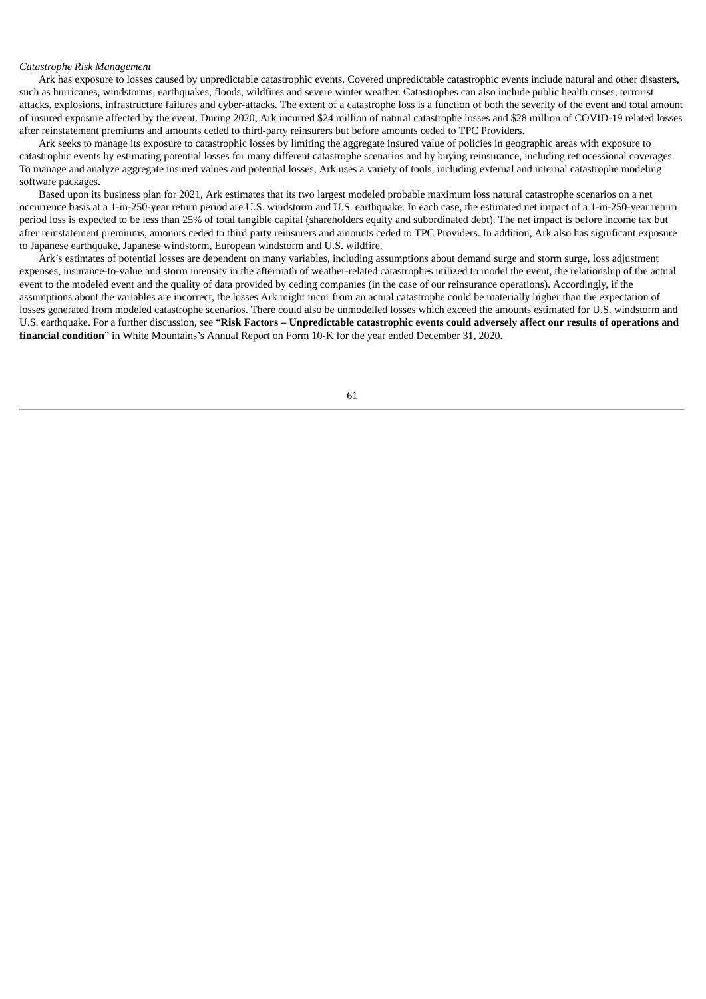#### *Catastrophe Risk Management*

Ark has exposure to losses caused by unpredictable catastrophic events. Covered unpredictable catastrophic events include natural and other disasters, such as hurricanes, windstorms, earthquakes, floods, wildfires and severe winter weather. Catastrophes can also include public health crises, terrorist attacks, explosions, infrastructure failures and cyber-attacks. The extent of a catastrophe loss is a function of both the severity of the event and total amount of insured exposure affected by the event. During 2020, Ark incurred \$24 million of natural catastrophe losses and \$28 million of COVID-19 related losses after reinstatement premiums and amounts ceded to third-party reinsurers but before amounts ceded to TPC Providers.

Ark seeks to manage its exposure to catastrophic losses by limiting the aggregate insured value of policies in geographic areas with exposure to catastrophic events by estimating potential losses for many different catastrophe scenarios and by buying reinsurance, including retrocessional coverages. To manage and analyze aggregate insured values and potential losses, Ark uses a variety of tools, including external and internal catastrophe modeling software packages.

Based upon its business plan for 2021, Ark estimates that its two largest modeled probable maximum loss natural catastrophe scenarios on a net occurrence basis at a 1-in-250-year return period are U.S. windstorm and U.S. earthquake. In each case, the estimated net impact of a 1-in-250-year return period loss is expected to be less than 25% of total tangible capital (shareholders equity and subordinated debt). The net impact is before income tax but after reinstatement premiums, amounts ceded to third party reinsurers and amounts ceded to TPC Providers. In addition, Ark also has significant exposure to Japanese earthquake, Japanese windstorm, European windstorm and U.S. wildfire.

Ark's estimates of potential losses are dependent on many variables, including assumptions about demand surge and storm surge, loss adjustment expenses, insurance-to-value and storm intensity in the aftermath of weather-related catastrophes utilized to model the event, the relationship of the actual event to the modeled event and the quality of data provided by ceding companies (in the case of our reinsurance operations). Accordingly, if the assumptions about the variables are incorrect, the losses Ark might incur from an actual catastrophe could be materially higher than the expectation of losses generated from modeled catastrophe scenarios. There could also be unmodelled losses which exceed the amounts estimated for U.S. windstorm and U.S. earthquake. For a further discussion, see "Risk Factors - Unpredictable catastrophic events could adversely affect our results of operations and **financial condition**" in White Mountains's Annual Report on Form 10-K for the year ended December 31, 2020.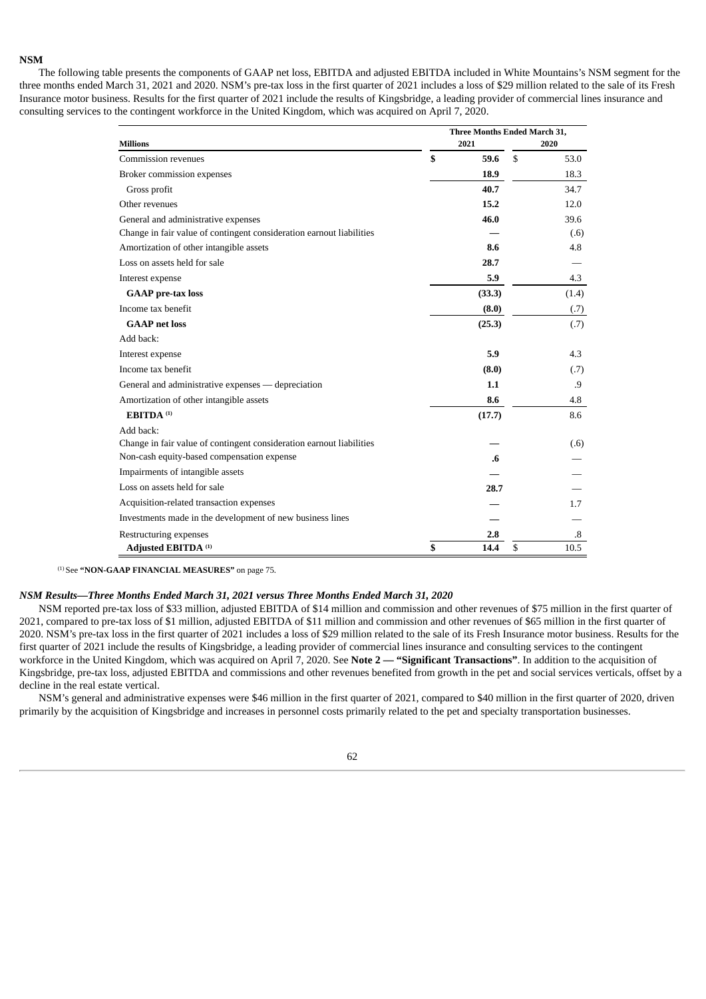### **NSM**

The following table presents the components of GAAP net loss, EBITDA and adjusted EBITDA included in White Mountains's NSM segment for the three months ended March 31, 2021 and 2020. NSM's pre-tax loss in the first quarter of 2021 includes a loss of \$29 million related to the sale of its Fresh Insurance motor business. Results for the first quarter of 2021 include the results of Kingsbridge, a leading provider of commercial lines insurance and consulting services to the contingent workforce in the United Kingdom, which was acquired on April 7, 2020.

|                                                                      | Three Months Ended March 31, |        |    |       |  |  |
|----------------------------------------------------------------------|------------------------------|--------|----|-------|--|--|
| <b>Millions</b>                                                      |                              | 2021   |    | 2020  |  |  |
| Commission revenues                                                  | \$                           | 59.6   | \$ | 53.0  |  |  |
| Broker commission expenses                                           |                              | 18.9   |    | 18.3  |  |  |
| Gross profit                                                         |                              | 40.7   |    | 34.7  |  |  |
| Other revenues                                                       |                              | 15.2   |    | 12.0  |  |  |
| General and administrative expenses                                  |                              | 46.0   |    | 39.6  |  |  |
| Change in fair value of contingent consideration earnout liabilities |                              |        |    | (.6)  |  |  |
| Amortization of other intangible assets                              |                              | 8.6    |    | 4.8   |  |  |
| Loss on assets held for sale                                         |                              | 28.7   |    |       |  |  |
| Interest expense                                                     |                              | 5.9    |    | 4.3   |  |  |
| <b>GAAP</b> pre-tax loss                                             |                              | (33.3) |    | (1.4) |  |  |
| Income tax benefit                                                   |                              | (8.0)  |    | (.7)  |  |  |
| <b>GAAP</b> net loss                                                 |                              | (25.3) |    | (.7)  |  |  |
| Add back:                                                            |                              |        |    |       |  |  |
| Interest expense                                                     |                              | 5.9    |    | 4.3   |  |  |
| Income tax benefit                                                   |                              | (8.0)  |    | (.7)  |  |  |
| General and administrative expenses - depreciation                   |                              | 1.1    |    | .9    |  |  |
| Amortization of other intangible assets                              |                              | 8.6    |    | 4.8   |  |  |
| EBITDA <sup>(1)</sup>                                                |                              | (17.7) |    | 8.6   |  |  |
| Add back:                                                            |                              |        |    |       |  |  |
| Change in fair value of contingent consideration earnout liabilities |                              |        |    | (.6)  |  |  |
| Non-cash equity-based compensation expense                           |                              | .6     |    |       |  |  |
| Impairments of intangible assets                                     |                              |        |    |       |  |  |
| Loss on assets held for sale                                         |                              | 28.7   |    |       |  |  |
| Acquisition-related transaction expenses                             |                              |        |    | 1.7   |  |  |
| Investments made in the development of new business lines            |                              |        |    |       |  |  |
| Restructuring expenses                                               |                              | 2.8    |    | .8    |  |  |
| Adjusted EBITDA <sup>(1)</sup>                                       | \$                           | 14.4   | \$ | 10.5  |  |  |

<sup>(1)</sup> See "NON-GAAP FINANCIAL MEASURES" on page 75.

#### *NSM Results—Three Months Ended March 31, 2021 versus Three Months Ended March 31, 2020*

NSM reported pre-tax loss of \$33 million, adjusted EBITDA of \$14 million and commission and other revenues of \$75 million in the first quarter of 2021, compared to pre-tax loss of \$1 million, adjusted EBITDA of \$11 million and commission and other revenues of \$65 million in the first quarter of 2020. NSM's pre-tax loss in the first quarter of 2021 includes a loss of \$29 million related to the sale of its Fresh Insurance motor business. Results for the first quarter of 2021 include the results of Kingsbridge, a leading provider of commercial lines insurance and consulting services to the contingent workforce in the United Kingdom, which was acquired on April 7, 2020. See **Note 2 — "Significant Transactions"**. In addition to the acquisition of Kingsbridge, pre-tax loss, adjusted EBITDA and commissions and other revenues benefited from growth in the pet and social services verticals, offset by a decline in the real estate vertical.

NSM's general and administrative expenses were \$46 million in the first quarter of 2021, compared to \$40 million in the first quarter of 2020, driven primarily by the acquisition of Kingsbridge and increases in personnel costs primarily related to the pet and specialty transportation businesses.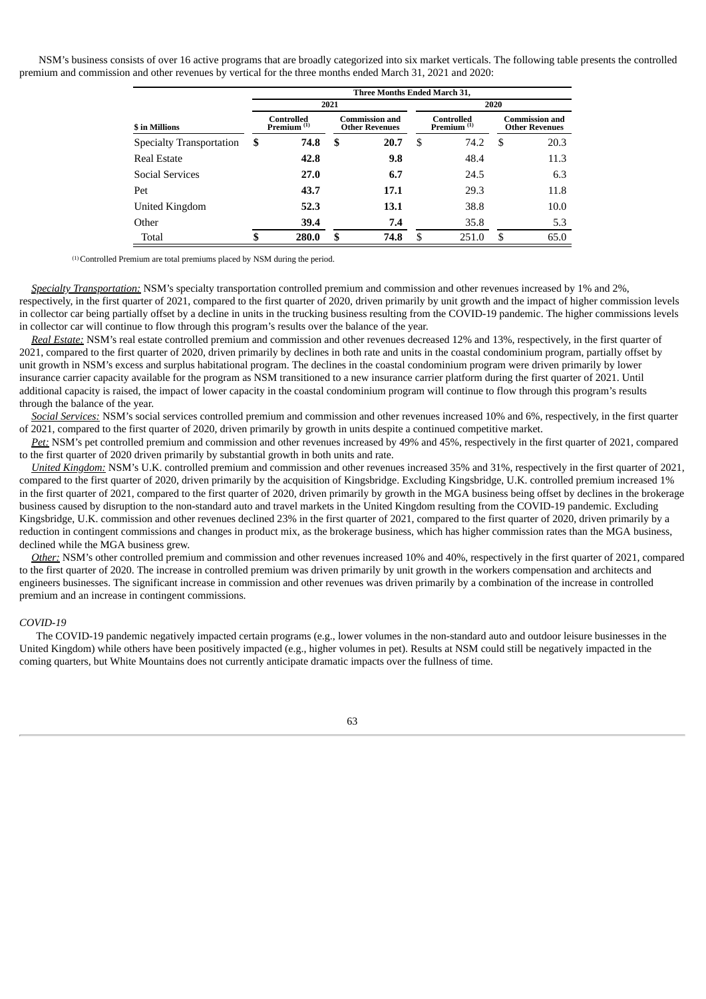NSM's business consists of over 16 active programs that are broadly categorized into six market verticals. The following table presents the controlled premium and commission and other revenues by vertical for the three months ended March 31, 2021 and 2020:

|                                 | Three Months Ended March 31, |                                      |    |                                                |   |                             |                                                |      |  |  |
|---------------------------------|------------------------------|--------------------------------------|----|------------------------------------------------|---|-----------------------------|------------------------------------------------|------|--|--|
|                                 |                              | 2021                                 |    |                                                |   | 2020                        |                                                |      |  |  |
| \$ in Millions                  |                              | Controlled<br>Premium <sup>(1)</sup> |    | <b>Commission and</b><br><b>Other Revenues</b> |   | Controlled<br>Premium $(1)$ | <b>Commission and</b><br><b>Other Revenues</b> |      |  |  |
| <b>Specialty Transportation</b> | S                            | 74.8                                 | S  | 20.7                                           | S | 74.2                        | S                                              | 20.3 |  |  |
| Real Estate                     |                              | 42.8                                 |    | 9.8                                            |   | 48.4                        |                                                | 11.3 |  |  |
| <b>Social Services</b>          |                              | 27.0                                 |    | 6.7                                            |   | 24.5                        |                                                | 6.3  |  |  |
| Pet                             |                              | 43.7                                 |    | 17.1                                           |   | 29.3                        |                                                | 11.8 |  |  |
| United Kingdom                  |                              | 52.3                                 |    | 13.1                                           |   | 38.8                        |                                                | 10.0 |  |  |
| Other                           |                              | 39.4                                 |    | 7.4                                            |   | 35.8                        |                                                | 5.3  |  |  |
| Total                           |                              | 280.0                                | \$ | 74.8                                           | S | 251.0                       | S                                              | 65.0 |  |  |

 $(1)$  Controlled Premium are total premiums placed by NSM during the period.

*Specialty Transportation:* NSM's specialty transportation controlled premium and commission and other revenues increased by 1% and 2%, respectively, in the first quarter of 2021, compared to the first quarter of 2020, driven primarily by unit growth and the impact of higher commission levels in collector car being partially offset by a decline in units in the trucking business resulting from the COVID-19 pandemic. The higher commissions levels in collector car will continue to flow through this program's results over the balance of the year.

*Real Estate:* NSM's real estate controlled premium and commission and other revenues decreased 12% and 13%, respectively, in the first quarter of 2021, compared to the first quarter of 2020, driven primarily by declines in both rate and units in the coastal condominium program, partially offset by unit growth in NSM's excess and surplus habitational program. The declines in the coastal condominium program were driven primarily by lower insurance carrier capacity available for the program as NSM transitioned to a new insurance carrier platform during the first quarter of 2021. Until additional capacity is raised, the impact of lower capacity in the coastal condominium program will continue to flow through this program's results through the balance of the year.

*Social Services:* NSM's social services controlled premium and commission and other revenues increased 10% and 6%, respectively, in the first quarter of 2021, compared to the first quarter of 2020, driven primarily by growth in units despite a continued competitive market.

*Pet:* NSM's pet controlled premium and commission and other revenues increased by 49% and 45%, respectively in the first quarter of 2021, compared to the first quarter of 2020 driven primarily by substantial growth in both units and rate.

*United Kingdom:* NSM's U.K. controlled premium and commission and other revenues increased 35% and 31%, respectively in the first quarter of 2021, compared to the first quarter of 2020, driven primarily by the acquisition of Kingsbridge. Excluding Kingsbridge, U.K. controlled premium increased 1% in the first quarter of 2021, compared to the first quarter of 2020, driven primarily by growth in the MGA business being offset by declines in the brokerage business caused by disruption to the non-standard auto and travel markets in the United Kingdom resulting from the COVID-19 pandemic. Excluding Kingsbridge, U.K. commission and other revenues declined 23% in the first quarter of 2021, compared to the first quarter of 2020, driven primarily by a reduction in contingent commissions and changes in product mix, as the brokerage business, which has higher commission rates than the MGA business, declined while the MGA business grew.

*Other:* NSM's other controlled premium and commission and other revenues increased 10% and 40%, respectively in the first quarter of 2021, compared to the first quarter of 2020. The increase in controlled premium was driven primarily by unit growth in the workers compensation and architects and engineers businesses. The significant increase in commission and other revenues was driven primarily by a combination of the increase in controlled premium and an increase in contingent commissions.

## *COVID-19*

The COVID-19 pandemic negatively impacted certain programs (e.g., lower volumes in the non-standard auto and outdoor leisure businesses in the United Kingdom) while others have been positively impacted (e.g., higher volumes in pet). Results at NSM could still be negatively impacted in the coming quarters, but White Mountains does not currently anticipate dramatic impacts over the fullness of time.

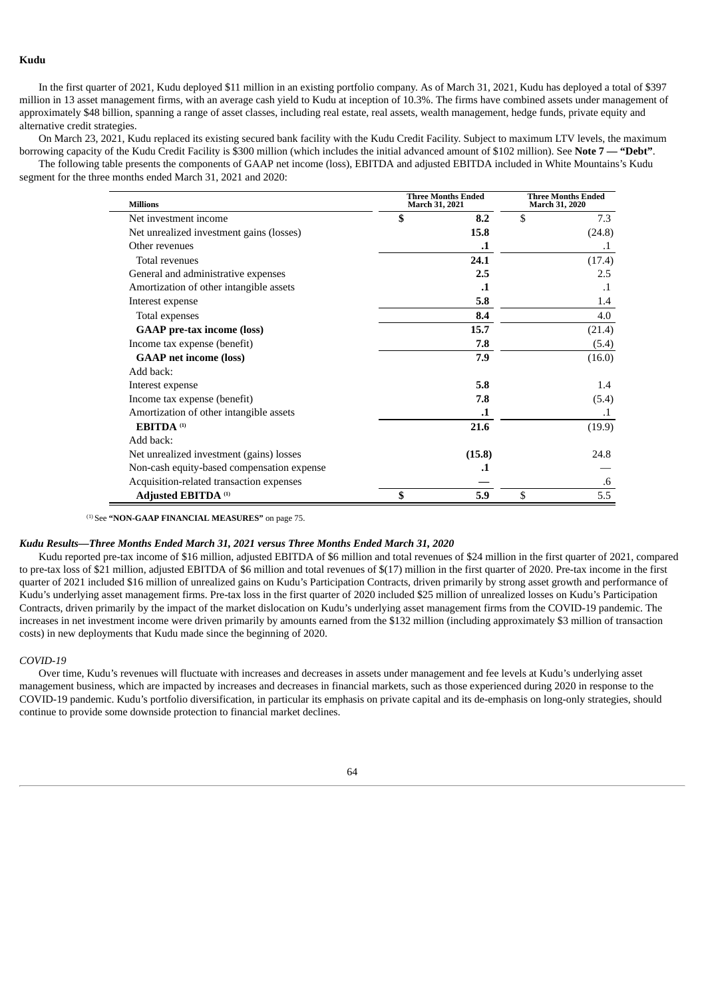# **Kudu**

In the first quarter of 2021, Kudu deployed \$11 million in an existing portfolio company. As of March 31, 2021, Kudu has deployed a total of \$397 million in 13 asset management firms, with an average cash yield to Kudu at inception of 10.3%. The firms have combined assets under management of approximately \$48 billion, spanning a range of asset classes, including real estate, real assets, wealth management, hedge funds, private equity and alternative credit strategies.

On March 23, 2021, Kudu replaced its existing secured bank facility with the Kudu Credit Facility. Subject to maximum LTV levels, the maximum borrowing capacity of the Kudu Credit Facility is \$300 million (which includes the initial advanced amount of \$102 million). See **Note 7 — "Debt"**. The following table presents the components of GAAP net income (loss), EBITDA and adjusted EBITDA included in White Mountains's Kudu

| <b>Millions</b>                            | March 31, 2021 | <b>Three Months Ended</b> | <b>Three Months Ended</b><br><b>March 31, 2020</b> |           |
|--------------------------------------------|----------------|---------------------------|----------------------------------------------------|-----------|
| Net investment income                      | \$             | 8.2                       | \$                                                 | 7.3       |
| Net unrealized investment gains (losses)   |                | 15.8                      |                                                    | (24.8)    |
| Other revenues                             |                | $\cdot$ 1                 |                                                    | $\cdot$ 1 |
| Total revenues                             |                | 24.1                      |                                                    | (17.4)    |
| General and administrative expenses        |                | 2.5                       |                                                    | 2.5       |
| Amortization of other intangible assets    |                | $\cdot$ 1                 |                                                    | $\cdot$ 1 |
| Interest expense                           |                | 5.8                       |                                                    | 1.4       |
| Total expenses                             |                | 8.4                       |                                                    | 4.0       |
| <b>GAAP</b> pre-tax income (loss)          |                | 15.7                      |                                                    | (21.4)    |
| Income tax expense (benefit)               |                | 7.8                       |                                                    | (5.4)     |
| <b>GAAP</b> net income (loss)              |                | 7.9                       |                                                    | (16.0)    |
| Add back:                                  |                |                           |                                                    |           |
| Interest expense                           |                | 5.8                       |                                                    | 1.4       |
| Income tax expense (benefit)               |                | 7.8                       |                                                    | (5.4)     |
| Amortization of other intangible assets    |                | $\cdot$ 1                 |                                                    | $\cdot$ 1 |
| EBITDA <sup>(1)</sup>                      |                | 21.6                      |                                                    | (19.9)    |
| Add back:                                  |                |                           |                                                    |           |
| Net unrealized investment (gains) losses   |                | (15.8)                    |                                                    | 24.8      |
| Non-cash equity-based compensation expense |                | $\cdot$                   |                                                    |           |
| Acquisition-related transaction expenses   |                |                           |                                                    | .6        |
| Adjusted EBITDA <sup>(1)</sup>             | \$             | 5.9                       | \$                                                 | 5.5       |

<sup>(1)</sup> See "NON-GAAP FINANCIAL MEASURES" on page 75.

segment for the three months ended March 31, 2021 and 2020:

### *Kudu Results—Three Months Ended March 31, 2021 versus Three Months Ended March 31, 2020*

Kudu reported pre-tax income of \$16 million, adjusted EBITDA of \$6 million and total revenues of \$24 million in the first quarter of 2021, compared to pre-tax loss of \$21 million, adjusted EBITDA of \$6 million and total revenues of \$(17) million in the first quarter of 2020. Pre-tax income in the first quarter of 2021 included \$16 million of unrealized gains on Kudu's Participation Contracts, driven primarily by strong asset growth and performance of Kudu's underlying asset management firms. Pre-tax loss in the first quarter of 2020 included \$25 million of unrealized losses on Kudu's Participation Contracts, driven primarily by the impact of the market dislocation on Kudu's underlying asset management firms from the COVID-19 pandemic. The increases in net investment income were driven primarily by amounts earned from the \$132 million (including approximately \$3 million of transaction costs) in new deployments that Kudu made since the beginning of 2020.

## *COVID-19*

Over time, Kudu's revenues will fluctuate with increases and decreases in assets under management and fee levels at Kudu's underlying asset management business, which are impacted by increases and decreases in financial markets, such as those experienced during 2020 in response to the COVID-19 pandemic. Kudu's portfolio diversification, in particular its emphasis on private capital and its de-emphasis on long-only strategies, should continue to provide some downside protection to financial market declines.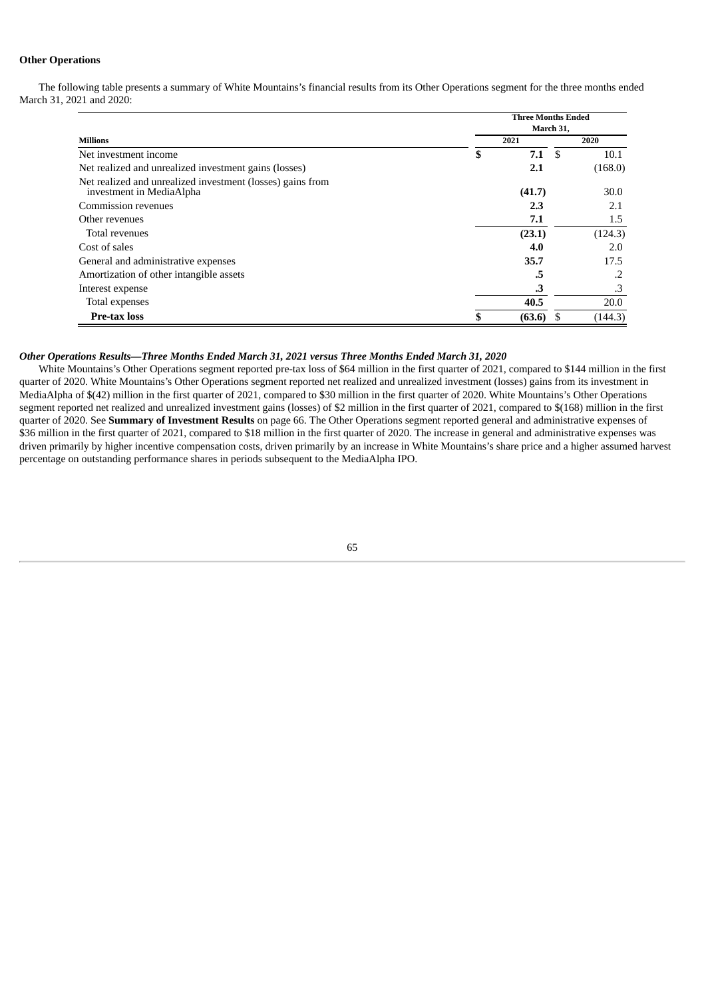## **Other Operations**

The following table presents a summary of White Mountains's financial results from its Other Operations segment for the three months ended March 31, 2021 and 2020:

|                                                                                        | <b>Three Months Ended</b> |            |         |  |  |
|----------------------------------------------------------------------------------------|---------------------------|------------|---------|--|--|
|                                                                                        |                           | March 31,  |         |  |  |
| <b>Millions</b>                                                                        | 2021                      |            | 2020    |  |  |
| Net investment income                                                                  | \$                        | 7.1<br>-\$ | 10.1    |  |  |
| Net realized and unrealized investment gains (losses)                                  | 2.1                       |            | (168.0) |  |  |
| Net realized and unrealized investment (losses) gains from<br>investment in MediaAlpha | (41.7)                    |            | 30.0    |  |  |
| Commission revenues                                                                    | 2.3                       |            | 2.1     |  |  |
| Other revenues                                                                         | 7.1                       |            | 1.5     |  |  |
| Total revenues                                                                         | (23.1)                    |            | (124.3) |  |  |
| Cost of sales                                                                          | 4.0                       |            | 2.0     |  |  |
| General and administrative expenses                                                    | 35.7                      |            | 17.5    |  |  |
| Amortization of other intangible assets                                                |                           | .5         |         |  |  |
| Interest expense                                                                       |                           | .3         | .3      |  |  |
| Total expenses                                                                         | 40.5                      |            | 20.0    |  |  |
| <b>Pre-tax loss</b>                                                                    | \$<br>(63.6)              |            | (144.3) |  |  |

# *Other Operations Results—Three Months Ended March 31, 2021 versus Three Months Ended March 31, 2020*

White Mountains's Other Operations segment reported pre-tax loss of \$64 million in the first quarter of 2021, compared to \$144 million in the first quarter of 2020. White Mountains's Other Operations segment reported net realized and unrealized investment (losses) gains from its investment in MediaAlpha of \$(42) million in the first quarter of 2021, compared to \$30 million in the first quarter of 2020. White Mountains's Other Operations segment reported net realized and unrealized investment gains (losses) of \$2 million in the first quarter of 2021, compared to \$(168) million in the first quarter of 2020. See **Summary of Investment Results** on page 66. The Other Operations segment reported general and administrative expenses of \$36 million in the first quarter of 2021, compared to \$18 million in the first quarter of 2020. The increase in general and administrative expenses was driven primarily by higher incentive compensation costs, driven primarily by an increase in White Mountains's share price and a higher assumed harvest percentage on outstanding performance shares in periods subsequent to the MediaAlpha IPO.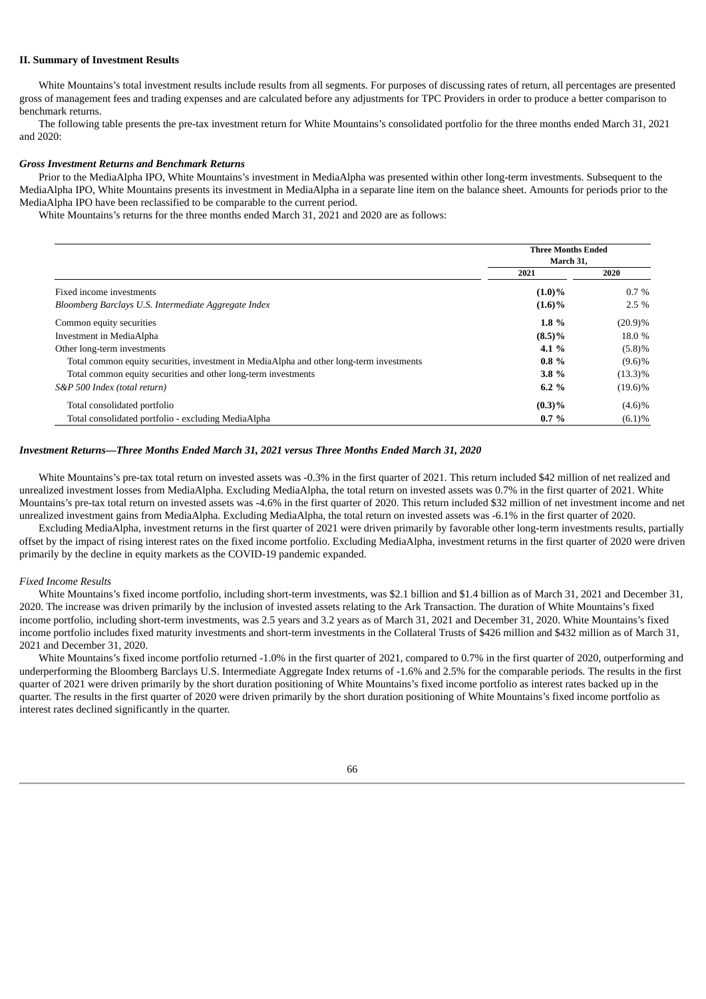## **II. Summary of Investment Results**

White Mountains's total investment results include results from all segments. For purposes of discussing rates of return, all percentages are presented gross of management fees and trading expenses and are calculated before any adjustments for TPC Providers in order to produce a better comparison to benchmark returns.

The following table presents the pre-tax investment return for White Mountains's consolidated portfolio for the three months ended March 31, 2021 and 2020:

#### *Gross Investment Returns and Benchmark Returns*

Prior to the MediaAlpha IPO, White Mountains's investment in MediaAlpha was presented within other long-term investments. Subsequent to the MediaAlpha IPO, White Mountains presents its investment in MediaAlpha in a separate line item on the balance sheet. Amounts for periods prior to the MediaAlpha IPO have been reclassified to be comparable to the current period.

White Mountains's returns for the three months ended March 31, 2021 and 2020 are as follows:

|                                                                                          | <b>Three Months Ended</b><br>March 31, |            |  |
|------------------------------------------------------------------------------------------|----------------------------------------|------------|--|
|                                                                                          | 2021                                   | 2020       |  |
| Fixed income investments                                                                 | $(1.0)\%$                              | $0.7\%$    |  |
| Bloomberg Barclays U.S. Intermediate Aggregate Index                                     | $(1.6)\%$                              | $2.5\%$    |  |
| Common equity securities                                                                 | $1.8 \%$                               | $(20.9)\%$ |  |
| Investment in MediaAlpha                                                                 | $(8.5)\%$                              | 18.0 %     |  |
| Other long-term investments                                                              | 4.1 $%$                                | (5.8)%     |  |
| Total common equity securities, investment in MediaAlpha and other long-term investments | $0.8 \%$                               | $(9.6)\%$  |  |
| Total common equity securities and other long-term investments                           | 3.8%                                   | $(13.3)\%$ |  |
| S&P 500 Index (total return)                                                             | 6.2 $%$                                | $(19.6)\%$ |  |
| Total consolidated portfolio                                                             | $(0.3)\%$                              | $(4.6)\%$  |  |
| Total consolidated portfolio - excluding MediaAlpha                                      | 0.7%                                   | $(6.1)\%$  |  |

## *Investment Returns—Three Months Ended March 31, 2021 versus Three Months Ended March 31, 2020*

White Mountains's pre-tax total return on invested assets was -0.3% in the first quarter of 2021. This return included \$42 million of net realized and unrealized investment losses from MediaAlpha. Excluding MediaAlpha, the total return on invested assets was 0.7% in the first quarter of 2021. White Mountains's pre-tax total return on invested assets was -4.6% in the first quarter of 2020. This return included \$32 million of net investment income and net unrealized investment gains from MediaAlpha. Excluding MediaAlpha, the total return on invested assets was -6.1% in the first quarter of 2020.

Excluding MediaAlpha, investment returns in the first quarter of 2021 were driven primarily by favorable other long-term investments results, partially offset by the impact of rising interest rates on the fixed income portfolio. Excluding MediaAlpha, investment returns in the first quarter of 2020 were driven primarily by the decline in equity markets as the COVID-19 pandemic expanded.

#### *Fixed Income Results*

White Mountains's fixed income portfolio, including short-term investments, was \$2.1 billion and \$1.4 billion as of March 31, 2021 and December 31, 2020. The increase was driven primarily by the inclusion of invested assets relating to the Ark Transaction. The duration of White Mountains's fixed income portfolio, including short-term investments, was 2.5 years and 3.2 years as of March 31, 2021 and December 31, 2020. White Mountains's fixed income portfolio includes fixed maturity investments and short-term investments in the Collateral Trusts of \$426 million and \$432 million as of March 31, 2021 and December 31, 2020.

White Mountains's fixed income portfolio returned -1.0% in the first quarter of 2021, compared to 0.7% in the first quarter of 2020, outperforming and underperforming the Bloomberg Barclays U.S. Intermediate Aggregate Index returns of -1.6% and 2.5% for the comparable periods. The results in the first quarter of 2021 were driven primarily by the short duration positioning of White Mountains's fixed income portfolio as interest rates backed up in the quarter. The results in the first quarter of 2020 were driven primarily by the short duration positioning of White Mountains's fixed income portfolio as interest rates declined significantly in the quarter.

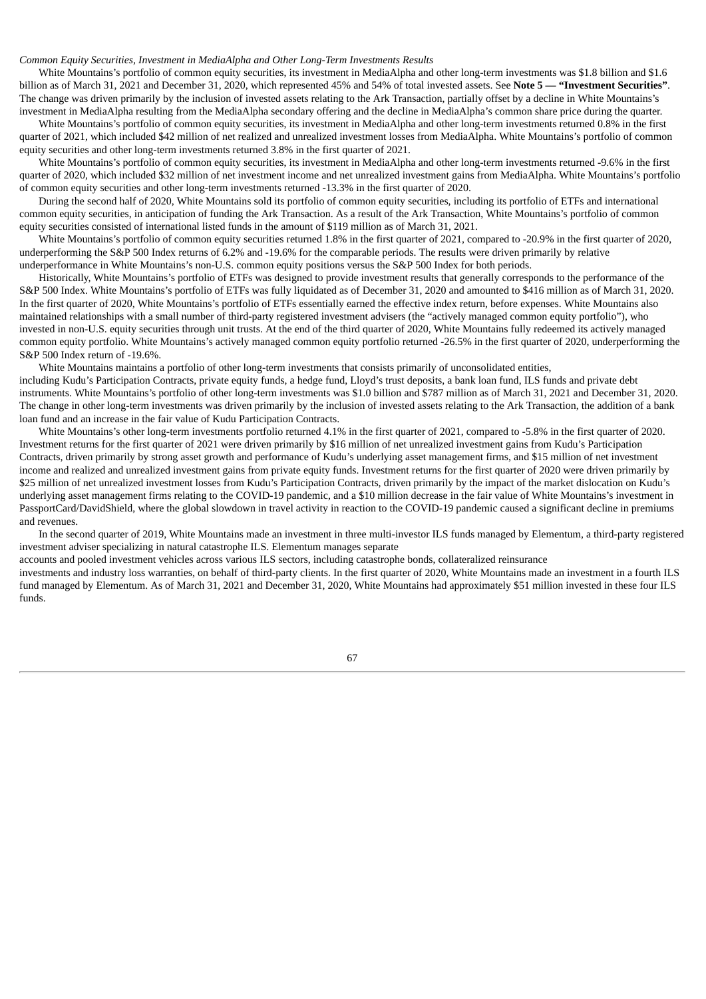#### *Common Equity Securities, Investment in MediaAlpha and Other Long-Term Investments Results*

White Mountains's portfolio of common equity securities, its investment in MediaAlpha and other long-term investments was \$1.8 billion and \$1.6 billion as of March 31, 2021 and December 31, 2020, which represented 45% and 54% of total invested assets. See **Note 5 — "Investment Securities"**. The change was driven primarily by the inclusion of invested assets relating to the Ark Transaction, partially offset by a decline in White Mountains's investment in MediaAlpha resulting from the MediaAlpha secondary offering and the decline in MediaAlpha's common share price during the quarter.

White Mountains's portfolio of common equity securities, its investment in MediaAlpha and other long-term investments returned 0.8% in the first quarter of 2021, which included \$42 million of net realized and unrealized investment losses from MediaAlpha. White Mountains's portfolio of common equity securities and other long-term investments returned 3.8% in the first quarter of 2021.

White Mountains's portfolio of common equity securities, its investment in MediaAlpha and other long-term investments returned -9.6% in the first quarter of 2020, which included \$32 million of net investment income and net unrealized investment gains from MediaAlpha. White Mountains's portfolio of common equity securities and other long-term investments returned -13.3% in the first quarter of 2020.

During the second half of 2020, White Mountains sold its portfolio of common equity securities, including its portfolio of ETFs and international common equity securities, in anticipation of funding the Ark Transaction. As a result of the Ark Transaction, White Mountains's portfolio of common equity securities consisted of international listed funds in the amount of \$119 million as of March 31, 2021.

White Mountains's portfolio of common equity securities returned 1.8% in the first quarter of 2021, compared to -20.9% in the first quarter of 2020, underperforming the S&P 500 Index returns of 6.2% and -19.6% for the comparable periods. The results were driven primarily by relative underperformance in White Mountains's non-U.S. common equity positions versus the S&P 500 Index for both periods.

Historically, White Mountains's portfolio of ETFs was designed to provide investment results that generally corresponds to the performance of the S&P 500 Index. White Mountains's portfolio of ETFs was fully liquidated as of December 31, 2020 and amounted to \$416 million as of March 31, 2020. In the first quarter of 2020, White Mountains's portfolio of ETFs essentially earned the effective index return, before expenses. White Mountains also maintained relationships with a small number of third-party registered investment advisers (the "actively managed common equity portfolio"), who invested in non-U.S. equity securities through unit trusts. At the end of the third quarter of 2020, White Mountains fully redeemed its actively managed common equity portfolio. White Mountains's actively managed common equity portfolio returned -26.5% in the first quarter of 2020, underperforming the S&P 500 Index return of -19.6%.

White Mountains maintains a portfolio of other long-term investments that consists primarily of unconsolidated entities, including Kudu's Participation Contracts, private equity funds, a hedge fund, Lloyd's trust deposits, a bank loan fund, ILS funds and private debt instruments. White Mountains's portfolio of other long-term investments was \$1.0 billion and \$787 million as of March 31, 2021 and December 31, 2020. The change in other long-term investments was driven primarily by the inclusion of invested assets relating to the Ark Transaction, the addition of a bank loan fund and an increase in the fair value of Kudu Participation Contracts.

White Mountains's other long-term investments portfolio returned 4.1% in the first quarter of 2021, compared to -5.8% in the first quarter of 2020. Investment returns for the first quarter of 2021 were driven primarily by \$16 million of net unrealized investment gains from Kudu's Participation Contracts, driven primarily by strong asset growth and performance of Kudu's underlying asset management firms, and \$15 million of net investment income and realized and unrealized investment gains from private equity funds. Investment returns for the first quarter of 2020 were driven primarily by \$25 million of net unrealized investment losses from Kudu's Participation Contracts, driven primarily by the impact of the market dislocation on Kudu's underlying asset management firms relating to the COVID-19 pandemic, and a \$10 million decrease in the fair value of White Mountains's investment in PassportCard/DavidShield, where the global slowdown in travel activity in reaction to the COVID-19 pandemic caused a significant decline in premiums and revenues.

In the second quarter of 2019, White Mountains made an investment in three multi-investor ILS funds managed by Elementum, a third-party registered investment adviser specializing in natural catastrophe ILS. Elementum manages separate

accounts and pooled investment vehicles across various ILS sectors, including catastrophe bonds, collateralized reinsurance

investments and industry loss warranties, on behalf of third-party clients. In the first quarter of 2020, White Mountains made an investment in a fourth ILS fund managed by Elementum. As of March 31, 2021 and December 31, 2020, White Mountains had approximately \$51 million invested in these four ILS funds.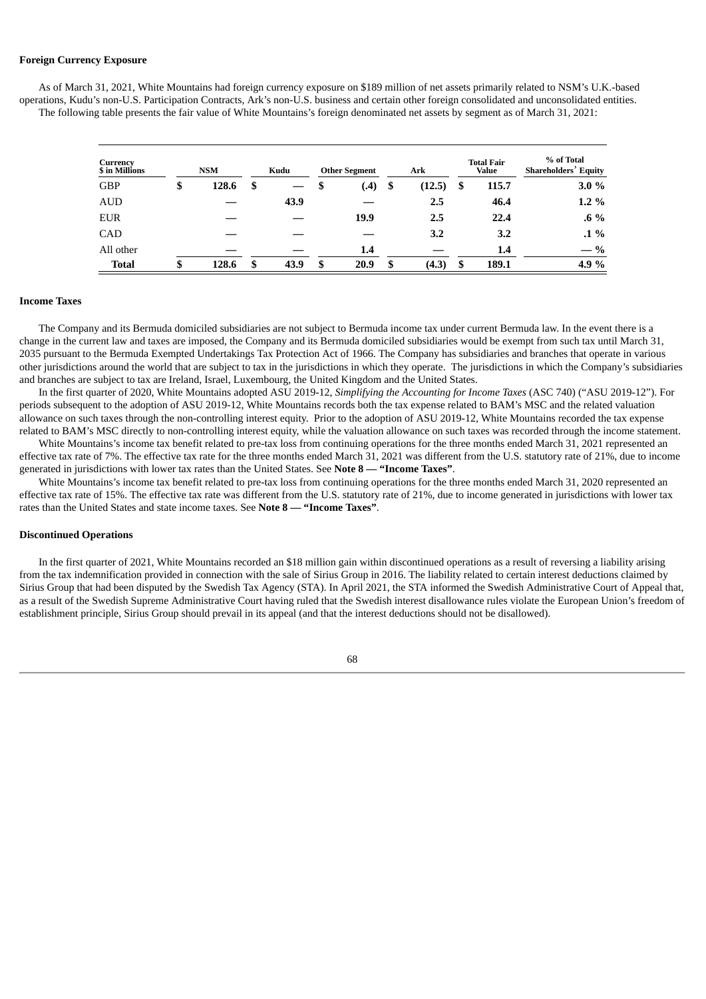## **Foreign Currency Exposure**

As of March 31, 2021, White Mountains had foreign currency exposure on \$189 million of net assets primarily related to NSM's U.K.-based operations, Kudu's non-U.S. Participation Contracts, Ark's non-U.S. business and certain other foreign consolidated and unconsolidated entities. The following table presents the fair value of White Mountains's foreign denominated net assets by segment as of March 31, 2021:

| Currency<br>\$ in Millions | <b>NSM</b>  | Kudu       | <b>Other Segment</b> | Ark          |    | <b>Total Fair</b><br>Value | % of Total<br><b>Shareholders' Equity</b> |
|----------------------------|-------------|------------|----------------------|--------------|----|----------------------------|-------------------------------------------|
| GBP                        | \$<br>128.6 | \$         | \$<br>(.4)           | \$<br>(12.5) | \$ | 115.7                      | 3.0%                                      |
| <b>AUD</b>                 |             | 43.9       |                      | 2.5          |    | 46.4                       | $1.2 \%$                                  |
| <b>EUR</b>                 |             |            | 19.9                 | 2.5          |    | 22.4                       | $.6\%$                                    |
| CAD                        |             |            |                      | 3.2          |    | 3.2                        | $.1\%$                                    |
| All other                  |             |            | 1.4                  |              |    | 1.4                        | $-$ %                                     |
| <b>Total</b>               | \$<br>128.6 | \$<br>43.9 | \$<br>20.9           | \$<br>(4.3)  | S  | 189.1                      | 4.9 %                                     |

## **Income Taxes**

The Company and its Bermuda domiciled subsidiaries are not subject to Bermuda income tax under current Bermuda law. In the event there is a change in the current law and taxes are imposed, the Company and its Bermuda domiciled subsidiaries would be exempt from such tax until March 31, 2035 pursuant to the Bermuda Exempted Undertakings Tax Protection Act of 1966. The Company has subsidiaries and branches that operate in various other jurisdictions around the world that are subject to tax in the jurisdictions in which they operate. The jurisdictions in which the Company's subsidiaries and branches are subject to tax are Ireland, Israel, Luxembourg, the United Kingdom and the United States.

In the first quarter of 2020, White Mountains adopted ASU 2019-12, *Simplifying the Accounting for Income Taxes* (ASC 740) ("ASU 2019-12"). For periods subsequent to the adoption of ASU 2019-12, White Mountains records both the tax expense related to BAM's MSC and the related valuation allowance on such taxes through the non-controlling interest equity. Prior to the adoption of ASU 2019-12, White Mountains recorded the tax expense related to BAM's MSC directly to non-controlling interest equity, while the valuation allowance on such taxes was recorded through the income statement.

White Mountains's income tax benefit related to pre-tax loss from continuing operations for the three months ended March 31, 2021 represented an effective tax rate of 7%. The effective tax rate for the three months ended March 31, 2021 was different from the U.S. statutory rate of 21%, due to income generated in jurisdictions with lower tax rates than the United States. See **Note 8 — "Income Taxes"**.

White Mountains's income tax benefit related to pre-tax loss from continuing operations for the three months ended March 31, 2020 represented an effective tax rate of 15%. The effective tax rate was different from the U.S. statutory rate of 21%, due to income generated in jurisdictions with lower tax rates than the United States and state income taxes. See **Note 8 — "Income Taxes"**.

#### **Discontinued Operations**

In the first quarter of 2021, White Mountains recorded an \$18 million gain within discontinued operations as a result of reversing a liability arising from the tax indemnification provided in connection with the sale of Sirius Group in 2016. The liability related to certain interest deductions claimed by Sirius Group that had been disputed by the Swedish Tax Agency (STA). In April 2021, the STA informed the Swedish Administrative Court of Appeal that, as a result of the Swedish Supreme Administrative Court having ruled that the Swedish interest disallowance rules violate the European Union's freedom of establishment principle, Sirius Group should prevail in its appeal (and that the interest deductions should not be disallowed).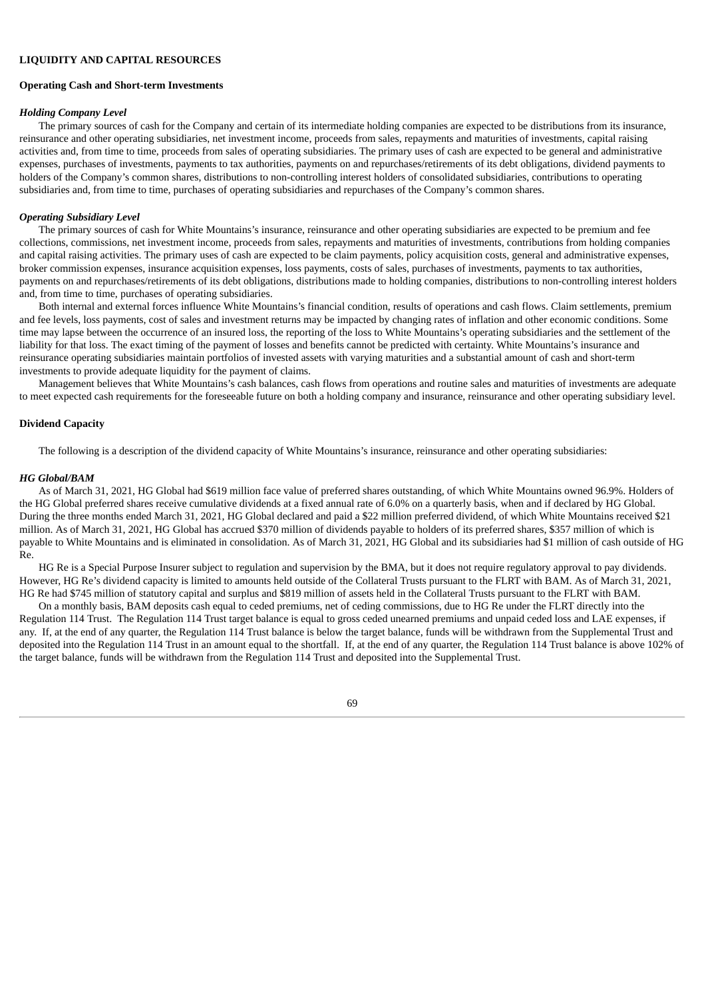## **LIQUIDITY AND CAPITAL RESOURCES**

#### **Operating Cash and Short-term Investments**

## *Holding Company Level*

The primary sources of cash for the Company and certain of its intermediate holding companies are expected to be distributions from its insurance, reinsurance and other operating subsidiaries, net investment income, proceeds from sales, repayments and maturities of investments, capital raising activities and, from time to time, proceeds from sales of operating subsidiaries. The primary uses of cash are expected to be general and administrative expenses, purchases of investments, payments to tax authorities, payments on and repurchases/retirements of its debt obligations, dividend payments to holders of the Company's common shares, distributions to non-controlling interest holders of consolidated subsidiaries, contributions to operating subsidiaries and, from time to time, purchases of operating subsidiaries and repurchases of the Company's common shares.

### *Operating Subsidiary Level*

The primary sources of cash for White Mountains's insurance, reinsurance and other operating subsidiaries are expected to be premium and fee collections, commissions, net investment income, proceeds from sales, repayments and maturities of investments, contributions from holding companies and capital raising activities. The primary uses of cash are expected to be claim payments, policy acquisition costs, general and administrative expenses, broker commission expenses, insurance acquisition expenses, loss payments, costs of sales, purchases of investments, payments to tax authorities, payments on and repurchases/retirements of its debt obligations, distributions made to holding companies, distributions to non-controlling interest holders and, from time to time, purchases of operating subsidiaries.

Both internal and external forces influence White Mountains's financial condition, results of operations and cash flows. Claim settlements, premium and fee levels, loss payments, cost of sales and investment returns may be impacted by changing rates of inflation and other economic conditions. Some time may lapse between the occurrence of an insured loss, the reporting of the loss to White Mountains's operating subsidiaries and the settlement of the liability for that loss. The exact timing of the payment of losses and benefits cannot be predicted with certainty. White Mountains's insurance and reinsurance operating subsidiaries maintain portfolios of invested assets with varying maturities and a substantial amount of cash and short-term investments to provide adequate liquidity for the payment of claims.

Management believes that White Mountains's cash balances, cash flows from operations and routine sales and maturities of investments are adequate to meet expected cash requirements for the foreseeable future on both a holding company and insurance, reinsurance and other operating subsidiary level.

### **Dividend Capacity**

The following is a description of the dividend capacity of White Mountains's insurance, reinsurance and other operating subsidiaries:

#### *HG Global/BAM*

As of March 31, 2021, HG Global had \$619 million face value of preferred shares outstanding, of which White Mountains owned 96.9%. Holders of the HG Global preferred shares receive cumulative dividends at a fixed annual rate of 6.0% on a quarterly basis, when and if declared by HG Global. During the three months ended March 31, 2021, HG Global declared and paid a \$22 million preferred dividend, of which White Mountains received \$21 million. As of March 31, 2021, HG Global has accrued \$370 million of dividends payable to holders of its preferred shares, \$357 million of which is payable to White Mountains and is eliminated in consolidation. As of March 31, 2021, HG Global and its subsidiaries had \$1 million of cash outside of HG Re.

HG Re is a Special Purpose Insurer subject to regulation and supervision by the BMA, but it does not require regulatory approval to pay dividends. However, HG Re's dividend capacity is limited to amounts held outside of the Collateral Trusts pursuant to the FLRT with BAM. As of March 31, 2021, HG Re had \$745 million of statutory capital and surplus and \$819 million of assets held in the Collateral Trusts pursuant to the FLRT with BAM.

On a monthly basis, BAM deposits cash equal to ceded premiums, net of ceding commissions, due to HG Re under the FLRT directly into the Regulation 114 Trust. The Regulation 114 Trust target balance is equal to gross ceded unearned premiums and unpaid ceded loss and LAE expenses, if any. If, at the end of any quarter, the Regulation 114 Trust balance is below the target balance, funds will be withdrawn from the Supplemental Trust and deposited into the Regulation 114 Trust in an amount equal to the shortfall. If, at the end of any quarter, the Regulation 114 Trust balance is above 102% of the target balance, funds will be withdrawn from the Regulation 114 Trust and deposited into the Supplemental Trust.

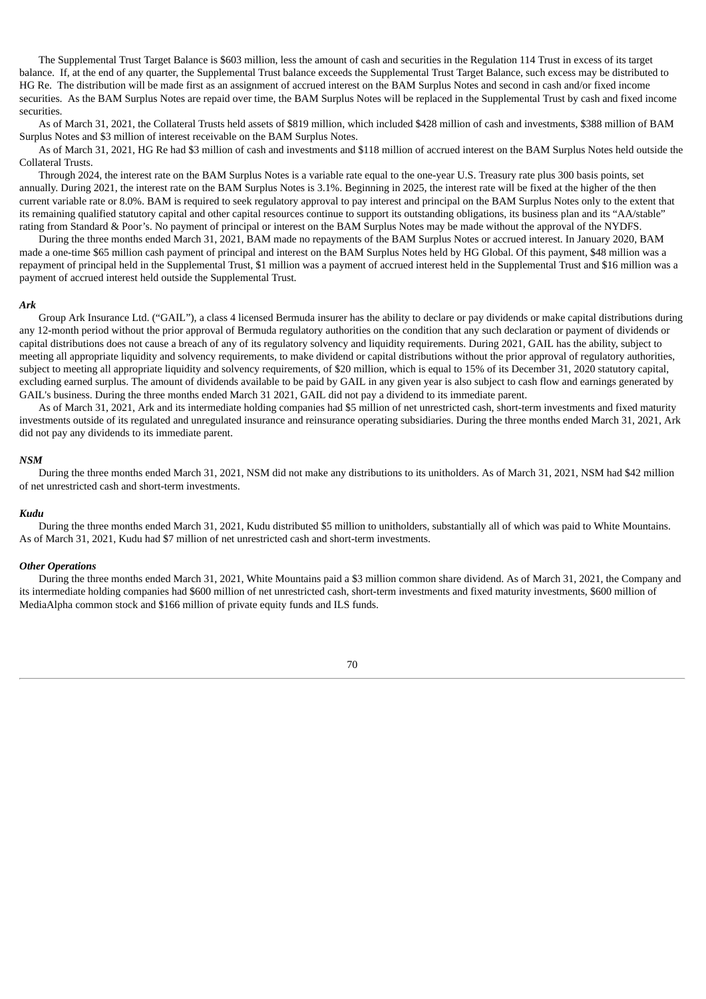The Supplemental Trust Target Balance is \$603 million, less the amount of cash and securities in the Regulation 114 Trust in excess of its target balance. If, at the end of any quarter, the Supplemental Trust balance exceeds the Supplemental Trust Target Balance, such excess may be distributed to HG Re. The distribution will be made first as an assignment of accrued interest on the BAM Surplus Notes and second in cash and/or fixed income securities. As the BAM Surplus Notes are repaid over time, the BAM Surplus Notes will be replaced in the Supplemental Trust by cash and fixed income securities.

As of March 31, 2021, the Collateral Trusts held assets of \$819 million, which included \$428 million of cash and investments, \$388 million of BAM Surplus Notes and \$3 million of interest receivable on the BAM Surplus Notes.

As of March 31, 2021, HG Re had \$3 million of cash and investments and \$118 million of accrued interest on the BAM Surplus Notes held outside the Collateral Trusts.

Through 2024, the interest rate on the BAM Surplus Notes is a variable rate equal to the one-year U.S. Treasury rate plus 300 basis points, set annually. During 2021, the interest rate on the BAM Surplus Notes is 3.1%. Beginning in 2025, the interest rate will be fixed at the higher of the then current variable rate or 8.0%. BAM is required to seek regulatory approval to pay interest and principal on the BAM Surplus Notes only to the extent that its remaining qualified statutory capital and other capital resources continue to support its outstanding obligations, its business plan and its "AA/stable" rating from Standard & Poor's. No payment of principal or interest on the BAM Surplus Notes may be made without the approval of the NYDFS.

During the three months ended March 31, 2021, BAM made no repayments of the BAM Surplus Notes or accrued interest. In January 2020, BAM made a one-time \$65 million cash payment of principal and interest on the BAM Surplus Notes held by HG Global. Of this payment, \$48 million was a repayment of principal held in the Supplemental Trust, \$1 million was a payment of accrued interest held in the Supplemental Trust and \$16 million was a payment of accrued interest held outside the Supplemental Trust.

#### *Ark*

Group Ark Insurance Ltd. ("GAIL"), a class 4 licensed Bermuda insurer has the ability to declare or pay dividends or make capital distributions during any 12-month period without the prior approval of Bermuda regulatory authorities on the condition that any such declaration or payment of dividends or capital distributions does not cause a breach of any of its regulatory solvency and liquidity requirements. During 2021, GAIL has the ability, subject to meeting all appropriate liquidity and solvency requirements, to make dividend or capital distributions without the prior approval of regulatory authorities, subject to meeting all appropriate liquidity and solvency requirements, of \$20 million, which is equal to 15% of its December 31, 2020 statutory capital, excluding earned surplus. The amount of dividends available to be paid by GAIL in any given year is also subject to cash flow and earnings generated by GAIL's business. During the three months ended March 31 2021, GAIL did not pay a dividend to its immediate parent.

As of March 31, 2021, Ark and its intermediate holding companies had \$5 million of net unrestricted cash, short-term investments and fixed maturity investments outside of its regulated and unregulated insurance and reinsurance operating subsidiaries. During the three months ended March 31, 2021, Ark did not pay any dividends to its immediate parent.

## *NSM*

During the three months ended March 31, 2021, NSM did not make any distributions to its unitholders. As of March 31, 2021, NSM had \$42 million of net unrestricted cash and short-term investments.

#### *Kudu*

During the three months ended March 31, 2021, Kudu distributed \$5 million to unitholders, substantially all of which was paid to White Mountains. As of March 31, 2021, Kudu had \$7 million of net unrestricted cash and short-term investments.

## *Other Operations*

During the three months ended March 31, 2021, White Mountains paid a \$3 million common share dividend. As of March 31, 2021, the Company and its intermediate holding companies had \$600 million of net unrestricted cash, short-term investments and fixed maturity investments, \$600 million of MediaAlpha common stock and \$166 million of private equity funds and ILS funds.

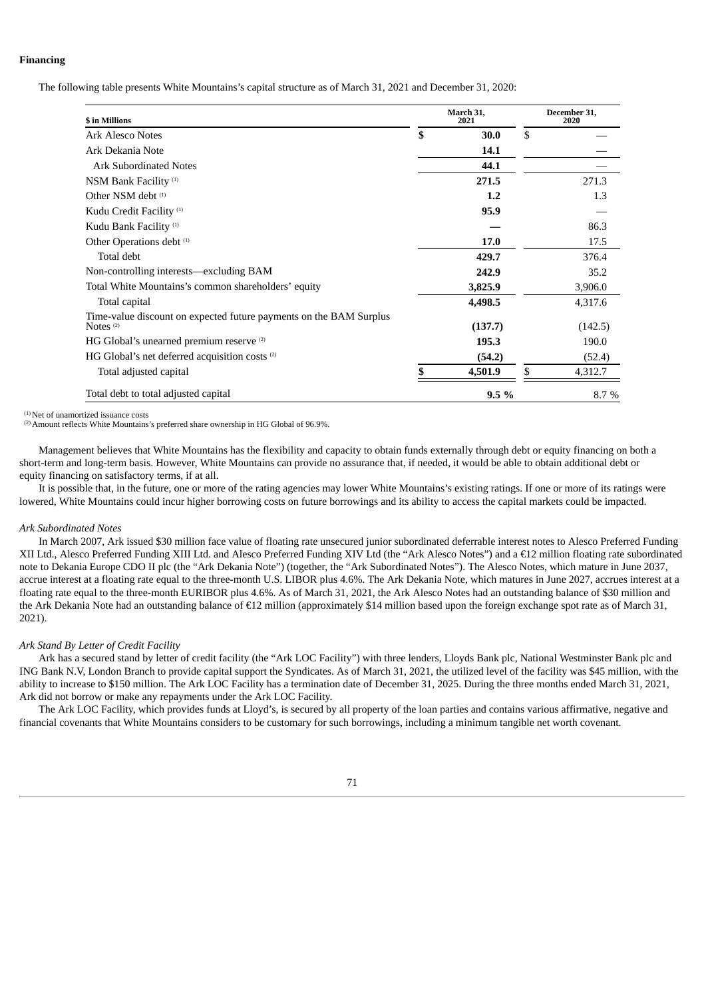# **Financing**

The following table presents White Mountains's capital structure as of March 31, 2021 and December 31, 2020:

| \$ in Millions                                                                    | March 31.<br>2021 | December 31.<br>2020 |
|-----------------------------------------------------------------------------------|-------------------|----------------------|
| <b>Ark Alesco Notes</b>                                                           | \$<br>30.0        | \$                   |
| Ark Dekania Note                                                                  | 14.1              |                      |
| <b>Ark Subordinated Notes</b>                                                     | 44.1              |                      |
| NSM Bank Facility <sup>(1)</sup>                                                  | 271.5             | 271.3                |
| Other NSM debt <sup>(1)</sup>                                                     | 1.2               | 1.3                  |
| Kudu Credit Facility <sup>(1)</sup>                                               | 95.9              |                      |
| Kudu Bank Facility <sup>(1)</sup>                                                 |                   | 86.3                 |
| Other Operations debt (1)                                                         | 17.0              | 17.5                 |
| Total debt                                                                        | 429.7             | 376.4                |
| Non-controlling interests—excluding BAM                                           | 242.9             | 35.2                 |
| Total White Mountains's common shareholders' equity                               | 3,825.9           | 3,906.0              |
| Total capital                                                                     | 4,498.5           | 4,317.6              |
| Time-value discount on expected future payments on the BAM Surplus<br>Notes $(2)$ | (137.7)           | (142.5)              |
| HG Global's unearned premium reserve <sup>(2)</sup>                               | 195.3             | 190.0                |
| HG Global's net deferred acquisition costs <sup>(2)</sup>                         | (54.2)            | (52.4)               |
| Total adjusted capital                                                            | 4,501.9           | \$<br>4,312.7        |
| Total debt to total adjusted capital                                              | 9.5%              | 8.7%                 |

 $<sup>(1)</sup>$  Net of unamortized issuance costs</sup>

 $^{(2)}$  Amount reflects White Mountains's preferred share ownership in HG Global of 96.9%.

Management believes that White Mountains has the flexibility and capacity to obtain funds externally through debt or equity financing on both a short-term and long-term basis. However, White Mountains can provide no assurance that, if needed, it would be able to obtain additional debt or equity financing on satisfactory terms, if at all.

It is possible that, in the future, one or more of the rating agencies may lower White Mountains's existing ratings. If one or more of its ratings were lowered, White Mountains could incur higher borrowing costs on future borrowings and its ability to access the capital markets could be impacted.

#### *Ark Subordinated Notes*

In March 2007, Ark issued \$30 million face value of floating rate unsecured junior subordinated deferrable interest notes to Alesco Preferred Funding XII Ltd., Alesco Preferred Funding XIII Ltd. and Alesco Preferred Funding XIV Ltd (the "Ark Alesco Notes") and a €12 million floating rate subordinated note to Dekania Europe CDO II plc (the "Ark Dekania Note") (together, the "Ark Subordinated Notes"). The Alesco Notes, which mature in June 2037, accrue interest at a floating rate equal to the three-month U.S. LIBOR plus 4.6%. The Ark Dekania Note, which matures in June 2027, accrues interest at a floating rate equal to the three-month EURIBOR plus 4.6%. As of March 31, 2021, the Ark Alesco Notes had an outstanding balance of \$30 million and the Ark Dekania Note had an outstanding balance of €12 million (approximately \$14 million based upon the foreign exchange spot rate as of March 31, 2021).

#### *Ark Stand By Letter of Credit Facility*

Ark has a secured stand by letter of credit facility (the "Ark LOC Facility") with three lenders, Lloyds Bank plc, National Westminster Bank plc and ING Bank N.V, London Branch to provide capital support the Syndicates. As of March 31, 2021, the utilized level of the facility was \$45 million, with the ability to increase to \$150 million. The Ark LOC Facility has a termination date of December 31, 2025. During the three months ended March 31, 2021, Ark did not borrow or make any repayments under the Ark LOC Facility.

The Ark LOC Facility, which provides funds at Lloyd's, is secured by all property of the loan parties and contains various affirmative, negative and financial covenants that White Mountains considers to be customary for such borrowings, including a minimum tangible net worth covenant.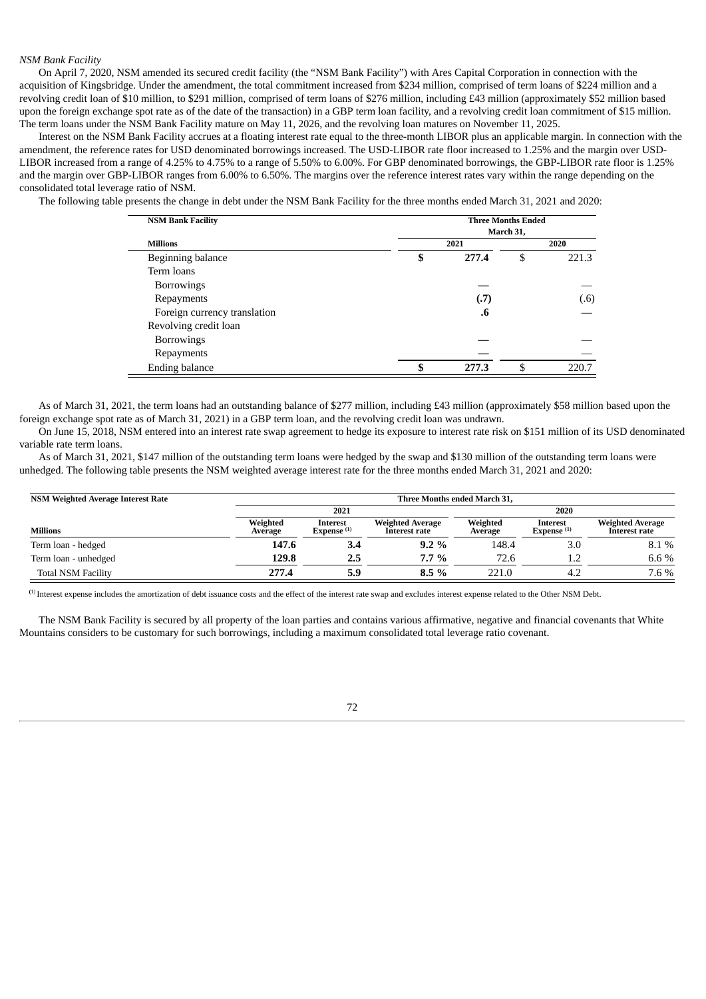### *NSM Bank Facility*

On April 7, 2020, NSM amended its secured credit facility (the "NSM Bank Facility") with Ares Capital Corporation in connection with the acquisition of Kingsbridge. Under the amendment, the total commitment increased from \$234 million, comprised of term loans of \$224 million and a revolving credit loan of \$10 million, to \$291 million, comprised of term loans of \$276 million, including £43 million (approximately \$52 million based upon the foreign exchange spot rate as of the date of the transaction) in a GBP term loan facility, and a revolving credit loan commitment of \$15 million. The term loans under the NSM Bank Facility mature on May 11, 2026, and the revolving loan matures on November 11, 2025.

Interest on the NSM Bank Facility accrues at a floating interest rate equal to the three-month LIBOR plus an applicable margin. In connection with the amendment, the reference rates for USD denominated borrowings increased. The USD-LIBOR rate floor increased to 1.25% and the margin over USD-LIBOR increased from a range of 4.25% to 4.75% to a range of 5.50% to 6.00%. For GBP denominated borrowings, the GBP-LIBOR rate floor is 1.25% and the margin over GBP-LIBOR ranges from 6.00% to 6.50%. The margins over the reference interest rates vary within the range depending on the consolidated total leverage ratio of NSM.

The following table presents the change in debt under the NSM Bank Facility for the three months ended March 31, 2021 and 2020:

| <b>NSM Bank Facility</b>     | <b>Three Months Ended</b><br>March 31, |       |      |       |  |  |  |
|------------------------------|----------------------------------------|-------|------|-------|--|--|--|
| <b>Millions</b>              |                                        | 2021  | 2020 |       |  |  |  |
| Beginning balance            | \$                                     | 277.4 | \$   | 221.3 |  |  |  |
| Term loans                   |                                        |       |      |       |  |  |  |
| <b>Borrowings</b>            |                                        |       |      |       |  |  |  |
| Repayments                   |                                        | (.7)  |      | (.6)  |  |  |  |
| Foreign currency translation |                                        | .6    |      |       |  |  |  |
| Revolving credit loan        |                                        |       |      |       |  |  |  |
| <b>Borrowings</b>            |                                        |       |      |       |  |  |  |
| Repayments                   |                                        |       |      |       |  |  |  |
| <b>Ending balance</b>        | \$                                     | 277.3 | \$   | 220.7 |  |  |  |

As of March 31, 2021, the term loans had an outstanding balance of \$277 million, including £43 million (approximately \$58 million based upon the foreign exchange spot rate as of March 31, 2021) in a GBP term loan, and the revolving credit loan was undrawn.

On June 15, 2018, NSM entered into an interest rate swap agreement to hedge its exposure to interest rate risk on \$151 million of its USD denominated variable rate term loans.

As of March 31, 2021, \$147 million of the outstanding term loans were hedged by the swap and \$130 million of the outstanding term loans were unhedged. The following table presents the NSM weighted average interest rate for the three months ended March 31, 2021 and 2020:

| <b>NSM Weighted Average Interest Rate</b> | Three Months ended March 31, |                           |                                          |                     |                           |                                          |  |
|-------------------------------------------|------------------------------|---------------------------|------------------------------------------|---------------------|---------------------------|------------------------------------------|--|
|                                           |                              | 2021                      |                                          |                     | 2020                      |                                          |  |
| <b>Millions</b>                           | Weighted<br>Average          | Interest<br>Expense $(1)$ | <b>Weighted Average</b><br>Interest rate | Weighted<br>Average | Interest<br>Expense $(1)$ | <b>Weighted Average</b><br>Interest rate |  |
| Term loan - hedged                        | 147.6                        | 3.4                       | 9.2%                                     | 148.4               | 3.0                       | 8.1 %                                    |  |
| Term loan - unhedged                      | 129.8                        | 2.5                       | $7.7\%$                                  | 72.6                |                           | 6.6%                                     |  |
| <b>Total NSM Facility</b>                 | 277.4                        | 5.9                       | 8.5%                                     | 221.0               | -4.2                      | 7.6 %                                    |  |

Interest expense includes the amortization of debt issuance costs and the effect of the interest rate swap and excludes interest expense related to the Other NSM Debt. **(**1)

The NSM Bank Facility is secured by all property of the loan parties and contains various affirmative, negative and financial covenants that White Mountains considers to be customary for such borrowings, including a maximum consolidated total leverage ratio covenant.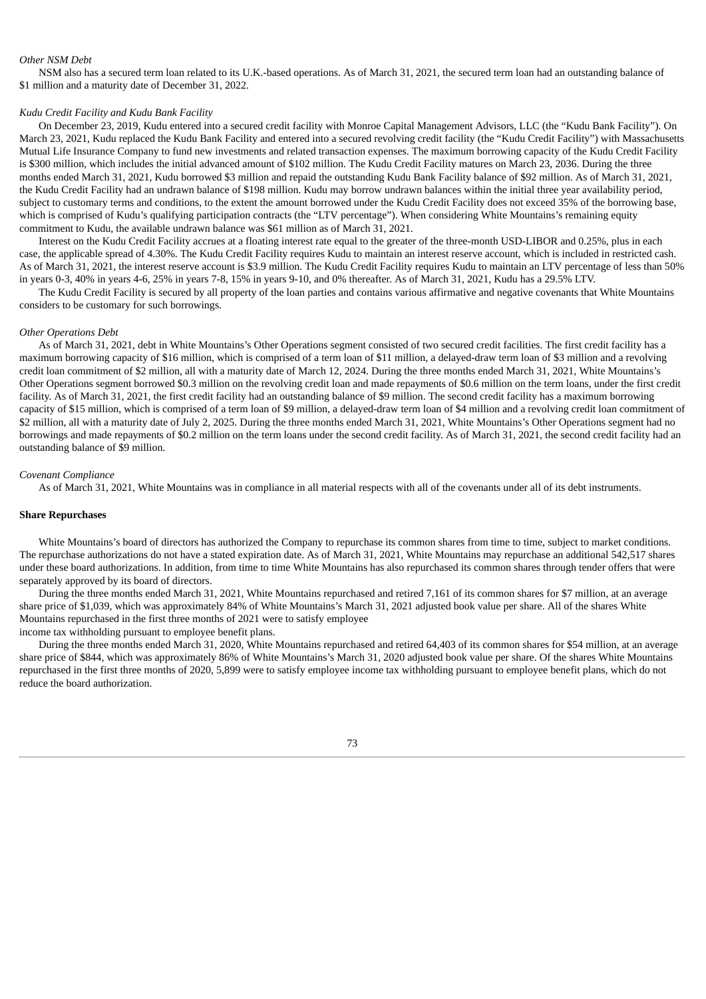## *Other NSM Debt*

NSM also has a secured term loan related to its U.K.-based operations. As of March 31, 2021, the secured term loan had an outstanding balance of \$1 million and a maturity date of December 31, 2022.

## *Kudu Credit Facility and Kudu Bank Facility*

On December 23, 2019, Kudu entered into a secured credit facility with Monroe Capital Management Advisors, LLC (the "Kudu Bank Facility"). On March 23, 2021, Kudu replaced the Kudu Bank Facility and entered into a secured revolving credit facility (the "Kudu Credit Facility") with Massachusetts Mutual Life Insurance Company to fund new investments and related transaction expenses. The maximum borrowing capacity of the Kudu Credit Facility is \$300 million, which includes the initial advanced amount of \$102 million. The Kudu Credit Facility matures on March 23, 2036. During the three months ended March 31, 2021, Kudu borrowed \$3 million and repaid the outstanding Kudu Bank Facility balance of \$92 million. As of March 31, 2021, the Kudu Credit Facility had an undrawn balance of \$198 million. Kudu may borrow undrawn balances within the initial three year availability period, subject to customary terms and conditions, to the extent the amount borrowed under the Kudu Credit Facility does not exceed 35% of the borrowing base, which is comprised of Kudu's qualifying participation contracts (the "LTV percentage"). When considering White Mountains's remaining equity commitment to Kudu, the available undrawn balance was \$61 million as of March 31, 2021.

Interest on the Kudu Credit Facility accrues at a floating interest rate equal to the greater of the three-month USD-LIBOR and 0.25%, plus in each case, the applicable spread of 4.30%. The Kudu Credit Facility requires Kudu to maintain an interest reserve account, which is included in restricted cash. As of March 31, 2021, the interest reserve account is \$3.9 million. The Kudu Credit Facility requires Kudu to maintain an LTV percentage of less than 50% in years 0-3, 40% in years 4-6, 25% in years 7-8, 15% in years 9-10, and 0% thereafter. As of March 31, 2021, Kudu has a 29.5% LTV.

The Kudu Credit Facility is secured by all property of the loan parties and contains various affirmative and negative covenants that White Mountains considers to be customary for such borrowings.

## *Other Operations Debt*

As of March 31, 2021, debt in White Mountains's Other Operations segment consisted of two secured credit facilities. The first credit facility has a maximum borrowing capacity of \$16 million, which is comprised of a term loan of \$11 million, a delayed-draw term loan of \$3 million and a revolving credit loan commitment of \$2 million, all with a maturity date of March 12, 2024. During the three months ended March 31, 2021, White Mountains's Other Operations segment borrowed \$0.3 million on the revolving credit loan and made repayments of \$0.6 million on the term loans, under the first credit facility. As of March 31, 2021, the first credit facility had an outstanding balance of \$9 million. The second credit facility has a maximum borrowing capacity of \$15 million, which is comprised of a term loan of \$9 million, a delayed-draw term loan of \$4 million and a revolving credit loan commitment of \$2 million, all with a maturity date of July 2, 2025. During the three months ended March 31, 2021, White Mountains's Other Operations segment had no borrowings and made repayments of \$0.2 million on the term loans under the second credit facility. As of March 31, 2021, the second credit facility had an outstanding balance of \$9 million.

#### *Covenant Compliance*

As of March 31, 2021, White Mountains was in compliance in all material respects with all of the covenants under all of its debt instruments.

#### **Share Repurchases**

White Mountains's board of directors has authorized the Company to repurchase its common shares from time to time, subject to market conditions. The repurchase authorizations do not have a stated expiration date. As of March 31, 2021, White Mountains may repurchase an additional 542,517 shares under these board authorizations. In addition, from time to time White Mountains has also repurchased its common shares through tender offers that were separately approved by its board of directors.

During the three months ended March 31, 2021, White Mountains repurchased and retired 7,161 of its common shares for \$7 million, at an average share price of \$1,039, which was approximately 84% of White Mountains's March 31, 2021 adjusted book value per share. All of the shares White Mountains repurchased in the first three months of 2021 were to satisfy employee

income tax withholding pursuant to employee benefit plans.

During the three months ended March 31, 2020, White Mountains repurchased and retired 64,403 of its common shares for \$54 million, at an average share price of \$844, which was approximately 86% of White Mountains's March 31, 2020 adjusted book value per share. Of the shares White Mountains repurchased in the first three months of 2020, 5,899 were to satisfy employee income tax withholding pursuant to employee benefit plans, which do not reduce the board authorization.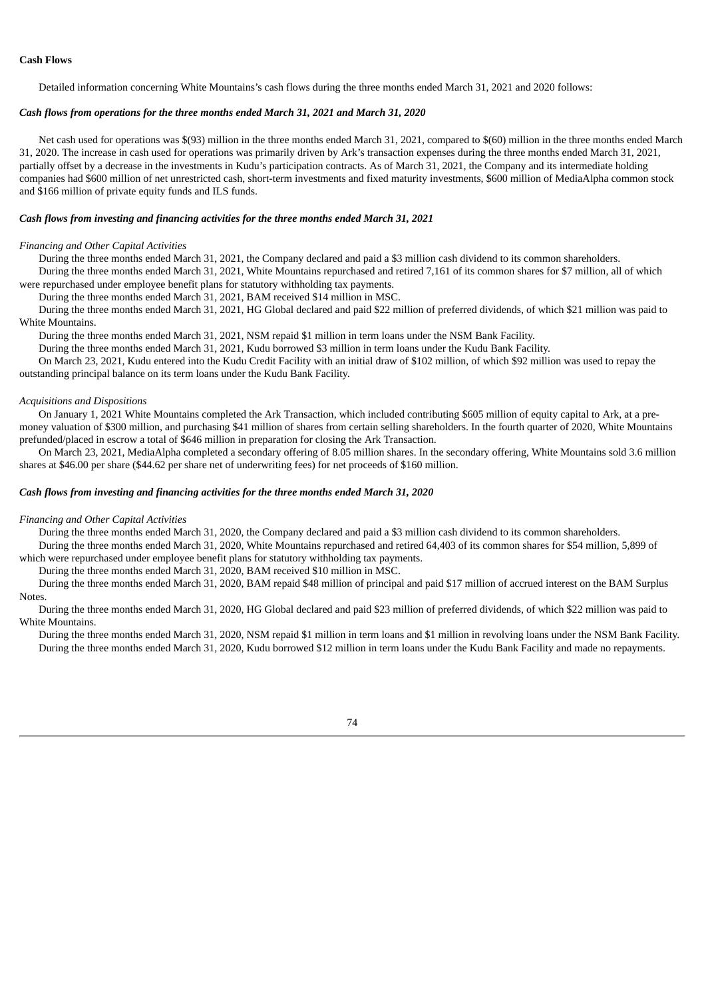## **Cash Flows**

Detailed information concerning White Mountains's cash flows during the three months ended March 31, 2021 and 2020 follows:

# *Cash flows from operations for the three months ended March 31, 2021 and March 31, 2020*

Net cash used for operations was \$(93) million in the three months ended March 31, 2021, compared to \$(60) million in the three months ended March 31, 2020. The increase in cash used for operations was primarily driven by Ark's transaction expenses during the three months ended March 31, 2021, partially offset by a decrease in the investments in Kudu's participation contracts. As of March 31, 2021, the Company and its intermediate holding companies had \$600 million of net unrestricted cash, short-term investments and fixed maturity investments, \$600 million of MediaAlpha common stock and \$166 million of private equity funds and ILS funds.

### *Cash flows from investing and financing activities for the three months ended March 31, 2021*

#### *Financing and Other Capital Activities*

During the three months ended March 31, 2021, the Company declared and paid a \$3 million cash dividend to its common shareholders.

During the three months ended March 31, 2021, White Mountains repurchased and retired 7,161 of its common shares for \$7 million, all of which were repurchased under employee benefit plans for statutory withholding tax payments.

During the three months ended March 31, 2021, BAM received \$14 million in MSC.

During the three months ended March 31, 2021, HG Global declared and paid \$22 million of preferred dividends, of which \$21 million was paid to White Mountains.

During the three months ended March 31, 2021, NSM repaid \$1 million in term loans under the NSM Bank Facility.

During the three months ended March 31, 2021, Kudu borrowed \$3 million in term loans under the Kudu Bank Facility.

On March 23, 2021, Kudu entered into the Kudu Credit Facility with an initial draw of \$102 million, of which \$92 million was used to repay the outstanding principal balance on its term loans under the Kudu Bank Facility.

#### *Acquisitions and Dispositions*

On January 1, 2021 White Mountains completed the Ark Transaction, which included contributing \$605 million of equity capital to Ark, at a premoney valuation of \$300 million, and purchasing \$41 million of shares from certain selling shareholders. In the fourth quarter of 2020, White Mountains prefunded/placed in escrow a total of \$646 million in preparation for closing the Ark Transaction.

On March 23, 2021, MediaAlpha completed a secondary offering of 8.05 million shares. In the secondary offering, White Mountains sold 3.6 million shares at \$46.00 per share (\$44.62 per share net of underwriting fees) for net proceeds of \$160 million.

### *Cash flows from investing and financing activities for the three months ended March 31, 2020*

#### *Financing and Other Capital Activities*

During the three months ended March 31, 2020, the Company declared and paid a \$3 million cash dividend to its common shareholders.

During the three months ended March 31, 2020, White Mountains repurchased and retired 64,403 of its common shares for \$54 million, 5,899 of which were repurchased under employee benefit plans for statutory withholding tax payments.

During the three months ended March 31, 2020, BAM received \$10 million in MSC.

During the three months ended March 31, 2020, BAM repaid \$48 million of principal and paid \$17 million of accrued interest on the BAM Surplus Notes.

During the three months ended March 31, 2020, HG Global declared and paid \$23 million of preferred dividends, of which \$22 million was paid to White Mountains.

During the three months ended March 31, 2020, NSM repaid \$1 million in term loans and \$1 million in revolving loans under the NSM Bank Facility. During the three months ended March 31, 2020, Kudu borrowed \$12 million in term loans under the Kudu Bank Facility and made no repayments.

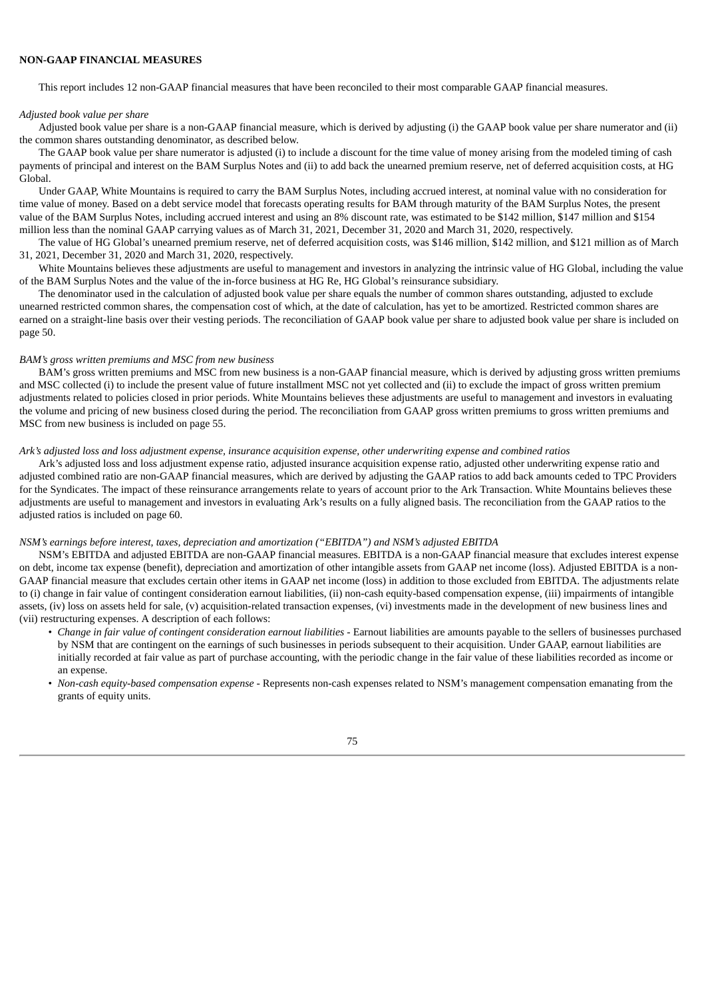## **NON-GAAP FINANCIAL MEASURES**

This report includes 12 non-GAAP financial measures that have been reconciled to their most comparable GAAP financial measures.

#### *Adjusted book value per share*

Adjusted book value per share is a non-GAAP financial measure, which is derived by adjusting (i) the GAAP book value per share numerator and (ii) the common shares outstanding denominator, as described below.

The GAAP book value per share numerator is adjusted (i) to include a discount for the time value of money arising from the modeled timing of cash payments of principal and interest on the BAM Surplus Notes and (ii) to add back the unearned premium reserve, net of deferred acquisition costs, at HG Global.

Under GAAP, White Mountains is required to carry the BAM Surplus Notes, including accrued interest, at nominal value with no consideration for time value of money. Based on a debt service model that forecasts operating results for BAM through maturity of the BAM Surplus Notes, the present value of the BAM Surplus Notes, including accrued interest and using an 8% discount rate, was estimated to be \$142 million, \$147 million and \$154 million less than the nominal GAAP carrying values as of March 31, 2021, December 31, 2020 and March 31, 2020, respectively.

The value of HG Global's unearned premium reserve, net of deferred acquisition costs, was \$146 million, \$142 million, and \$121 million as of March 31, 2021, December 31, 2020 and March 31, 2020, respectively.

White Mountains believes these adjustments are useful to management and investors in analyzing the intrinsic value of HG Global, including the value of the BAM Surplus Notes and the value of the in-force business at HG Re, HG Global's reinsurance subsidiary.

The denominator used in the calculation of adjusted book value per share equals the number of common shares outstanding, adjusted to exclude unearned restricted common shares, the compensation cost of which, at the date of calculation, has yet to be amortized. Restricted common shares are earned on a straight-line basis over their vesting periods. The reconciliation of GAAP book value per share to adjusted book value per share is included on page 50.

## *BAM's gross written premiums and MSC from new business*

BAM's gross written premiums and MSC from new business is a non-GAAP financial measure, which is derived by adjusting gross written premiums and MSC collected (i) to include the present value of future installment MSC not yet collected and (ii) to exclude the impact of gross written premium adjustments related to policies closed in prior periods. White Mountains believes these adjustments are useful to management and investors in evaluating the volume and pricing of new business closed during the period. The reconciliation from GAAP gross written premiums to gross written premiums and MSC from new business is included on page 55.

### Ark's adjusted loss and loss adjustment expense, insurance acquisition expense, other underwriting expense and combined ratios

Ark's adjusted loss and loss adjustment expense ratio, adjusted insurance acquisition expense ratio, adjusted other underwriting expense ratio and adjusted combined ratio are non-GAAP financial measures, which are derived by adjusting the GAAP ratios to add back amounts ceded to TPC Providers for the Syndicates. The impact of these reinsurance arrangements relate to years of account prior to the Ark Transaction. White Mountains believes these adjustments are useful to management and investors in evaluating Ark's results on a fully aligned basis. The reconciliation from the GAAP ratios to the adjusted ratios is included on page 60.

## *NSM's earnings before interest, taxes, depreciation and amortization ("EBITDA") and NSM's adjusted EBITDA*

NSM's EBITDA and adjusted EBITDA are non-GAAP financial measures. EBITDA is a non-GAAP financial measure that excludes interest expense on debt, income tax expense (benefit), depreciation and amortization of other intangible assets from GAAP net income (loss). Adjusted EBITDA is a non-GAAP financial measure that excludes certain other items in GAAP net income (loss) in addition to those excluded from EBITDA. The adjustments relate to (i) change in fair value of contingent consideration earnout liabilities, (ii) non-cash equity-based compensation expense, (iii) impairments of intangible assets, (iv) loss on assets held for sale, (v) acquisition-related transaction expenses, (vi) investments made in the development of new business lines and (vii) restructuring expenses. A description of each follows:

- *Change in fair value of contingent consideration earnout liabilities* Earnout liabilities are amounts payable to the sellers of businesses purchased by NSM that are contingent on the earnings of such businesses in periods subsequent to their acquisition. Under GAAP, earnout liabilities are initially recorded at fair value as part of purchase accounting, with the periodic change in the fair value of these liabilities recorded as income or an expense.
- *Non-cash equity-based compensation expense* Represents non-cash expenses related to NSM's management compensation emanating from the grants of equity units.

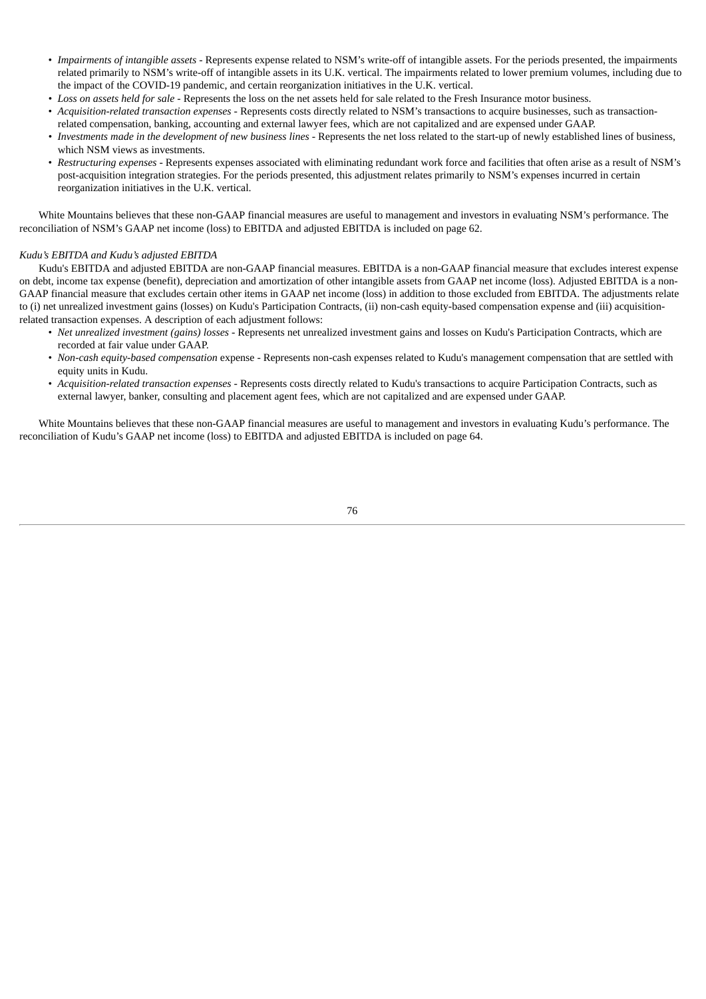- *Impairments of intangible assets* Represents expense related to NSM's write-off of intangible assets. For the periods presented, the impairments related primarily to NSM's write-off of intangible assets in its U.K. vertical. The impairments related to lower premium volumes, including due to the impact of the COVID-19 pandemic, and certain reorganization initiatives in the U.K. vertical.
- *• Loss on assets held for sale -* Represents the loss on the net assets held for sale related to the Fresh Insurance motor business.
- *Acquisition-related transaction expenses* Represents costs directly related to NSM's transactions to acquire businesses, such as transactionrelated compensation, banking, accounting and external lawyer fees, which are not capitalized and are expensed under GAAP.
- *• Investments made in the development of new business lines* Represents the net loss related to the start-up of newly established lines of business, which NSM views as investments.
- *Restructuring expenses* Represents expenses associated with eliminating redundant work force and facilities that often arise as a result of NSM's post-acquisition integration strategies. For the periods presented, this adjustment relates primarily to NSM's expenses incurred in certain reorganization initiatives in the U.K. vertical.

White Mountains believes that these non-GAAP financial measures are useful to management and investors in evaluating NSM's performance. The reconciliation of NSM's GAAP net income (loss) to EBITDA and adjusted EBITDA is included on page 62.

### *Kudu's EBITDA and Kudu's adjusted EBITDA*

Kudu's EBITDA and adjusted EBITDA are non-GAAP financial measures. EBITDA is a non-GAAP financial measure that excludes interest expense on debt, income tax expense (benefit), depreciation and amortization of other intangible assets from GAAP net income (loss). Adjusted EBITDA is a non-GAAP financial measure that excludes certain other items in GAAP net income (loss) in addition to those excluded from EBITDA. The adjustments relate to (i) net unrealized investment gains (losses) on Kudu's Participation Contracts, (ii) non-cash equity-based compensation expense and (iii) acquisitionrelated transaction expenses. A description of each adjustment follows:

- *Net unrealized investment (gains) losses* Represents net unrealized investment gains and losses on Kudu's Participation Contracts, which are recorded at fair value under GAAP.
- *Non-cash equity-based compensation* expense Represents non-cash expenses related to Kudu's management compensation that are settled with equity units in Kudu.
- *Acquisition-related transaction expenses* Represents costs directly related to Kudu's transactions to acquire Participation Contracts, such as external lawyer, banker, consulting and placement agent fees, which are not capitalized and are expensed under GAAP.

White Mountains believes that these non-GAAP financial measures are useful to management and investors in evaluating Kudu's performance. The reconciliation of Kudu's GAAP net income (loss) to EBITDA and adjusted EBITDA is included on page 64.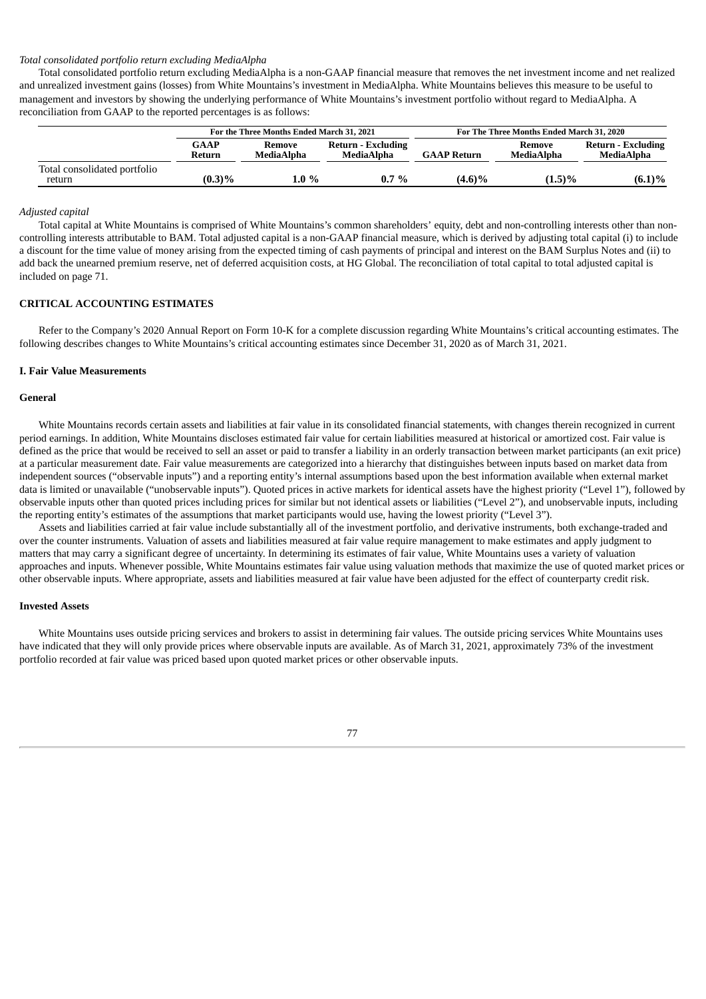## *Total consolidated portfolio return excluding MediaAlpha*

Total consolidated portfolio return excluding MediaAlpha is a non-GAAP financial measure that removes the net investment income and net realized and unrealized investment gains (losses) from White Mountains's investment in MediaAlpha. White Mountains believes this measure to be useful to management and investors by showing the underlying performance of White Mountains's investment portfolio without regard to MediaAlpha. A reconciliation from GAAP to the reported percentages is as follows:

|                                        |                       | For the Three Months Ended March 31, 2021 |                                  |                    | For The Three Months Ended March 31, 2020 |                                         |
|----------------------------------------|-----------------------|-------------------------------------------|----------------------------------|--------------------|-------------------------------------------|-----------------------------------------|
|                                        | <b>GAAP</b><br>Return | Remove<br>MediaAlpha                      | Return - Excluding<br>MediaAlpha | <b>GAAP Return</b> | Remove<br>MediaAlpha                      | <b>Return - Excluding</b><br>MediaAlpha |
| Total consolidated portfolio<br>return | (0.3)%                | 1.0 %                                     | $0.7\%$                          | $(4.6)\%$          | $(1.5)\%$                                 | $(6.1)\%$                               |

## *Adjusted capital*

Total capital at White Mountains is comprised of White Mountains's common shareholders' equity, debt and non-controlling interests other than noncontrolling interests attributable to BAM. Total adjusted capital is a non-GAAP financial measure, which is derived by adjusting total capital (i) to include a discount for the time value of money arising from the expected timing of cash payments of principal and interest on the BAM Surplus Notes and (ii) to add back the unearned premium reserve, net of deferred acquisition costs, at HG Global. The reconciliation of total capital to total adjusted capital is included on page 71.

## **CRITICAL ACCOUNTING ESTIMATES**

Refer to the Company's 2020 Annual Report on Form 10-K for a complete discussion regarding White Mountains's critical accounting estimates. The following describes changes to White Mountains's critical accounting estimates since December 31, 2020 as of March 31, 2021.

### **I. Fair Value Measurements**

## **General**

White Mountains records certain assets and liabilities at fair value in its consolidated financial statements, with changes therein recognized in current period earnings. In addition, White Mountains discloses estimated fair value for certain liabilities measured at historical or amortized cost. Fair value is defined as the price that would be received to sell an asset or paid to transfer a liability in an orderly transaction between market participants (an exit price) at a particular measurement date. Fair value measurements are categorized into a hierarchy that distinguishes between inputs based on market data from independent sources ("observable inputs") and a reporting entity's internal assumptions based upon the best information available when external market data is limited or unavailable ("unobservable inputs"). Quoted prices in active markets for identical assets have the highest priority ("Level 1"), followed by observable inputs other than quoted prices including prices for similar but not identical assets or liabilities ("Level 2"), and unobservable inputs, including the reporting entity's estimates of the assumptions that market participants would use, having the lowest priority ("Level 3").

Assets and liabilities carried at fair value include substantially all of the investment portfolio, and derivative instruments, both exchange-traded and over the counter instruments. Valuation of assets and liabilities measured at fair value require management to make estimates and apply judgment to matters that may carry a significant degree of uncertainty. In determining its estimates of fair value, White Mountains uses a variety of valuation approaches and inputs. Whenever possible, White Mountains estimates fair value using valuation methods that maximize the use of quoted market prices or other observable inputs. Where appropriate, assets and liabilities measured at fair value have been adjusted for the effect of counterparty credit risk.

## **Invested Assets**

White Mountains uses outside pricing services and brokers to assist in determining fair values. The outside pricing services White Mountains uses have indicated that they will only provide prices where observable inputs are available. As of March 31, 2021, approximately 73% of the investment portfolio recorded at fair value was priced based upon quoted market prices or other observable inputs.

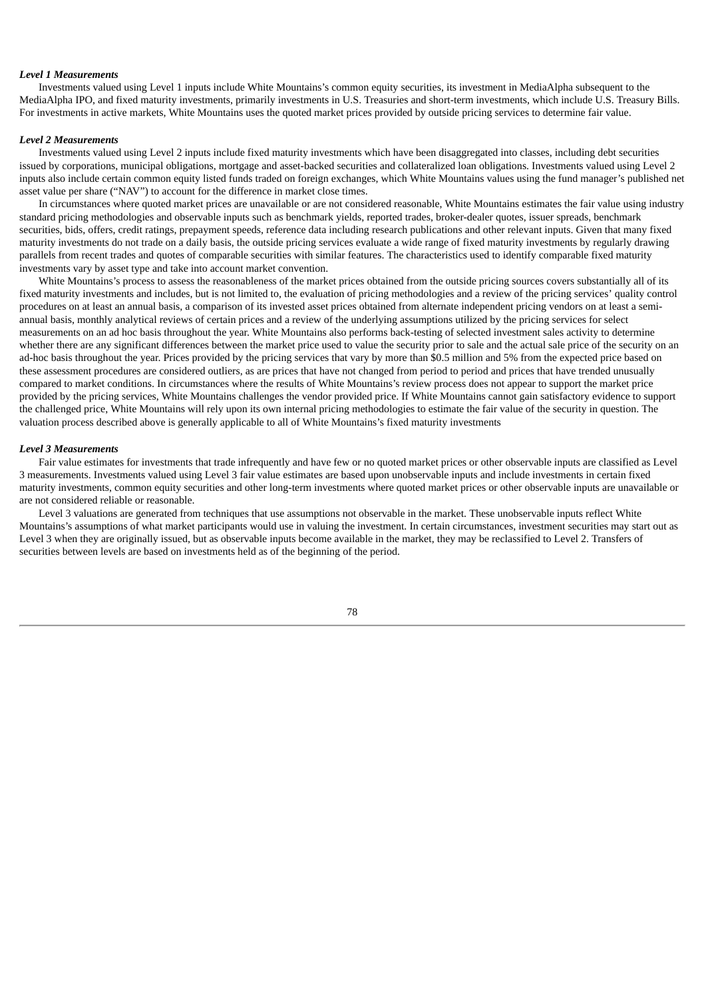## *Level 1 Measurements*

Investments valued using Level 1 inputs include White Mountains's common equity securities, its investment in MediaAlpha subsequent to the MediaAlpha IPO, and fixed maturity investments, primarily investments in U.S. Treasuries and short-term investments, which include U.S. Treasury Bills. For investments in active markets, White Mountains uses the quoted market prices provided by outside pricing services to determine fair value.

### *Level 2 Measurements*

Investments valued using Level 2 inputs include fixed maturity investments which have been disaggregated into classes, including debt securities issued by corporations, municipal obligations, mortgage and asset-backed securities and collateralized loan obligations. Investments valued using Level 2 inputs also include certain common equity listed funds traded on foreign exchanges, which White Mountains values using the fund manager's published net asset value per share ("NAV") to account for the difference in market close times.

In circumstances where quoted market prices are unavailable or are not considered reasonable, White Mountains estimates the fair value using industry standard pricing methodologies and observable inputs such as benchmark yields, reported trades, broker-dealer quotes, issuer spreads, benchmark securities, bids, offers, credit ratings, prepayment speeds, reference data including research publications and other relevant inputs. Given that many fixed maturity investments do not trade on a daily basis, the outside pricing services evaluate a wide range of fixed maturity investments by regularly drawing parallels from recent trades and quotes of comparable securities with similar features. The characteristics used to identify comparable fixed maturity investments vary by asset type and take into account market convention.

White Mountains's process to assess the reasonableness of the market prices obtained from the outside pricing sources covers substantially all of its fixed maturity investments and includes, but is not limited to, the evaluation of pricing methodologies and a review of the pricing services' quality control procedures on at least an annual basis, a comparison of its invested asset prices obtained from alternate independent pricing vendors on at least a semiannual basis, monthly analytical reviews of certain prices and a review of the underlying assumptions utilized by the pricing services for select measurements on an ad hoc basis throughout the year. White Mountains also performs back-testing of selected investment sales activity to determine whether there are any significant differences between the market price used to value the security prior to sale and the actual sale price of the security on an ad-hoc basis throughout the year. Prices provided by the pricing services that vary by more than \$0.5 million and 5% from the expected price based on these assessment procedures are considered outliers, as are prices that have not changed from period to period and prices that have trended unusually compared to market conditions. In circumstances where the results of White Mountains's review process does not appear to support the market price provided by the pricing services, White Mountains challenges the vendor provided price. If White Mountains cannot gain satisfactory evidence to support the challenged price, White Mountains will rely upon its own internal pricing methodologies to estimate the fair value of the security in question. The valuation process described above is generally applicable to all of White Mountains's fixed maturity investments

## *Level 3 Measurements*

Fair value estimates for investments that trade infrequently and have few or no quoted market prices or other observable inputs are classified as Level 3 measurements. Investments valued using Level 3 fair value estimates are based upon unobservable inputs and include investments in certain fixed maturity investments, common equity securities and other long-term investments where quoted market prices or other observable inputs are unavailable or are not considered reliable or reasonable.

Level 3 valuations are generated from techniques that use assumptions not observable in the market. These unobservable inputs reflect White Mountains's assumptions of what market participants would use in valuing the investment. In certain circumstances, investment securities may start out as Level 3 when they are originally issued, but as observable inputs become available in the market, they may be reclassified to Level 2. Transfers of securities between levels are based on investments held as of the beginning of the period.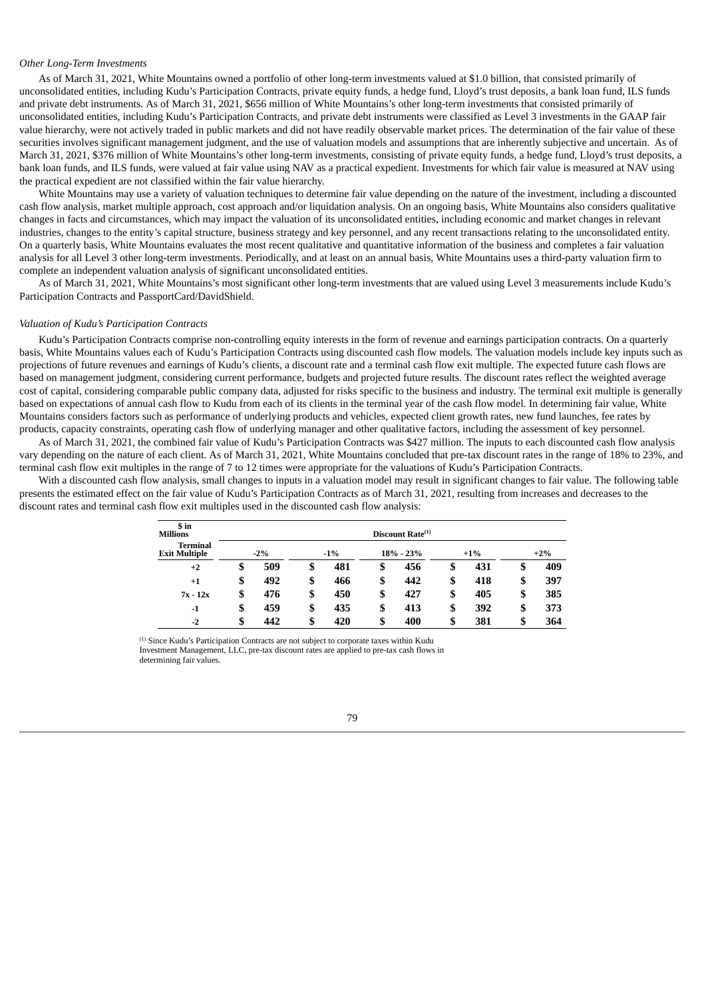#### *Other Long-Term Investments*

As of March 31, 2021, White Mountains owned a portfolio of other long-term investments valued at \$1.0 billion, that consisted primarily of unconsolidated entities, including Kudu's Participation Contracts, private equity funds, a hedge fund, Lloyd's trust deposits, a bank loan fund, ILS funds and private debt instruments. As of March 31, 2021, \$656 million of White Mountains's other long-term investments that consisted primarily of unconsolidated entities, including Kudu's Participation Contracts, and private debt instruments were classified as Level 3 investments in the GAAP fair value hierarchy, were not actively traded in public markets and did not have readily observable market prices. The determination of the fair value of these securities involves significant management judgment, and the use of valuation models and assumptions that are inherently subjective and uncertain. As of March 31, 2021, \$376 million of White Mountains's other long-term investments, consisting of private equity funds, a hedge fund, Lloyd's trust deposits, a bank loan funds, and ILS funds, were valued at fair value using NAV as a practical expedient. Investments for which fair value is measured at NAV using the practical expedient are not classified within the fair value hierarchy.

White Mountains may use a variety of valuation techniques to determine fair value depending on the nature of the investment, including a discounted cash flow analysis, market multiple approach, cost approach and/or liquidation analysis. On an ongoing basis, White Mountains also considers qualitative changes in facts and circumstances, which may impact the valuation of its unconsolidated entities, including economic and market changes in relevant industries, changes to the entity's capital structure, business strategy and key personnel, and any recent transactions relating to the unconsolidated entity. On a quarterly basis, White Mountains evaluates the most recent qualitative and quantitative information of the business and completes a fair valuation analysis for all Level 3 other long-term investments. Periodically, and at least on an annual basis, White Mountains uses a third-party valuation firm to complete an independent valuation analysis of significant unconsolidated entities.

As of March 31, 2021, White Mountains's most significant other long-term investments that are valued using Level 3 measurements include Kudu's Participation Contracts and PassportCard/DavidShield.

#### *Valuation of Kudu's Participation Contracts*

Kudu's Participation Contracts comprise non-controlling equity interests in the form of revenue and earnings participation contracts. On a quarterly basis, White Mountains values each of Kudu's Participation Contracts using discounted cash flow models. The valuation models include key inputs such as projections of future revenues and earnings of Kudu's clients, a discount rate and a terminal cash flow exit multiple. The expected future cash flows are based on management judgment, considering current performance, budgets and projected future results. The discount rates reflect the weighted average cost of capital, considering comparable public company data, adjusted for risks specific to the business and industry. The terminal exit multiple is generally based on expectations of annual cash flow to Kudu from each of its clients in the terminal year of the cash flow model. In determining fair value, White Mountains considers factors such as performance of underlying products and vehicles, expected client growth rates, new fund launches, fee rates by products, capacity constraints, operating cash flow of underlying manager and other qualitative factors, including the assessment of key personnel.

As of March 31, 2021, the combined fair value of Kudu's Participation Contracts was \$427 million. The inputs to each discounted cash flow analysis vary depending on the nature of each client. As of March 31, 2021, White Mountains concluded that pre-tax discount rates in the range of 18% to 23%, and terminal cash flow exit multiples in the range of 7 to 12 times were appropriate for the valuations of Kudu's Participation Contracts.

With a discounted cash flow analysis, small changes to inputs in a valuation model may result in significant changes to fair value. The following table presents the estimated effect on the fair value of Kudu's Participation Contracts as of March 31, 2021, resulting from increases and decreases to the discount rates and terminal cash flow exit multiples used in the discounted cash flow analysis:

| \$ in<br><b>Millions</b>         |           |           |               | Discount Rate <sup>(1)</sup> |           |    |       |  |
|----------------------------------|-----------|-----------|---------------|------------------------------|-----------|----|-------|--|
| Terminal<br><b>Exit Multiple</b> | $-2%$     | $-1\%$    | $18\% - 23\%$ |                              | $+1\%$    |    | $+2%$ |  |
| $+2$                             | \$<br>509 | \$<br>481 | \$            | 456                          | \$<br>431 | \$ | 409   |  |
| $+1$                             | \$<br>492 | \$<br>466 | \$            | 442                          | \$<br>418 | \$ | 397   |  |
| $7x - 12x$                       | \$<br>476 | \$<br>450 | \$            | 427                          | \$<br>405 | \$ | 385   |  |
| $-1$                             | \$<br>459 | \$<br>435 | \$            | 413                          | \$<br>392 | \$ | 373   |  |
| $-2$                             | \$<br>442 | \$<br>420 | \$            | 400                          | \$<br>381 | \$ | 364   |  |

 $<sup>(1)</sup>$  Since Kudu's Participation Contracts are not subject to corporate taxes within Kudu</sup> Investment Management, LLC, pre-tax discount rates are applied to pre-tax cash flows in determining fair values.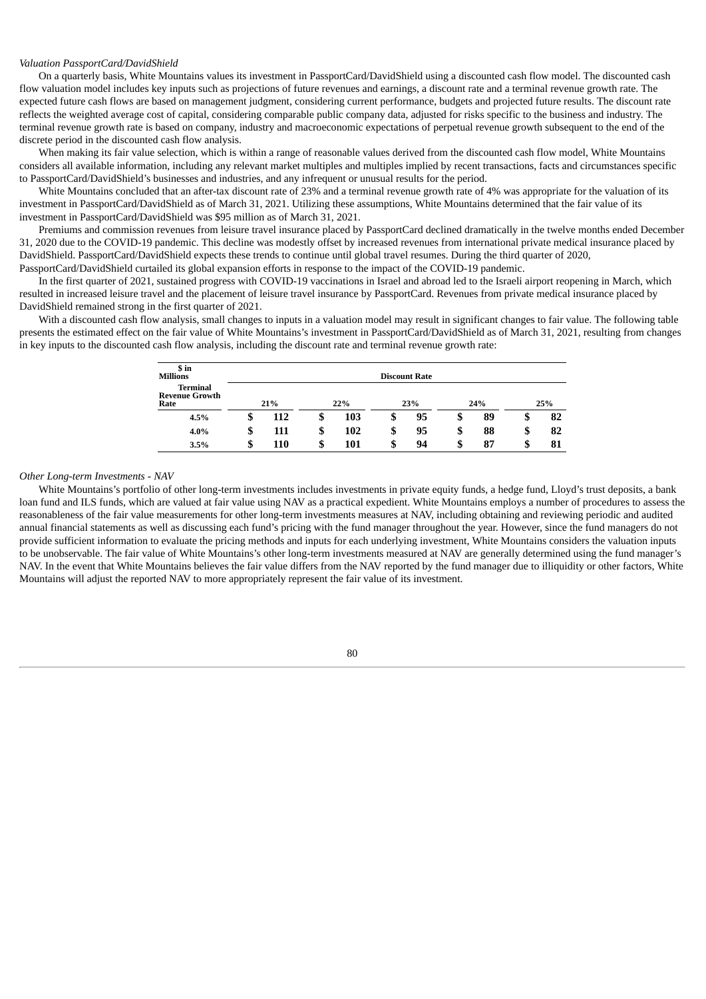### *Valuation PassportCard/DavidShield*

On a quarterly basis, White Mountains values its investment in PassportCard/DavidShield using a discounted cash flow model. The discounted cash flow valuation model includes key inputs such as projections of future revenues and earnings, a discount rate and a terminal revenue growth rate. The expected future cash flows are based on management judgment, considering current performance, budgets and projected future results. The discount rate reflects the weighted average cost of capital, considering comparable public company data, adjusted for risks specific to the business and industry. The terminal revenue growth rate is based on company, industry and macroeconomic expectations of perpetual revenue growth subsequent to the end of the discrete period in the discounted cash flow analysis.

When making its fair value selection, which is within a range of reasonable values derived from the discounted cash flow model, White Mountains considers all available information, including any relevant market multiples and multiples implied by recent transactions, facts and circumstances specific to PassportCard/DavidShield's businesses and industries, and any infrequent or unusual results for the period.

White Mountains concluded that an after-tax discount rate of 23% and a terminal revenue growth rate of 4% was appropriate for the valuation of its investment in PassportCard/DavidShield as of March 31, 2021. Utilizing these assumptions, White Mountains determined that the fair value of its investment in PassportCard/DavidShield was \$95 million as of March 31, 2021.

Premiums and commission revenues from leisure travel insurance placed by PassportCard declined dramatically in the twelve months ended December 31, 2020 due to the COVID-19 pandemic. This decline was modestly offset by increased revenues from international private medical insurance placed by DavidShield. PassportCard/DavidShield expects these trends to continue until global travel resumes. During the third quarter of 2020, PassportCard/DavidShield curtailed its global expansion efforts in response to the impact of the COVID-19 pandemic.

In the first quarter of 2021, sustained progress with COVID-19 vaccinations in Israel and abroad led to the Israeli airport reopening in March, which resulted in increased leisure travel and the placement of leisure travel insurance by PassportCard. Revenues from private medical insurance placed by DavidShield remained strong in the first quarter of 2021.

With a discounted cash flow analysis, small changes to inputs in a valuation model may result in significant changes to fair value. The following table presents the estimated effect on the fair value of White Mountains's investment in PassportCard/DavidShield as of March 31, 2021, resulting from changes in key inputs to the discounted cash flow analysis, including the discount rate and terminal revenue growth rate:

| \$ in<br><b>Millions</b>                         | <b>Discount Rate</b> |     |    |     |   |     |   |     |    |     |
|--------------------------------------------------|----------------------|-----|----|-----|---|-----|---|-----|----|-----|
| <b>Terminal</b><br><b>Revenue Growth</b><br>Rate |                      | 21% |    | 22% |   | 23% |   | 24% |    | 25% |
| 4.5%                                             | J                    | 112 | \$ | 103 | J | 95  | ъ | 89  | \$ | 82  |
| 4.0%                                             | \$                   | 111 | \$ | 102 | S | 95  | S | 88  | \$ | 82  |
| 3.5%                                             | \$                   | 110 | \$ | 101 |   | 94  | S | 87  | \$ | 81  |

*Other Long-term Investments - NAV*

White Mountains's portfolio of other long-term investments includes investments in private equity funds, a hedge fund, Lloyd's trust deposits, a bank loan fund and ILS funds, which are valued at fair value using NAV as a practical expedient. White Mountains employs a number of procedures to assess the reasonableness of the fair value measurements for other long-term investments measures at NAV, including obtaining and reviewing periodic and audited annual financial statements as well as discussing each fund's pricing with the fund manager throughout the year. However, since the fund managers do not provide sufficient information to evaluate the pricing methods and inputs for each underlying investment, White Mountains considers the valuation inputs to be unobservable. The fair value of White Mountains's other long-term investments measured at NAV are generally determined using the fund manager's NAV. In the event that White Mountains believes the fair value differs from the NAV reported by the fund manager due to illiquidity or other factors, White Mountains will adjust the reported NAV to more appropriately represent the fair value of its investment.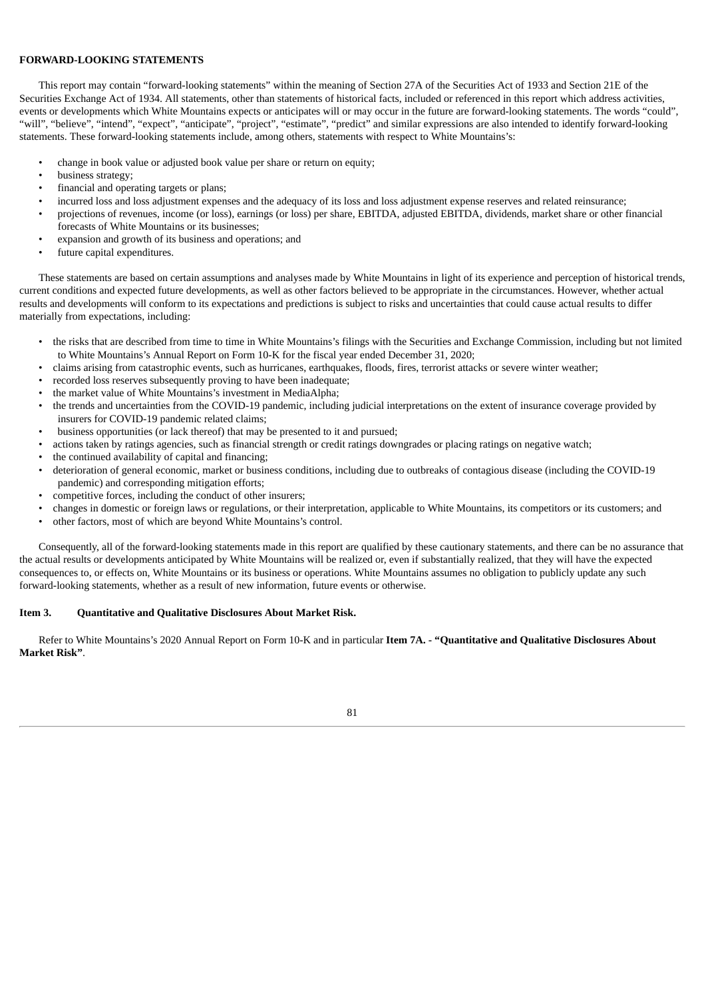## **FORWARD-LOOKING STATEMENTS**

This report may contain "forward-looking statements" within the meaning of Section 27A of the Securities Act of 1933 and Section 21E of the Securities Exchange Act of 1934. All statements, other than statements of historical facts, included or referenced in this report which address activities, events or developments which White Mountains expects or anticipates will or may occur in the future are forward-looking statements. The words "could", "will", "believe", "intend", "expect", "anticipate", "project", "estimate", "predict" and similar expressions are also intended to identify forward-looking statements. These forward-looking statements include, among others, statements with respect to White Mountains's:

- change in book value or adjusted book value per share or return on equity;
- business strategy;
- financial and operating targets or plans;
- incurred loss and loss adjustment expenses and the adequacy of its loss and loss adjustment expense reserves and related reinsurance;
- projections of revenues, income (or loss), earnings (or loss) per share, EBITDA, adjusted EBITDA, dividends, market share or other financial forecasts of White Mountains or its businesses;
- expansion and growth of its business and operations; and
- future capital expenditures.

These statements are based on certain assumptions and analyses made by White Mountains in light of its experience and perception of historical trends, current conditions and expected future developments, as well as other factors believed to be appropriate in the circumstances. However, whether actual results and developments will conform to its expectations and predictions is subject to risks and uncertainties that could cause actual results to differ materially from expectations, including:

- the risks that are described from time to time in White Mountains's filings with the Securities and Exchange Commission, including but not limited to White Mountains's Annual Report on Form 10-K for the fiscal year ended December 31, 2020;
- claims arising from catastrophic events, such as hurricanes, earthquakes, floods, fires, terrorist attacks or severe winter weather;
- recorded loss reserves subsequently proving to have been inadequate;
- the market value of White Mountains's investment in MediaAlpha;
- the trends and uncertainties from the COVID-19 pandemic, including judicial interpretations on the extent of insurance coverage provided by insurers for COVID-19 pandemic related claims;
- business opportunities (or lack thereof) that may be presented to it and pursued;
- actions taken by ratings agencies, such as financial strength or credit ratings downgrades or placing ratings on negative watch;
- the continued availability of capital and financing;
- deterioration of general economic, market or business conditions, including due to outbreaks of contagious disease (including the COVID-19 pandemic) and corresponding mitigation efforts;
- competitive forces, including the conduct of other insurers;
- changes in domestic or foreign laws or regulations, or their interpretation, applicable to White Mountains, its competitors or its customers; and
- other factors, most of which are beyond White Mountains's control.

Consequently, all of the forward-looking statements made in this report are qualified by these cautionary statements, and there can be no assurance that the actual results or developments anticipated by White Mountains will be realized or, even if substantially realized, that they will have the expected consequences to, or effects on, White Mountains or its business or operations. White Mountains assumes no obligation to publicly update any such forward-looking statements, whether as a result of new information, future events or otherwise.

## **Item 3. Quantitative and Qualitative Disclosures About Market Risk.**

Refer to White Mountains's 2020 Annual Report on Form 10-K and in particular **Item 7A. - "Quantitative and Qualitative Disclosures About Market Risk"**.

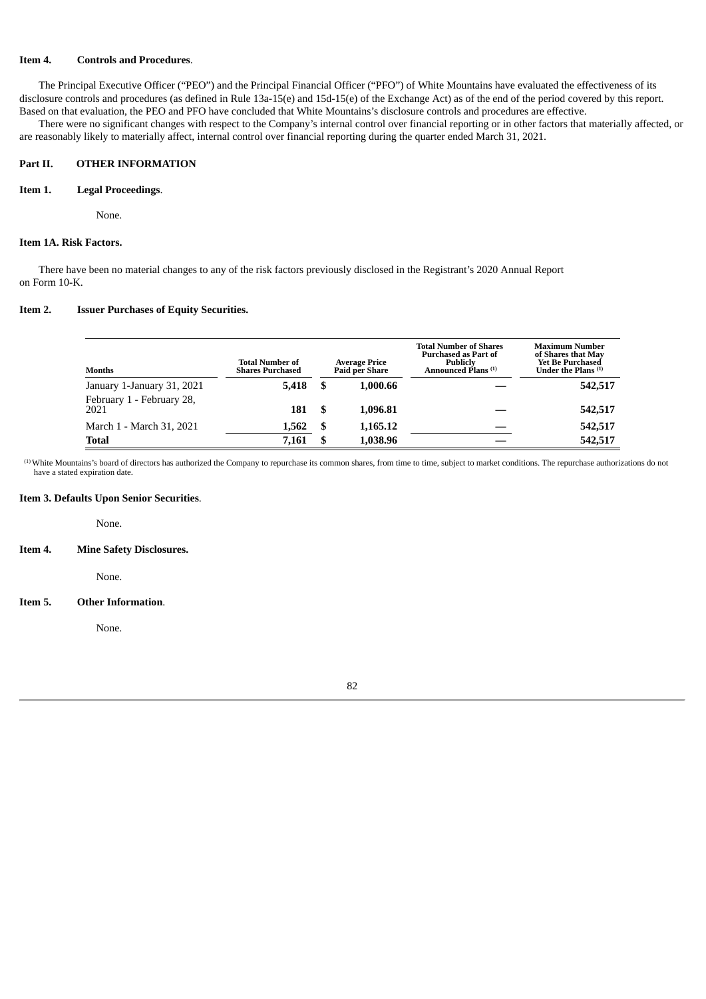## **Item 4. Controls and Procedures**.

The Principal Executive Officer ("PEO") and the Principal Financial Officer ("PFO") of White Mountains have evaluated the effectiveness of its disclosure controls and procedures (as defined in Rule 13a-15(e) and 15d-15(e) of the Exchange Act) as of the end of the period covered by this report. Based on that evaluation, the PEO and PFO have concluded that White Mountains's disclosure controls and procedures are effective.

There were no significant changes with respect to the Company's internal control over financial reporting or in other factors that materially affected, or are reasonably likely to materially affect, internal control over financial reporting during the quarter ended March 31, 2021.

## **Part II. OTHER INFORMATION**

#### **Item 1. Legal Proceedings**.

None.

#### **Item 1A. Risk Factors.**

There have been no material changes to any of the risk factors previously disclosed in the Registrant's 2020 Annual Report on Form 10-K.

## **Item 2. Issuer Purchases of Equity Securities.**

| <b>Months</b>                     | <b>Total Number of</b><br><b>Shares Purchased</b> |     | <b>Average Price</b><br>Paid per Share | <b>Total Number of Shares</b><br>Purchased as Part of<br><b>Publicly</b><br>Announced Plans <sup>(1)</sup> | <b>Maximum Number</b><br>of Shares that May<br><b>Yet Be Purchased</b><br>Under the Plans $(1)$ |
|-----------------------------------|---------------------------------------------------|-----|----------------------------------------|------------------------------------------------------------------------------------------------------------|-------------------------------------------------------------------------------------------------|
| January 1-January 31, 2021        | 5,418                                             | \$  | 1.000.66                               |                                                                                                            | 542,517                                                                                         |
| February 1 - February 28,<br>2021 | 181                                               | -S  | 1.096.81                               |                                                                                                            | 542,517                                                                                         |
| March 1 - March 31, 2021          | 1,562                                             | \$. | 1,165.12                               |                                                                                                            | 542,517                                                                                         |
| <b>Total</b>                      | 7,161                                             |     | 1,038.96                               |                                                                                                            | 542,517                                                                                         |

White Mountains's board of directors has authorized the Company to repurchase its common shares, from time to time, subject to market conditions. The repurchase authorizations do not (1) have a stated expiration date.

### **Item 3. Defaults Upon Senior Securities**.

None.

#### **Item 4. Mine Safety Disclosures.**

None.

## **Item 5. Other Information**.

None.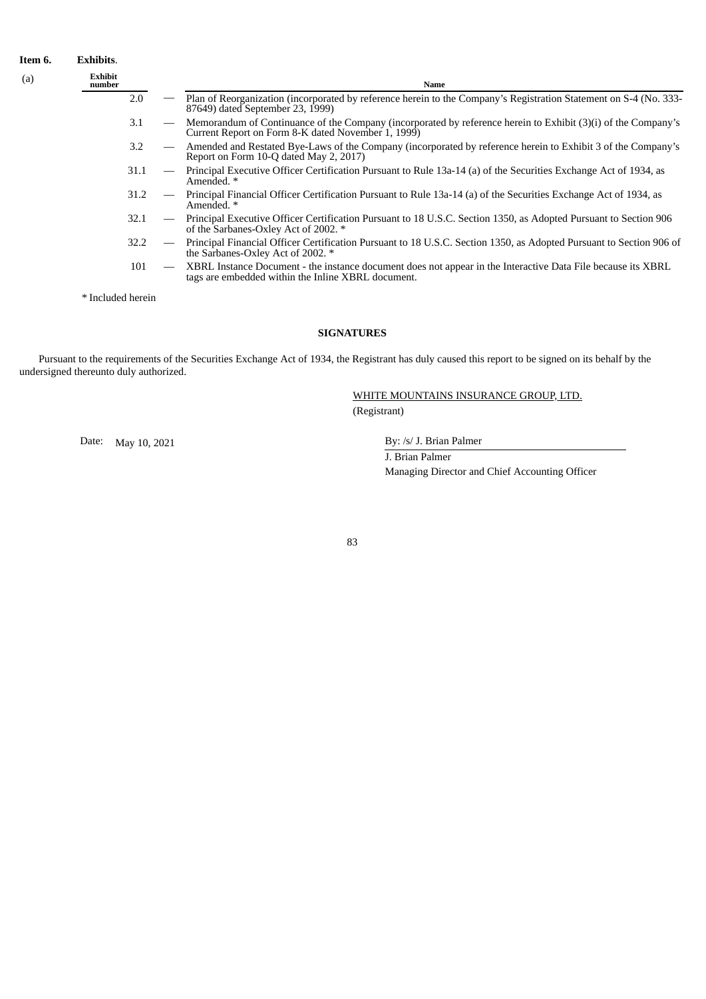| Item 6. | <b>Exhibits.</b>  |                                 |                                                                                                                                                                       |
|---------|-------------------|---------------------------------|-----------------------------------------------------------------------------------------------------------------------------------------------------------------------|
| (a)     | Exhibit<br>number |                                 | Name                                                                                                                                                                  |
|         | 2.0               |                                 | Plan of Reorganization (incorporated by reference herein to the Company's Registration Statement on S-4 (No. 333-<br>87649) dated September 23, 1999)                 |
|         | 3.1               |                                 | — Memorandum of Continuance of the Company (incorporated by reference herein to Exhibit (3)(i) of the Company's<br>Current Report on Form 8-K dated November 1, 1999) |
|         | 3.2               |                                 | Amended and Restated Bye-Laws of the Company (incorporated by reference herein to Exhibit 3 of the Company's<br>Report on Form 10-Q dated May 2, 2017)                |
|         | 31.1              |                                 | Principal Executive Officer Certification Pursuant to Rule 13a-14 (a) of the Securities Exchange Act of 1934, as<br>Amended. *                                        |
|         | 31.2              |                                 | Principal Financial Officer Certification Pursuant to Rule 13a-14 (a) of the Securities Exchange Act of 1934, as<br>Amended. *                                        |
|         | 32.1              |                                 | Principal Executive Officer Certification Pursuant to 18 U.S.C. Section 1350, as Adopted Pursuant to Section 906<br>of the Sarbanes-Oxley Act of 2002. *              |
|         | 32.2              | $\hspace{0.1mm}-\hspace{0.1mm}$ | Principal Financial Officer Certification Pursuant to 18 U.S.C. Section 1350, as Adopted Pursuant to Section 906 of<br>the Sarbanes-Oxley Act of 2002. *              |
|         | 101               |                                 | XBRL Instance Document - the instance document does not appear in the Interactive Data File because its XBRL<br>tags are embedded within the Inline XBRL document.    |
|         | * Included herein |                                 |                                                                                                                                                                       |

# **SIGNATURES**

Pursuant to the requirements of the Securities Exchange Act of 1934, the Registrant has duly caused this report to be signed on its behalf by the undersigned thereunto duly authorized.

> WHITE MOUNTAINS INSURANCE GROUP, LTD. (Registrant)

Date: May 10, 2021 By: /s/ J. Brian Palmer

J. Brian Palmer Managing Director and Chief Accounting Officer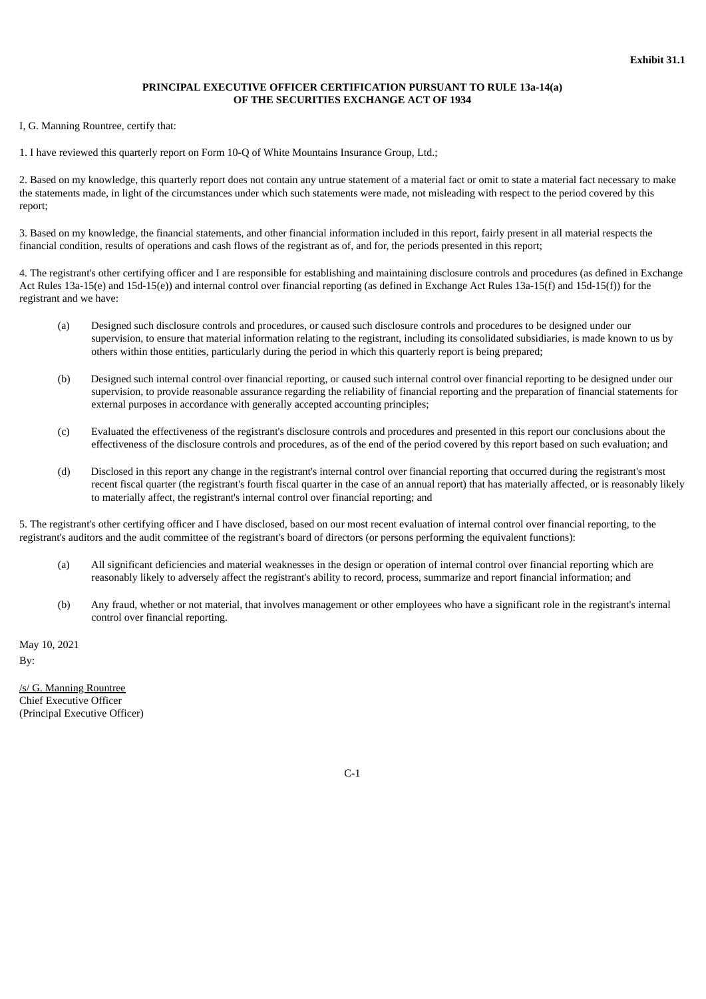# **PRINCIPAL EXECUTIVE OFFICER CERTIFICATION PURSUANT TO RULE 13a-14(a) OF THE SECURITIES EXCHANGE ACT OF 1934**

<span id="page-85-0"></span>I, G. Manning Rountree, certify that:

1. I have reviewed this quarterly report on Form 10-Q of White Mountains Insurance Group, Ltd.;

2. Based on my knowledge, this quarterly report does not contain any untrue statement of a material fact or omit to state a material fact necessary to make the statements made, in light of the circumstances under which such statements were made, not misleading with respect to the period covered by this report;

3. Based on my knowledge, the financial statements, and other financial information included in this report, fairly present in all material respects the financial condition, results of operations and cash flows of the registrant as of, and for, the periods presented in this report;

4. The registrant's other certifying officer and I are responsible for establishing and maintaining disclosure controls and procedures (as defined in Exchange Act Rules 13a-15(e) and 15d-15(e)) and internal control over financial reporting (as defined in Exchange Act Rules 13a-15(f) and 15d-15(f)) for the registrant and we have:

- (a) Designed such disclosure controls and procedures, or caused such disclosure controls and procedures to be designed under our supervision, to ensure that material information relating to the registrant, including its consolidated subsidiaries, is made known to us by others within those entities, particularly during the period in which this quarterly report is being prepared;
- (b) Designed such internal control over financial reporting, or caused such internal control over financial reporting to be designed under our supervision, to provide reasonable assurance regarding the reliability of financial reporting and the preparation of financial statements for external purposes in accordance with generally accepted accounting principles;
- (c) Evaluated the effectiveness of the registrant's disclosure controls and procedures and presented in this report our conclusions about the effectiveness of the disclosure controls and procedures, as of the end of the period covered by this report based on such evaluation; and
- (d) Disclosed in this report any change in the registrant's internal control over financial reporting that occurred during the registrant's most recent fiscal quarter (the registrant's fourth fiscal quarter in the case of an annual report) that has materially affected, or is reasonably likely to materially affect, the registrant's internal control over financial reporting; and

5. The registrant's other certifying officer and I have disclosed, based on our most recent evaluation of internal control over financial reporting, to the registrant's auditors and the audit committee of the registrant's board of directors (or persons performing the equivalent functions):

- (a) All significant deficiencies and material weaknesses in the design or operation of internal control over financial reporting which are reasonably likely to adversely affect the registrant's ability to record, process, summarize and report financial information; and
- (b) Any fraud, whether or not material, that involves management or other employees who have a significant role in the registrant's internal control over financial reporting.

May 10, 2021 By:

/s/ G. Manning Rountree Chief Executive Officer (Principal Executive Officer)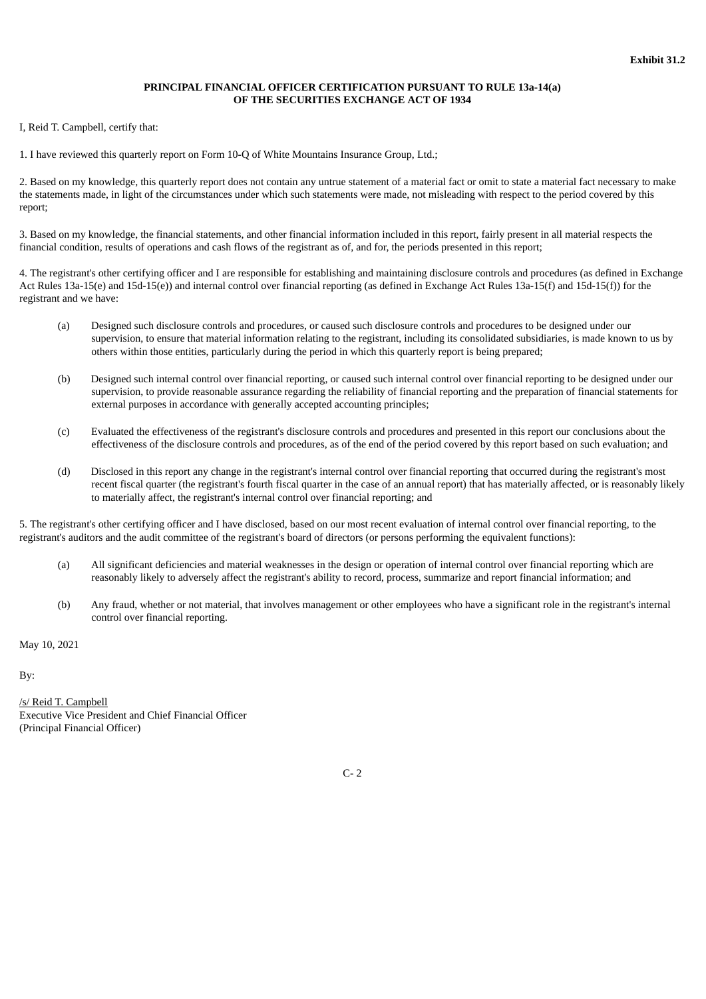# **PRINCIPAL FINANCIAL OFFICER CERTIFICATION PURSUANT TO RULE 13a-14(a) OF THE SECURITIES EXCHANGE ACT OF 1934**

<span id="page-86-0"></span>I, Reid T. Campbell, certify that:

1. I have reviewed this quarterly report on Form 10-Q of White Mountains Insurance Group, Ltd.;

2. Based on my knowledge, this quarterly report does not contain any untrue statement of a material fact or omit to state a material fact necessary to make the statements made, in light of the circumstances under which such statements were made, not misleading with respect to the period covered by this report;

3. Based on my knowledge, the financial statements, and other financial information included in this report, fairly present in all material respects the financial condition, results of operations and cash flows of the registrant as of, and for, the periods presented in this report;

4. The registrant's other certifying officer and I are responsible for establishing and maintaining disclosure controls and procedures (as defined in Exchange Act Rules 13a-15(e) and 15d-15(e)) and internal control over financial reporting (as defined in Exchange Act Rules 13a-15(f) and 15d-15(f)) for the registrant and we have:

- (a) Designed such disclosure controls and procedures, or caused such disclosure controls and procedures to be designed under our supervision, to ensure that material information relating to the registrant, including its consolidated subsidiaries, is made known to us by others within those entities, particularly during the period in which this quarterly report is being prepared;
- (b) Designed such internal control over financial reporting, or caused such internal control over financial reporting to be designed under our supervision, to provide reasonable assurance regarding the reliability of financial reporting and the preparation of financial statements for external purposes in accordance with generally accepted accounting principles;
- (c) Evaluated the effectiveness of the registrant's disclosure controls and procedures and presented in this report our conclusions about the effectiveness of the disclosure controls and procedures, as of the end of the period covered by this report based on such evaluation; and
- (d) Disclosed in this report any change in the registrant's internal control over financial reporting that occurred during the registrant's most recent fiscal quarter (the registrant's fourth fiscal quarter in the case of an annual report) that has materially affected, or is reasonably likely to materially affect, the registrant's internal control over financial reporting; and

5. The registrant's other certifying officer and I have disclosed, based on our most recent evaluation of internal control over financial reporting, to the registrant's auditors and the audit committee of the registrant's board of directors (or persons performing the equivalent functions):

- (a) All significant deficiencies and material weaknesses in the design or operation of internal control over financial reporting which are reasonably likely to adversely affect the registrant's ability to record, process, summarize and report financial information; and
- (b) Any fraud, whether or not material, that involves management or other employees who have a significant role in the registrant's internal control over financial reporting.

May 10, 2021

By:

/s/ Reid T. Campbell Executive Vice President and Chief Financial Officer (Principal Financial Officer)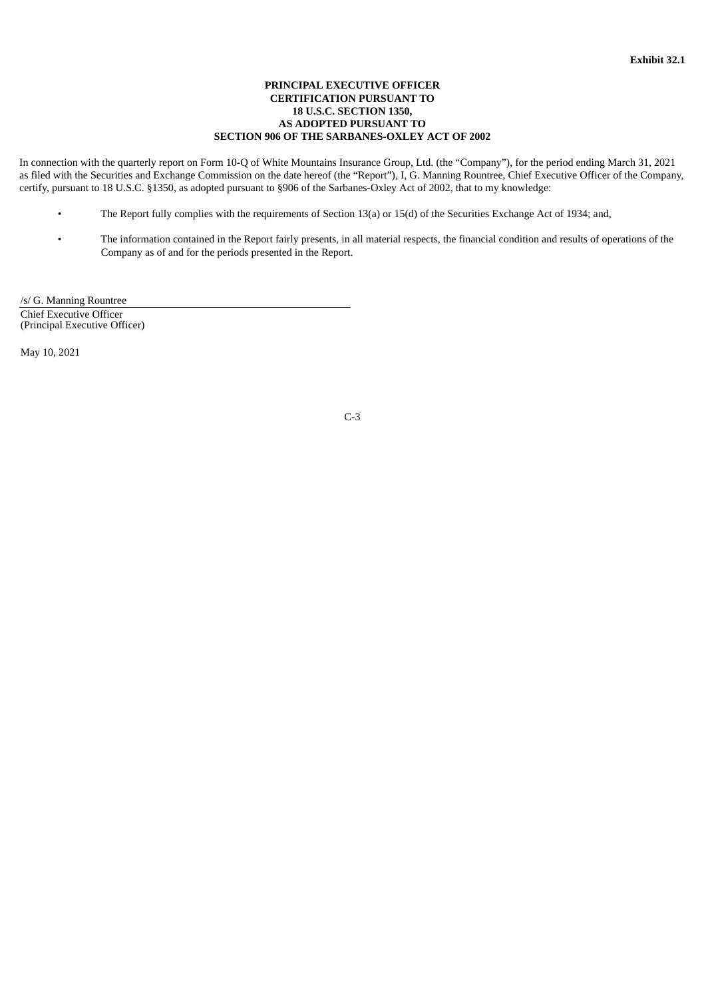## **PRINCIPAL EXECUTIVE OFFICER CERTIFICATION PURSUANT TO 18 U.S.C. SECTION 1350, AS ADOPTED PURSUANT TO SECTION 906 OF THE SARBANES-OXLEY ACT OF 2002**

<span id="page-87-0"></span>In connection with the quarterly report on Form 10-Q of White Mountains Insurance Group, Ltd. (the "Company"), for the period ending March 31, 2021 as filed with the Securities and Exchange Commission on the date hereof (the "Report"), I, G. Manning Rountree, Chief Executive Officer of the Company, certify, pursuant to 18 U.S.C. §1350, as adopted pursuant to §906 of the Sarbanes-Oxley Act of 2002, that to my knowledge:

- The Report fully complies with the requirements of Section 13(a) or 15(d) of the Securities Exchange Act of 1934; and,
- The information contained in the Report fairly presents, in all material respects, the financial condition and results of operations of the Company as of and for the periods presented in the Report.

/s/ G. Manning Rountree Chief Executive Officer (Principal Executive Officer)

May 10, 2021